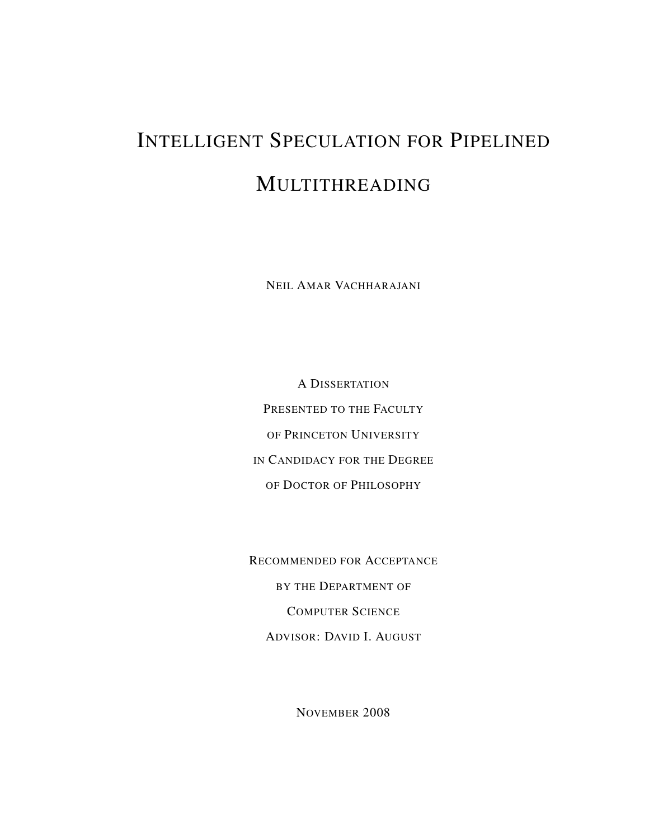# INTELLIGENT SPECULATION FOR PIPELINED MULTITHREADING

NEIL AMAR VACHHARAJANI

A DISSERTATION PRESENTED TO THE FACULTY OF PRINCETON UNIVERSITY IN CANDIDACY FOR THE DEGREE OF DOCTOR OF PHILOSOPHY

RECOMMENDED FOR ACCEPTANCE BY THE DEPARTMENT OF COMPUTER SCIENCE ADVISOR: DAVID I. AUGUST

NOVEMBER 2008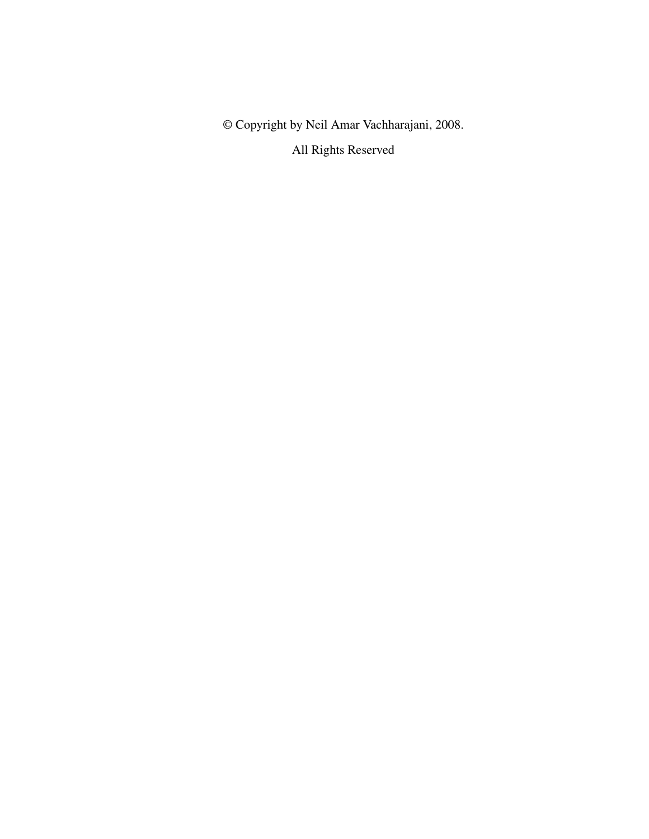© Copyright by Neil Amar Vachharajani, 2008.

All Rights Reserved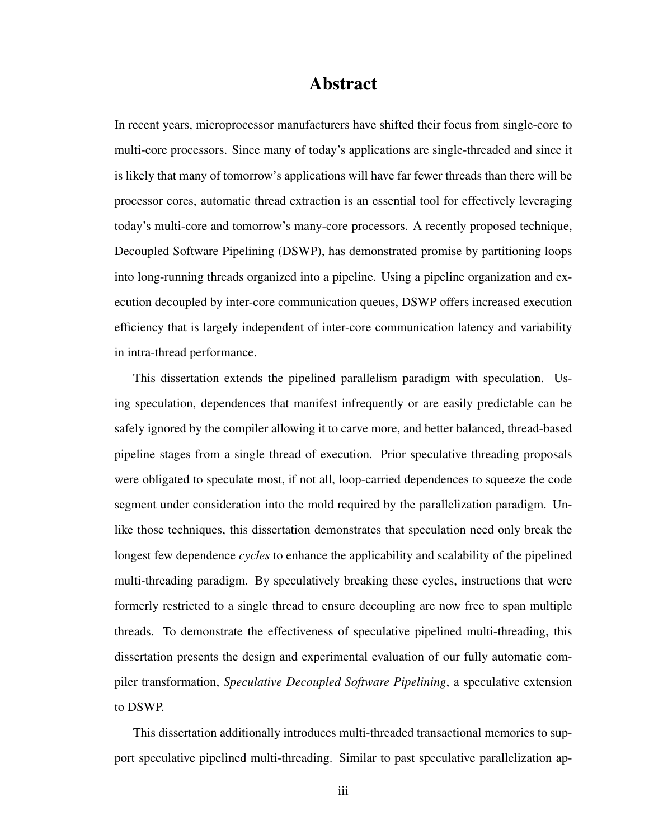### Abstract

In recent years, microprocessor manufacturers have shifted their focus from single-core to multi-core processors. Since many of today's applications are single-threaded and since it is likely that many of tomorrow's applications will have far fewer threads than there will be processor cores, automatic thread extraction is an essential tool for effectively leveraging today's multi-core and tomorrow's many-core processors. A recently proposed technique, Decoupled Software Pipelining (DSWP), has demonstrated promise by partitioning loops into long-running threads organized into a pipeline. Using a pipeline organization and execution decoupled by inter-core communication queues, DSWP offers increased execution efficiency that is largely independent of inter-core communication latency and variability in intra-thread performance.

This dissertation extends the pipelined parallelism paradigm with speculation. Using speculation, dependences that manifest infrequently or are easily predictable can be safely ignored by the compiler allowing it to carve more, and better balanced, thread-based pipeline stages from a single thread of execution. Prior speculative threading proposals were obligated to speculate most, if not all, loop-carried dependences to squeeze the code segment under consideration into the mold required by the parallelization paradigm. Unlike those techniques, this dissertation demonstrates that speculation need only break the longest few dependence *cycles* to enhance the applicability and scalability of the pipelined multi-threading paradigm. By speculatively breaking these cycles, instructions that were formerly restricted to a single thread to ensure decoupling are now free to span multiple threads. To demonstrate the effectiveness of speculative pipelined multi-threading, this dissertation presents the design and experimental evaluation of our fully automatic compiler transformation, *Speculative Decoupled Software Pipelining*, a speculative extension to DSWP.

This dissertation additionally introduces multi-threaded transactional memories to support speculative pipelined multi-threading. Similar to past speculative parallelization ap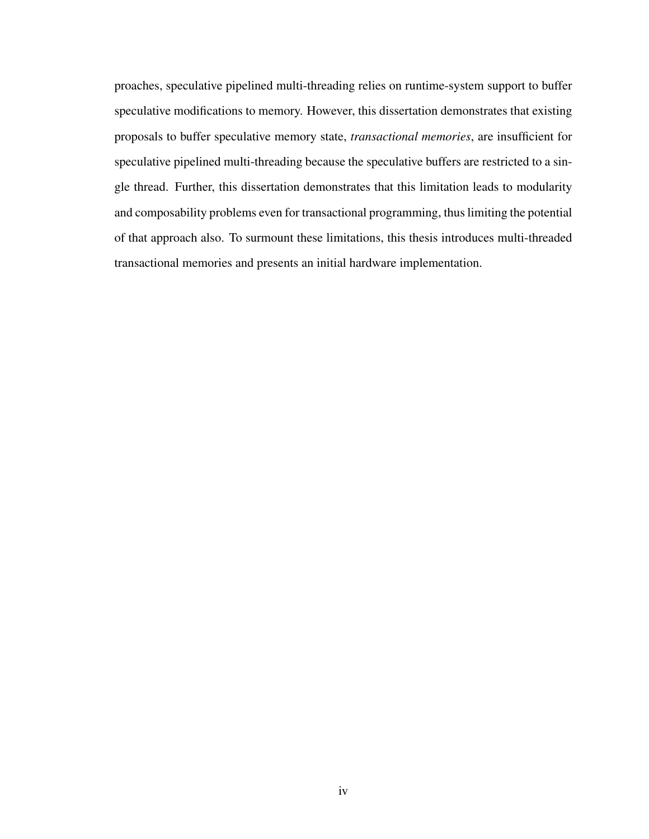proaches, speculative pipelined multi-threading relies on runtime-system support to buffer speculative modifications to memory. However, this dissertation demonstrates that existing proposals to buffer speculative memory state, *transactional memories*, are insufficient for speculative pipelined multi-threading because the speculative buffers are restricted to a single thread. Further, this dissertation demonstrates that this limitation leads to modularity and composability problems even for transactional programming, thus limiting the potential of that approach also. To surmount these limitations, this thesis introduces multi-threaded transactional memories and presents an initial hardware implementation.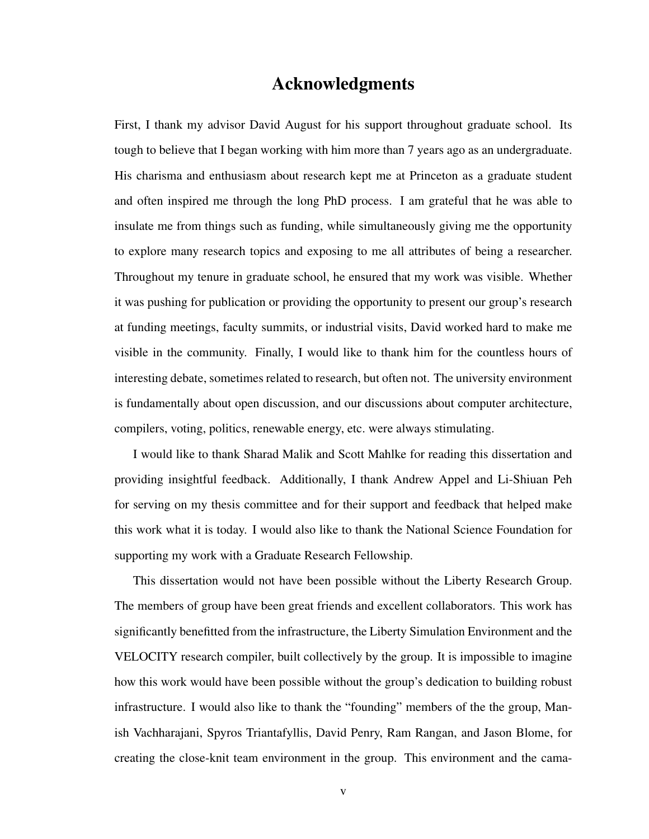#### Acknowledgments

First, I thank my advisor David August for his support throughout graduate school. Its tough to believe that I began working with him more than 7 years ago as an undergraduate. His charisma and enthusiasm about research kept me at Princeton as a graduate student and often inspired me through the long PhD process. I am grateful that he was able to insulate me from things such as funding, while simultaneously giving me the opportunity to explore many research topics and exposing to me all attributes of being a researcher. Throughout my tenure in graduate school, he ensured that my work was visible. Whether it was pushing for publication or providing the opportunity to present our group's research at funding meetings, faculty summits, or industrial visits, David worked hard to make me visible in the community. Finally, I would like to thank him for the countless hours of interesting debate, sometimes related to research, but often not. The university environment is fundamentally about open discussion, and our discussions about computer architecture, compilers, voting, politics, renewable energy, etc. were always stimulating.

I would like to thank Sharad Malik and Scott Mahlke for reading this dissertation and providing insightful feedback. Additionally, I thank Andrew Appel and Li-Shiuan Peh for serving on my thesis committee and for their support and feedback that helped make this work what it is today. I would also like to thank the National Science Foundation for supporting my work with a Graduate Research Fellowship.

This dissertation would not have been possible without the Liberty Research Group. The members of group have been great friends and excellent collaborators. This work has significantly benefitted from the infrastructure, the Liberty Simulation Environment and the VELOCITY research compiler, built collectively by the group. It is impossible to imagine how this work would have been possible without the group's dedication to building robust infrastructure. I would also like to thank the "founding" members of the the group, Manish Vachharajani, Spyros Triantafyllis, David Penry, Ram Rangan, and Jason Blome, for creating the close-knit team environment in the group. This environment and the cama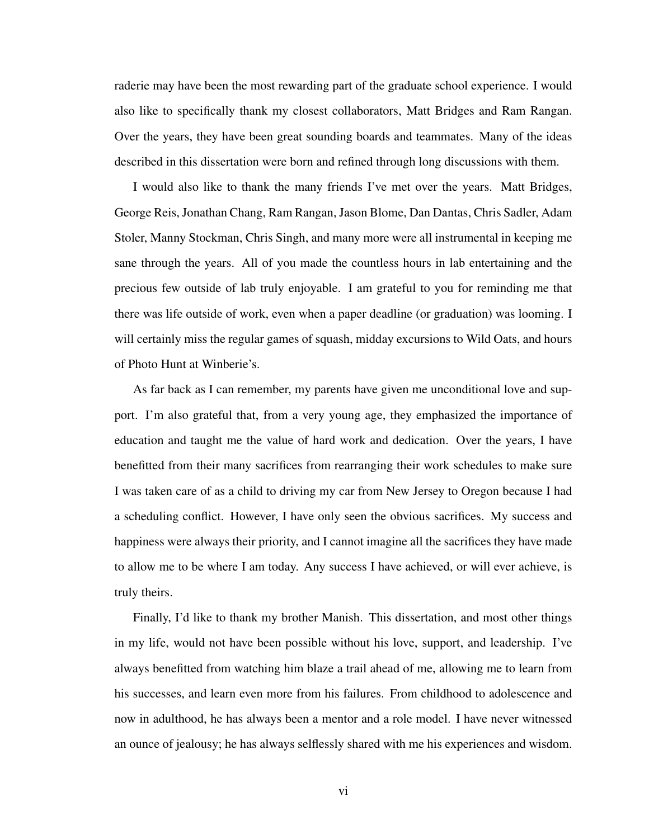raderie may have been the most rewarding part of the graduate school experience. I would also like to specifically thank my closest collaborators, Matt Bridges and Ram Rangan. Over the years, they have been great sounding boards and teammates. Many of the ideas described in this dissertation were born and refined through long discussions with them.

I would also like to thank the many friends I've met over the years. Matt Bridges, George Reis, Jonathan Chang, Ram Rangan, Jason Blome, Dan Dantas, Chris Sadler, Adam Stoler, Manny Stockman, Chris Singh, and many more were all instrumental in keeping me sane through the years. All of you made the countless hours in lab entertaining and the precious few outside of lab truly enjoyable. I am grateful to you for reminding me that there was life outside of work, even when a paper deadline (or graduation) was looming. I will certainly miss the regular games of squash, midday excursions to Wild Oats, and hours of Photo Hunt at Winberie's.

As far back as I can remember, my parents have given me unconditional love and support. I'm also grateful that, from a very young age, they emphasized the importance of education and taught me the value of hard work and dedication. Over the years, I have benefitted from their many sacrifices from rearranging their work schedules to make sure I was taken care of as a child to driving my car from New Jersey to Oregon because I had a scheduling conflict. However, I have only seen the obvious sacrifices. My success and happiness were always their priority, and I cannot imagine all the sacrifices they have made to allow me to be where I am today. Any success I have achieved, or will ever achieve, is truly theirs.

Finally, I'd like to thank my brother Manish. This dissertation, and most other things in my life, would not have been possible without his love, support, and leadership. I've always benefitted from watching him blaze a trail ahead of me, allowing me to learn from his successes, and learn even more from his failures. From childhood to adolescence and now in adulthood, he has always been a mentor and a role model. I have never witnessed an ounce of jealousy; he has always selflessly shared with me his experiences and wisdom.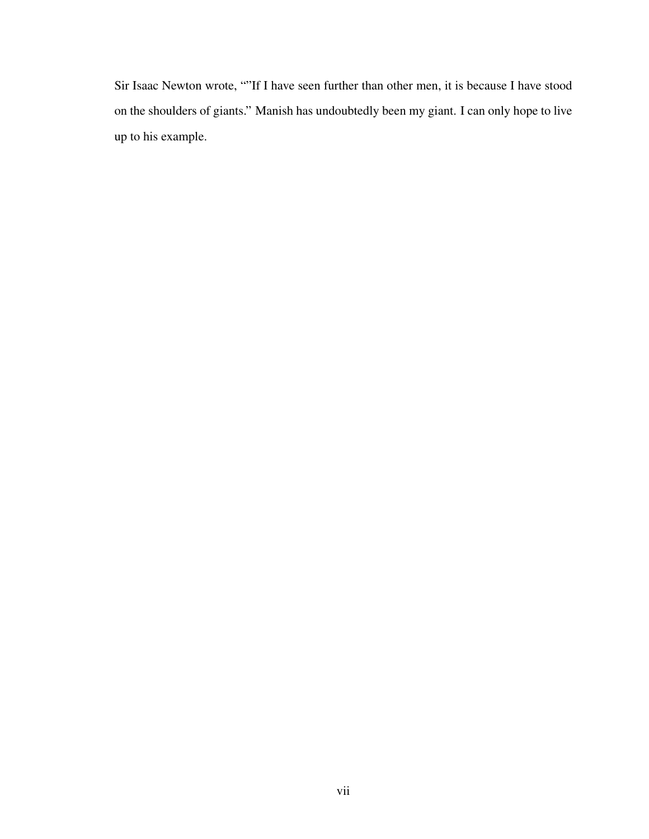Sir Isaac Newton wrote, ""If I have seen further than other men, it is because I have stood on the shoulders of giants." Manish has undoubtedly been my giant. I can only hope to live up to his example.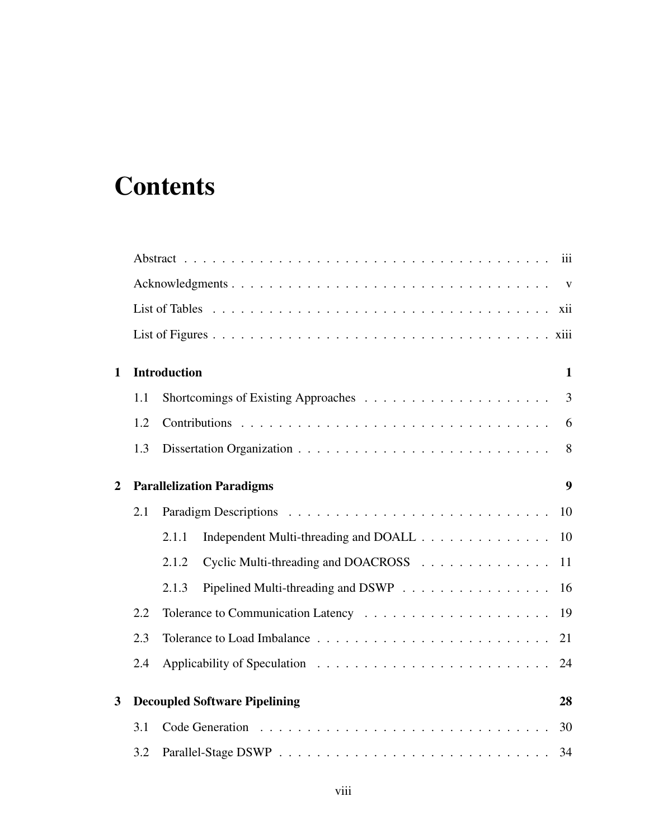# **Contents**

|                |     | iii                                                  |  |  |
|----------------|-----|------------------------------------------------------|--|--|
|                |     |                                                      |  |  |
|                |     |                                                      |  |  |
|                |     |                                                      |  |  |
| $\mathbf{1}$   |     | <b>Introduction</b><br>$\mathbf{1}$                  |  |  |
|                | 1.1 | $\overline{3}$                                       |  |  |
|                | 1.2 | 6                                                    |  |  |
|                | 1.3 | 8                                                    |  |  |
| $\overline{2}$ |     | <b>Parallelization Paradigms</b><br>9                |  |  |
|                | 2.1 | 10                                                   |  |  |
|                |     | Independent Multi-threading and DOALL<br>2.1.1<br>10 |  |  |
|                |     | Cyclic Multi-threading and DOACROSS<br>2.1.2<br>11   |  |  |
|                |     | Pipelined Multi-threading and DSWP<br>2.1.3<br>16    |  |  |
|                | 2.2 |                                                      |  |  |
|                | 2.3 | 21                                                   |  |  |
|                | 2.4 | 24                                                   |  |  |
| 3              |     | <b>Decoupled Software Pipelining</b><br>28           |  |  |
|                | 3.1 | 30                                                   |  |  |
|                | 3.2 |                                                      |  |  |
|                |     |                                                      |  |  |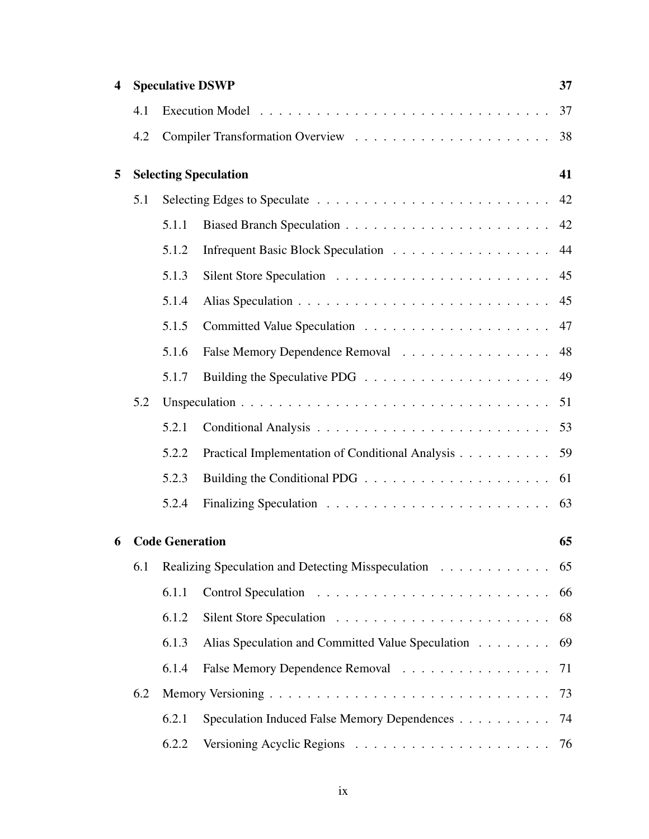| 4 |     |                        | <b>Speculative DSWP</b>                               | 37 |
|---|-----|------------------------|-------------------------------------------------------|----|
|   | 4.1 |                        |                                                       | 37 |
|   | 4.2 |                        |                                                       | 38 |
| 5 |     |                        | <b>Selecting Speculation</b>                          | 41 |
|   | 5.1 |                        |                                                       | 42 |
|   |     | 5.1.1                  |                                                       | 42 |
|   |     | 5.1.2                  |                                                       | 44 |
|   |     | 5.1.3                  |                                                       | 45 |
|   |     | 5.1.4                  |                                                       | 45 |
|   |     | 5.1.5                  |                                                       | 47 |
|   |     | 5.1.6                  | False Memory Dependence Removal                       | 48 |
|   |     | 5.1.7                  |                                                       | 49 |
|   | 5.2 |                        |                                                       | 51 |
|   |     | 5.2.1                  |                                                       |    |
|   |     | 5.2.2                  | Practical Implementation of Conditional Analysis      | 59 |
|   |     | 5.2.3                  |                                                       |    |
|   |     | 5.2.4                  |                                                       | 63 |
| 6 |     | <b>Code Generation</b> |                                                       | 65 |
|   | 6.1 |                        | Realizing Speculation and Detecting Misspeculation 65 |    |
|   |     | 6.1.1                  |                                                       | 66 |
|   |     | 6.1.2                  |                                                       | 68 |
|   |     | 6.1.3                  | Alias Speculation and Committed Value Speculation     | 69 |
|   |     | 6.1.4                  | False Memory Dependence Removal                       | 71 |
|   | 6.2 |                        |                                                       | 73 |
|   |     | 6.2.1                  | Speculation Induced False Memory Dependences          | 74 |
|   |     | 6.2.2                  |                                                       |    |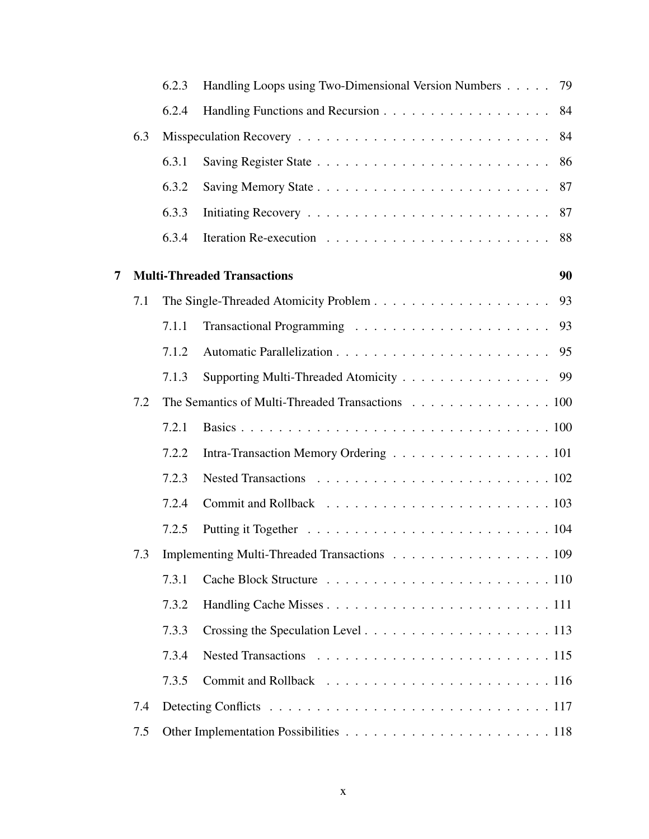|   |     | 6.2.3 | Handling Loops using Two-Dimensional Version Numbers | 79 |
|---|-----|-------|------------------------------------------------------|----|
|   |     | 6.2.4 |                                                      | 84 |
|   | 6.3 |       |                                                      | 84 |
|   |     | 6.3.1 |                                                      | 86 |
|   |     | 6.3.2 |                                                      | 87 |
|   |     | 6.3.3 |                                                      | 87 |
|   |     | 6.3.4 |                                                      | 88 |
| 7 |     |       | <b>Multi-Threaded Transactions</b>                   | 90 |
|   | 7.1 |       |                                                      | 93 |
|   |     | 7.1.1 |                                                      | 93 |
|   |     | 7.1.2 |                                                      |    |
|   |     | 7.1.3 | Supporting Multi-Threaded Atomicity 99               |    |
|   | 7.2 |       | The Semantics of Multi-Threaded Transactions 100     |    |
|   |     | 7.2.1 |                                                      |    |
|   |     | 7.2.2 | Intra-Transaction Memory Ordering 101                |    |
|   |     | 7.2.3 |                                                      |    |
|   |     | 7.2.4 |                                                      |    |
|   |     | 7.2.5 |                                                      |    |
|   | 7.3 |       | Implementing Multi-Threaded Transactions 109         |    |
|   |     | 7.3.1 |                                                      |    |
|   |     | 7.3.2 |                                                      |    |
|   |     | 7.3.3 |                                                      |    |
|   |     | 7.3.4 |                                                      |    |
|   |     | 7.3.5 |                                                      |    |
|   | 7.4 |       |                                                      |    |
|   | 7.5 |       |                                                      |    |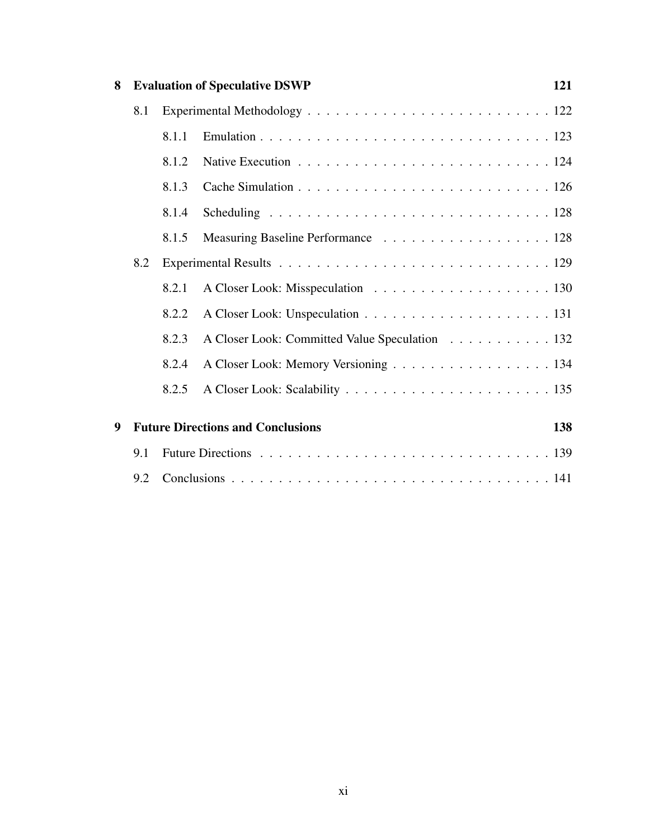| 8 |     |       | <b>Evaluation of Speculative DSWP</b>          | 121 |
|---|-----|-------|------------------------------------------------|-----|
|   | 8.1 |       |                                                |     |
|   |     | 8.1.1 |                                                |     |
|   |     | 8.1.2 |                                                |     |
|   |     | 8.1.3 |                                                |     |
|   |     | 8.1.4 |                                                |     |
|   |     | 8.1.5 | Measuring Baseline Performance 128             |     |
|   | 8.2 |       |                                                |     |
|   |     | 8.2.1 |                                                |     |
|   |     | 8.2.2 |                                                |     |
|   |     | 8.2.3 | A Closer Look: Committed Value Speculation 132 |     |
|   |     | 8.2.4 | A Closer Look: Memory Versioning 134           |     |
|   |     | 8.2.5 |                                                |     |
| 9 |     |       | <b>Future Directions and Conclusions</b>       | 138 |
|   |     |       |                                                |     |
|   | 9.1 |       |                                                |     |
|   | 9.2 |       |                                                |     |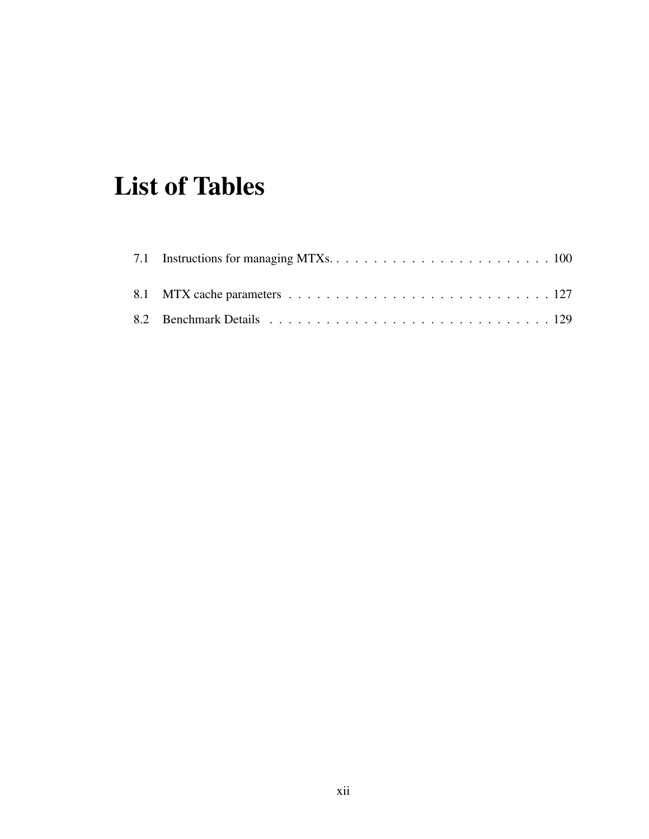## List of Tables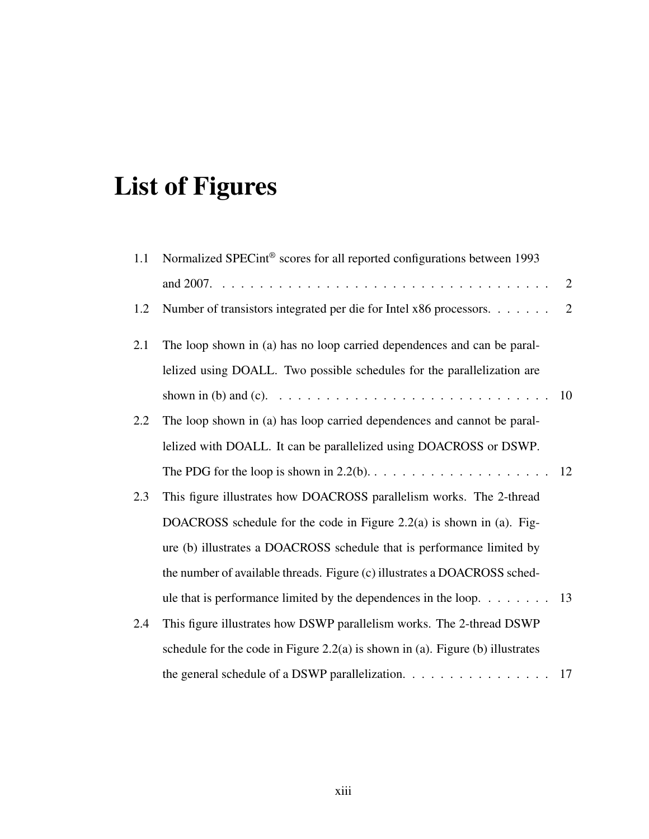# List of Figures

| 1.1 | Normalized SPECint <sup>®</sup> scores for all reported configurations between 1993                            |                |
|-----|----------------------------------------------------------------------------------------------------------------|----------------|
|     |                                                                                                                | 2              |
| 1.2 | Number of transistors integrated per die for Intel x86 processors.                                             | $\overline{2}$ |
| 2.1 | The loop shown in (a) has no loop carried dependences and can be paral-                                        |                |
|     | lelized using DOALL. Two possible schedules for the parallelization are                                        |                |
|     | shown in (b) and (c). $\ldots \ldots \ldots \ldots \ldots \ldots \ldots \ldots \ldots \ldots \ldots \ldots 10$ |                |
| 2.2 | The loop shown in (a) has loop carried dependences and cannot be paral-                                        |                |
|     | lelized with DOALL. It can be parallelized using DOACROSS or DSWP.                                             |                |
|     |                                                                                                                |                |
| 2.3 | This figure illustrates how DOACROSS parallelism works. The 2-thread                                           |                |
|     | DOACROSS schedule for the code in Figure 2.2(a) is shown in (a). Fig-                                          |                |
|     | ure (b) illustrates a DOACROSS schedule that is performance limited by                                         |                |
|     | the number of available threads. Figure (c) illustrates a DOACROSS sched-                                      |                |
|     | ule that is performance limited by the dependences in the loop. $\dots \dots \dots$ 13                         |                |
| 2.4 | This figure illustrates how DSWP parallelism works. The 2-thread DSWP                                          |                |
|     | schedule for the code in Figure 2.2(a) is shown in (a). Figure (b) illustrates                                 |                |
|     | the general schedule of a DSWP parallelization. 17                                                             |                |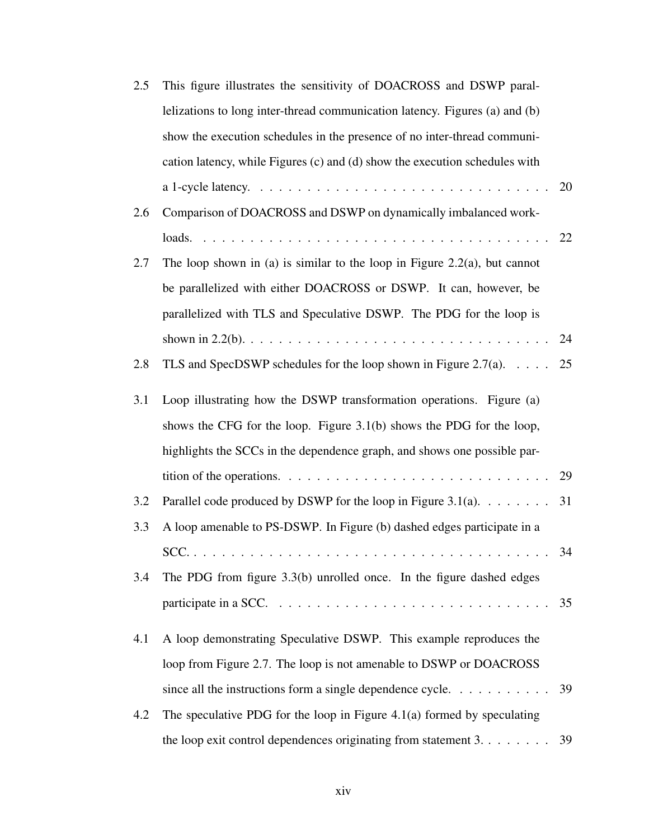| 2.5 | This figure illustrates the sensitivity of DOACROSS and DSWP paral-                                 |    |
|-----|-----------------------------------------------------------------------------------------------------|----|
|     | lelizations to long inter-thread communication latency. Figures (a) and (b)                         |    |
|     | show the execution schedules in the presence of no inter-thread communi-                            |    |
|     | cation latency, while Figures (c) and (d) show the execution schedules with                         |    |
|     |                                                                                                     | 20 |
| 2.6 | Comparison of DOACROSS and DSWP on dynamically imbalanced work-                                     |    |
|     |                                                                                                     |    |
| 2.7 | The loop shown in (a) is similar to the loop in Figure 2.2(a), but cannot                           |    |
|     | be parallelized with either DOACROSS or DSWP. It can, however, be                                   |    |
|     | parallelized with TLS and Speculative DSWP. The PDG for the loop is                                 |    |
|     |                                                                                                     | 24 |
| 2.8 | TLS and SpecDSWP schedules for the loop shown in Figure 2.7(a). $\ldots$ .                          | 25 |
| 3.1 | Loop illustrating how the DSWP transformation operations. Figure (a)                                |    |
|     | shows the CFG for the loop. Figure $3.1(b)$ shows the PDG for the loop,                             |    |
|     | highlights the SCCs in the dependence graph, and shows one possible par-                            |    |
|     | tition of the operations. $\dots \dots \dots \dots \dots \dots \dots \dots \dots \dots \dots \dots$ | 29 |
| 3.2 | Parallel code produced by DSWP for the loop in Figure 3.1(a). $\dots \dots$                         | 31 |
| 3.3 | A loop amenable to PS-DSWP. In Figure (b) dashed edges participate in a                             |    |
|     |                                                                                                     | 34 |
| 3.4 | The PDG from figure $3.3(b)$ unrolled once. In the figure dashed edges                              |    |
|     | participate in a SCC. $\ldots \ldots \ldots \ldots \ldots \ldots \ldots \ldots \ldots \ldots$       | 35 |
| 4.1 | A loop demonstrating Speculative DSWP. This example reproduces the                                  |    |
|     | loop from Figure 2.7. The loop is not amenable to DSWP or DOACROSS                                  |    |
|     | since all the instructions form a single dependence cycle. $\ldots$                                 | 39 |
| 4.2 | The speculative PDG for the loop in Figure $4.1(a)$ formed by speculating                           |    |
|     | the loop exit control dependences originating from statement $3. 39$                                |    |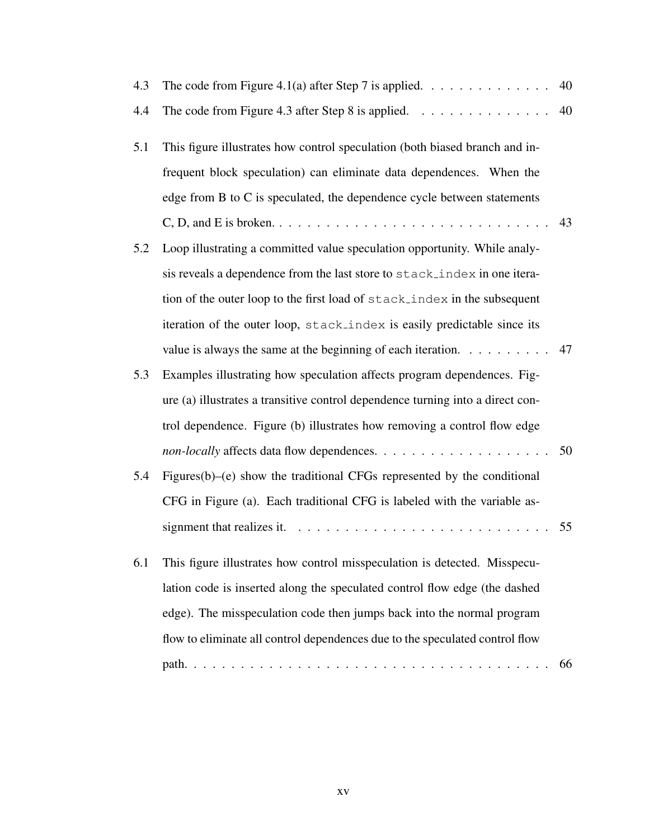| 4.3 | The code from Figure 4.1(a) after Step 7 is applied. $\dots \dots \dots \dots \dots$                  | 40 |
|-----|-------------------------------------------------------------------------------------------------------|----|
| 4.4 | The code from Figure 4.3 after Step 8 is applied. $\dots \dots \dots \dots \dots$                     | 40 |
| 5.1 | This figure illustrates how control speculation (both biased branch and in-                           |    |
|     | frequent block speculation) can eliminate data dependences. When the                                  |    |
|     | edge from B to C is speculated, the dependence cycle between statements                               |    |
|     |                                                                                                       | 43 |
| 5.2 | Loop illustrating a committed value speculation opportunity. While analy-                             |    |
|     | sis reveals a dependence from the last store to stack_index in one itera-                             |    |
|     | tion of the outer loop to the first load of stack_index in the subsequent                             |    |
|     | iteration of the outer loop, stack_index is easily predictable since its                              |    |
|     | value is always the same at the beginning of each iteration. $\dots \dots \dots$ 47                   |    |
| 5.3 | Examples illustrating how speculation affects program dependences. Fig-                               |    |
|     | ure (a) illustrates a transitive control dependence turning into a direct con-                        |    |
|     | trol dependence. Figure (b) illustrates how removing a control flow edge                              |    |
|     |                                                                                                       |    |
| 5.4 | Figures(b)–(e) show the traditional CFGs represented by the conditional                               |    |
|     | CFG in Figure (a). Each traditional CFG is labeled with the variable as-                              |    |
|     | signment that realizes it. $\ldots \ldots \ldots \ldots \ldots \ldots \ldots \ldots \ldots \ldots 55$ |    |
| 6.1 | This figure illustrates how control misspeculation is detected. Misspecu-                             |    |
|     | lation code is inserted along the speculated control flow edge (the dashed                            |    |
|     | edge). The misspeculation code then jumps back into the normal program                                |    |
|     | flow to eliminate all control dependences due to the speculated control flow                          |    |
|     |                                                                                                       | 66 |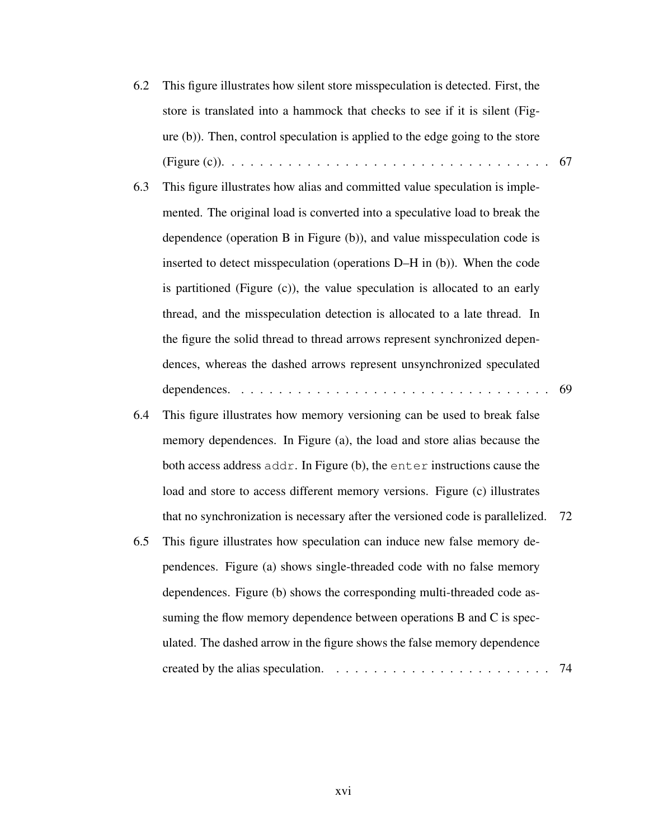- 6.2 This figure illustrates how silent store misspeculation is detected. First, the store is translated into a hammock that checks to see if it is silent (Figure (b)). Then, control speculation is applied to the edge going to the store (Figure (c)). . . . . . . . . . . . . . . . . . . . . . . . . . . . . . . . . . . 67
- 6.3 This figure illustrates how alias and committed value speculation is implemented. The original load is converted into a speculative load to break the dependence (operation B in Figure (b)), and value misspeculation code is inserted to detect misspeculation (operations D–H in (b)). When the code is partitioned (Figure (c)), the value speculation is allocated to an early thread, and the misspeculation detection is allocated to a late thread. In the figure the solid thread to thread arrows represent synchronized dependences, whereas the dashed arrows represent unsynchronized speculated dependences. . . . . . . . . . . . . . . . . . . . . . . . . . . . . . . . . . 69
- 6.4 This figure illustrates how memory versioning can be used to break false memory dependences. In Figure (a), the load and store alias because the both access address addr. In Figure (b), the enter instructions cause the load and store to access different memory versions. Figure (c) illustrates that no synchronization is necessary after the versioned code is parallelized. 72
- 6.5 This figure illustrates how speculation can induce new false memory dependences. Figure (a) shows single-threaded code with no false memory dependences. Figure (b) shows the corresponding multi-threaded code assuming the flow memory dependence between operations B and C is speculated. The dashed arrow in the figure shows the false memory dependence created by the alias speculation.  $\ldots \ldots \ldots \ldots \ldots \ldots \ldots \ldots \ldots \ldots$  74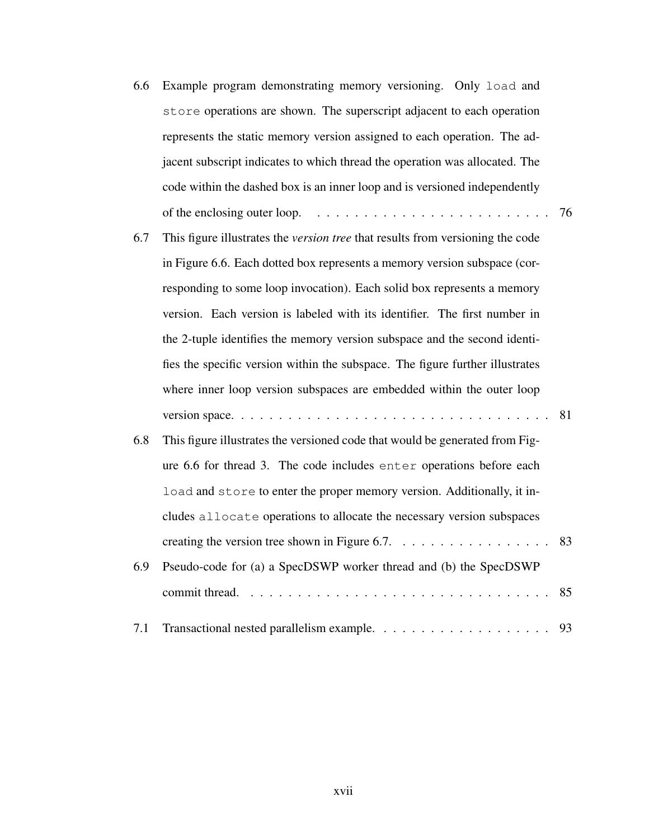| 6.6 | Example program demonstrating memory versioning. Only load and                         |    |
|-----|----------------------------------------------------------------------------------------|----|
|     | store operations are shown. The superscript adjacent to each operation                 |    |
|     | represents the static memory version assigned to each operation. The ad-               |    |
|     | jacent subscript indicates to which thread the operation was allocated. The            |    |
|     | code within the dashed box is an inner loop and is versioned independently             |    |
|     | of the enclosing outer loop. $\ldots \ldots \ldots \ldots \ldots \ldots \ldots \ldots$ | 76 |
| 6.7 | This figure illustrates the <i>version tree</i> that results from versioning the code  |    |
|     | in Figure 6.6. Each dotted box represents a memory version subspace (cor-              |    |
|     | responding to some loop invocation). Each solid box represents a memory                |    |
|     | version. Each version is labeled with its identifier. The first number in              |    |
|     | the 2-tuple identifies the memory version subspace and the second identi-              |    |
|     | fies the specific version within the subspace. The figure further illustrates          |    |
|     | where inner loop version subspaces are embedded within the outer loop                  |    |
|     |                                                                                        | 81 |
| 6.8 | This figure illustrates the versioned code that would be generated from Fig-           |    |
|     | ure 6.6 for thread 3. The code includes enter operations before each                   |    |
|     | load and store to enter the proper memory version. Additionally, it in-                |    |
|     | cludes allocate operations to allocate the necessary version subspaces                 |    |
|     |                                                                                        | 83 |
| 6.9 | Pseudo-code for (a) a SpecDSWP worker thread and (b) the SpecDSWP                      |    |
|     |                                                                                        | 85 |
| 7.1 |                                                                                        | 93 |
|     |                                                                                        |    |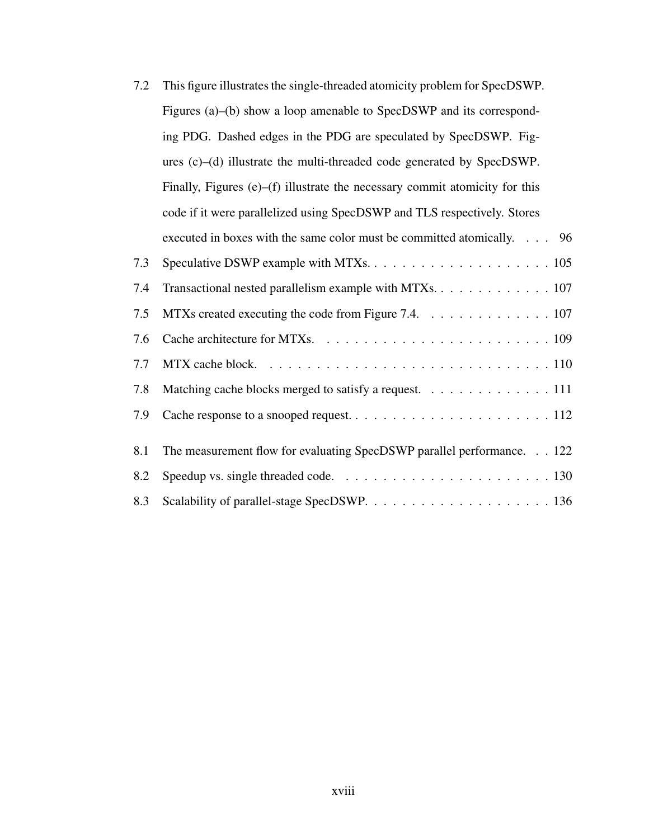| 7.2 | This figure illustrates the single-threaded atomicity problem for SpecDSWP.  |
|-----|------------------------------------------------------------------------------|
|     | Figures (a)–(b) show a loop amenable to SpecDSWP and its correspond-         |
|     | ing PDG. Dashed edges in the PDG are speculated by SpecDSWP. Fig-            |
|     | ures $(c)$ – $(d)$ illustrate the multi-threaded code generated by SpecDSWP. |
|     | Finally, Figures (e)–(f) illustrate the necessary commit atomicity for this  |
|     | code if it were parallelized using SpecDSWP and TLS respectively. Stores     |
|     | executed in boxes with the same color must be committed atomically. 96       |
| 7.3 |                                                                              |
| 7.4 | Transactional nested parallelism example with MTXs. 107                      |
| 7.5 | MTXs created executing the code from Figure 7.4. 107                         |
| 7.6 |                                                                              |
| 7.7 |                                                                              |
| 7.8 | Matching cache blocks merged to satisfy a request. 111                       |
| 7.9 |                                                                              |
|     |                                                                              |
| 8.1 | The measurement flow for evaluating SpecDSWP parallel performance. 122       |
| 8.2 |                                                                              |
| 8.3 |                                                                              |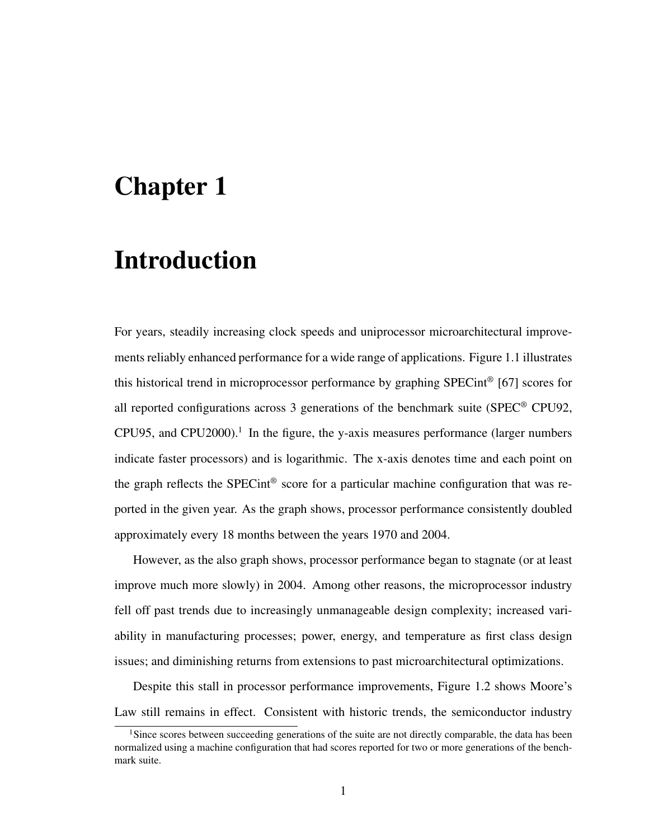### Chapter 1

## Introduction

For years, steadily increasing clock speeds and uniprocessor microarchitectural improvements reliably enhanced performance for a wide range of applications. Figure 1.1 illustrates this historical trend in microprocessor performance by graphing SPECint® [67] scores for all reported configurations across 3 generations of the benchmark suite (SPEC® CPU92, CPU95, and CPU2000).<sup>1</sup> In the figure, the y-axis measures performance (larger numbers indicate faster processors) and is logarithmic. The x-axis denotes time and each point on the graph reflects the SPECint<sup>®</sup> score for a particular machine configuration that was reported in the given year. As the graph shows, processor performance consistently doubled approximately every 18 months between the years 1970 and 2004.

However, as the also graph shows, processor performance began to stagnate (or at least improve much more slowly) in 2004. Among other reasons, the microprocessor industry fell off past trends due to increasingly unmanageable design complexity; increased variability in manufacturing processes; power, energy, and temperature as first class design issues; and diminishing returns from extensions to past microarchitectural optimizations.

Despite this stall in processor performance improvements, Figure 1.2 shows Moore's Law still remains in effect. Consistent with historic trends, the semiconductor industry

<sup>&</sup>lt;sup>1</sup>Since scores between succeeding generations of the suite are not directly comparable, the data has been normalized using a machine configuration that had scores reported for two or more generations of the benchmark suite.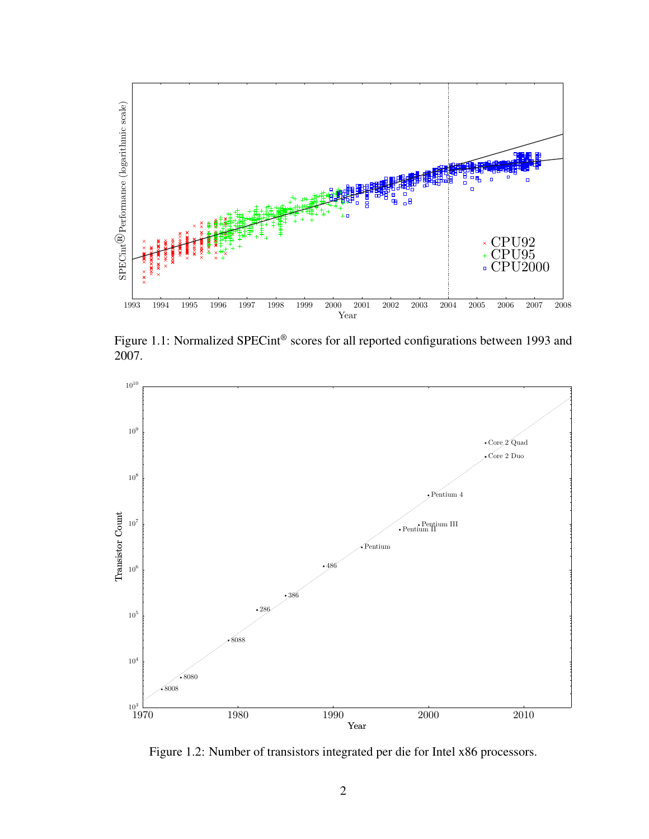

Figure 1.1: Normalized SPECint<sup>®</sup> scores for all reported configurations between 1993 and 2007.



Figure 1.2: Number of transistors integrated per die for Intel x86 processors.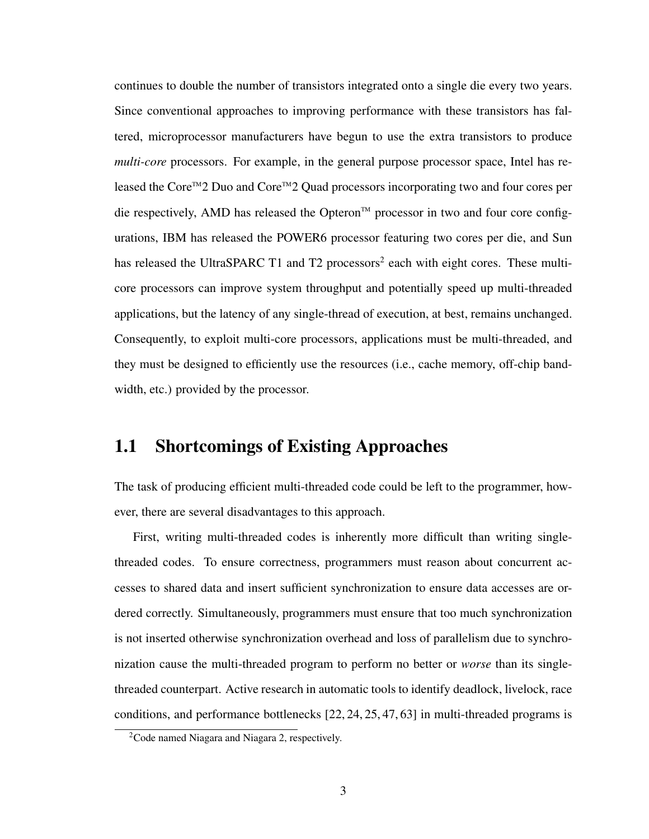continues to double the number of transistors integrated onto a single die every two years. Since conventional approaches to improving performance with these transistors has faltered, microprocessor manufacturers have begun to use the extra transistors to produce *multi-core* processors. For example, in the general purpose processor space, Intel has released the Core™2 Duo and Core™2 Quad processors incorporating two and four cores per die respectively, AMD has released the Opteron™ processor in two and four core configurations, IBM has released the POWER6 processor featuring two cores per die, and Sun has released the UltraSPARC T1 and T2 processors<sup>2</sup> each with eight cores. These multicore processors can improve system throughput and potentially speed up multi-threaded applications, but the latency of any single-thread of execution, at best, remains unchanged. Consequently, to exploit multi-core processors, applications must be multi-threaded, and they must be designed to efficiently use the resources (i.e., cache memory, off-chip bandwidth, etc.) provided by the processor.

#### 1.1 Shortcomings of Existing Approaches

The task of producing efficient multi-threaded code could be left to the programmer, however, there are several disadvantages to this approach.

First, writing multi-threaded codes is inherently more difficult than writing singlethreaded codes. To ensure correctness, programmers must reason about concurrent accesses to shared data and insert sufficient synchronization to ensure data accesses are ordered correctly. Simultaneously, programmers must ensure that too much synchronization is not inserted otherwise synchronization overhead and loss of parallelism due to synchronization cause the multi-threaded program to perform no better or *worse* than its singlethreaded counterpart. Active research in automatic tools to identify deadlock, livelock, race conditions, and performance bottlenecks [22, 24, 25, 47, 63] in multi-threaded programs is

<sup>&</sup>lt;sup>2</sup>Code named Niagara and Niagara 2, respectively.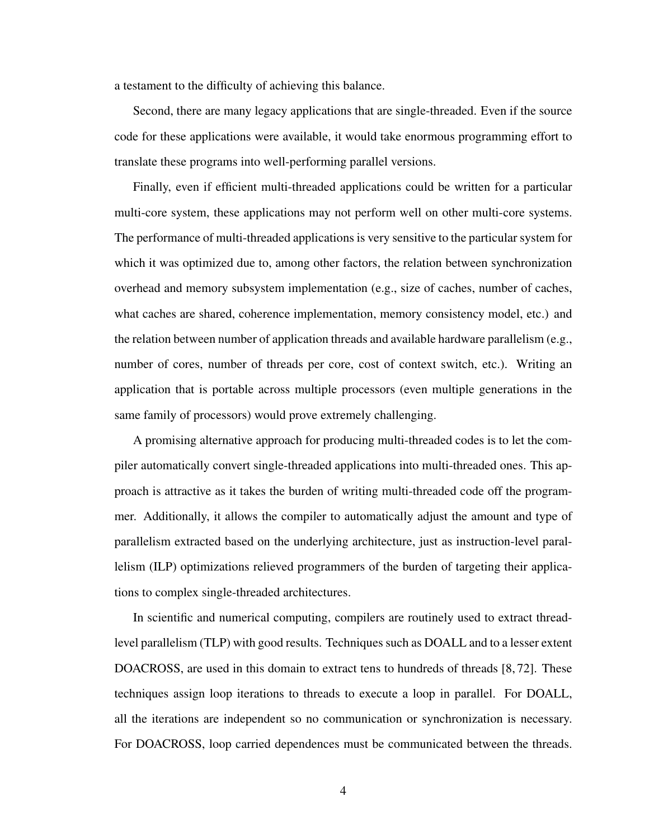a testament to the difficulty of achieving this balance.

Second, there are many legacy applications that are single-threaded. Even if the source code for these applications were available, it would take enormous programming effort to translate these programs into well-performing parallel versions.

Finally, even if efficient multi-threaded applications could be written for a particular multi-core system, these applications may not perform well on other multi-core systems. The performance of multi-threaded applications is very sensitive to the particular system for which it was optimized due to, among other factors, the relation between synchronization overhead and memory subsystem implementation (e.g., size of caches, number of caches, what caches are shared, coherence implementation, memory consistency model, etc.) and the relation between number of application threads and available hardware parallelism (e.g., number of cores, number of threads per core, cost of context switch, etc.). Writing an application that is portable across multiple processors (even multiple generations in the same family of processors) would prove extremely challenging.

A promising alternative approach for producing multi-threaded codes is to let the compiler automatically convert single-threaded applications into multi-threaded ones. This approach is attractive as it takes the burden of writing multi-threaded code off the programmer. Additionally, it allows the compiler to automatically adjust the amount and type of parallelism extracted based on the underlying architecture, just as instruction-level parallelism (ILP) optimizations relieved programmers of the burden of targeting their applications to complex single-threaded architectures.

In scientific and numerical computing, compilers are routinely used to extract threadlevel parallelism (TLP) with good results. Techniques such as DOALL and to a lesser extent DOACROSS, are used in this domain to extract tens to hundreds of threads [8, 72]. These techniques assign loop iterations to threads to execute a loop in parallel. For DOALL, all the iterations are independent so no communication or synchronization is necessary. For DOACROSS, loop carried dependences must be communicated between the threads.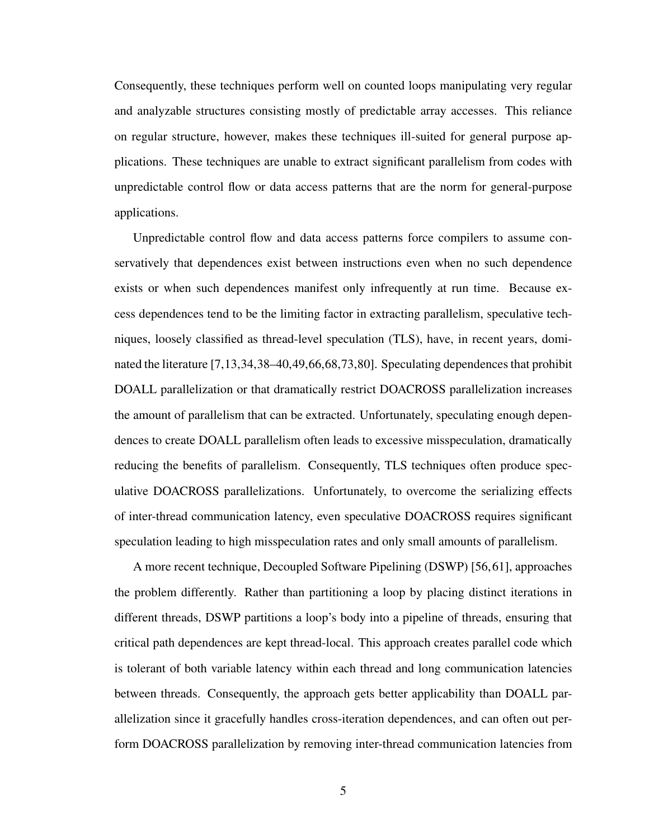Consequently, these techniques perform well on counted loops manipulating very regular and analyzable structures consisting mostly of predictable array accesses. This reliance on regular structure, however, makes these techniques ill-suited for general purpose applications. These techniques are unable to extract significant parallelism from codes with unpredictable control flow or data access patterns that are the norm for general-purpose applications.

Unpredictable control flow and data access patterns force compilers to assume conservatively that dependences exist between instructions even when no such dependence exists or when such dependences manifest only infrequently at run time. Because excess dependences tend to be the limiting factor in extracting parallelism, speculative techniques, loosely classified as thread-level speculation (TLS), have, in recent years, dominated the literature [7,13,34,38–40,49,66,68,73,80]. Speculating dependences that prohibit DOALL parallelization or that dramatically restrict DOACROSS parallelization increases the amount of parallelism that can be extracted. Unfortunately, speculating enough dependences to create DOALL parallelism often leads to excessive misspeculation, dramatically reducing the benefits of parallelism. Consequently, TLS techniques often produce speculative DOACROSS parallelizations. Unfortunately, to overcome the serializing effects of inter-thread communication latency, even speculative DOACROSS requires significant speculation leading to high misspeculation rates and only small amounts of parallelism.

A more recent technique, Decoupled Software Pipelining (DSWP) [56,61], approaches the problem differently. Rather than partitioning a loop by placing distinct iterations in different threads, DSWP partitions a loop's body into a pipeline of threads, ensuring that critical path dependences are kept thread-local. This approach creates parallel code which is tolerant of both variable latency within each thread and long communication latencies between threads. Consequently, the approach gets better applicability than DOALL parallelization since it gracefully handles cross-iteration dependences, and can often out perform DOACROSS parallelization by removing inter-thread communication latencies from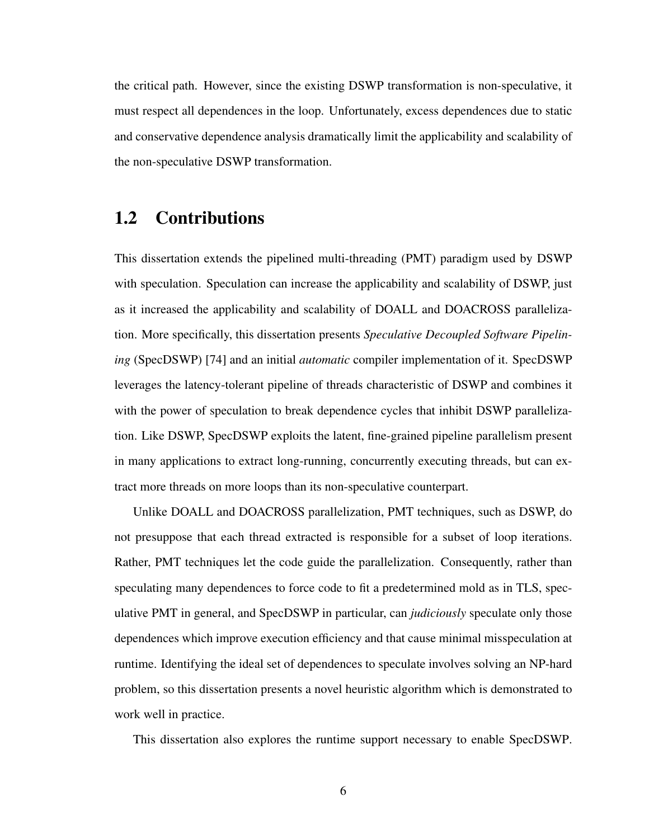the critical path. However, since the existing DSWP transformation is non-speculative, it must respect all dependences in the loop. Unfortunately, excess dependences due to static and conservative dependence analysis dramatically limit the applicability and scalability of the non-speculative DSWP transformation.

### 1.2 Contributions

This dissertation extends the pipelined multi-threading (PMT) paradigm used by DSWP with speculation. Speculation can increase the applicability and scalability of DSWP, just as it increased the applicability and scalability of DOALL and DOACROSS parallelization. More specifically, this dissertation presents *Speculative Decoupled Software Pipelining* (SpecDSWP) [74] and an initial *automatic* compiler implementation of it. SpecDSWP leverages the latency-tolerant pipeline of threads characteristic of DSWP and combines it with the power of speculation to break dependence cycles that inhibit DSWP parallelization. Like DSWP, SpecDSWP exploits the latent, fine-grained pipeline parallelism present in many applications to extract long-running, concurrently executing threads, but can extract more threads on more loops than its non-speculative counterpart.

Unlike DOALL and DOACROSS parallelization, PMT techniques, such as DSWP, do not presuppose that each thread extracted is responsible for a subset of loop iterations. Rather, PMT techniques let the code guide the parallelization. Consequently, rather than speculating many dependences to force code to fit a predetermined mold as in TLS, speculative PMT in general, and SpecDSWP in particular, can *judiciously* speculate only those dependences which improve execution efficiency and that cause minimal misspeculation at runtime. Identifying the ideal set of dependences to speculate involves solving an NP-hard problem, so this dissertation presents a novel heuristic algorithm which is demonstrated to work well in practice.

This dissertation also explores the runtime support necessary to enable SpecDSWP.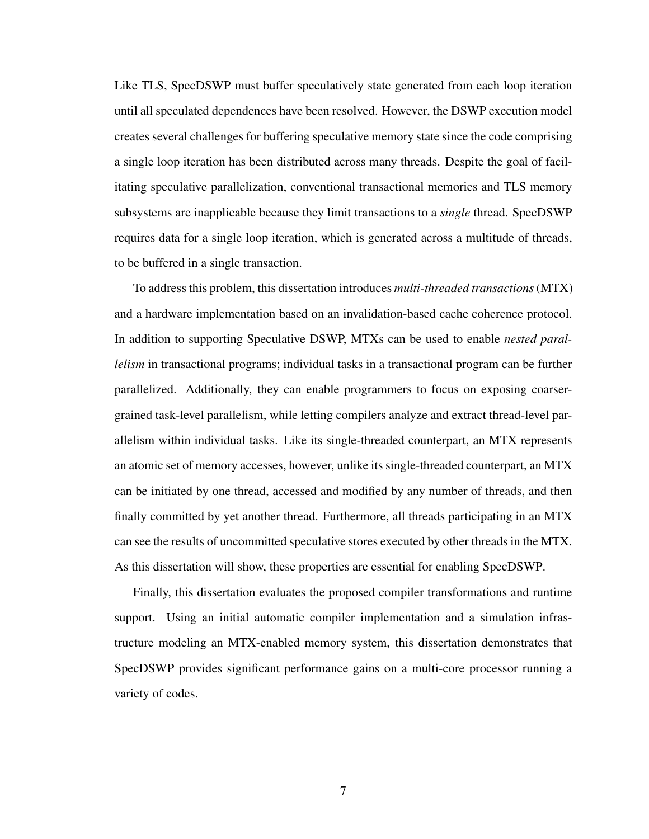Like TLS, SpecDSWP must buffer speculatively state generated from each loop iteration until all speculated dependences have been resolved. However, the DSWP execution model creates several challenges for buffering speculative memory state since the code comprising a single loop iteration has been distributed across many threads. Despite the goal of facilitating speculative parallelization, conventional transactional memories and TLS memory subsystems are inapplicable because they limit transactions to a *single* thread. SpecDSWP requires data for a single loop iteration, which is generated across a multitude of threads, to be buffered in a single transaction.

To address this problem, this dissertation introduces *multi-threaded transactions*(MTX) and a hardware implementation based on an invalidation-based cache coherence protocol. In addition to supporting Speculative DSWP, MTXs can be used to enable *nested parallelism* in transactional programs; individual tasks in a transactional program can be further parallelized. Additionally, they can enable programmers to focus on exposing coarsergrained task-level parallelism, while letting compilers analyze and extract thread-level parallelism within individual tasks. Like its single-threaded counterpart, an MTX represents an atomic set of memory accesses, however, unlike its single-threaded counterpart, an MTX can be initiated by one thread, accessed and modified by any number of threads, and then finally committed by yet another thread. Furthermore, all threads participating in an MTX can see the results of uncommitted speculative stores executed by other threads in the MTX. As this dissertation will show, these properties are essential for enabling SpecDSWP.

Finally, this dissertation evaluates the proposed compiler transformations and runtime support. Using an initial automatic compiler implementation and a simulation infrastructure modeling an MTX-enabled memory system, this dissertation demonstrates that SpecDSWP provides significant performance gains on a multi-core processor running a variety of codes.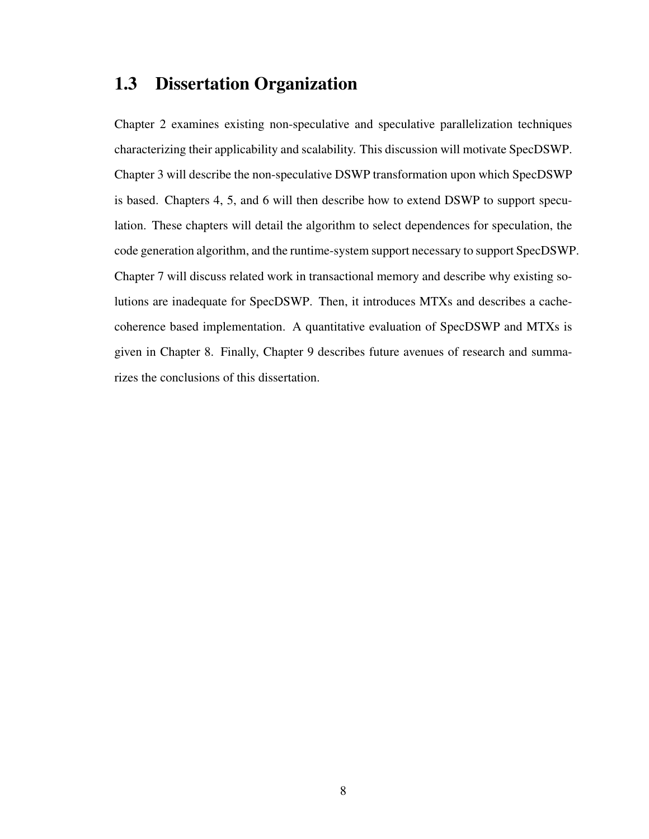### 1.3 Dissertation Organization

Chapter 2 examines existing non-speculative and speculative parallelization techniques characterizing their applicability and scalability. This discussion will motivate SpecDSWP. Chapter 3 will describe the non-speculative DSWP transformation upon which SpecDSWP is based. Chapters 4, 5, and 6 will then describe how to extend DSWP to support speculation. These chapters will detail the algorithm to select dependences for speculation, the code generation algorithm, and the runtime-system support necessary to support SpecDSWP. Chapter 7 will discuss related work in transactional memory and describe why existing solutions are inadequate for SpecDSWP. Then, it introduces MTXs and describes a cachecoherence based implementation. A quantitative evaluation of SpecDSWP and MTXs is given in Chapter 8. Finally, Chapter 9 describes future avenues of research and summarizes the conclusions of this dissertation.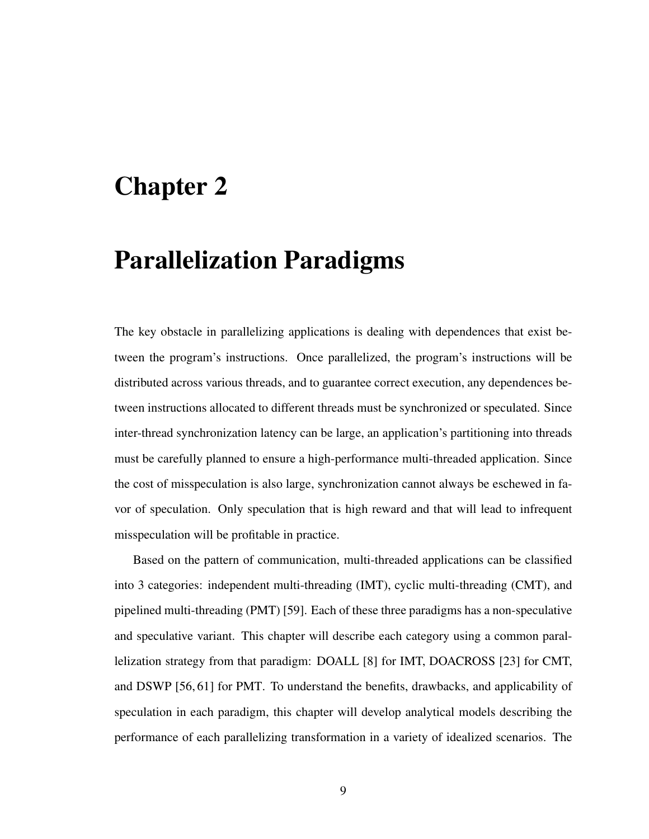### Chapter 2

### Parallelization Paradigms

The key obstacle in parallelizing applications is dealing with dependences that exist between the program's instructions. Once parallelized, the program's instructions will be distributed across various threads, and to guarantee correct execution, any dependences between instructions allocated to different threads must be synchronized or speculated. Since inter-thread synchronization latency can be large, an application's partitioning into threads must be carefully planned to ensure a high-performance multi-threaded application. Since the cost of misspeculation is also large, synchronization cannot always be eschewed in favor of speculation. Only speculation that is high reward and that will lead to infrequent misspeculation will be profitable in practice.

Based on the pattern of communication, multi-threaded applications can be classified into 3 categories: independent multi-threading (IMT), cyclic multi-threading (CMT), and pipelined multi-threading (PMT) [59]. Each of these three paradigms has a non-speculative and speculative variant. This chapter will describe each category using a common parallelization strategy from that paradigm: DOALL [8] for IMT, DOACROSS [23] for CMT, and DSWP [56, 61] for PMT. To understand the benefits, drawbacks, and applicability of speculation in each paradigm, this chapter will develop analytical models describing the performance of each parallelizing transformation in a variety of idealized scenarios. The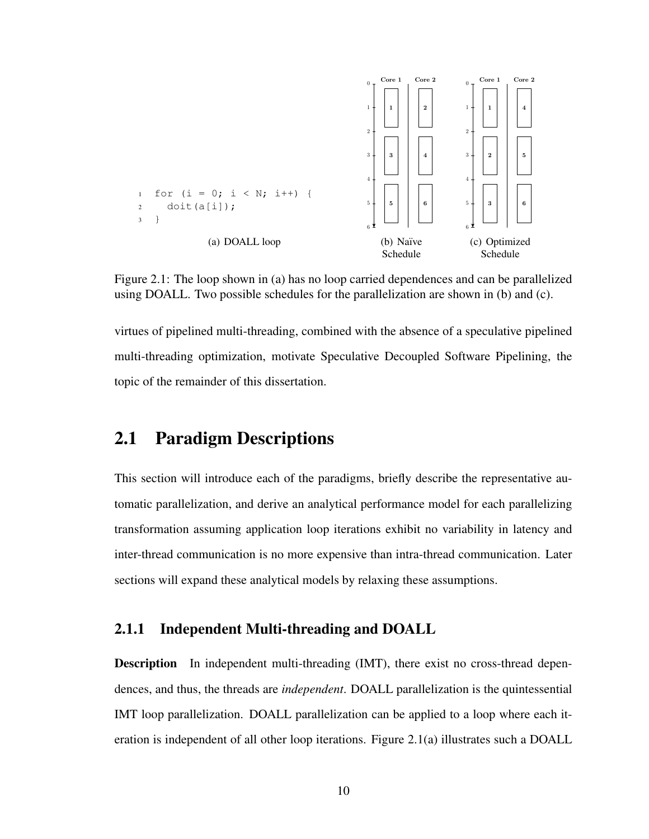

Figure 2.1: The loop shown in (a) has no loop carried dependences and can be parallelized using DOALL. Two possible schedules for the parallelization are shown in (b) and (c).

virtues of pipelined multi-threading, combined with the absence of a speculative pipelined multi-threading optimization, motivate Speculative Decoupled Software Pipelining, the topic of the remainder of this dissertation.

### 2.1 Paradigm Descriptions

This section will introduce each of the paradigms, briefly describe the representative automatic parallelization, and derive an analytical performance model for each parallelizing transformation assuming application loop iterations exhibit no variability in latency and inter-thread communication is no more expensive than intra-thread communication. Later sections will expand these analytical models by relaxing these assumptions.

#### 2.1.1 Independent Multi-threading and DOALL

Description In independent multi-threading (IMT), there exist no cross-thread dependences, and thus, the threads are *independent*. DOALL parallelization is the quintessential IMT loop parallelization. DOALL parallelization can be applied to a loop where each iteration is independent of all other loop iterations. Figure 2.1(a) illustrates such a DOALL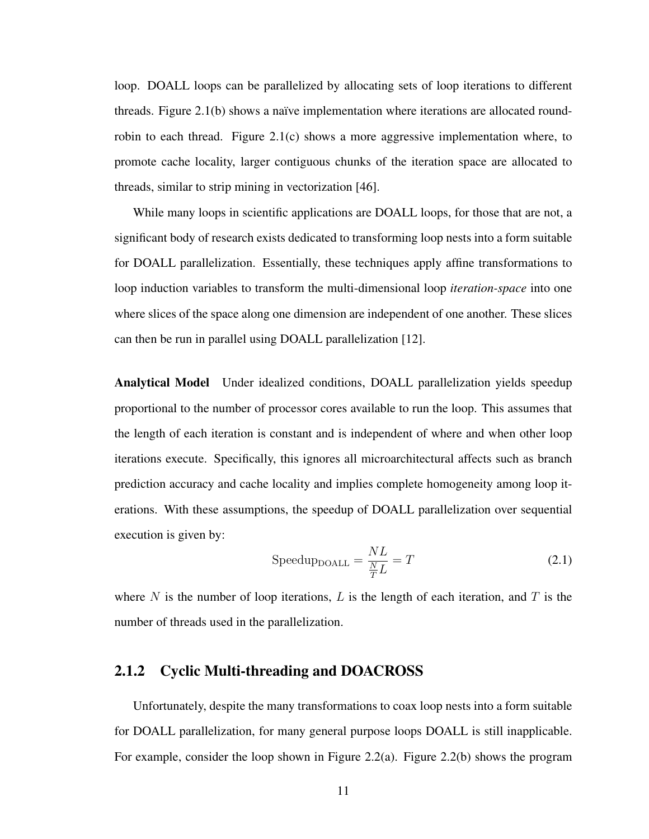loop. DOALL loops can be parallelized by allocating sets of loop iterations to different threads. Figure 2.1(b) shows a naïve implementation where iterations are allocated roundrobin to each thread. Figure 2.1(c) shows a more aggressive implementation where, to promote cache locality, larger contiguous chunks of the iteration space are allocated to threads, similar to strip mining in vectorization [46].

While many loops in scientific applications are DOALL loops, for those that are not, a significant body of research exists dedicated to transforming loop nests into a form suitable for DOALL parallelization. Essentially, these techniques apply affine transformations to loop induction variables to transform the multi-dimensional loop *iteration-space* into one where slices of the space along one dimension are independent of one another. These slices can then be run in parallel using DOALL parallelization [12].

Analytical Model Under idealized conditions, DOALL parallelization yields speedup proportional to the number of processor cores available to run the loop. This assumes that the length of each iteration is constant and is independent of where and when other loop iterations execute. Specifically, this ignores all microarchitectural affects such as branch prediction accuracy and cache locality and implies complete homogeneity among loop iterations. With these assumptions, the speedup of DOALL parallelization over sequential execution is given by:

$$
SpeedupDOALL = \frac{NL}{\frac{N}{T}L} = T
$$
\n(2.1)

where N is the number of loop iterations, L is the length of each iteration, and T is the number of threads used in the parallelization.

#### 2.1.2 Cyclic Multi-threading and DOACROSS

Unfortunately, despite the many transformations to coax loop nests into a form suitable for DOALL parallelization, for many general purpose loops DOALL is still inapplicable. For example, consider the loop shown in Figure 2.2(a). Figure 2.2(b) shows the program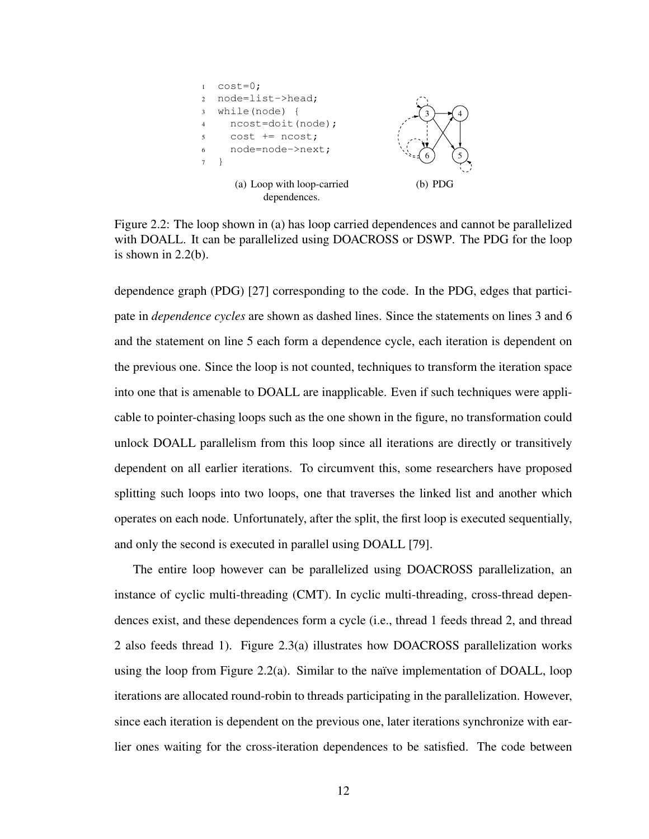

Figure 2.2: The loop shown in (a) has loop carried dependences and cannot be parallelized with DOALL. It can be parallelized using DOACROSS or DSWP. The PDG for the loop is shown in  $2.2(b)$ .

dependence graph (PDG) [27] corresponding to the code. In the PDG, edges that participate in *dependence cycles* are shown as dashed lines. Since the statements on lines 3 and 6 and the statement on line 5 each form a dependence cycle, each iteration is dependent on the previous one. Since the loop is not counted, techniques to transform the iteration space into one that is amenable to DOALL are inapplicable. Even if such techniques were applicable to pointer-chasing loops such as the one shown in the figure, no transformation could unlock DOALL parallelism from this loop since all iterations are directly or transitively dependent on all earlier iterations. To circumvent this, some researchers have proposed splitting such loops into two loops, one that traverses the linked list and another which operates on each node. Unfortunately, after the split, the first loop is executed sequentially, and only the second is executed in parallel using DOALL [79].

The entire loop however can be parallelized using DOACROSS parallelization, an instance of cyclic multi-threading (CMT). In cyclic multi-threading, cross-thread dependences exist, and these dependences form a cycle (i.e., thread 1 feeds thread 2, and thread 2 also feeds thread 1). Figure 2.3(a) illustrates how DOACROSS parallelization works using the loop from Figure 2.2(a). Similar to the naïve implementation of DOALL, loop iterations are allocated round-robin to threads participating in the parallelization. However, since each iteration is dependent on the previous one, later iterations synchronize with earlier ones waiting for the cross-iteration dependences to be satisfied. The code between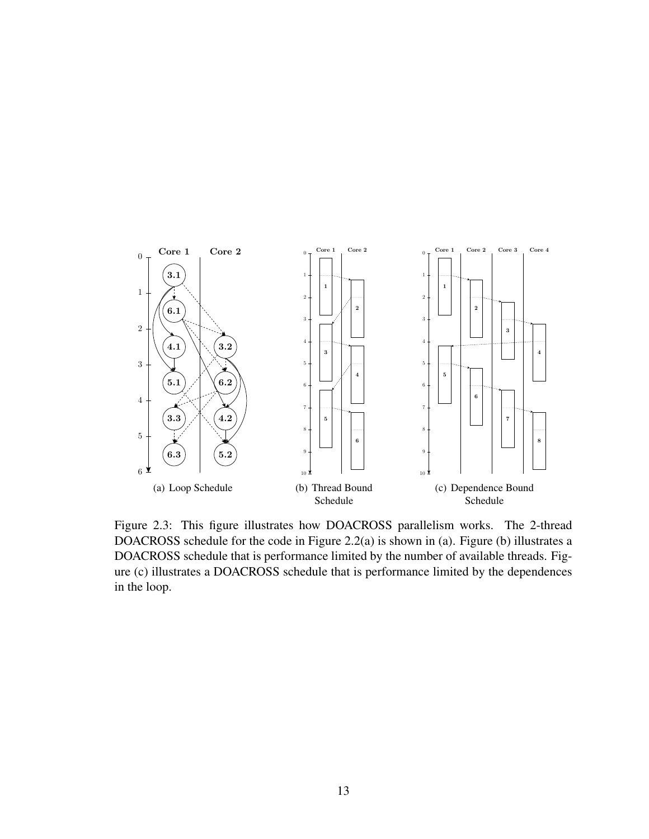

Figure 2.3: This figure illustrates how DOACROSS parallelism works. The 2-thread DOACROSS schedule for the code in Figure 2.2(a) is shown in (a). Figure (b) illustrates a DOACROSS schedule that is performance limited by the number of available threads. Figure (c) illustrates a DOACROSS schedule that is performance limited by the dependences in the loop.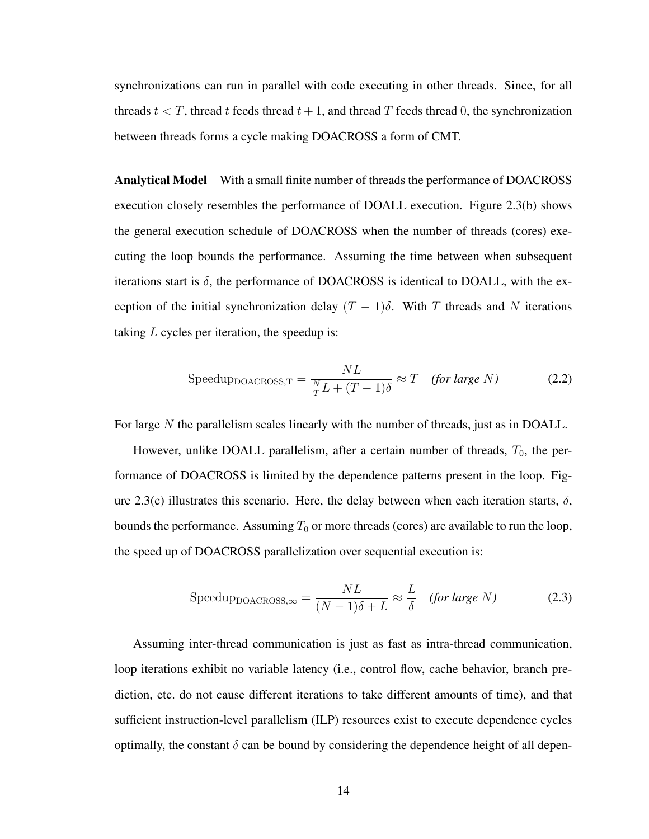synchronizations can run in parallel with code executing in other threads. Since, for all threads  $t < T$ , thread t feeds thread  $t + 1$ , and thread T feeds thread 0, the synchronization between threads forms a cycle making DOACROSS a form of CMT.

Analytical Model With a small finite number of threads the performance of DOACROSS execution closely resembles the performance of DOALL execution. Figure 2.3(b) shows the general execution schedule of DOACROSS when the number of threads (cores) executing the loop bounds the performance. Assuming the time between when subsequent iterations start is  $\delta$ , the performance of DOACROSS is identical to DOALL, with the exception of the initial synchronization delay  $(T - 1)\delta$ . With T threads and N iterations taking  $L$  cycles per iteration, the speedup is:

$$
Speedup_{DOACROS, T} = \frac{NL}{\frac{N}{T}L + (T - 1)\delta} \approx T \quad (for large N)
$$
 (2.2)

For large N the parallelism scales linearly with the number of threads, just as in DOALL.

However, unlike DOALL parallelism, after a certain number of threads,  $T_0$ , the performance of DOACROSS is limited by the dependence patterns present in the loop. Figure 2.3(c) illustrates this scenario. Here, the delay between when each iteration starts,  $\delta$ , bounds the performance. Assuming  $T_0$  or more threads (cores) are available to run the loop, the speed up of DOACROSS parallelization over sequential execution is:

$$
Speedup_{DOACROS, \infty} = \frac{NL}{(N-1)\delta + L} \approx \frac{L}{\delta} \quad (for large N)
$$
 (2.3)

Assuming inter-thread communication is just as fast as intra-thread communication, loop iterations exhibit no variable latency (i.e., control flow, cache behavior, branch prediction, etc. do not cause different iterations to take different amounts of time), and that sufficient instruction-level parallelism (ILP) resources exist to execute dependence cycles optimally, the constant  $\delta$  can be bound by considering the dependence height of all depen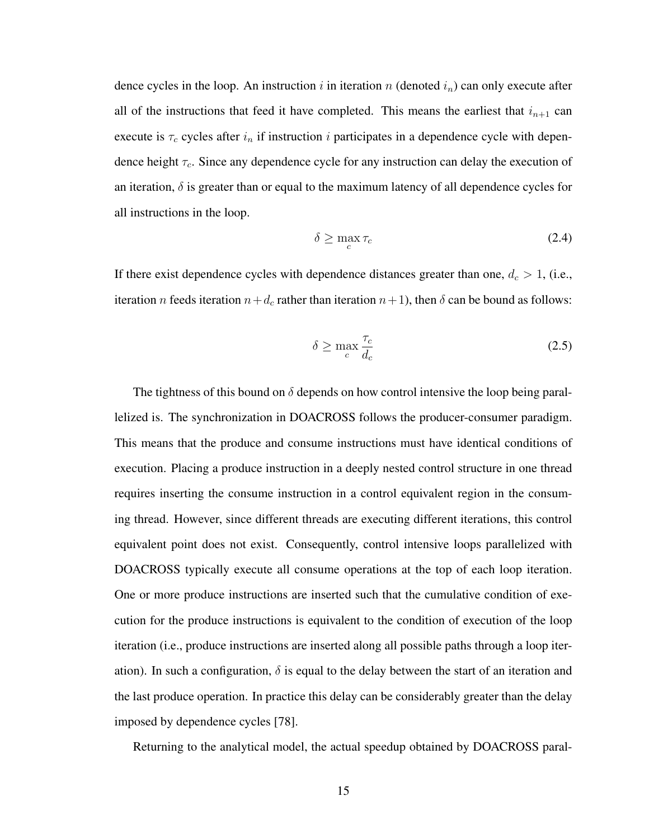dence cycles in the loop. An instruction i in iteration n (denoted  $i_n$ ) can only execute after all of the instructions that feed it have completed. This means the earliest that  $i_{n+1}$  can execute is  $\tau_c$  cycles after  $i_n$  if instruction i participates in a dependence cycle with dependence height  $\tau_c$ . Since any dependence cycle for any instruction can delay the execution of an iteration,  $\delta$  is greater than or equal to the maximum latency of all dependence cycles for all instructions in the loop.

$$
\delta \ge \max_{c} \tau_c \tag{2.4}
$$

If there exist dependence cycles with dependence distances greater than one,  $d_c > 1$ , (i.e., iteration n feeds iteration  $n+d_c$  rather than iteration  $n+1$ ), then  $\delta$  can be bound as follows:

$$
\delta \ge \max_{c} \frac{\tau_c}{d_c} \tag{2.5}
$$

The tightness of this bound on  $\delta$  depends on how control intensive the loop being parallelized is. The synchronization in DOACROSS follows the producer-consumer paradigm. This means that the produce and consume instructions must have identical conditions of execution. Placing a produce instruction in a deeply nested control structure in one thread requires inserting the consume instruction in a control equivalent region in the consuming thread. However, since different threads are executing different iterations, this control equivalent point does not exist. Consequently, control intensive loops parallelized with DOACROSS typically execute all consume operations at the top of each loop iteration. One or more produce instructions are inserted such that the cumulative condition of execution for the produce instructions is equivalent to the condition of execution of the loop iteration (i.e., produce instructions are inserted along all possible paths through a loop iteration). In such a configuration,  $\delta$  is equal to the delay between the start of an iteration and the last produce operation. In practice this delay can be considerably greater than the delay imposed by dependence cycles [78].

Returning to the analytical model, the actual speedup obtained by DOACROSS paral-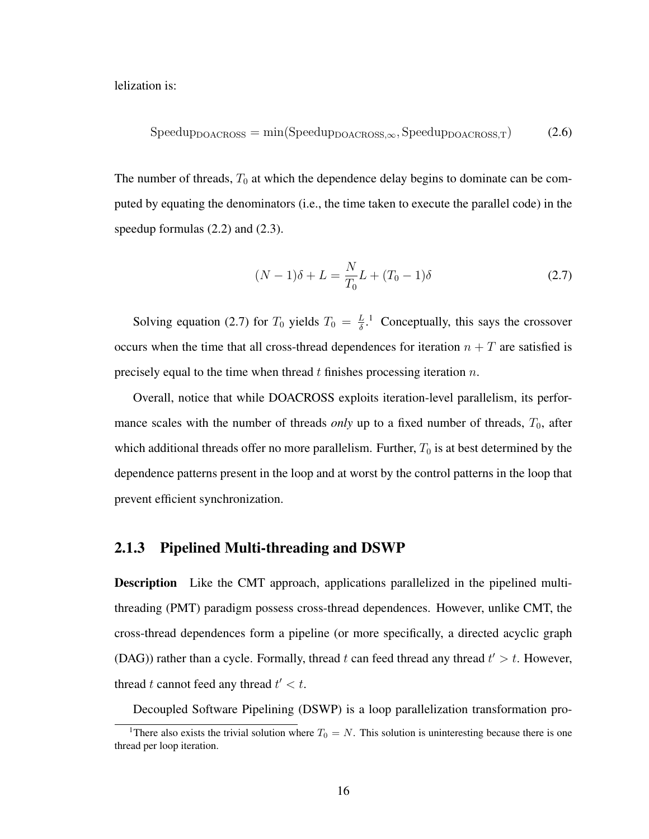lelization is:

$$
SpeedupDOACROS = min(SpeedupDOACROS, SpeedupDOACROS, T)
$$
 (2.6)

The number of threads,  $T_0$  at which the dependence delay begins to dominate can be computed by equating the denominators (i.e., the time taken to execute the parallel code) in the speedup formulas (2.2) and (2.3).

$$
(N-1)\delta + L = \frac{N}{T_0}L + (T_0 - 1)\delta
$$
\n(2.7)

Solving equation (2.7) for  $T_0$  yields  $T_0 = \frac{L}{\delta}$  $\frac{L}{\delta}$ .<sup>1</sup> Conceptually, this says the crossover occurs when the time that all cross-thread dependences for iteration  $n + T$  are satisfied is precisely equal to the time when thread  $t$  finishes processing iteration  $n$ .

Overall, notice that while DOACROSS exploits iteration-level parallelism, its performance scales with the number of threads *only* up to a fixed number of threads,  $T_0$ , after which additional threads offer no more parallelism. Further,  $T_0$  is at best determined by the dependence patterns present in the loop and at worst by the control patterns in the loop that prevent efficient synchronization.

#### 2.1.3 Pipelined Multi-threading and DSWP

Description Like the CMT approach, applications parallelized in the pipelined multithreading (PMT) paradigm possess cross-thread dependences. However, unlike CMT, the cross-thread dependences form a pipeline (or more specifically, a directed acyclic graph (DAG)) rather than a cycle. Formally, thread t can feed thread any thread  $t' > t$ . However, thread t cannot feed any thread  $t' < t$ .

Decoupled Software Pipelining (DSWP) is a loop parallelization transformation pro-

<sup>&</sup>lt;sup>1</sup>There also exists the trivial solution where  $T_0 = N$ . This solution is uninteresting because there is one thread per loop iteration.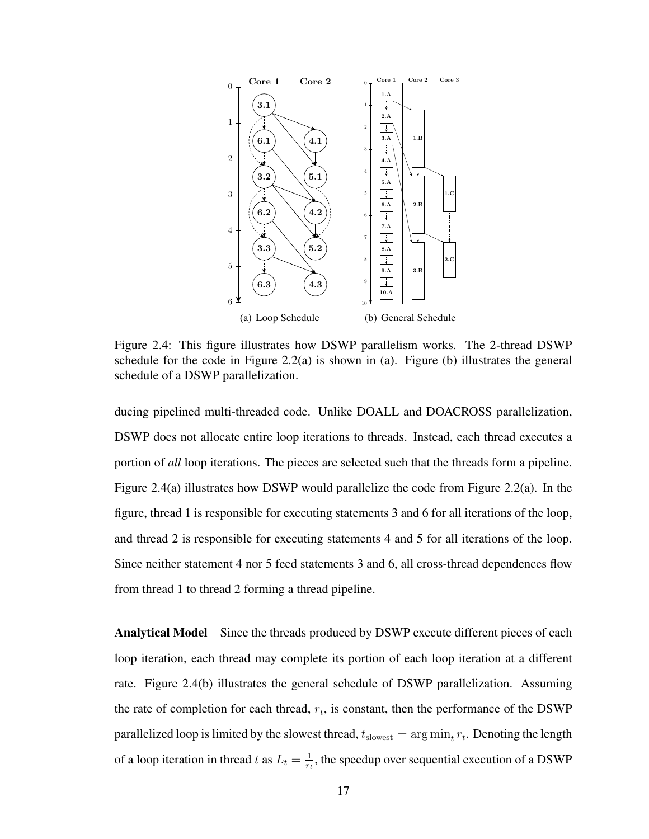

Figure 2.4: This figure illustrates how DSWP parallelism works. The 2-thread DSWP schedule for the code in Figure 2.2(a) is shown in (a). Figure (b) illustrates the general schedule of a DSWP parallelization.

ducing pipelined multi-threaded code. Unlike DOALL and DOACROSS parallelization, DSWP does not allocate entire loop iterations to threads. Instead, each thread executes a portion of *all* loop iterations. The pieces are selected such that the threads form a pipeline. Figure 2.4(a) illustrates how DSWP would parallelize the code from Figure 2.2(a). In the figure, thread 1 is responsible for executing statements 3 and 6 for all iterations of the loop, and thread 2 is responsible for executing statements 4 and 5 for all iterations of the loop. Since neither statement 4 nor 5 feed statements 3 and 6, all cross-thread dependences flow from thread 1 to thread 2 forming a thread pipeline.

Analytical Model Since the threads produced by DSWP execute different pieces of each loop iteration, each thread may complete its portion of each loop iteration at a different rate. Figure 2.4(b) illustrates the general schedule of DSWP parallelization. Assuming the rate of completion for each thread,  $r_t$ , is constant, then the performance of the DSWP parallelized loop is limited by the slowest thread,  $t_{\text{slowest}} = \arg \min_{t} r_t$ . Denoting the length of a loop iteration in thread t as  $L_t = \frac{1}{rt}$  $\frac{1}{r_t}$ , the speedup over sequential execution of a DSWP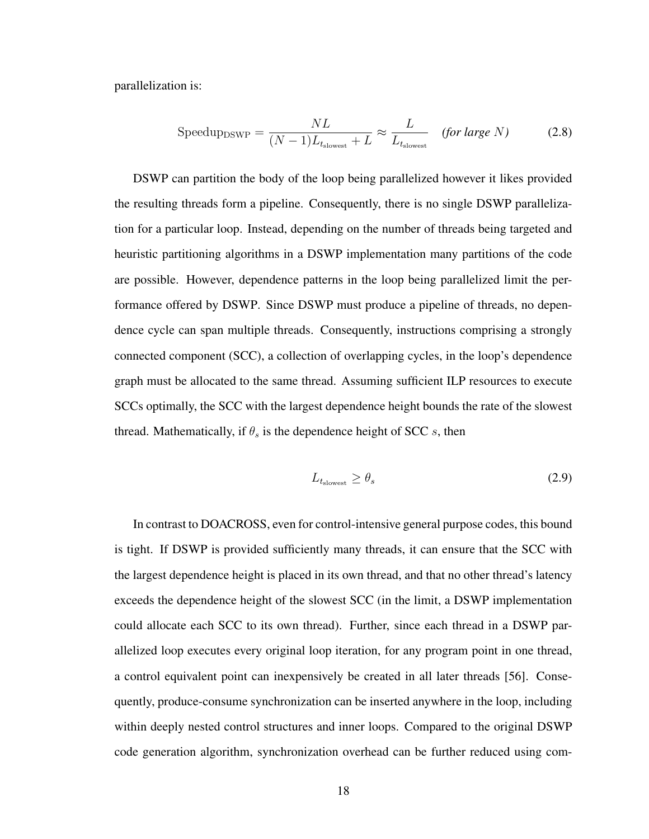parallelization is:

$$
Speedup_{DSWP} = \frac{NL}{(N-1)L_{t_{slowest}} + L} \approx \frac{L}{L_{t_{slowest}}} \quad (for large N)
$$
 (2.8)

DSWP can partition the body of the loop being parallelized however it likes provided the resulting threads form a pipeline. Consequently, there is no single DSWP parallelization for a particular loop. Instead, depending on the number of threads being targeted and heuristic partitioning algorithms in a DSWP implementation many partitions of the code are possible. However, dependence patterns in the loop being parallelized limit the performance offered by DSWP. Since DSWP must produce a pipeline of threads, no dependence cycle can span multiple threads. Consequently, instructions comprising a strongly connected component (SCC), a collection of overlapping cycles, in the loop's dependence graph must be allocated to the same thread. Assuming sufficient ILP resources to execute SCCs optimally, the SCC with the largest dependence height bounds the rate of the slowest thread. Mathematically, if  $\theta_s$  is the dependence height of SCC s, then

$$
L_{t_{\text{slowest}}} \ge \theta_s \tag{2.9}
$$

In contrast to DOACROSS, even for control-intensive general purpose codes, this bound is tight. If DSWP is provided sufficiently many threads, it can ensure that the SCC with the largest dependence height is placed in its own thread, and that no other thread's latency exceeds the dependence height of the slowest SCC (in the limit, a DSWP implementation could allocate each SCC to its own thread). Further, since each thread in a DSWP parallelized loop executes every original loop iteration, for any program point in one thread, a control equivalent point can inexpensively be created in all later threads [56]. Consequently, produce-consume synchronization can be inserted anywhere in the loop, including within deeply nested control structures and inner loops. Compared to the original DSWP code generation algorithm, synchronization overhead can be further reduced using com-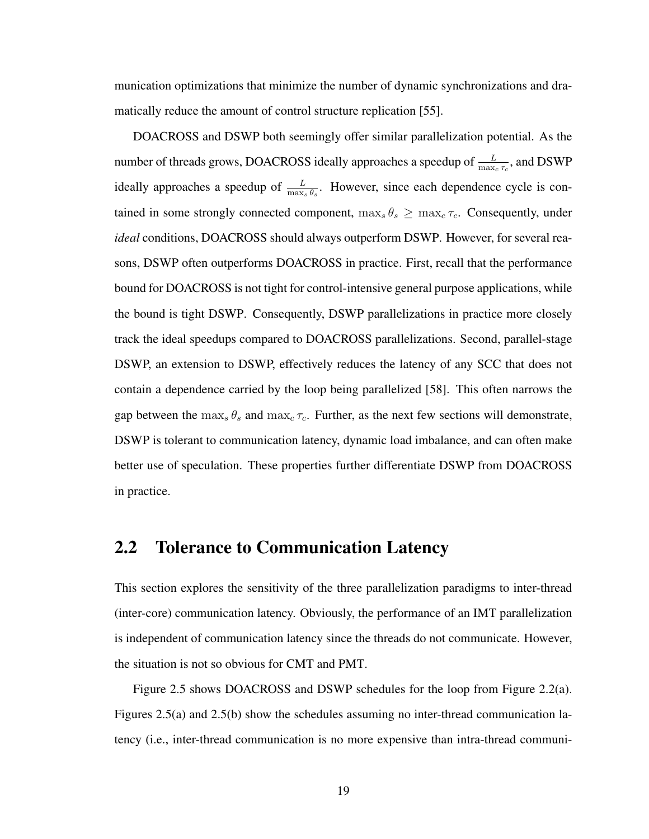munication optimizations that minimize the number of dynamic synchronizations and dramatically reduce the amount of control structure replication [55].

DOACROSS and DSWP both seemingly offer similar parallelization potential. As the number of threads grows, DOACROSS ideally approaches a speedup of  $\frac{L}{\max_c \tau_c}$ , and DSWP ideally approaches a speedup of  $\frac{L}{\max_s \theta_s}$ . However, since each dependence cycle is contained in some strongly connected component,  $\max_{s} \theta_s \geq \max_{c} \tau_c$ . Consequently, under *ideal* conditions, DOACROSS should always outperform DSWP. However, for several reasons, DSWP often outperforms DOACROSS in practice. First, recall that the performance bound for DOACROSS is not tight for control-intensive general purpose applications, while the bound is tight DSWP. Consequently, DSWP parallelizations in practice more closely track the ideal speedups compared to DOACROSS parallelizations. Second, parallel-stage DSWP, an extension to DSWP, effectively reduces the latency of any SCC that does not contain a dependence carried by the loop being parallelized [58]. This often narrows the gap between the  $\max_{s} \theta_s$  and  $\max_{c} \tau_c$ . Further, as the next few sections will demonstrate, DSWP is tolerant to communication latency, dynamic load imbalance, and can often make better use of speculation. These properties further differentiate DSWP from DOACROSS in practice.

## 2.2 Tolerance to Communication Latency

This section explores the sensitivity of the three parallelization paradigms to inter-thread (inter-core) communication latency. Obviously, the performance of an IMT parallelization is independent of communication latency since the threads do not communicate. However, the situation is not so obvious for CMT and PMT.

Figure 2.5 shows DOACROSS and DSWP schedules for the loop from Figure 2.2(a). Figures 2.5(a) and 2.5(b) show the schedules assuming no inter-thread communication latency (i.e., inter-thread communication is no more expensive than intra-thread communi-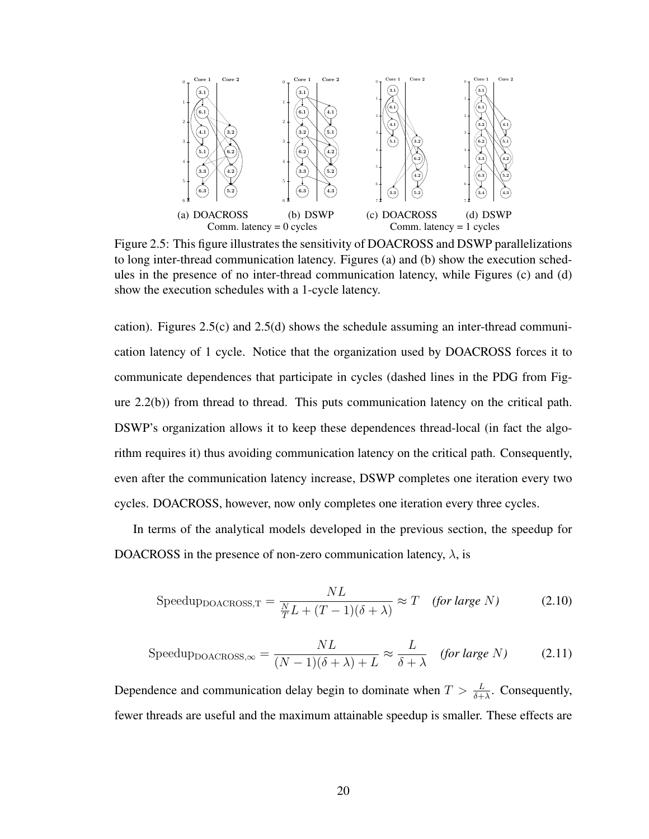

Figure 2.5: This figure illustrates the sensitivity of DOACROSS and DSWP parallelizations to long inter-thread communication latency. Figures (a) and (b) show the execution schedules in the presence of no inter-thread communication latency, while Figures (c) and (d) show the execution schedules with a 1-cycle latency.

cation). Figures 2.5(c) and 2.5(d) shows the schedule assuming an inter-thread communication latency of 1 cycle. Notice that the organization used by DOACROSS forces it to communicate dependences that participate in cycles (dashed lines in the PDG from Figure 2.2(b)) from thread to thread. This puts communication latency on the critical path. DSWP's organization allows it to keep these dependences thread-local (in fact the algorithm requires it) thus avoiding communication latency on the critical path. Consequently, even after the communication latency increase, DSWP completes one iteration every two cycles. DOACROSS, however, now only completes one iteration every three cycles.

In terms of the analytical models developed in the previous section, the speedup for DOACROSS in the presence of non-zero communication latency,  $\lambda$ , is

$$
Speedup_{DOACROS,T} = \frac{NL}{\frac{N}{T}L + (T-1)(\delta + \lambda)} \approx T \quad (for large N)
$$
 (2.10)

$$
Speedup_{DOACROS, \infty} = \frac{NL}{(N-1)(\delta + \lambda) + L} \approx \frac{L}{\delta + \lambda} \quad (for large N) \tag{2.11}
$$

Dependence and communication delay begin to dominate when  $T > \frac{L}{\delta + \lambda}$ . Consequently, fewer threads are useful and the maximum attainable speedup is smaller. These effects are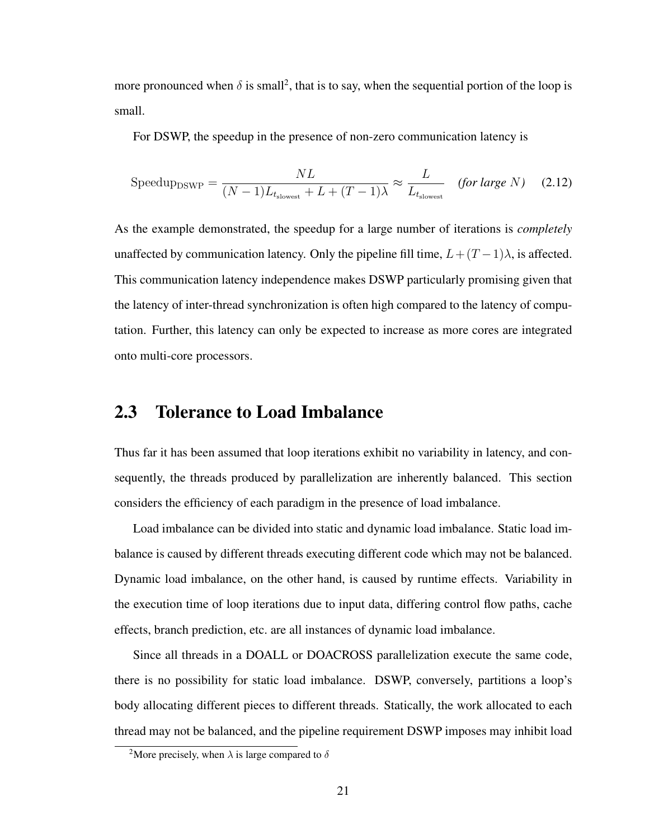more pronounced when  $\delta$  is small<sup>2</sup>, that is to say, when the sequential portion of the loop is small.

For DSWP, the speedup in the presence of non-zero communication latency is

$$
Speedup_{DSWP} = \frac{NL}{(N-1)L_{t_{slowest}} + L + (T-1)\lambda} \approx \frac{L}{L_{t_{slowest}}} \quad (for large N) \quad (2.12)
$$

As the example demonstrated, the speedup for a large number of iterations is *completely* unaffected by communication latency. Only the pipeline fill time,  $L+(T-1)\lambda$ , is affected. This communication latency independence makes DSWP particularly promising given that the latency of inter-thread synchronization is often high compared to the latency of computation. Further, this latency can only be expected to increase as more cores are integrated onto multi-core processors.

## 2.3 Tolerance to Load Imbalance

Thus far it has been assumed that loop iterations exhibit no variability in latency, and consequently, the threads produced by parallelization are inherently balanced. This section considers the efficiency of each paradigm in the presence of load imbalance.

Load imbalance can be divided into static and dynamic load imbalance. Static load imbalance is caused by different threads executing different code which may not be balanced. Dynamic load imbalance, on the other hand, is caused by runtime effects. Variability in the execution time of loop iterations due to input data, differing control flow paths, cache effects, branch prediction, etc. are all instances of dynamic load imbalance.

Since all threads in a DOALL or DOACROSS parallelization execute the same code, there is no possibility for static load imbalance. DSWP, conversely, partitions a loop's body allocating different pieces to different threads. Statically, the work allocated to each thread may not be balanced, and the pipeline requirement DSWP imposes may inhibit load

<sup>&</sup>lt;sup>2</sup>More precisely, when  $\lambda$  is large compared to  $\delta$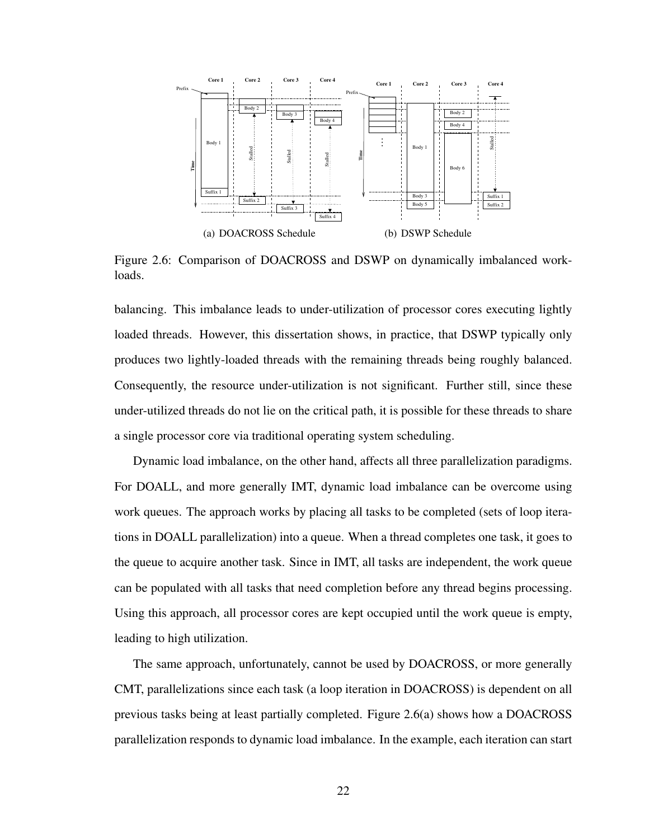

Figure 2.6: Comparison of DOACROSS and DSWP on dynamically imbalanced workloads.

balancing. This imbalance leads to under-utilization of processor cores executing lightly loaded threads. However, this dissertation shows, in practice, that DSWP typically only produces two lightly-loaded threads with the remaining threads being roughly balanced. Consequently, the resource under-utilization is not significant. Further still, since these under-utilized threads do not lie on the critical path, it is possible for these threads to share a single processor core via traditional operating system scheduling.

Dynamic load imbalance, on the other hand, affects all three parallelization paradigms. For DOALL, and more generally IMT, dynamic load imbalance can be overcome using work queues. The approach works by placing all tasks to be completed (sets of loop iterations in DOALL parallelization) into a queue. When a thread completes one task, it goes to the queue to acquire another task. Since in IMT, all tasks are independent, the work queue can be populated with all tasks that need completion before any thread begins processing. Using this approach, all processor cores are kept occupied until the work queue is empty, leading to high utilization.

The same approach, unfortunately, cannot be used by DOACROSS, or more generally CMT, parallelizations since each task (a loop iteration in DOACROSS) is dependent on all previous tasks being at least partially completed. Figure 2.6(a) shows how a DOACROSS parallelization responds to dynamic load imbalance. In the example, each iteration can start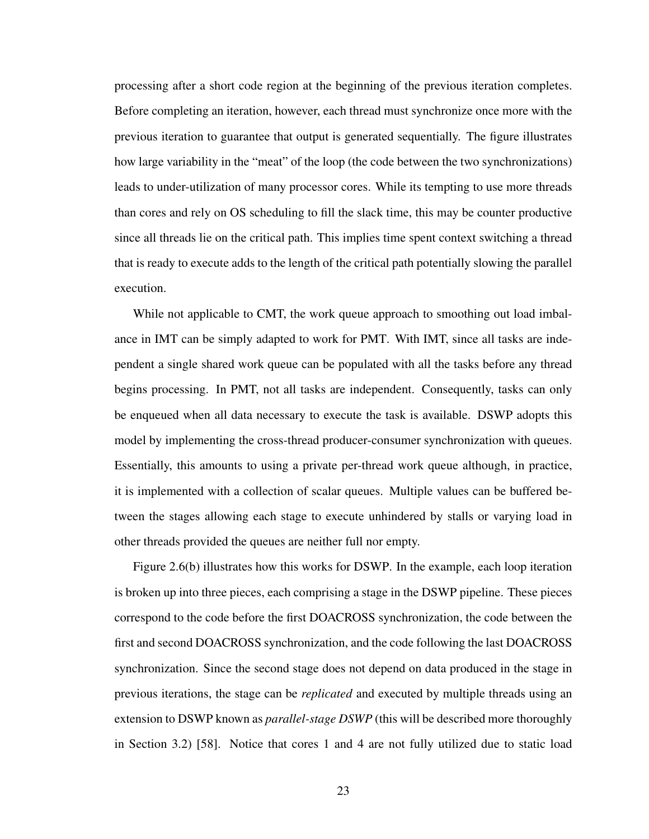processing after a short code region at the beginning of the previous iteration completes. Before completing an iteration, however, each thread must synchronize once more with the previous iteration to guarantee that output is generated sequentially. The figure illustrates how large variability in the "meat" of the loop (the code between the two synchronizations) leads to under-utilization of many processor cores. While its tempting to use more threads than cores and rely on OS scheduling to fill the slack time, this may be counter productive since all threads lie on the critical path. This implies time spent context switching a thread that is ready to execute adds to the length of the critical path potentially slowing the parallel execution.

While not applicable to CMT, the work queue approach to smoothing out load imbalance in IMT can be simply adapted to work for PMT. With IMT, since all tasks are independent a single shared work queue can be populated with all the tasks before any thread begins processing. In PMT, not all tasks are independent. Consequently, tasks can only be enqueued when all data necessary to execute the task is available. DSWP adopts this model by implementing the cross-thread producer-consumer synchronization with queues. Essentially, this amounts to using a private per-thread work queue although, in practice, it is implemented with a collection of scalar queues. Multiple values can be buffered between the stages allowing each stage to execute unhindered by stalls or varying load in other threads provided the queues are neither full nor empty.

Figure 2.6(b) illustrates how this works for DSWP. In the example, each loop iteration is broken up into three pieces, each comprising a stage in the DSWP pipeline. These pieces correspond to the code before the first DOACROSS synchronization, the code between the first and second DOACROSS synchronization, and the code following the last DOACROSS synchronization. Since the second stage does not depend on data produced in the stage in previous iterations, the stage can be *replicated* and executed by multiple threads using an extension to DSWP known as *parallel-stage DSWP* (this will be described more thoroughly in Section 3.2) [58]. Notice that cores 1 and 4 are not fully utilized due to static load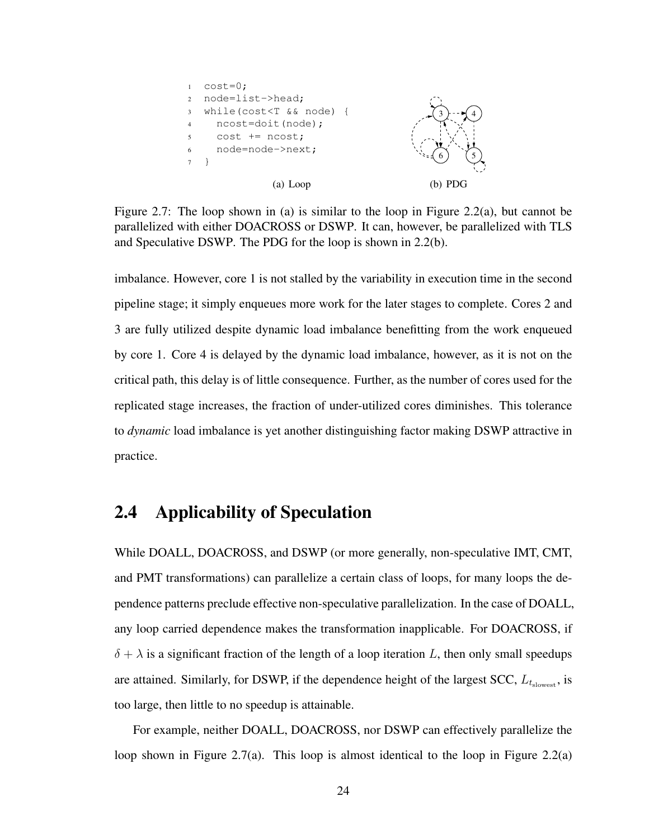

Figure 2.7: The loop shown in (a) is similar to the loop in Figure 2.2(a), but cannot be parallelized with either DOACROSS or DSWP. It can, however, be parallelized with TLS and Speculative DSWP. The PDG for the loop is shown in 2.2(b).

imbalance. However, core 1 is not stalled by the variability in execution time in the second pipeline stage; it simply enqueues more work for the later stages to complete. Cores 2 and 3 are fully utilized despite dynamic load imbalance benefitting from the work enqueued by core 1. Core 4 is delayed by the dynamic load imbalance, however, as it is not on the critical path, this delay is of little consequence. Further, as the number of cores used for the replicated stage increases, the fraction of under-utilized cores diminishes. This tolerance to *dynamic* load imbalance is yet another distinguishing factor making DSWP attractive in practice.

### 2.4 Applicability of Speculation

While DOALL, DOACROSS, and DSWP (or more generally, non-speculative IMT, CMT, and PMT transformations) can parallelize a certain class of loops, for many loops the dependence patterns preclude effective non-speculative parallelization. In the case of DOALL, any loop carried dependence makes the transformation inapplicable. For DOACROSS, if  $\delta + \lambda$  is a significant fraction of the length of a loop iteration L, then only small speedups are attained. Similarly, for DSWP, if the dependence height of the largest SCC,  $L_{t_{\text{slowest}}}$ , is too large, then little to no speedup is attainable.

For example, neither DOALL, DOACROSS, nor DSWP can effectively parallelize the loop shown in Figure 2.7(a). This loop is almost identical to the loop in Figure 2.2(a)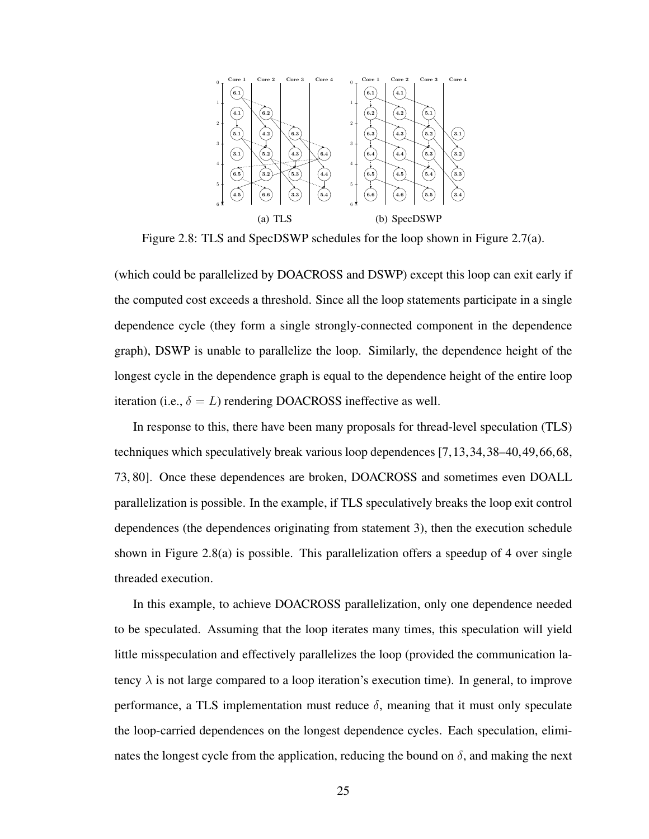

Figure 2.8: TLS and SpecDSWP schedules for the loop shown in Figure 2.7(a).

(which could be parallelized by DOACROSS and DSWP) except this loop can exit early if the computed cost exceeds a threshold. Since all the loop statements participate in a single dependence cycle (they form a single strongly-connected component in the dependence graph), DSWP is unable to parallelize the loop. Similarly, the dependence height of the longest cycle in the dependence graph is equal to the dependence height of the entire loop iteration (i.e.,  $\delta = L$ ) rendering DOACROSS ineffective as well.

In response to this, there have been many proposals for thread-level speculation (TLS) techniques which speculatively break various loop dependences [7,13,34,38–40,49,66,68, 73, 80]. Once these dependences are broken, DOACROSS and sometimes even DOALL parallelization is possible. In the example, if TLS speculatively breaks the loop exit control dependences (the dependences originating from statement 3), then the execution schedule shown in Figure 2.8(a) is possible. This parallelization offers a speedup of 4 over single threaded execution.

In this example, to achieve DOACROSS parallelization, only one dependence needed to be speculated. Assuming that the loop iterates many times, this speculation will yield little misspeculation and effectively parallelizes the loop (provided the communication latency  $\lambda$  is not large compared to a loop iteration's execution time). In general, to improve performance, a TLS implementation must reduce  $\delta$ , meaning that it must only speculate the loop-carried dependences on the longest dependence cycles. Each speculation, eliminates the longest cycle from the application, reducing the bound on  $\delta$ , and making the next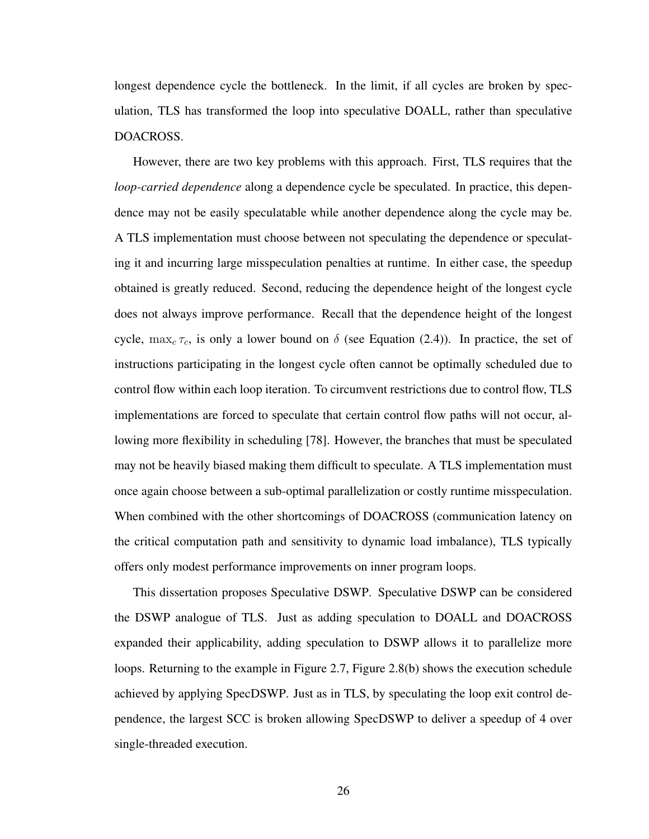longest dependence cycle the bottleneck. In the limit, if all cycles are broken by speculation, TLS has transformed the loop into speculative DOALL, rather than speculative DOACROSS.

However, there are two key problems with this approach. First, TLS requires that the *loop-carried dependence* along a dependence cycle be speculated. In practice, this dependence may not be easily speculatable while another dependence along the cycle may be. A TLS implementation must choose between not speculating the dependence or speculating it and incurring large misspeculation penalties at runtime. In either case, the speedup obtained is greatly reduced. Second, reducing the dependence height of the longest cycle does not always improve performance. Recall that the dependence height of the longest cycle,  $\max_c \tau_c$ , is only a lower bound on  $\delta$  (see Equation (2.4)). In practice, the set of instructions participating in the longest cycle often cannot be optimally scheduled due to control flow within each loop iteration. To circumvent restrictions due to control flow, TLS implementations are forced to speculate that certain control flow paths will not occur, allowing more flexibility in scheduling [78]. However, the branches that must be speculated may not be heavily biased making them difficult to speculate. A TLS implementation must once again choose between a sub-optimal parallelization or costly runtime misspeculation. When combined with the other shortcomings of DOACROSS (communication latency on the critical computation path and sensitivity to dynamic load imbalance), TLS typically offers only modest performance improvements on inner program loops.

This dissertation proposes Speculative DSWP. Speculative DSWP can be considered the DSWP analogue of TLS. Just as adding speculation to DOALL and DOACROSS expanded their applicability, adding speculation to DSWP allows it to parallelize more loops. Returning to the example in Figure 2.7, Figure 2.8(b) shows the execution schedule achieved by applying SpecDSWP. Just as in TLS, by speculating the loop exit control dependence, the largest SCC is broken allowing SpecDSWP to deliver a speedup of 4 over single-threaded execution.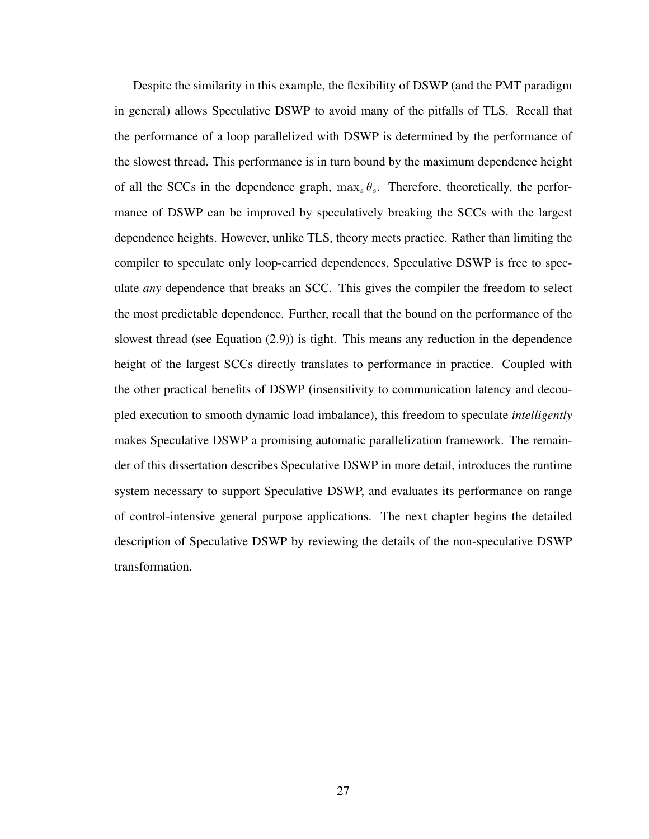Despite the similarity in this example, the flexibility of DSWP (and the PMT paradigm in general) allows Speculative DSWP to avoid many of the pitfalls of TLS. Recall that the performance of a loop parallelized with DSWP is determined by the performance of the slowest thread. This performance is in turn bound by the maximum dependence height of all the SCCs in the dependence graph,  $\max_{s} \theta_{s}$ . Therefore, theoretically, the performance of DSWP can be improved by speculatively breaking the SCCs with the largest dependence heights. However, unlike TLS, theory meets practice. Rather than limiting the compiler to speculate only loop-carried dependences, Speculative DSWP is free to speculate *any* dependence that breaks an SCC. This gives the compiler the freedom to select the most predictable dependence. Further, recall that the bound on the performance of the slowest thread (see Equation (2.9)) is tight. This means any reduction in the dependence height of the largest SCCs directly translates to performance in practice. Coupled with the other practical benefits of DSWP (insensitivity to communication latency and decoupled execution to smooth dynamic load imbalance), this freedom to speculate *intelligently* makes Speculative DSWP a promising automatic parallelization framework. The remainder of this dissertation describes Speculative DSWP in more detail, introduces the runtime system necessary to support Speculative DSWP, and evaluates its performance on range of control-intensive general purpose applications. The next chapter begins the detailed description of Speculative DSWP by reviewing the details of the non-speculative DSWP transformation.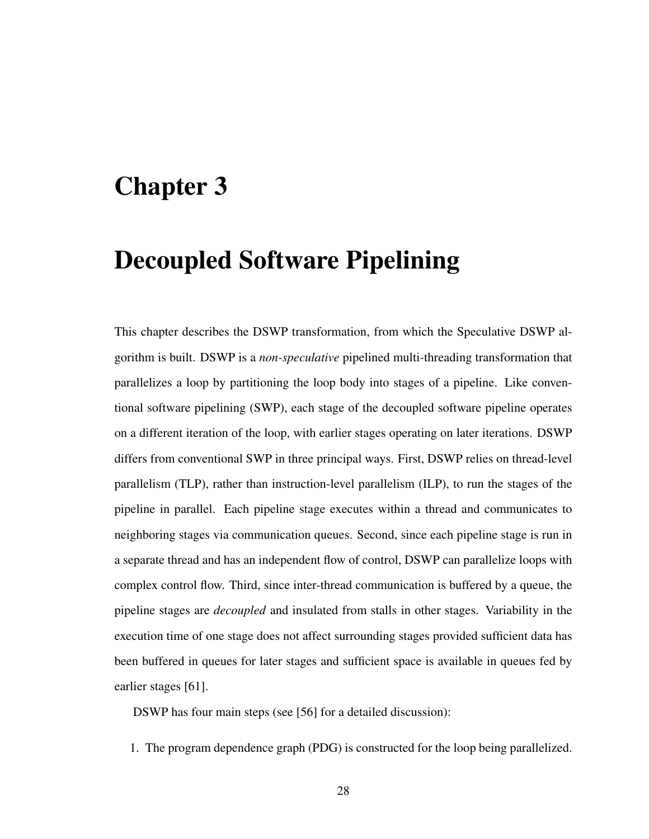# Chapter 3

# Decoupled Software Pipelining

This chapter describes the DSWP transformation, from which the Speculative DSWP algorithm is built. DSWP is a *non-speculative* pipelined multi-threading transformation that parallelizes a loop by partitioning the loop body into stages of a pipeline. Like conventional software pipelining (SWP), each stage of the decoupled software pipeline operates on a different iteration of the loop, with earlier stages operating on later iterations. DSWP differs from conventional SWP in three principal ways. First, DSWP relies on thread-level parallelism (TLP), rather than instruction-level parallelism (ILP), to run the stages of the pipeline in parallel. Each pipeline stage executes within a thread and communicates to neighboring stages via communication queues. Second, since each pipeline stage is run in a separate thread and has an independent flow of control, DSWP can parallelize loops with complex control flow. Third, since inter-thread communication is buffered by a queue, the pipeline stages are *decoupled* and insulated from stalls in other stages. Variability in the execution time of one stage does not affect surrounding stages provided sufficient data has been buffered in queues for later stages and sufficient space is available in queues fed by earlier stages [61].

DSWP has four main steps (see [56] for a detailed discussion):

1. The program dependence graph (PDG) is constructed for the loop being parallelized.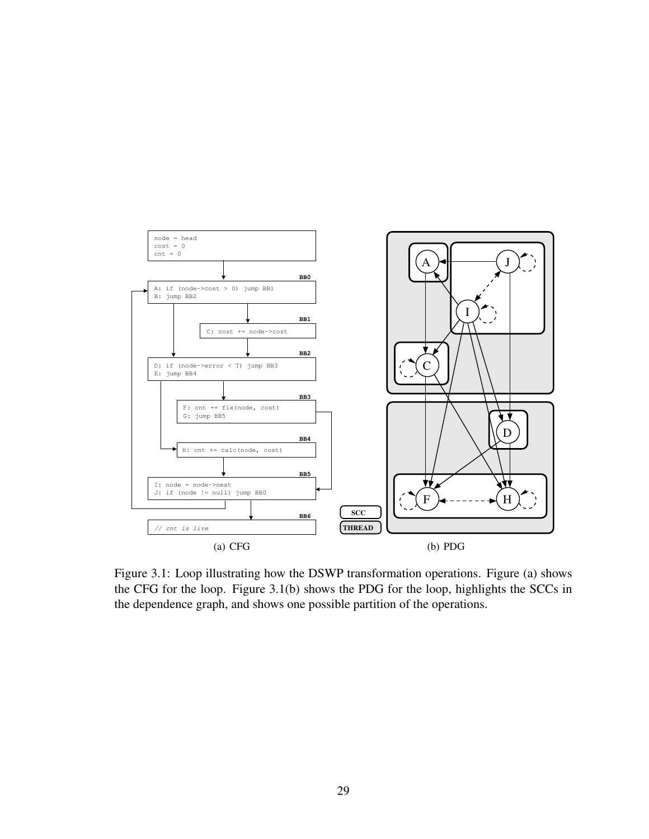

Figure 3.1: Loop illustrating how the DSWP transformation operations. Figure (a) shows the CFG for the loop. Figure 3.1(b) shows the PDG for the loop, highlights the SCCs in the dependence graph, and shows one possible partition of the operations.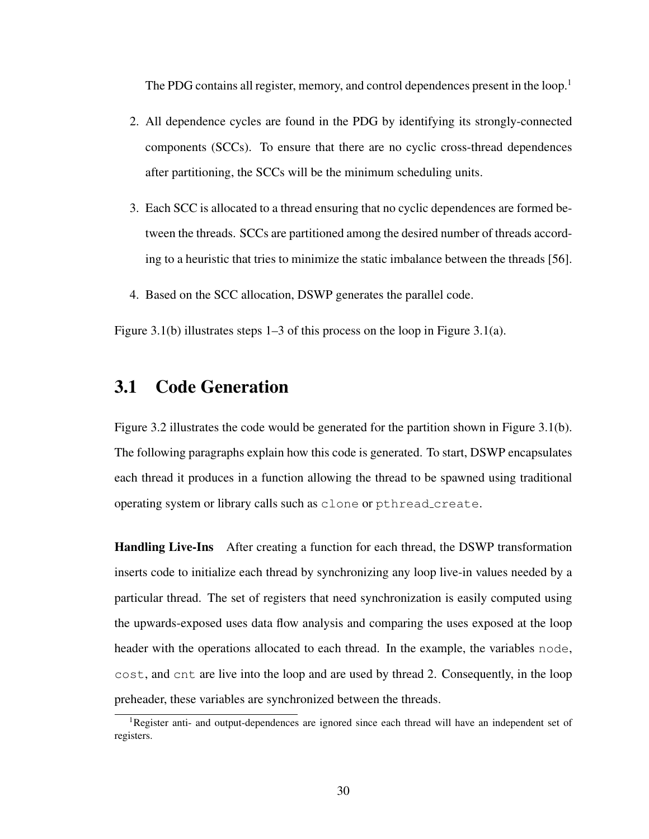The PDG contains all register, memory, and control dependences present in the loop.<sup>1</sup>

- 2. All dependence cycles are found in the PDG by identifying its strongly-connected components (SCCs). To ensure that there are no cyclic cross-thread dependences after partitioning, the SCCs will be the minimum scheduling units.
- 3. Each SCC is allocated to a thread ensuring that no cyclic dependences are formed between the threads. SCCs are partitioned among the desired number of threads according to a heuristic that tries to minimize the static imbalance between the threads [56].
- 4. Based on the SCC allocation, DSWP generates the parallel code.

Figure 3.1(b) illustrates steps 1–3 of this process on the loop in Figure 3.1(a).

## 3.1 Code Generation

Figure 3.2 illustrates the code would be generated for the partition shown in Figure 3.1(b). The following paragraphs explain how this code is generated. To start, DSWP encapsulates each thread it produces in a function allowing the thread to be spawned using traditional operating system or library calls such as clone or pthread create.

Handling Live-Ins After creating a function for each thread, the DSWP transformation inserts code to initialize each thread by synchronizing any loop live-in values needed by a particular thread. The set of registers that need synchronization is easily computed using the upwards-exposed uses data flow analysis and comparing the uses exposed at the loop header with the operations allocated to each thread. In the example, the variables node, cost, and cnt are live into the loop and are used by thread 2. Consequently, in the loop preheader, these variables are synchronized between the threads.

<sup>&</sup>lt;sup>1</sup>Register anti- and output-dependences are ignored since each thread will have an independent set of registers.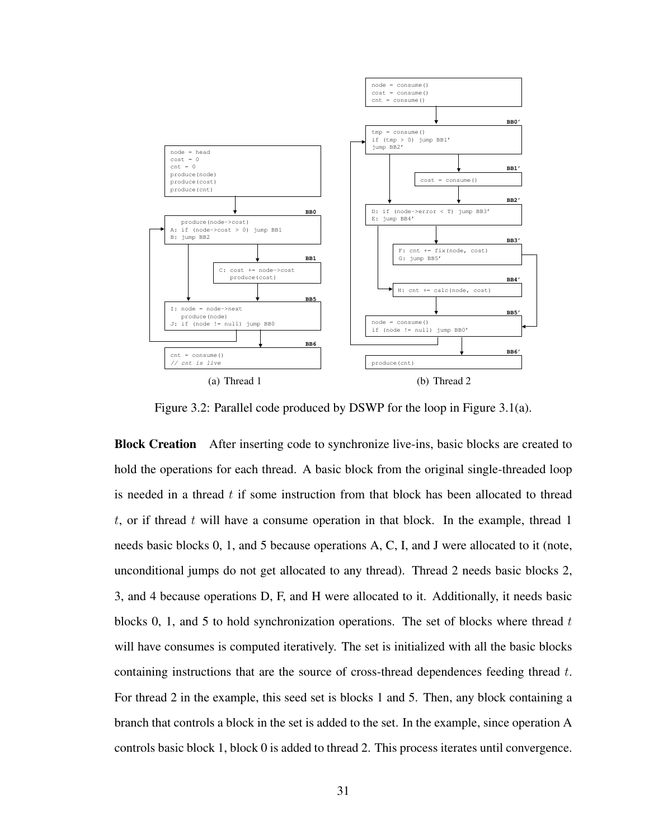

Figure 3.2: Parallel code produced by DSWP for the loop in Figure 3.1(a).

Block Creation After inserting code to synchronize live-ins, basic blocks are created to hold the operations for each thread. A basic block from the original single-threaded loop is needed in a thread  $t$  if some instruction from that block has been allocated to thread t, or if thread t will have a consume operation in that block. In the example, thread 1 needs basic blocks 0, 1, and 5 because operations A, C, I, and J were allocated to it (note, unconditional jumps do not get allocated to any thread). Thread 2 needs basic blocks 2, 3, and 4 because operations D, F, and H were allocated to it. Additionally, it needs basic blocks 0, 1, and 5 to hold synchronization operations. The set of blocks where thread  $t$ will have consumes is computed iteratively. The set is initialized with all the basic blocks containing instructions that are the source of cross-thread dependences feeding thread t. For thread 2 in the example, this seed set is blocks 1 and 5. Then, any block containing a branch that controls a block in the set is added to the set. In the example, since operation A controls basic block 1, block 0 is added to thread 2. This process iterates until convergence.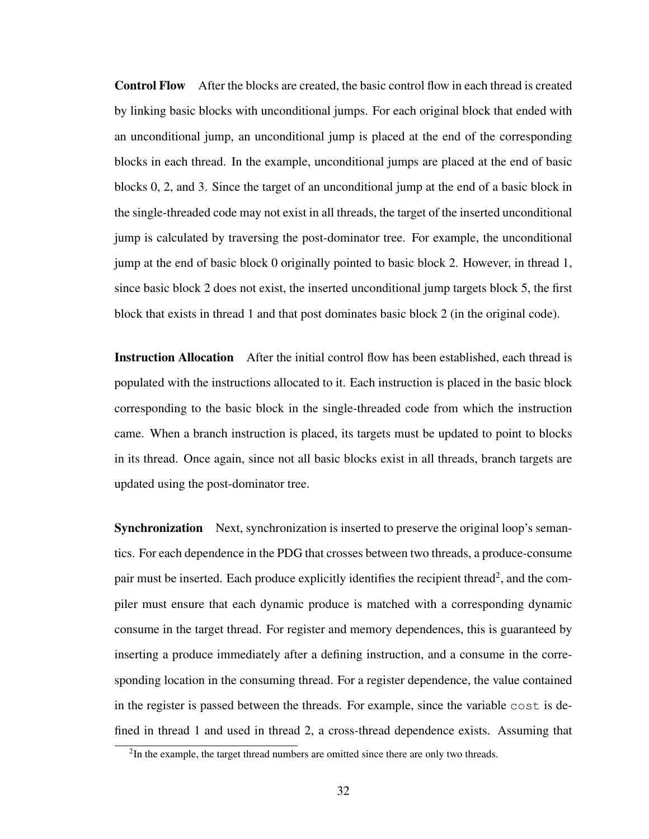Control Flow After the blocks are created, the basic control flow in each thread is created by linking basic blocks with unconditional jumps. For each original block that ended with an unconditional jump, an unconditional jump is placed at the end of the corresponding blocks in each thread. In the example, unconditional jumps are placed at the end of basic blocks 0, 2, and 3. Since the target of an unconditional jump at the end of a basic block in the single-threaded code may not exist in all threads, the target of the inserted unconditional jump is calculated by traversing the post-dominator tree. For example, the unconditional jump at the end of basic block 0 originally pointed to basic block 2. However, in thread 1, since basic block 2 does not exist, the inserted unconditional jump targets block 5, the first block that exists in thread 1 and that post dominates basic block 2 (in the original code).

Instruction Allocation After the initial control flow has been established, each thread is populated with the instructions allocated to it. Each instruction is placed in the basic block corresponding to the basic block in the single-threaded code from which the instruction came. When a branch instruction is placed, its targets must be updated to point to blocks in its thread. Once again, since not all basic blocks exist in all threads, branch targets are updated using the post-dominator tree.

Synchronization Next, synchronization is inserted to preserve the original loop's semantics. For each dependence in the PDG that crosses between two threads, a produce-consume pair must be inserted. Each produce explicitly identifies the recipient thread<sup>2</sup>, and the compiler must ensure that each dynamic produce is matched with a corresponding dynamic consume in the target thread. For register and memory dependences, this is guaranteed by inserting a produce immediately after a defining instruction, and a consume in the corresponding location in the consuming thread. For a register dependence, the value contained in the register is passed between the threads. For example, since the variable cost is defined in thread 1 and used in thread 2, a cross-thread dependence exists. Assuming that

<sup>&</sup>lt;sup>2</sup>In the example, the target thread numbers are omitted since there are only two threads.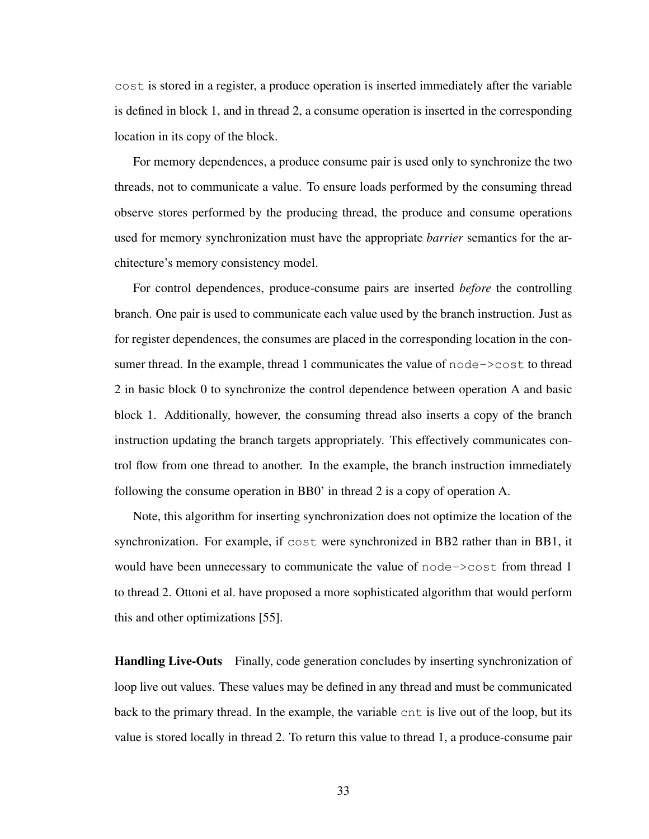cost is stored in a register, a produce operation is inserted immediately after the variable is defined in block 1, and in thread 2, a consume operation is inserted in the corresponding location in its copy of the block.

For memory dependences, a produce consume pair is used only to synchronize the two threads, not to communicate a value. To ensure loads performed by the consuming thread observe stores performed by the producing thread, the produce and consume operations used for memory synchronization must have the appropriate *barrier* semantics for the architecture's memory consistency model.

For control dependences, produce-consume pairs are inserted *before* the controlling branch. One pair is used to communicate each value used by the branch instruction. Just as for register dependences, the consumes are placed in the corresponding location in the consumer thread. In the example, thread 1 communicates the value of node->cost to thread 2 in basic block 0 to synchronize the control dependence between operation A and basic block 1. Additionally, however, the consuming thread also inserts a copy of the branch instruction updating the branch targets appropriately. This effectively communicates control flow from one thread to another. In the example, the branch instruction immediately following the consume operation in BB0' in thread 2 is a copy of operation A.

Note, this algorithm for inserting synchronization does not optimize the location of the synchronization. For example, if cost were synchronized in BB2 rather than in BB1, it would have been unnecessary to communicate the value of node->cost from thread 1 to thread 2. Ottoni et al. have proposed a more sophisticated algorithm that would perform this and other optimizations [55].

Handling Live-Outs Finally, code generation concludes by inserting synchronization of loop live out values. These values may be defined in any thread and must be communicated back to the primary thread. In the example, the variable cnt is live out of the loop, but its value is stored locally in thread 2. To return this value to thread 1, a produce-consume pair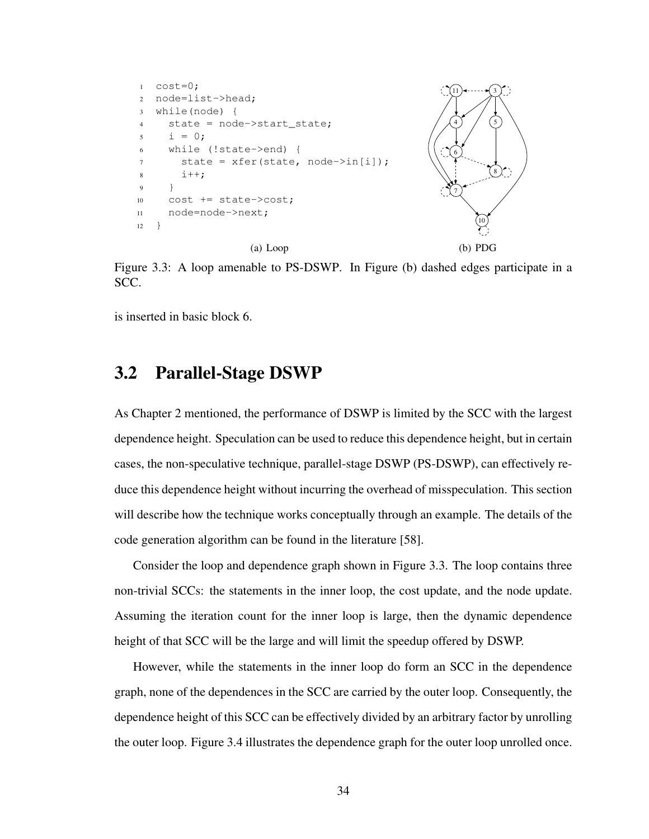

Figure 3.3: A loop amenable to PS-DSWP. In Figure (b) dashed edges participate in a SCC.

is inserted in basic block 6.

### 3.2 Parallel-Stage DSWP

As Chapter 2 mentioned, the performance of DSWP is limited by the SCC with the largest dependence height. Speculation can be used to reduce this dependence height, but in certain cases, the non-speculative technique, parallel-stage DSWP (PS-DSWP), can effectively reduce this dependence height without incurring the overhead of misspeculation. This section will describe how the technique works conceptually through an example. The details of the code generation algorithm can be found in the literature [58].

Consider the loop and dependence graph shown in Figure 3.3. The loop contains three non-trivial SCCs: the statements in the inner loop, the cost update, and the node update. Assuming the iteration count for the inner loop is large, then the dynamic dependence height of that SCC will be the large and will limit the speedup offered by DSWP.

However, while the statements in the inner loop do form an SCC in the dependence graph, none of the dependences in the SCC are carried by the outer loop. Consequently, the dependence height of this SCC can be effectively divided by an arbitrary factor by unrolling the outer loop. Figure 3.4 illustrates the dependence graph for the outer loop unrolled once.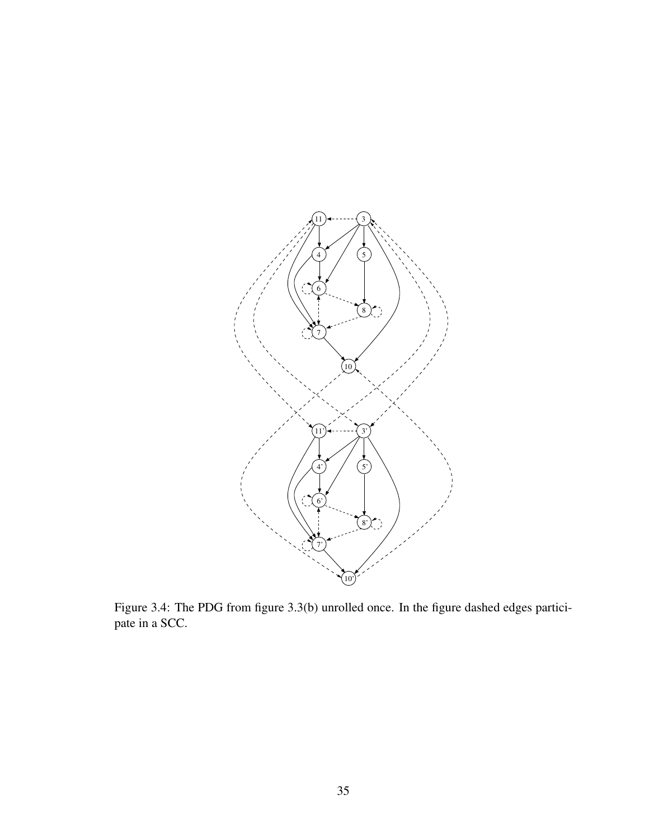

Figure 3.4: The PDG from figure 3.3(b) unrolled once. In the figure dashed edges participate in a SCC.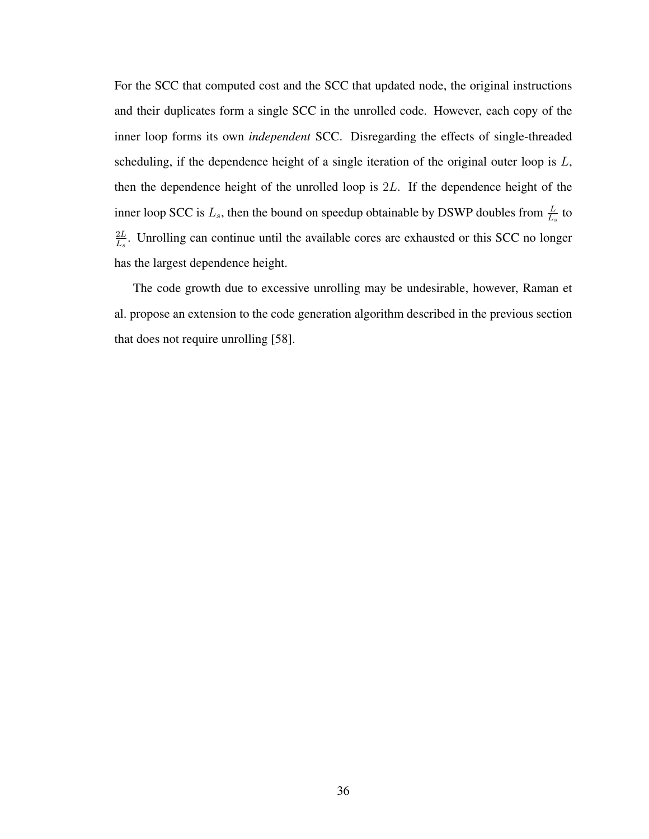For the SCC that computed cost and the SCC that updated node, the original instructions and their duplicates form a single SCC in the unrolled code. However, each copy of the inner loop forms its own *independent* SCC. Disregarding the effects of single-threaded scheduling, if the dependence height of a single iteration of the original outer loop is  $L$ , then the dependence height of the unrolled loop is 2L. If the dependence height of the inner loop SCC is  $L_s$ , then the bound on speedup obtainable by DSWP doubles from  $\frac{L}{L_s}$  to  $2L$  $\frac{2L}{L_s}$ . Unrolling can continue until the available cores are exhausted or this SCC no longer has the largest dependence height.

The code growth due to excessive unrolling may be undesirable, however, Raman et al. propose an extension to the code generation algorithm described in the previous section that does not require unrolling [58].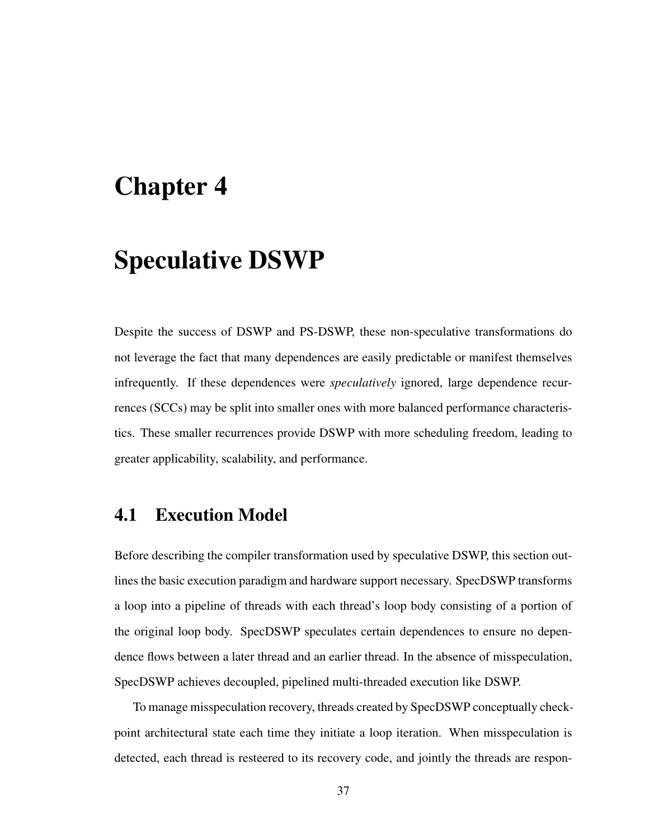# Chapter 4

# Speculative DSWP

Despite the success of DSWP and PS-DSWP, these non-speculative transformations do not leverage the fact that many dependences are easily predictable or manifest themselves infrequently. If these dependences were *speculatively* ignored, large dependence recurrences (SCCs) may be split into smaller ones with more balanced performance characteristics. These smaller recurrences provide DSWP with more scheduling freedom, leading to greater applicability, scalability, and performance.

## 4.1 Execution Model

Before describing the compiler transformation used by speculative DSWP, this section outlines the basic execution paradigm and hardware support necessary. SpecDSWP transforms a loop into a pipeline of threads with each thread's loop body consisting of a portion of the original loop body. SpecDSWP speculates certain dependences to ensure no dependence flows between a later thread and an earlier thread. In the absence of misspeculation, SpecDSWP achieves decoupled, pipelined multi-threaded execution like DSWP.

To manage misspeculation recovery, threads created by SpecDSWP conceptually checkpoint architectural state each time they initiate a loop iteration. When misspeculation is detected, each thread is resteered to its recovery code, and jointly the threads are respon-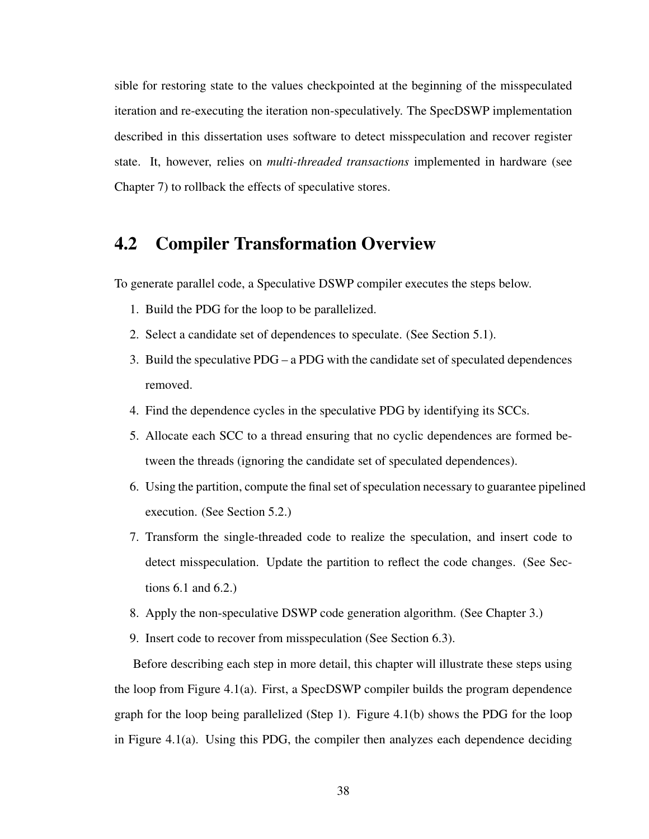sible for restoring state to the values checkpointed at the beginning of the misspeculated iteration and re-executing the iteration non-speculatively. The SpecDSWP implementation described in this dissertation uses software to detect misspeculation and recover register state. It, however, relies on *multi-threaded transactions* implemented in hardware (see Chapter 7) to rollback the effects of speculative stores.

### 4.2 Compiler Transformation Overview

To generate parallel code, a Speculative DSWP compiler executes the steps below.

- 1. Build the PDG for the loop to be parallelized.
- 2. Select a candidate set of dependences to speculate. (See Section 5.1).
- 3. Build the speculative PDG a PDG with the candidate set of speculated dependences removed.
- 4. Find the dependence cycles in the speculative PDG by identifying its SCCs.
- 5. Allocate each SCC to a thread ensuring that no cyclic dependences are formed between the threads (ignoring the candidate set of speculated dependences).
- 6. Using the partition, compute the final set of speculation necessary to guarantee pipelined execution. (See Section 5.2.)
- 7. Transform the single-threaded code to realize the speculation, and insert code to detect misspeculation. Update the partition to reflect the code changes. (See Sections 6.1 and 6.2.)
- 8. Apply the non-speculative DSWP code generation algorithm. (See Chapter 3.)
- 9. Insert code to recover from misspeculation (See Section 6.3).

Before describing each step in more detail, this chapter will illustrate these steps using the loop from Figure 4.1(a). First, a SpecDSWP compiler builds the program dependence graph for the loop being parallelized (Step 1). Figure 4.1(b) shows the PDG for the loop in Figure 4.1(a). Using this PDG, the compiler then analyzes each dependence deciding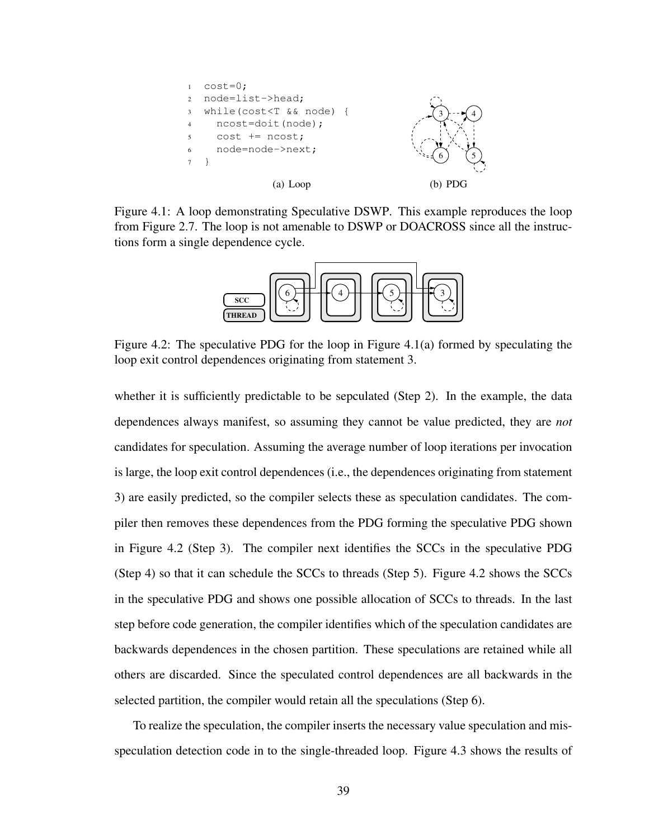

Figure 4.1: A loop demonstrating Speculative DSWP. This example reproduces the loop from Figure 2.7. The loop is not amenable to DSWP or DOACROSS since all the instructions form a single dependence cycle.



Figure 4.2: The speculative PDG for the loop in Figure 4.1(a) formed by speculating the loop exit control dependences originating from statement 3.

whether it is sufficiently predictable to be sepculated (Step 2). In the example, the data dependences always manifest, so assuming they cannot be value predicted, they are *not* candidates for speculation. Assuming the average number of loop iterations per invocation is large, the loop exit control dependences (i.e., the dependences originating from statement 3) are easily predicted, so the compiler selects these as speculation candidates. The compiler then removes these dependences from the PDG forming the speculative PDG shown in Figure 4.2 (Step 3). The compiler next identifies the SCCs in the speculative PDG (Step 4) so that it can schedule the SCCs to threads (Step 5). Figure 4.2 shows the SCCs in the speculative PDG and shows one possible allocation of SCCs to threads. In the last step before code generation, the compiler identifies which of the speculation candidates are backwards dependences in the chosen partition. These speculations are retained while all others are discarded. Since the speculated control dependences are all backwards in the selected partition, the compiler would retain all the speculations (Step 6).

To realize the speculation, the compiler inserts the necessary value speculation and misspeculation detection code in to the single-threaded loop. Figure 4.3 shows the results of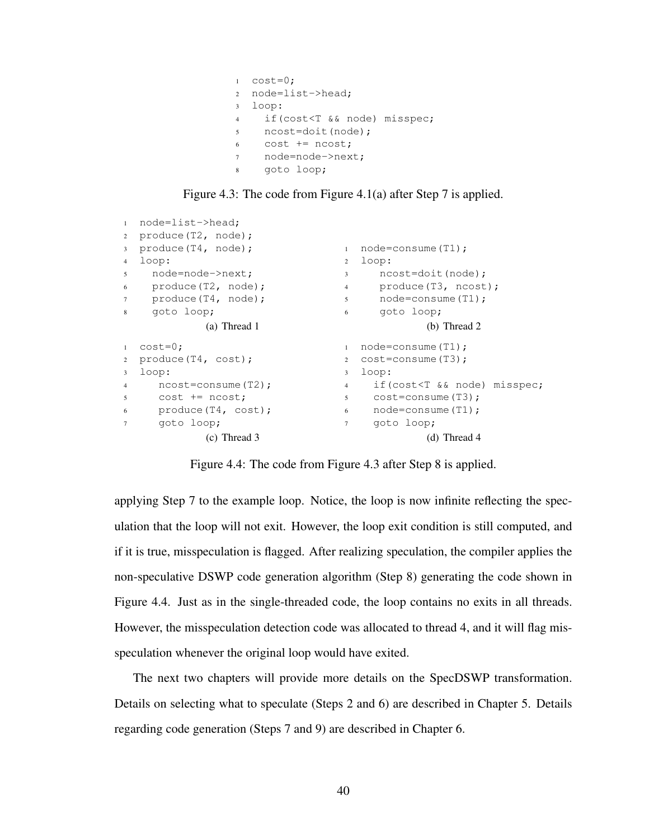```
1 \quad \text{cost}=0;2 node=list->head;
3 loop:
4 if(cost<T && node) misspec;
5 ncost=doit(node);
6 cost += ncost;
7 node=node->next;
8 goto loop;
```
Figure 4.3: The code from Figure 4.1(a) after Step 7 is applied.

```
1 node=list->head;
2 produce(T2, node);
3 produce(T4, node);
4 loop:
5 node=node->next;
6 produce(T2, node);
7 produce(T4, node);
8 goto loop;
            (a) Thread 1
                               1 node=consume(T1);
                               2 loop:
                                3 ncost=doit(node);
                               4 produce(T3, ncost);
                               5 node=consume(T1);<br>6 goto loop;
                                     goto loop;
                                             (b) Thread 2
1 \quad \cosh=0;2 produce(T4, cost);
3 loop:
4 ncost=consume(T2);
5 cost += ncost;
6 produce (T4, cost); 6 node=consume (T1);
7 goto loop;
            (c) Thread 3
                                1 node=consume(T1);
                               2 cost=consume(T3);
                               3 loop:
                               4 if(cost<T && node) misspec;
                                5 cost=consume(T3);
                               7 goto loop;
                                             (d) Thread 4
```
Figure 4.4: The code from Figure 4.3 after Step 8 is applied.

applying Step 7 to the example loop. Notice, the loop is now infinite reflecting the speculation that the loop will not exit. However, the loop exit condition is still computed, and if it is true, misspeculation is flagged. After realizing speculation, the compiler applies the non-speculative DSWP code generation algorithm (Step 8) generating the code shown in Figure 4.4. Just as in the single-threaded code, the loop contains no exits in all threads. However, the misspeculation detection code was allocated to thread 4, and it will flag misspeculation whenever the original loop would have exited.

The next two chapters will provide more details on the SpecDSWP transformation. Details on selecting what to speculate (Steps 2 and 6) are described in Chapter 5. Details regarding code generation (Steps 7 and 9) are described in Chapter 6.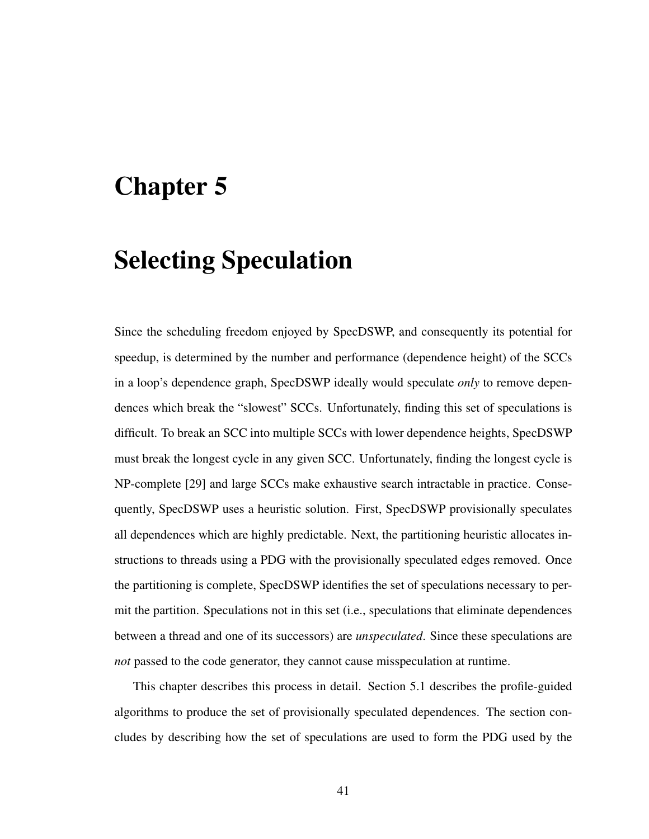# Chapter 5

# Selecting Speculation

Since the scheduling freedom enjoyed by SpecDSWP, and consequently its potential for speedup, is determined by the number and performance (dependence height) of the SCCs in a loop's dependence graph, SpecDSWP ideally would speculate *only* to remove dependences which break the "slowest" SCCs. Unfortunately, finding this set of speculations is difficult. To break an SCC into multiple SCCs with lower dependence heights, SpecDSWP must break the longest cycle in any given SCC. Unfortunately, finding the longest cycle is NP-complete [29] and large SCCs make exhaustive search intractable in practice. Consequently, SpecDSWP uses a heuristic solution. First, SpecDSWP provisionally speculates all dependences which are highly predictable. Next, the partitioning heuristic allocates instructions to threads using a PDG with the provisionally speculated edges removed. Once the partitioning is complete, SpecDSWP identifies the set of speculations necessary to permit the partition. Speculations not in this set (i.e., speculations that eliminate dependences between a thread and one of its successors) are *unspeculated*. Since these speculations are *not* passed to the code generator, they cannot cause misspeculation at runtime.

This chapter describes this process in detail. Section 5.1 describes the profile-guided algorithms to produce the set of provisionally speculated dependences. The section concludes by describing how the set of speculations are used to form the PDG used by the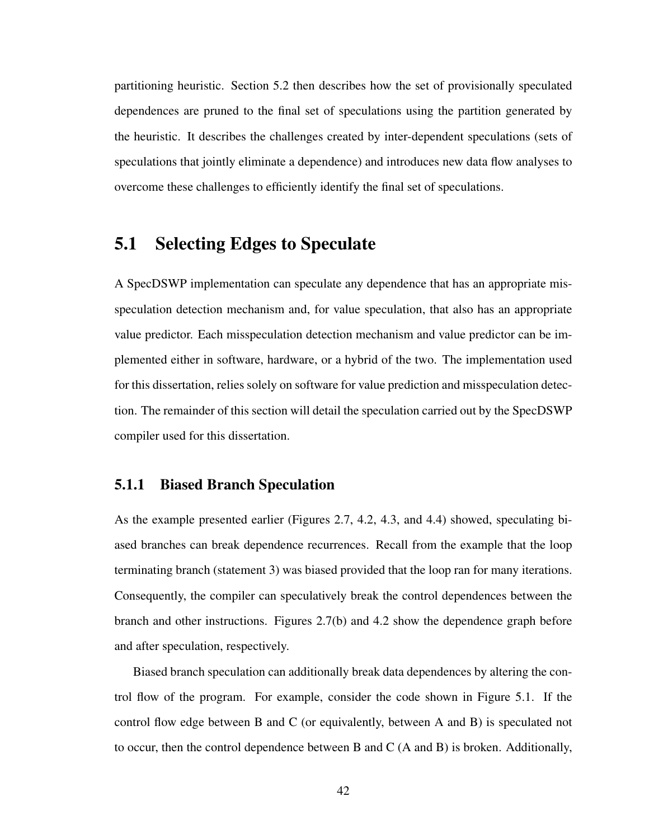partitioning heuristic. Section 5.2 then describes how the set of provisionally speculated dependences are pruned to the final set of speculations using the partition generated by the heuristic. It describes the challenges created by inter-dependent speculations (sets of speculations that jointly eliminate a dependence) and introduces new data flow analyses to overcome these challenges to efficiently identify the final set of speculations.

### 5.1 Selecting Edges to Speculate

A SpecDSWP implementation can speculate any dependence that has an appropriate misspeculation detection mechanism and, for value speculation, that also has an appropriate value predictor. Each misspeculation detection mechanism and value predictor can be implemented either in software, hardware, or a hybrid of the two. The implementation used for this dissertation, relies solely on software for value prediction and misspeculation detection. The remainder of this section will detail the speculation carried out by the SpecDSWP compiler used for this dissertation.

### 5.1.1 Biased Branch Speculation

As the example presented earlier (Figures 2.7, 4.2, 4.3, and 4.4) showed, speculating biased branches can break dependence recurrences. Recall from the example that the loop terminating branch (statement 3) was biased provided that the loop ran for many iterations. Consequently, the compiler can speculatively break the control dependences between the branch and other instructions. Figures 2.7(b) and 4.2 show the dependence graph before and after speculation, respectively.

Biased branch speculation can additionally break data dependences by altering the control flow of the program. For example, consider the code shown in Figure 5.1. If the control flow edge between B and C (or equivalently, between A and B) is speculated not to occur, then the control dependence between B and C (A and B) is broken. Additionally,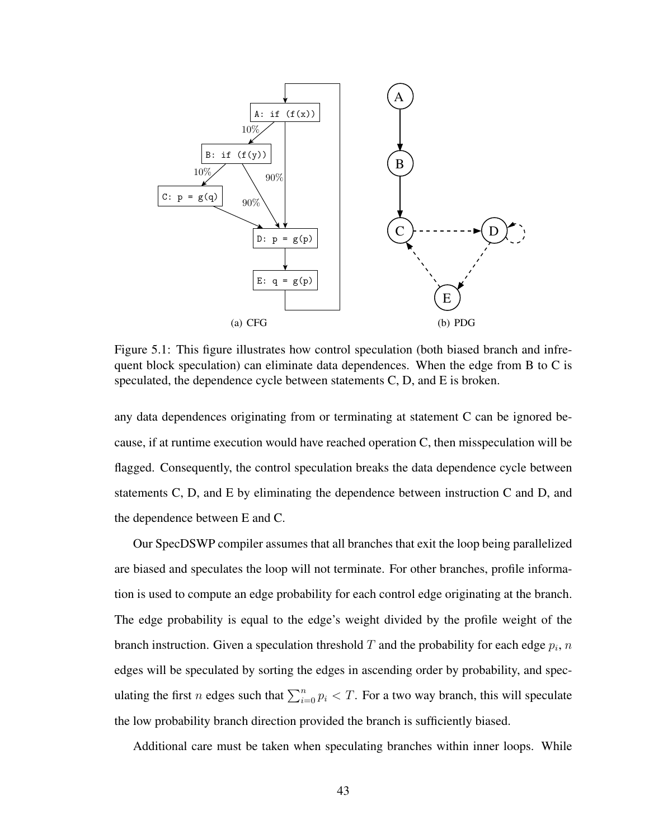

Figure 5.1: This figure illustrates how control speculation (both biased branch and infrequent block speculation) can eliminate data dependences. When the edge from B to C is speculated, the dependence cycle between statements C, D, and E is broken.

any data dependences originating from or terminating at statement C can be ignored because, if at runtime execution would have reached operation C, then misspeculation will be flagged. Consequently, the control speculation breaks the data dependence cycle between statements C, D, and E by eliminating the dependence between instruction C and D, and the dependence between E and C.

Our SpecDSWP compiler assumes that all branches that exit the loop being parallelized are biased and speculates the loop will not terminate. For other branches, profile information is used to compute an edge probability for each control edge originating at the branch. The edge probability is equal to the edge's weight divided by the profile weight of the branch instruction. Given a speculation threshold T and the probability for each edge  $p_i$ ,  $n$ edges will be speculated by sorting the edges in ascending order by probability, and speculating the first *n* edges such that  $\sum_{i=0}^{n} p_i < T$ . For a two way branch, this will speculate the low probability branch direction provided the branch is sufficiently biased.

Additional care must be taken when speculating branches within inner loops. While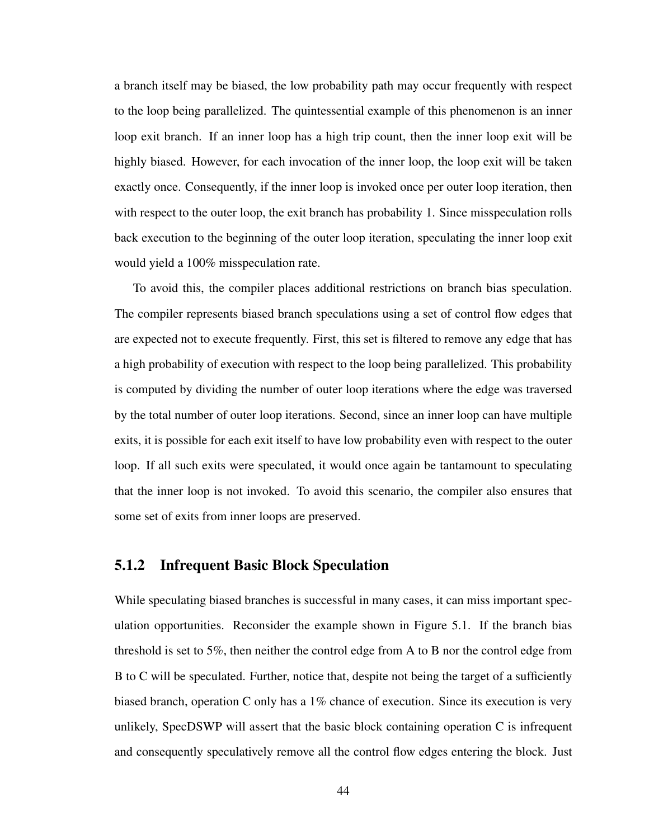a branch itself may be biased, the low probability path may occur frequently with respect to the loop being parallelized. The quintessential example of this phenomenon is an inner loop exit branch. If an inner loop has a high trip count, then the inner loop exit will be highly biased. However, for each invocation of the inner loop, the loop exit will be taken exactly once. Consequently, if the inner loop is invoked once per outer loop iteration, then with respect to the outer loop, the exit branch has probability 1. Since misspeculation rolls back execution to the beginning of the outer loop iteration, speculating the inner loop exit would yield a 100% misspeculation rate.

To avoid this, the compiler places additional restrictions on branch bias speculation. The compiler represents biased branch speculations using a set of control flow edges that are expected not to execute frequently. First, this set is filtered to remove any edge that has a high probability of execution with respect to the loop being parallelized. This probability is computed by dividing the number of outer loop iterations where the edge was traversed by the total number of outer loop iterations. Second, since an inner loop can have multiple exits, it is possible for each exit itself to have low probability even with respect to the outer loop. If all such exits were speculated, it would once again be tantamount to speculating that the inner loop is not invoked. To avoid this scenario, the compiler also ensures that some set of exits from inner loops are preserved.

#### 5.1.2 Infrequent Basic Block Speculation

While speculating biased branches is successful in many cases, it can miss important speculation opportunities. Reconsider the example shown in Figure 5.1. If the branch bias threshold is set to 5%, then neither the control edge from A to B nor the control edge from B to C will be speculated. Further, notice that, despite not being the target of a sufficiently biased branch, operation C only has a  $1\%$  chance of execution. Since its execution is very unlikely, SpecDSWP will assert that the basic block containing operation C is infrequent and consequently speculatively remove all the control flow edges entering the block. Just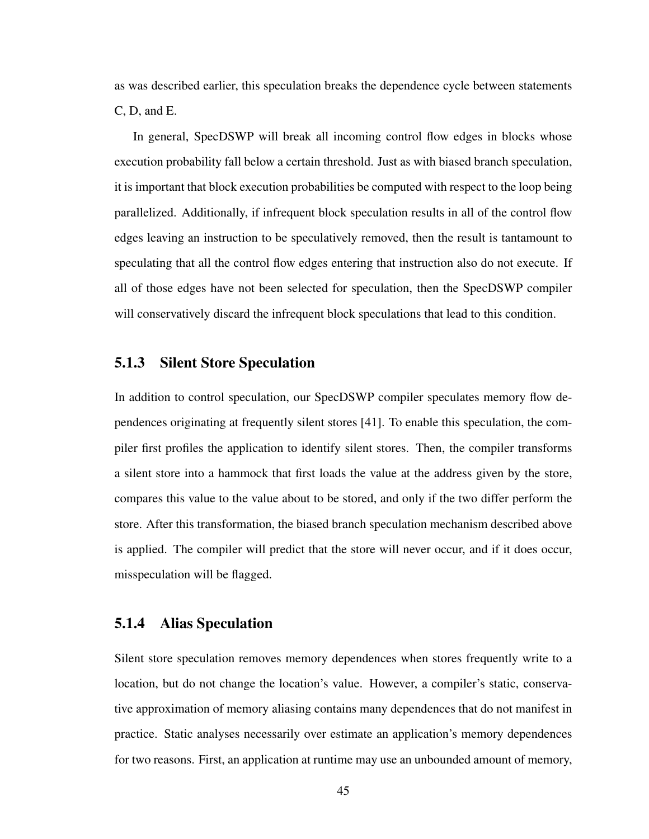as was described earlier, this speculation breaks the dependence cycle between statements C, D, and E.

In general, SpecDSWP will break all incoming control flow edges in blocks whose execution probability fall below a certain threshold. Just as with biased branch speculation, it is important that block execution probabilities be computed with respect to the loop being parallelized. Additionally, if infrequent block speculation results in all of the control flow edges leaving an instruction to be speculatively removed, then the result is tantamount to speculating that all the control flow edges entering that instruction also do not execute. If all of those edges have not been selected for speculation, then the SpecDSWP compiler will conservatively discard the infrequent block speculations that lead to this condition.

#### 5.1.3 Silent Store Speculation

In addition to control speculation, our SpecDSWP compiler speculates memory flow dependences originating at frequently silent stores [41]. To enable this speculation, the compiler first profiles the application to identify silent stores. Then, the compiler transforms a silent store into a hammock that first loads the value at the address given by the store, compares this value to the value about to be stored, and only if the two differ perform the store. After this transformation, the biased branch speculation mechanism described above is applied. The compiler will predict that the store will never occur, and if it does occur, misspeculation will be flagged.

#### 5.1.4 Alias Speculation

Silent store speculation removes memory dependences when stores frequently write to a location, but do not change the location's value. However, a compiler's static, conservative approximation of memory aliasing contains many dependences that do not manifest in practice. Static analyses necessarily over estimate an application's memory dependences for two reasons. First, an application at runtime may use an unbounded amount of memory,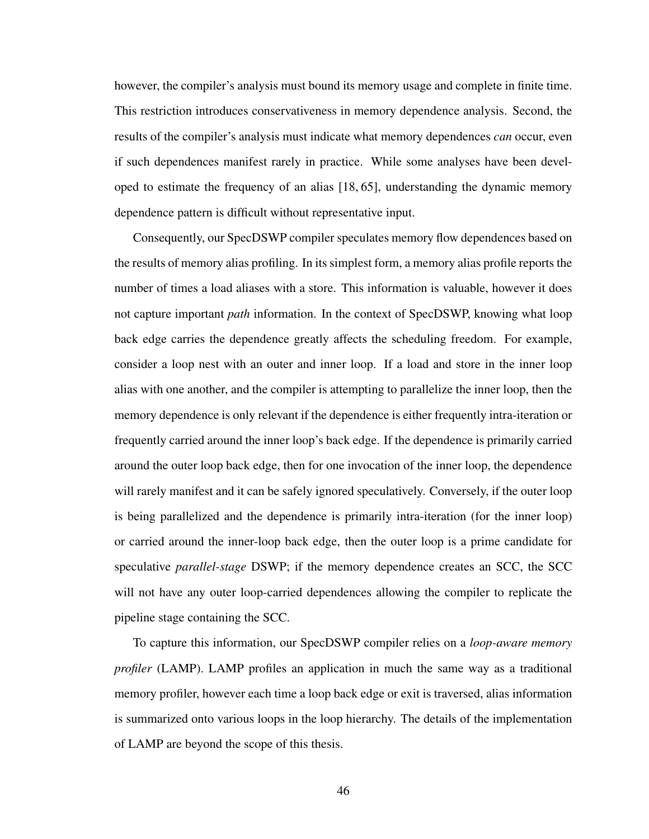however, the compiler's analysis must bound its memory usage and complete in finite time. This restriction introduces conservativeness in memory dependence analysis. Second, the results of the compiler's analysis must indicate what memory dependences *can* occur, even if such dependences manifest rarely in practice. While some analyses have been developed to estimate the frequency of an alias [18, 65], understanding the dynamic memory dependence pattern is difficult without representative input.

Consequently, our SpecDSWP compiler speculates memory flow dependences based on the results of memory alias profiling. In its simplest form, a memory alias profile reports the number of times a load aliases with a store. This information is valuable, however it does not capture important *path* information. In the context of SpecDSWP, knowing what loop back edge carries the dependence greatly affects the scheduling freedom. For example, consider a loop nest with an outer and inner loop. If a load and store in the inner loop alias with one another, and the compiler is attempting to parallelize the inner loop, then the memory dependence is only relevant if the dependence is either frequently intra-iteration or frequently carried around the inner loop's back edge. If the dependence is primarily carried around the outer loop back edge, then for one invocation of the inner loop, the dependence will rarely manifest and it can be safely ignored speculatively. Conversely, if the outer loop is being parallelized and the dependence is primarily intra-iteration (for the inner loop) or carried around the inner-loop back edge, then the outer loop is a prime candidate for speculative *parallel-stage* DSWP; if the memory dependence creates an SCC, the SCC will not have any outer loop-carried dependences allowing the compiler to replicate the pipeline stage containing the SCC.

To capture this information, our SpecDSWP compiler relies on a *loop-aware memory profiler* (LAMP). LAMP profiles an application in much the same way as a traditional memory profiler, however each time a loop back edge or exit is traversed, alias information is summarized onto various loops in the loop hierarchy. The details of the implementation of LAMP are beyond the scope of this thesis.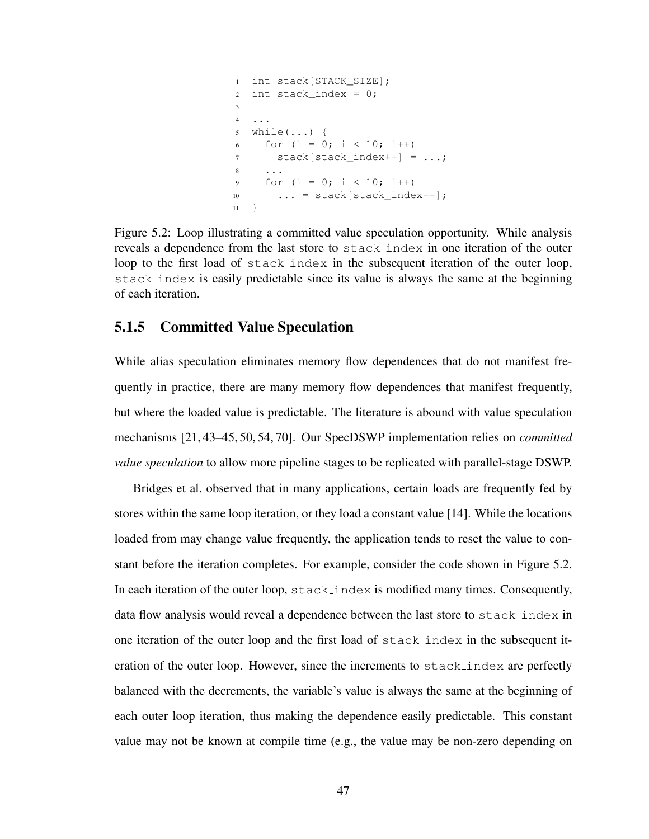```
1 int stack[STACK SIZE];
2 int stack_index = 0;3
4 ...
5 while(...) {
6 for (i = 0; i < 10; i++)7 stack[stack_index++] = ...;
8 ...
9 for (i = 0; i < 10; i++)10 ... = stack[stack_index--];
11 }
```
Figure 5.2: Loop illustrating a committed value speculation opportunity. While analysis reveals a dependence from the last store to stack index in one iteration of the outer loop to the first load of stack index in the subsequent iteration of the outer loop, stack index is easily predictable since its value is always the same at the beginning of each iteration.

#### 5.1.5 Committed Value Speculation

While alias speculation eliminates memory flow dependences that do not manifest frequently in practice, there are many memory flow dependences that manifest frequently, but where the loaded value is predictable. The literature is abound with value speculation mechanisms [21, 43–45, 50, 54, 70]. Our SpecDSWP implementation relies on *committed value speculation* to allow more pipeline stages to be replicated with parallel-stage DSWP.

Bridges et al. observed that in many applications, certain loads are frequently fed by stores within the same loop iteration, or they load a constant value [14]. While the locations loaded from may change value frequently, the application tends to reset the value to constant before the iteration completes. For example, consider the code shown in Figure 5.2. In each iteration of the outer loop,  $stack_index$  is modified many times. Consequently, data flow analysis would reveal a dependence between the last store to stack index in one iteration of the outer loop and the first load of stack index in the subsequent iteration of the outer loop. However, since the increments to stack index are perfectly balanced with the decrements, the variable's value is always the same at the beginning of each outer loop iteration, thus making the dependence easily predictable. This constant value may not be known at compile time (e.g., the value may be non-zero depending on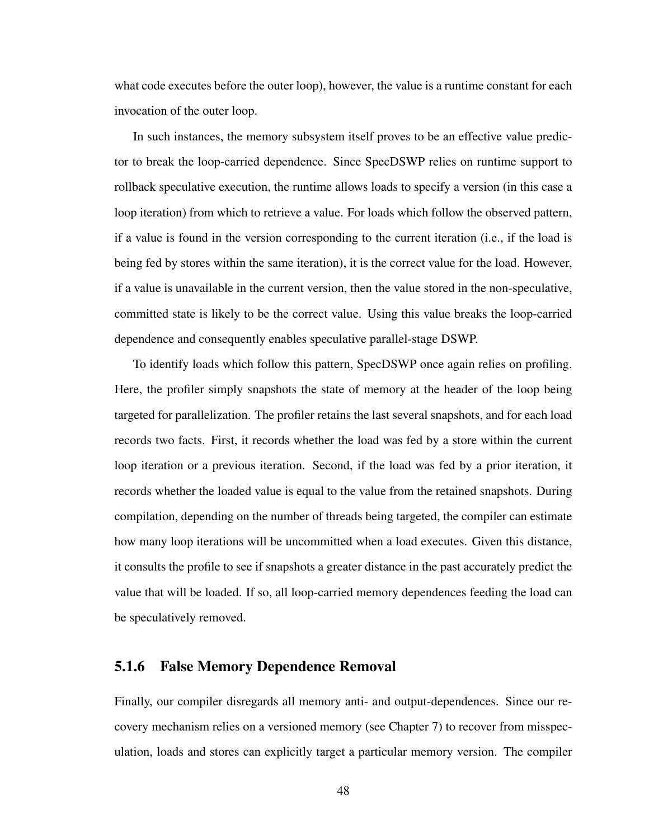what code executes before the outer loop), however, the value is a runtime constant for each invocation of the outer loop.

In such instances, the memory subsystem itself proves to be an effective value predictor to break the loop-carried dependence. Since SpecDSWP relies on runtime support to rollback speculative execution, the runtime allows loads to specify a version (in this case a loop iteration) from which to retrieve a value. For loads which follow the observed pattern, if a value is found in the version corresponding to the current iteration (i.e., if the load is being fed by stores within the same iteration), it is the correct value for the load. However, if a value is unavailable in the current version, then the value stored in the non-speculative, committed state is likely to be the correct value. Using this value breaks the loop-carried dependence and consequently enables speculative parallel-stage DSWP.

To identify loads which follow this pattern, SpecDSWP once again relies on profiling. Here, the profiler simply snapshots the state of memory at the header of the loop being targeted for parallelization. The profiler retains the last several snapshots, and for each load records two facts. First, it records whether the load was fed by a store within the current loop iteration or a previous iteration. Second, if the load was fed by a prior iteration, it records whether the loaded value is equal to the value from the retained snapshots. During compilation, depending on the number of threads being targeted, the compiler can estimate how many loop iterations will be uncommitted when a load executes. Given this distance, it consults the profile to see if snapshots a greater distance in the past accurately predict the value that will be loaded. If so, all loop-carried memory dependences feeding the load can be speculatively removed.

#### 5.1.6 False Memory Dependence Removal

Finally, our compiler disregards all memory anti- and output-dependences. Since our recovery mechanism relies on a versioned memory (see Chapter 7) to recover from misspeculation, loads and stores can explicitly target a particular memory version. The compiler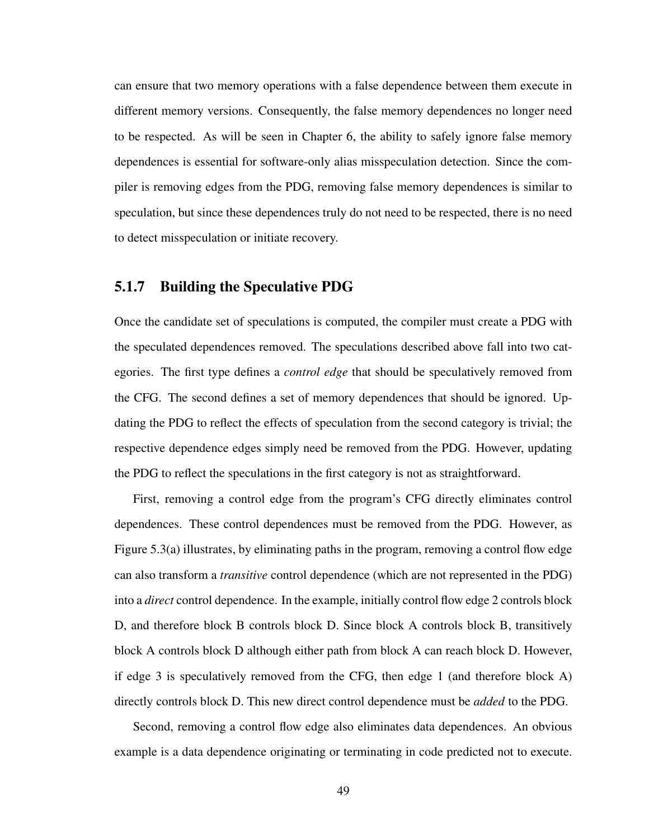can ensure that two memory operations with a false dependence between them execute in different memory versions. Consequently, the false memory dependences no longer need to be respected. As will be seen in Chapter 6, the ability to safely ignore false memory dependences is essential for software-only alias misspeculation detection. Since the compiler is removing edges from the PDG, removing false memory dependences is similar to speculation, but since these dependences truly do not need to be respected, there is no need to detect misspeculation or initiate recovery.

### 5.1.7 Building the Speculative PDG

Once the candidate set of speculations is computed, the compiler must create a PDG with the speculated dependences removed. The speculations described above fall into two categories. The first type defines a *control edge* that should be speculatively removed from the CFG. The second defines a set of memory dependences that should be ignored. Updating the PDG to reflect the effects of speculation from the second category is trivial; the respective dependence edges simply need be removed from the PDG. However, updating the PDG to reflect the speculations in the first category is not as straightforward.

First, removing a control edge from the program's CFG directly eliminates control dependences. These control dependences must be removed from the PDG. However, as Figure 5.3(a) illustrates, by eliminating paths in the program, removing a control flow edge can also transform a *transitive* control dependence (which are not represented in the PDG) into a *direct* control dependence. In the example, initially control flow edge 2 controls block D, and therefore block B controls block D. Since block A controls block B, transitively block A controls block D although either path from block A can reach block D. However, if edge 3 is speculatively removed from the CFG, then edge 1 (and therefore block A) directly controls block D. This new direct control dependence must be *added* to the PDG.

Second, removing a control flow edge also eliminates data dependences. An obvious example is a data dependence originating or terminating in code predicted not to execute.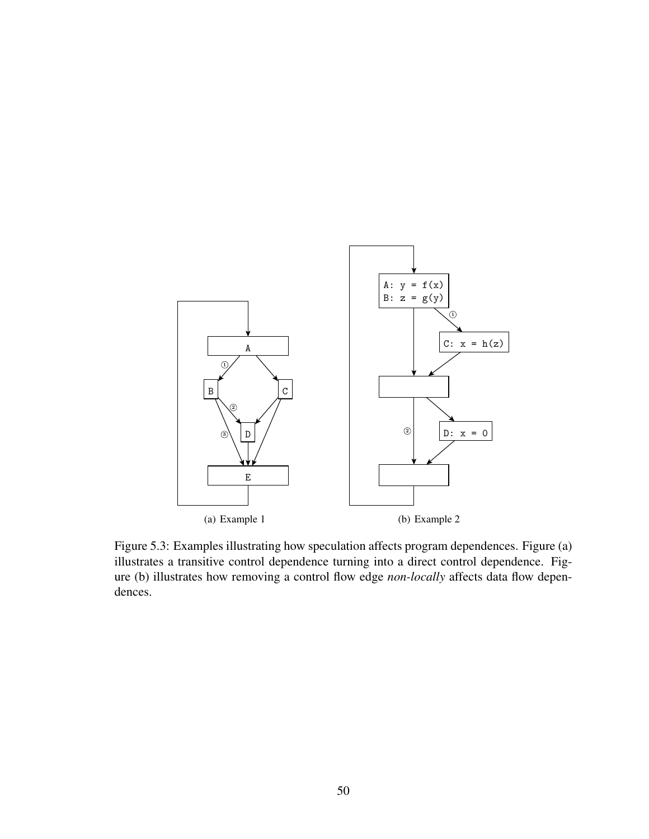

Figure 5.3: Examples illustrating how speculation affects program dependences. Figure (a) illustrates a transitive control dependence turning into a direct control dependence. Figure (b) illustrates how removing a control flow edge *non-locally* affects data flow dependences.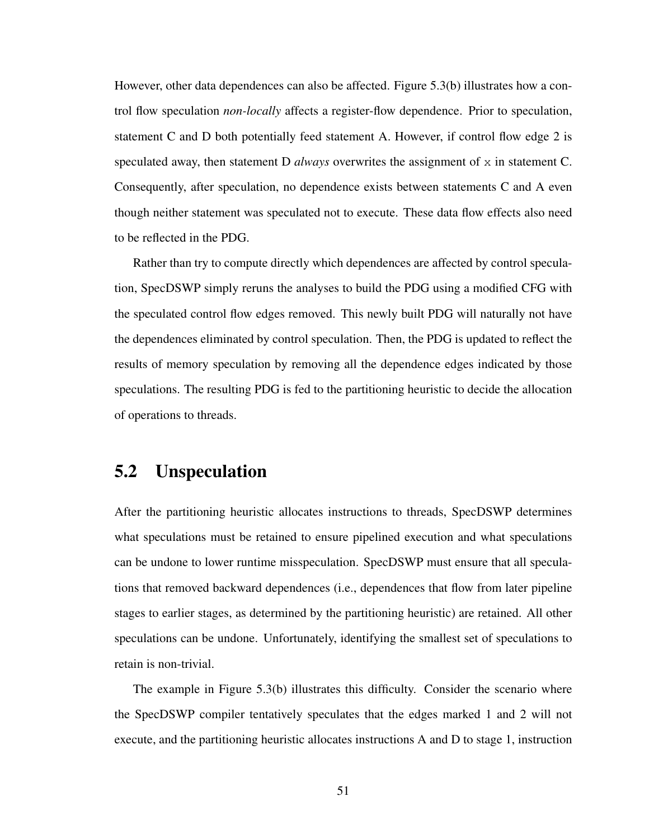However, other data dependences can also be affected. Figure 5.3(b) illustrates how a control flow speculation *non-locally* affects a register-flow dependence. Prior to speculation, statement C and D both potentially feed statement A. However, if control flow edge 2 is speculated away, then statement D *always* overwrites the assignment of  $x$  in statement C. Consequently, after speculation, no dependence exists between statements C and A even though neither statement was speculated not to execute. These data flow effects also need to be reflected in the PDG.

Rather than try to compute directly which dependences are affected by control speculation, SpecDSWP simply reruns the analyses to build the PDG using a modified CFG with the speculated control flow edges removed. This newly built PDG will naturally not have the dependences eliminated by control speculation. Then, the PDG is updated to reflect the results of memory speculation by removing all the dependence edges indicated by those speculations. The resulting PDG is fed to the partitioning heuristic to decide the allocation of operations to threads.

### 5.2 Unspeculation

After the partitioning heuristic allocates instructions to threads, SpecDSWP determines what speculations must be retained to ensure pipelined execution and what speculations can be undone to lower runtime misspeculation. SpecDSWP must ensure that all speculations that removed backward dependences (i.e., dependences that flow from later pipeline stages to earlier stages, as determined by the partitioning heuristic) are retained. All other speculations can be undone. Unfortunately, identifying the smallest set of speculations to retain is non-trivial.

The example in Figure 5.3(b) illustrates this difficulty. Consider the scenario where the SpecDSWP compiler tentatively speculates that the edges marked 1 and 2 will not execute, and the partitioning heuristic allocates instructions A and D to stage 1, instruction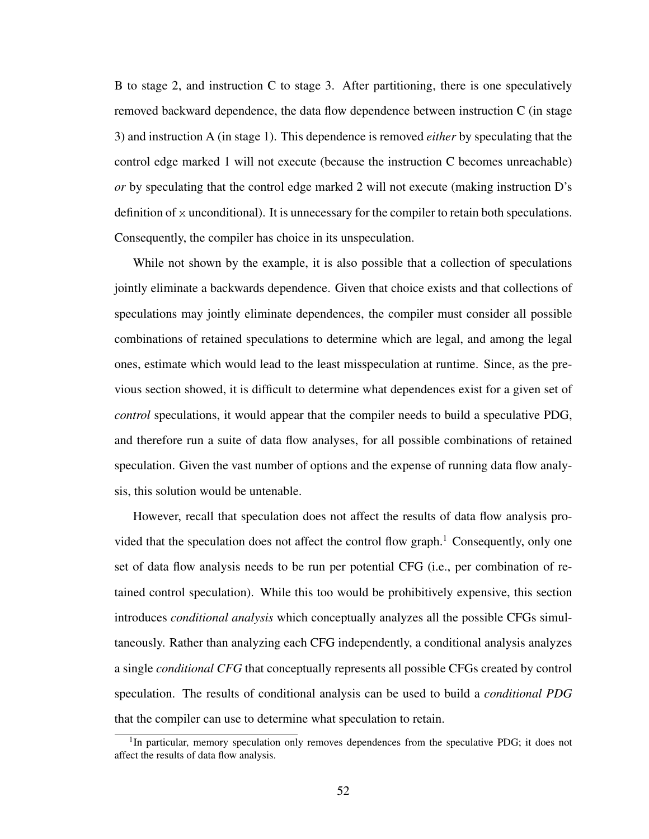B to stage 2, and instruction C to stage 3. After partitioning, there is one speculatively removed backward dependence, the data flow dependence between instruction C (in stage 3) and instruction A (in stage 1). This dependence is removed *either* by speculating that the control edge marked 1 will not execute (because the instruction C becomes unreachable) *or* by speculating that the control edge marked 2 will not execute (making instruction D's definition of  $x$  unconditional). It is unnecessary for the compiler to retain both speculations. Consequently, the compiler has choice in its unspeculation.

While not shown by the example, it is also possible that a collection of speculations jointly eliminate a backwards dependence. Given that choice exists and that collections of speculations may jointly eliminate dependences, the compiler must consider all possible combinations of retained speculations to determine which are legal, and among the legal ones, estimate which would lead to the least misspeculation at runtime. Since, as the previous section showed, it is difficult to determine what dependences exist for a given set of *control* speculations, it would appear that the compiler needs to build a speculative PDG, and therefore run a suite of data flow analyses, for all possible combinations of retained speculation. Given the vast number of options and the expense of running data flow analysis, this solution would be untenable.

However, recall that speculation does not affect the results of data flow analysis provided that the speculation does not affect the control flow graph.<sup>1</sup> Consequently, only one set of data flow analysis needs to be run per potential CFG (i.e., per combination of retained control speculation). While this too would be prohibitively expensive, this section introduces *conditional analysis* which conceptually analyzes all the possible CFGs simultaneously. Rather than analyzing each CFG independently, a conditional analysis analyzes a single *conditional CFG* that conceptually represents all possible CFGs created by control speculation. The results of conditional analysis can be used to build a *conditional PDG* that the compiler can use to determine what speculation to retain.

<sup>&</sup>lt;sup>1</sup>In particular, memory speculation only removes dependences from the speculative PDG; it does not affect the results of data flow analysis.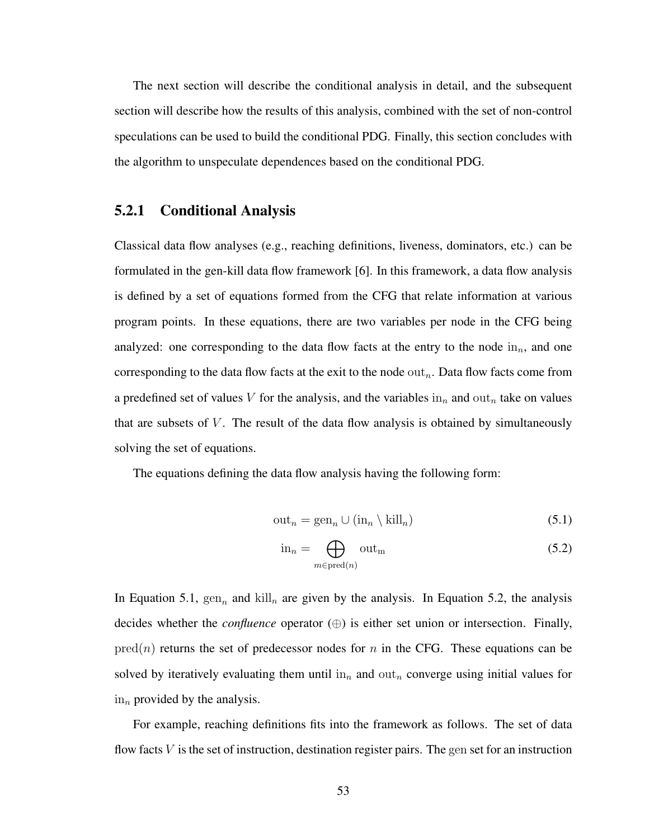The next section will describe the conditional analysis in detail, and the subsequent section will describe how the results of this analysis, combined with the set of non-control speculations can be used to build the conditional PDG. Finally, this section concludes with the algorithm to unspeculate dependences based on the conditional PDG.

#### 5.2.1 Conditional Analysis

Classical data flow analyses (e.g., reaching definitions, liveness, dominators, etc.) can be formulated in the gen-kill data flow framework [6]. In this framework, a data flow analysis is defined by a set of equations formed from the CFG that relate information at various program points. In these equations, there are two variables per node in the CFG being analyzed: one corresponding to the data flow facts at the entry to the node  $\text{in}_{n}$ , and one corresponding to the data flow facts at the exit to the node  $\text{out}_n$ . Data flow facts come from a predefined set of values V for the analysis, and the variables  $\text{in}_n$  and  $\text{out}_n$  take on values that are subsets of  $V$ . The result of the data flow analysis is obtained by simultaneously solving the set of equations.

The equations defining the data flow analysis having the following form:

$$
out_n = gen_n \cup (in_n \setminus kill_n)
$$
\n(5.1)

$$
\text{in}_n = \bigoplus_{m \in \text{pred}(n)} \text{out}_m \tag{5.2}
$$

In Equation 5.1,  $\text{gen}_n$  and  $\text{kill}_n$  are given by the analysis. In Equation 5.2, the analysis decides whether the *confluence* operator (⊕) is either set union or intersection. Finally,  $pred(n)$  returns the set of predecessor nodes for n in the CFG. These equations can be solved by iteratively evaluating them until in<sub>n</sub> and out<sub>n</sub> converge using initial values for  $\sin_n$  provided by the analysis.

For example, reaching definitions fits into the framework as follows. The set of data flow facts  $V$  is the set of instruction, destination register pairs. The gen set for an instruction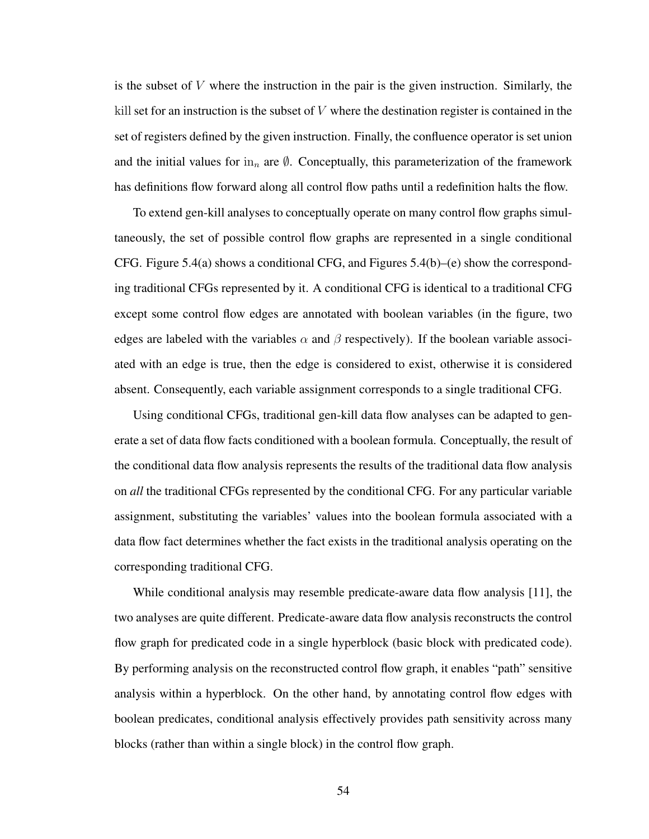is the subset of  $V$  where the instruction in the pair is the given instruction. Similarly, the kill set for an instruction is the subset of  $V$  where the destination register is contained in the set of registers defined by the given instruction. Finally, the confluence operator is set union and the initial values for in<sub>n</sub> are  $\emptyset$ . Conceptually, this parameterization of the framework has definitions flow forward along all control flow paths until a redefinition halts the flow.

To extend gen-kill analyses to conceptually operate on many control flow graphs simultaneously, the set of possible control flow graphs are represented in a single conditional CFG. Figure 5.4(a) shows a conditional CFG, and Figures 5.4(b)–(e) show the corresponding traditional CFGs represented by it. A conditional CFG is identical to a traditional CFG except some control flow edges are annotated with boolean variables (in the figure, two edges are labeled with the variables  $\alpha$  and  $\beta$  respectively). If the boolean variable associated with an edge is true, then the edge is considered to exist, otherwise it is considered absent. Consequently, each variable assignment corresponds to a single traditional CFG.

Using conditional CFGs, traditional gen-kill data flow analyses can be adapted to generate a set of data flow facts conditioned with a boolean formula. Conceptually, the result of the conditional data flow analysis represents the results of the traditional data flow analysis on *all* the traditional CFGs represented by the conditional CFG. For any particular variable assignment, substituting the variables' values into the boolean formula associated with a data flow fact determines whether the fact exists in the traditional analysis operating on the corresponding traditional CFG.

While conditional analysis may resemble predicate-aware data flow analysis [11], the two analyses are quite different. Predicate-aware data flow analysis reconstructs the control flow graph for predicated code in a single hyperblock (basic block with predicated code). By performing analysis on the reconstructed control flow graph, it enables "path" sensitive analysis within a hyperblock. On the other hand, by annotating control flow edges with boolean predicates, conditional analysis effectively provides path sensitivity across many blocks (rather than within a single block) in the control flow graph.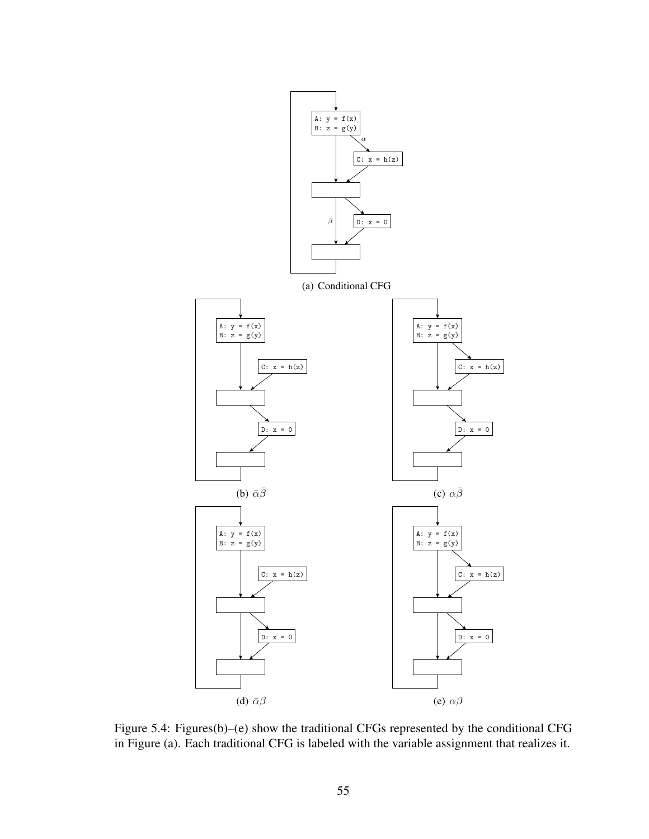

Figure 5.4: Figures(b)–(e) show the traditional CFGs represented by the conditional CFG in Figure (a). Each traditional CFG is labeled with the variable assignment that realizes it.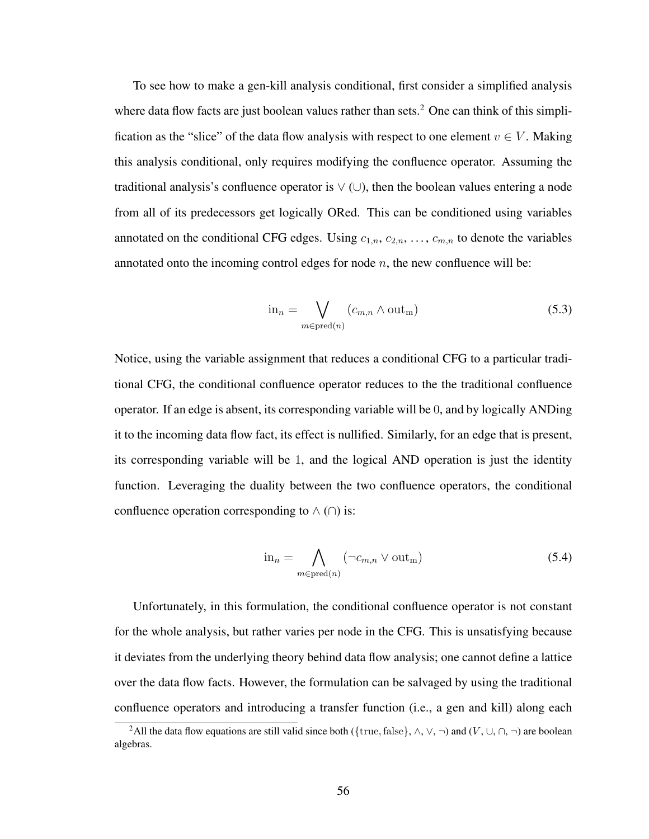To see how to make a gen-kill analysis conditional, first consider a simplified analysis where data flow facts are just boolean values rather than sets.<sup>2</sup> One can think of this simplification as the "slice" of the data flow analysis with respect to one element  $v \in V$ . Making this analysis conditional, only requires modifying the confluence operator. Assuming the traditional analysis's confluence operator is  $\vee$  ( $\cup$ ), then the boolean values entering a node from all of its predecessors get logically ORed. This can be conditioned using variables annotated on the conditional CFG edges. Using  $c_{1,n}, c_{2,n}, \ldots, c_{m,n}$  to denote the variables annotated onto the incoming control edges for node  $n$ , the new confluence will be:

$$
\text{in}_n = \bigvee_{m \in \text{pred}(n)} (c_{m,n} \wedge \text{out}_m) \tag{5.3}
$$

Notice, using the variable assignment that reduces a conditional CFG to a particular traditional CFG, the conditional confluence operator reduces to the the traditional confluence operator. If an edge is absent, its corresponding variable will be 0, and by logically ANDing it to the incoming data flow fact, its effect is nullified. Similarly, for an edge that is present, its corresponding variable will be 1, and the logical AND operation is just the identity function. Leveraging the duality between the two confluence operators, the conditional confluence operation corresponding to  $\wedge$  ( $\cap$ ) is:

$$
\text{in}_n = \bigwedge_{m \in \text{pred}(n)} (\neg c_{m,n} \lor \text{out}_m) \tag{5.4}
$$

Unfortunately, in this formulation, the conditional confluence operator is not constant for the whole analysis, but rather varies per node in the CFG. This is unsatisfying because it deviates from the underlying theory behind data flow analysis; one cannot define a lattice over the data flow facts. However, the formulation can be salvaged by using the traditional confluence operators and introducing a transfer function (i.e., a gen and kill) along each

<sup>&</sup>lt;sup>2</sup>All the data flow equations are still valid since both ({true, false},  $\land$ ,  $\lor$ ,  $\neg$ ) and ( $V$ ,  $\cup$ ,  $\cap$ ,  $\neg$ ) are boolean algebras.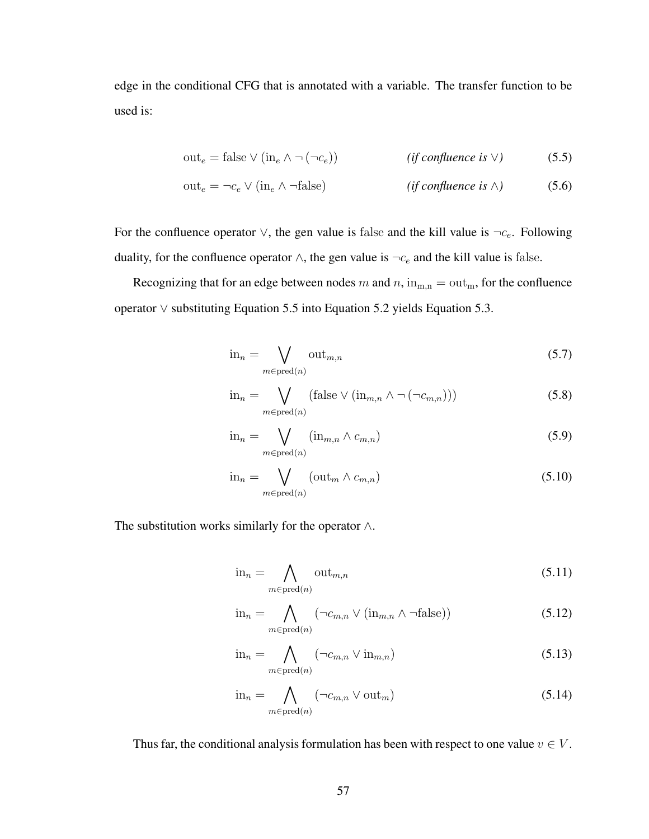edge in the conditional CFG that is annotated with a variable. The transfer function to be used is:

$$
out_e = false \vee (in_e \wedge \neg (\neg c_e)) \qquad \qquad (if \text{confluence is } \vee) \qquad (5.5)
$$

$$
out_e = \neg c_e \lor (in_e \land \neg false) \qquad (if confluence is \land) \qquad (5.6)
$$

For the confluence operator  $\vee$ , the gen value is false and the kill value is  $\neg c_e$ . Following duality, for the confluence operator  $\wedge$ , the gen value is  $\neg c_e$  and the kill value is false.

Recognizing that for an edge between nodes m and  $n$ ,  $\text{in}_{m,n} = \text{out}_{m}$ , for the confluence operator ∨ substituting Equation 5.5 into Equation 5.2 yields Equation 5.3.

$$
\text{in}_n = \bigvee_{m \in \text{pred}(n)} \text{out}_{m,n} \tag{5.7}
$$

$$
\text{in}_{n} = \bigvee_{m \in \text{pred}(n)} (\text{false} \lor (\text{in}_{m,n} \land \neg (\neg c_{m,n}))) \tag{5.8}
$$

$$
\text{in}_n = \bigvee_{m \in \text{pred}(n)} (\text{in}_{m,n} \wedge c_{m,n}) \tag{5.9}
$$

$$
\text{in}_n = \bigvee_{m \in \text{pred}(n)} (\text{out}_m \wedge c_{m,n}) \tag{5.10}
$$

The substitution works similarly for the operator  $\wedge$ .

$$
\text{in}_n = \bigwedge_{m \in \text{pred}(n)} \text{out}_{m,n} \tag{5.11}
$$

$$
\text{in}_{n} = \bigwedge_{m \in \text{pred}(n)} (\neg c_{m,n} \lor (\text{in}_{m,n} \land \neg \text{false})) \tag{5.12}
$$

$$
\text{in}_n = \bigwedge_{m \in \text{pred}(n)} (\neg c_{m,n} \lor \text{in}_{m,n}) \tag{5.13}
$$

$$
\text{in}_n = \bigwedge_{m \in \text{pred}(n)} (\neg c_{m,n} \lor \text{out}_m) \tag{5.14}
$$

Thus far, the conditional analysis formulation has been with respect to one value  $v \in V$ .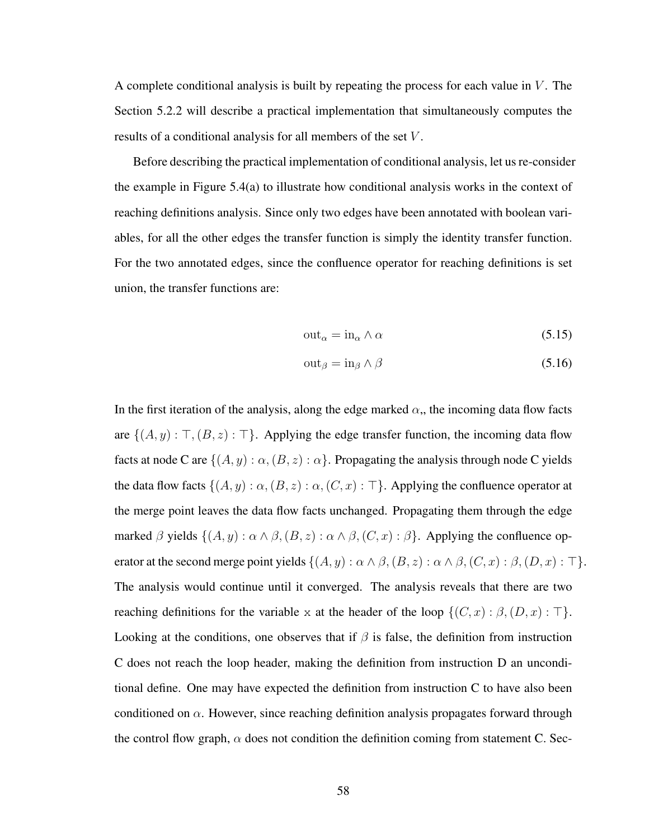A complete conditional analysis is built by repeating the process for each value in  $V$ . The Section 5.2.2 will describe a practical implementation that simultaneously computes the results of a conditional analysis for all members of the set V .

Before describing the practical implementation of conditional analysis, let us re-consider the example in Figure 5.4(a) to illustrate how conditional analysis works in the context of reaching definitions analysis. Since only two edges have been annotated with boolean variables, for all the other edges the transfer function is simply the identity transfer function. For the two annotated edges, since the confluence operator for reaching definitions is set union, the transfer functions are:

$$
out_{\alpha} = in_{\alpha} \wedge \alpha \tag{5.15}
$$

$$
out_{\beta} = in_{\beta} \wedge \beta \tag{5.16}
$$

In the first iteration of the analysis, along the edge marked  $\alpha$ , the incoming data flow facts are  $\{(A, y) : \top, (B, z) : \top\}$ . Applying the edge transfer function, the incoming data flow facts at node C are  $\{(A, y) : \alpha, (B, z) : \alpha\}$ . Propagating the analysis through node C yields the data flow facts  $\{(A, y) : \alpha, (B, z) : \alpha, (C, x) : \top\}$ . Applying the confluence operator at the merge point leaves the data flow facts unchanged. Propagating them through the edge marked  $\beta$  yields  $\{(A, y) : \alpha \wedge \beta, (B, z) : \alpha \wedge \beta, (C, x) : \beta\}$ . Applying the confluence operator at the second merge point yields  $\{(A, y) : \alpha \wedge \beta, (B, z) : \alpha \wedge \beta, (C, x) : \beta, (D, x) : \top\}.$ The analysis would continue until it converged. The analysis reveals that there are two reaching definitions for the variable x at the header of the loop  $\{(C, x) : \beta, (D, x) : \top\}.$ Looking at the conditions, one observes that if  $\beta$  is false, the definition from instruction C does not reach the loop header, making the definition from instruction D an unconditional define. One may have expected the definition from instruction C to have also been conditioned on  $\alpha$ . However, since reaching definition analysis propagates forward through the control flow graph,  $\alpha$  does not condition the definition coming from statement C. Sec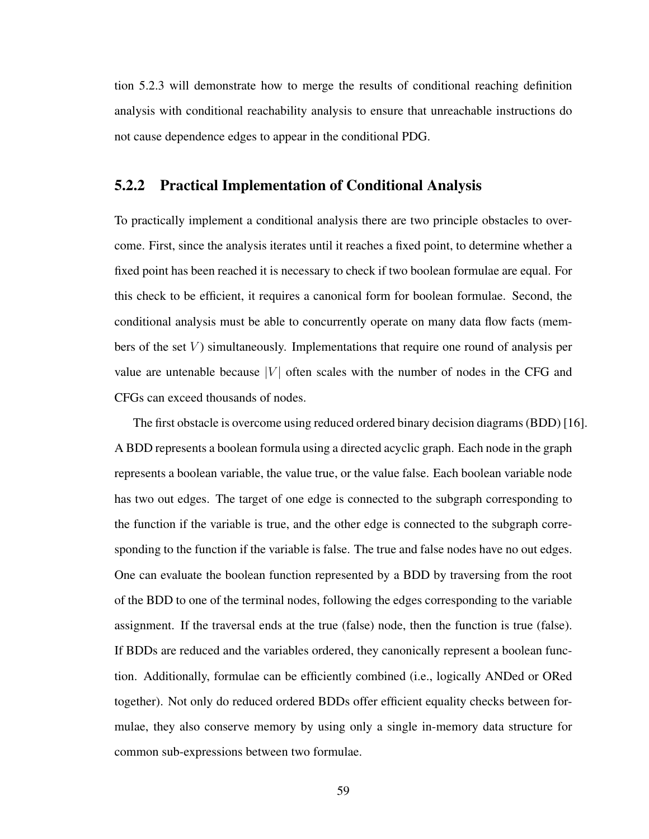tion 5.2.3 will demonstrate how to merge the results of conditional reaching definition analysis with conditional reachability analysis to ensure that unreachable instructions do not cause dependence edges to appear in the conditional PDG.

## 5.2.2 Practical Implementation of Conditional Analysis

To practically implement a conditional analysis there are two principle obstacles to overcome. First, since the analysis iterates until it reaches a fixed point, to determine whether a fixed point has been reached it is necessary to check if two boolean formulae are equal. For this check to be efficient, it requires a canonical form for boolean formulae. Second, the conditional analysis must be able to concurrently operate on many data flow facts (members of the set  $V$ ) simultaneously. Implementations that require one round of analysis per value are untenable because  $|V|$  often scales with the number of nodes in the CFG and CFGs can exceed thousands of nodes.

The first obstacle is overcome using reduced ordered binary decision diagrams (BDD) [16]. A BDD represents a boolean formula using a directed acyclic graph. Each node in the graph represents a boolean variable, the value true, or the value false. Each boolean variable node has two out edges. The target of one edge is connected to the subgraph corresponding to the function if the variable is true, and the other edge is connected to the subgraph corresponding to the function if the variable is false. The true and false nodes have no out edges. One can evaluate the boolean function represented by a BDD by traversing from the root of the BDD to one of the terminal nodes, following the edges corresponding to the variable assignment. If the traversal ends at the true (false) node, then the function is true (false). If BDDs are reduced and the variables ordered, they canonically represent a boolean function. Additionally, formulae can be efficiently combined (i.e., logically ANDed or ORed together). Not only do reduced ordered BDDs offer efficient equality checks between formulae, they also conserve memory by using only a single in-memory data structure for common sub-expressions between two formulae.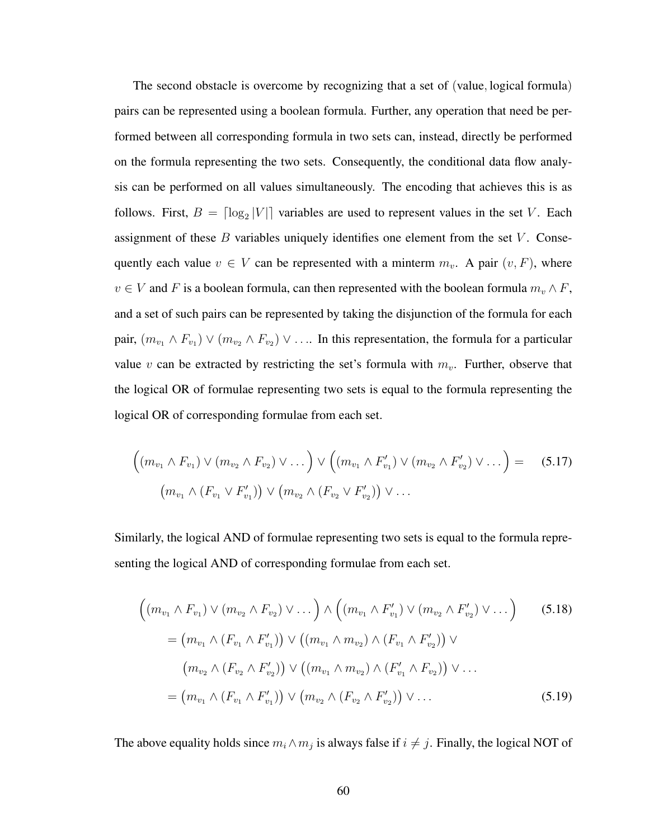The second obstacle is overcome by recognizing that a set of (value, logical formula) pairs can be represented using a boolean formula. Further, any operation that need be performed between all corresponding formula in two sets can, instead, directly be performed on the formula representing the two sets. Consequently, the conditional data flow analysis can be performed on all values simultaneously. The encoding that achieves this is as follows. First,  $B = \lceil \log_2 |V| \rceil$  variables are used to represent values in the set V. Each assignment of these  $B$  variables uniquely identifies one element from the set  $V$ . Consequently each value  $v \in V$  can be represented with a minterm  $m_v$ . A pair  $(v, F)$ , where  $v \in V$  and F is a boolean formula, can then represented with the boolean formula  $m_v \wedge F$ , and a set of such pairs can be represented by taking the disjunction of the formula for each pair,  $(m_{v_1} \wedge F_{v_1}) \vee (m_{v_2} \wedge F_{v_2}) \vee \ldots$  In this representation, the formula for a particular value v can be extracted by restricting the set's formula with  $m_v$ . Further, observe that the logical OR of formulae representing two sets is equal to the formula representing the logical OR of corresponding formulae from each set.

$$
\left( (m_{v_1} \wedge F_{v_1}) \vee (m_{v_2} \wedge F_{v_2}) \vee \dots \right) \vee \left( (m_{v_1} \wedge F'_{v_1}) \vee (m_{v_2} \wedge F'_{v_2}) \vee \dots \right) = (5.17)
$$
  

$$
(m_{v_1} \wedge (F_{v_1} \vee F'_{v_1})) \vee (m_{v_2} \wedge (F_{v_2} \vee F'_{v_2})) \vee \dots
$$

Similarly, the logical AND of formulae representing two sets is equal to the formula representing the logical AND of corresponding formulae from each set.

$$
\left( (m_{v_1} \wedge F_{v_1}) \vee (m_{v_2} \wedge F_{v_2}) \vee \dots \right) \wedge \left( (m_{v_1} \wedge F'_{v_1}) \vee (m_{v_2} \wedge F'_{v_2}) \vee \dots \right) \qquad (5.18)
$$
\n
$$
= (m_{v_1} \wedge (F_{v_1} \wedge F'_{v_1})) \vee ((m_{v_1} \wedge m_{v_2}) \wedge (F_{v_1} \wedge F'_{v_2})) \vee (m_{v_2} \wedge (F_{v_2} \wedge F'_{v_2})) \vee (m_{v_1} \wedge m_{v_2}) \wedge (F'_{v_1} \wedge F_{v_2})) \vee \dots
$$
\n
$$
= (m_{v_1} \wedge (F_{v_1} \wedge F'_{v_1})) \vee (m_{v_2} \wedge (F_{v_2} \wedge F'_{v_2})) \vee \dots \qquad (5.19)
$$

The above equality holds since  $m_i \wedge m_j$  is always false if  $i \neq j$ . Finally, the logical NOT of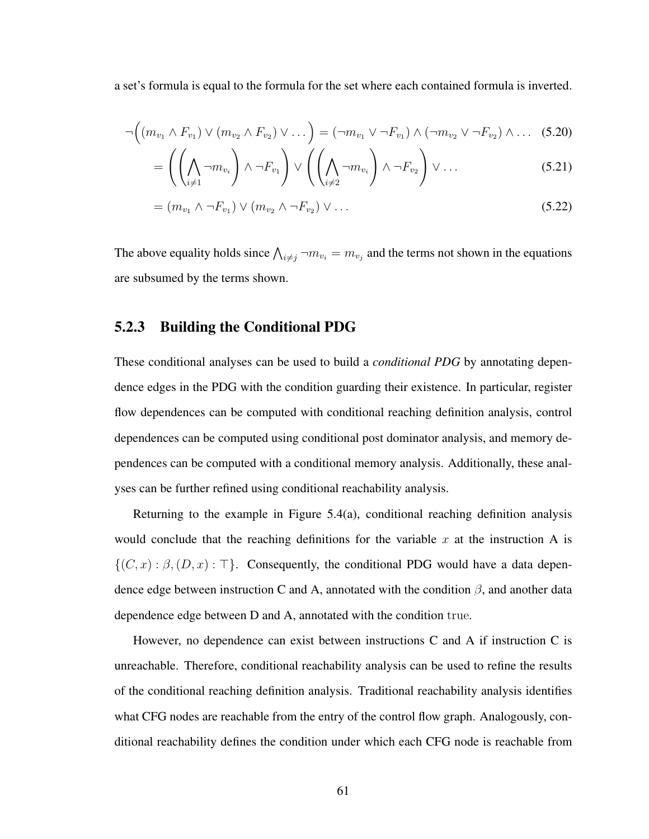a set's formula is equal to the formula for the set where each contained formula is inverted.

$$
\neg((m_{v_1} \wedge F_{v_1}) \vee (m_{v_2} \wedge F_{v_2}) \vee \dots) = (\neg m_{v_1} \vee \neg F_{v_1}) \wedge (\neg m_{v_2} \vee \neg F_{v_2}) \wedge \dots
$$
 (5.20)

$$
= \left( \left( \bigwedge_{i \neq 1} \neg m_{v_i} \right) \land \neg F_{v_1} \right) \lor \left( \left( \bigwedge_{i \neq 2} \neg m_{v_i} \right) \land \neg F_{v_2} \right) \lor \dots \tag{5.21}
$$

$$
= (m_{v_1} \wedge \neg F_{v_1}) \vee (m_{v_2} \wedge \neg F_{v_2}) \vee \dots \tag{5.22}
$$

The above equality holds since  $\bigwedge_{i \neq j} \neg m_{v_i} = m_{v_j}$  and the terms not shown in the equations are subsumed by the terms shown.

### 5.2.3 Building the Conditional PDG

These conditional analyses can be used to build a *conditional PDG* by annotating dependence edges in the PDG with the condition guarding their existence. In particular, register flow dependences can be computed with conditional reaching definition analysis, control dependences can be computed using conditional post dominator analysis, and memory dependences can be computed with a conditional memory analysis. Additionally, these analyses can be further refined using conditional reachability analysis.

Returning to the example in Figure  $5.4(a)$ , conditional reaching definition analysis would conclude that the reaching definitions for the variable x at the instruction A is  $\{(C, x) : \beta, (D, x) : \top\}.$  Consequently, the conditional PDG would have a data dependence edge between instruction C and A, annotated with the condition  $\beta$ , and another data dependence edge between D and A, annotated with the condition true.

However, no dependence can exist between instructions C and A if instruction C is unreachable. Therefore, conditional reachability analysis can be used to refine the results of the conditional reaching definition analysis. Traditional reachability analysis identifies what CFG nodes are reachable from the entry of the control flow graph. Analogously, conditional reachability defines the condition under which each CFG node is reachable from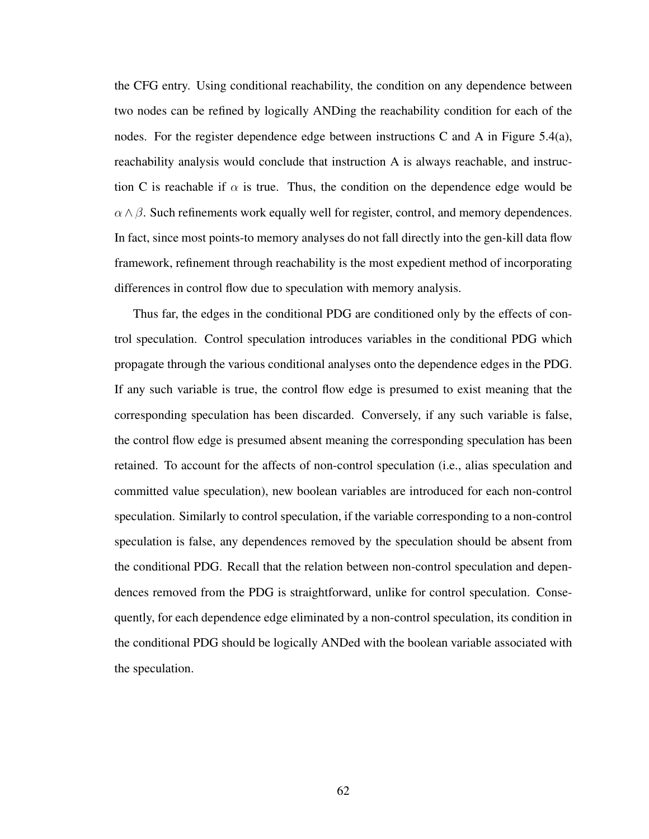the CFG entry. Using conditional reachability, the condition on any dependence between two nodes can be refined by logically ANDing the reachability condition for each of the nodes. For the register dependence edge between instructions C and A in Figure 5.4(a), reachability analysis would conclude that instruction A is always reachable, and instruction C is reachable if  $\alpha$  is true. Thus, the condition on the dependence edge would be  $\alpha \wedge \beta$ . Such refinements work equally well for register, control, and memory dependences. In fact, since most points-to memory analyses do not fall directly into the gen-kill data flow framework, refinement through reachability is the most expedient method of incorporating differences in control flow due to speculation with memory analysis.

Thus far, the edges in the conditional PDG are conditioned only by the effects of control speculation. Control speculation introduces variables in the conditional PDG which propagate through the various conditional analyses onto the dependence edges in the PDG. If any such variable is true, the control flow edge is presumed to exist meaning that the corresponding speculation has been discarded. Conversely, if any such variable is false, the control flow edge is presumed absent meaning the corresponding speculation has been retained. To account for the affects of non-control speculation (i.e., alias speculation and committed value speculation), new boolean variables are introduced for each non-control speculation. Similarly to control speculation, if the variable corresponding to a non-control speculation is false, any dependences removed by the speculation should be absent from the conditional PDG. Recall that the relation between non-control speculation and dependences removed from the PDG is straightforward, unlike for control speculation. Consequently, for each dependence edge eliminated by a non-control speculation, its condition in the conditional PDG should be logically ANDed with the boolean variable associated with the speculation.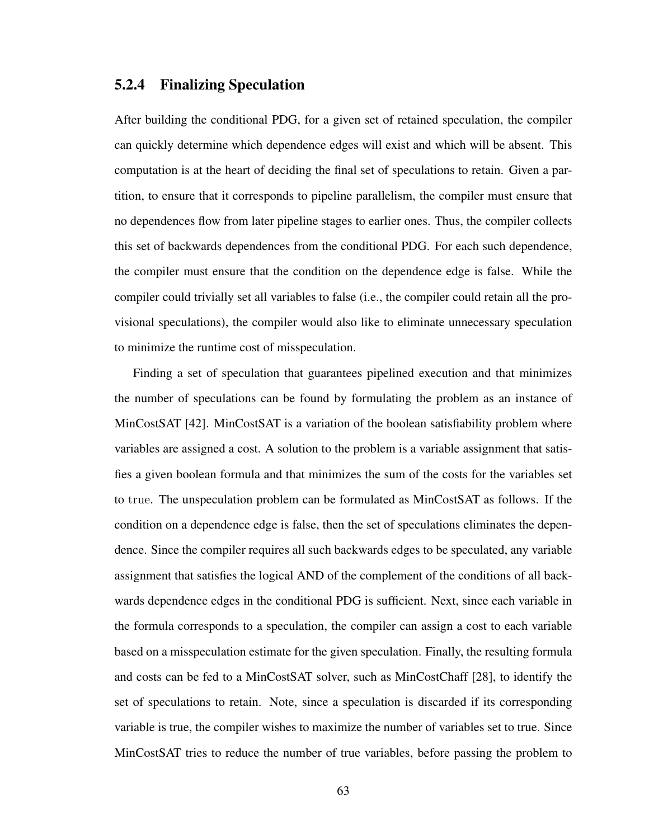### 5.2.4 Finalizing Speculation

After building the conditional PDG, for a given set of retained speculation, the compiler can quickly determine which dependence edges will exist and which will be absent. This computation is at the heart of deciding the final set of speculations to retain. Given a partition, to ensure that it corresponds to pipeline parallelism, the compiler must ensure that no dependences flow from later pipeline stages to earlier ones. Thus, the compiler collects this set of backwards dependences from the conditional PDG. For each such dependence, the compiler must ensure that the condition on the dependence edge is false. While the compiler could trivially set all variables to false (i.e., the compiler could retain all the provisional speculations), the compiler would also like to eliminate unnecessary speculation to minimize the runtime cost of misspeculation.

Finding a set of speculation that guarantees pipelined execution and that minimizes the number of speculations can be found by formulating the problem as an instance of MinCostSAT [42]. MinCostSAT is a variation of the boolean satisfiability problem where variables are assigned a cost. A solution to the problem is a variable assignment that satisfies a given boolean formula and that minimizes the sum of the costs for the variables set to true. The unspeculation problem can be formulated as MinCostSAT as follows. If the condition on a dependence edge is false, then the set of speculations eliminates the dependence. Since the compiler requires all such backwards edges to be speculated, any variable assignment that satisfies the logical AND of the complement of the conditions of all backwards dependence edges in the conditional PDG is sufficient. Next, since each variable in the formula corresponds to a speculation, the compiler can assign a cost to each variable based on a misspeculation estimate for the given speculation. Finally, the resulting formula and costs can be fed to a MinCostSAT solver, such as MinCostChaff [28], to identify the set of speculations to retain. Note, since a speculation is discarded if its corresponding variable is true, the compiler wishes to maximize the number of variables set to true. Since MinCostSAT tries to reduce the number of true variables, before passing the problem to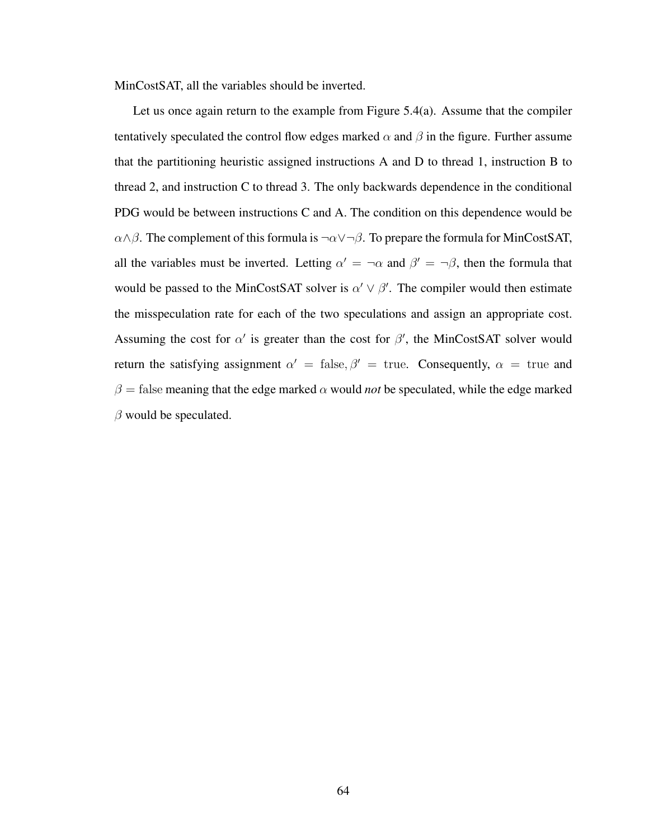MinCostSAT, all the variables should be inverted.

Let us once again return to the example from Figure  $5.4(a)$ . Assume that the compiler tentatively speculated the control flow edges marked  $\alpha$  and  $\beta$  in the figure. Further assume that the partitioning heuristic assigned instructions A and D to thread 1, instruction B to thread 2, and instruction C to thread 3. The only backwards dependence in the conditional PDG would be between instructions C and A. The condition on this dependence would be  $\alpha \wedge \beta$ . The complement of this formula is  $\neg \alpha \vee \neg \beta$ . To prepare the formula for MinCostSAT, all the variables must be inverted. Letting  $\alpha' = \alpha$  and  $\beta' = \alpha \beta$ , then the formula that would be passed to the MinCostSAT solver is  $\alpha' \vee \beta'$ . The compiler would then estimate the misspeculation rate for each of the two speculations and assign an appropriate cost. Assuming the cost for  $\alpha'$  is greater than the cost for  $\beta'$ , the MinCostSAT solver would return the satisfying assignment  $\alpha' = \text{false}, \beta' = \text{true}$ . Consequently,  $\alpha = \text{true}$  and  $\beta$  = false meaning that the edge marked  $\alpha$  would *not* be speculated, while the edge marked  $\beta$  would be speculated.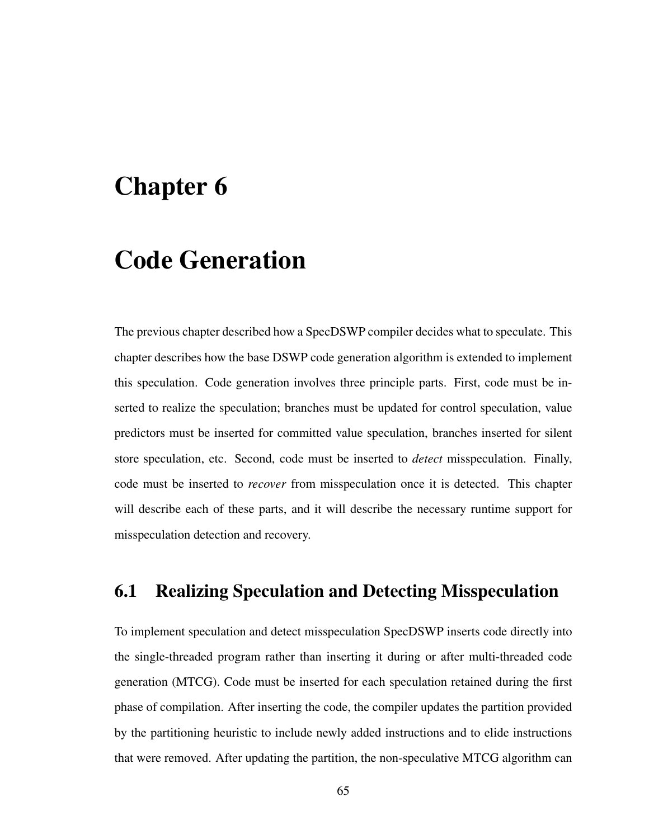# Chapter 6

# Code Generation

The previous chapter described how a SpecDSWP compiler decides what to speculate. This chapter describes how the base DSWP code generation algorithm is extended to implement this speculation. Code generation involves three principle parts. First, code must be inserted to realize the speculation; branches must be updated for control speculation, value predictors must be inserted for committed value speculation, branches inserted for silent store speculation, etc. Second, code must be inserted to *detect* misspeculation. Finally, code must be inserted to *recover* from misspeculation once it is detected. This chapter will describe each of these parts, and it will describe the necessary runtime support for misspeculation detection and recovery.

## 6.1 Realizing Speculation and Detecting Misspeculation

To implement speculation and detect misspeculation SpecDSWP inserts code directly into the single-threaded program rather than inserting it during or after multi-threaded code generation (MTCG). Code must be inserted for each speculation retained during the first phase of compilation. After inserting the code, the compiler updates the partition provided by the partitioning heuristic to include newly added instructions and to elide instructions that were removed. After updating the partition, the non-speculative MTCG algorithm can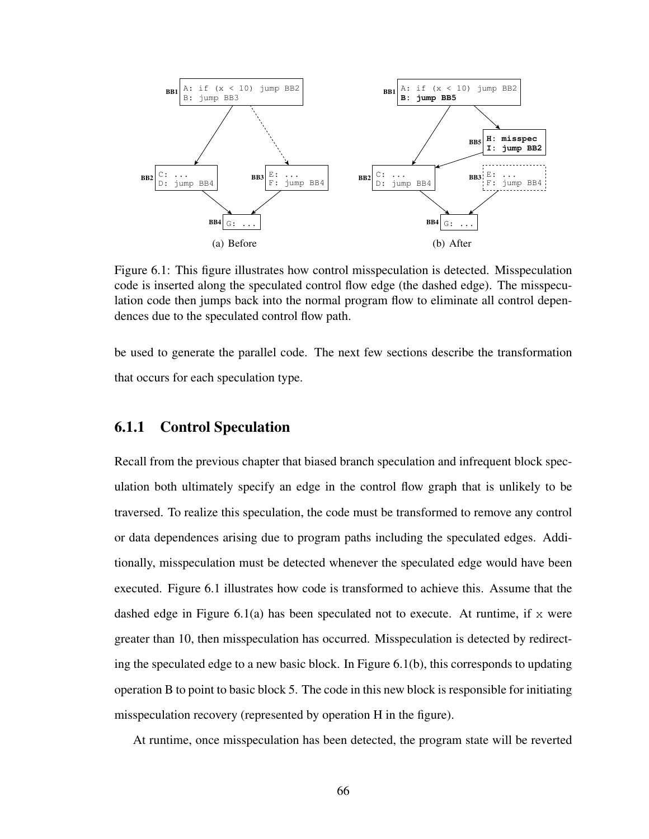

Figure 6.1: This figure illustrates how control misspeculation is detected. Misspeculation code is inserted along the speculated control flow edge (the dashed edge). The misspeculation code then jumps back into the normal program flow to eliminate all control dependences due to the speculated control flow path.

be used to generate the parallel code. The next few sections describe the transformation that occurs for each speculation type.

## 6.1.1 Control Speculation

Recall from the previous chapter that biased branch speculation and infrequent block speculation both ultimately specify an edge in the control flow graph that is unlikely to be traversed. To realize this speculation, the code must be transformed to remove any control or data dependences arising due to program paths including the speculated edges. Additionally, misspeculation must be detected whenever the speculated edge would have been executed. Figure 6.1 illustrates how code is transformed to achieve this. Assume that the dashed edge in Figure 6.1(a) has been speculated not to execute. At runtime, if  $x$  were greater than 10, then misspeculation has occurred. Misspeculation is detected by redirecting the speculated edge to a new basic block. In Figure 6.1(b), this corresponds to updating operation B to point to basic block 5. The code in this new block is responsible for initiating misspeculation recovery (represented by operation H in the figure).

At runtime, once misspeculation has been detected, the program state will be reverted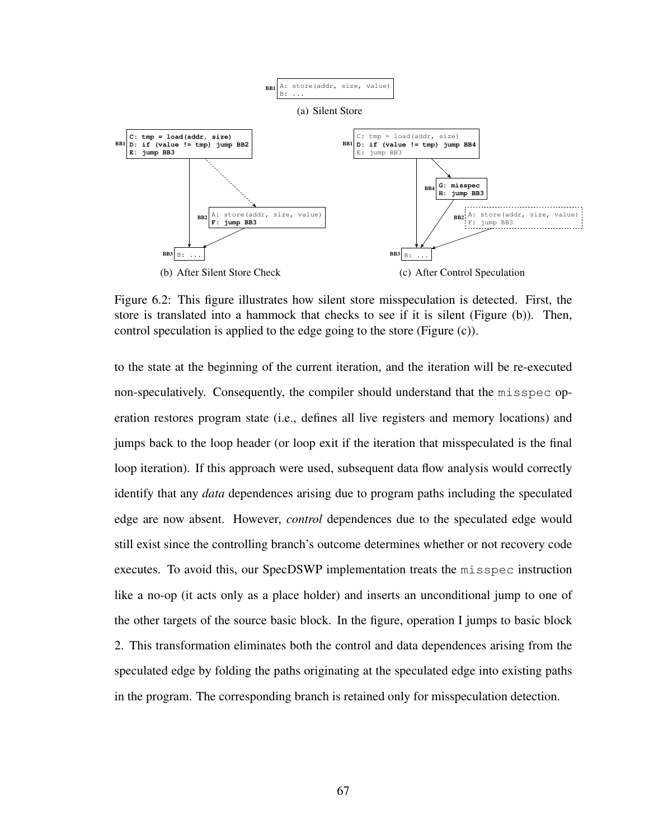

Figure 6.2: This figure illustrates how silent store misspeculation is detected. First, the store is translated into a hammock that checks to see if it is silent (Figure (b)). Then, control speculation is applied to the edge going to the store (Figure (c)).

to the state at the beginning of the current iteration, and the iteration will be re-executed non-speculatively. Consequently, the compiler should understand that the misspec operation restores program state (i.e., defines all live registers and memory locations) and jumps back to the loop header (or loop exit if the iteration that misspeculated is the final loop iteration). If this approach were used, subsequent data flow analysis would correctly identify that any *data* dependences arising due to program paths including the speculated edge are now absent. However, *control* dependences due to the speculated edge would still exist since the controlling branch's outcome determines whether or not recovery code executes. To avoid this, our SpecDSWP implementation treats the misspec instruction like a no-op (it acts only as a place holder) and inserts an unconditional jump to one of the other targets of the source basic block. In the figure, operation I jumps to basic block 2. This transformation eliminates both the control and data dependences arising from the speculated edge by folding the paths originating at the speculated edge into existing paths in the program. The corresponding branch is retained only for misspeculation detection.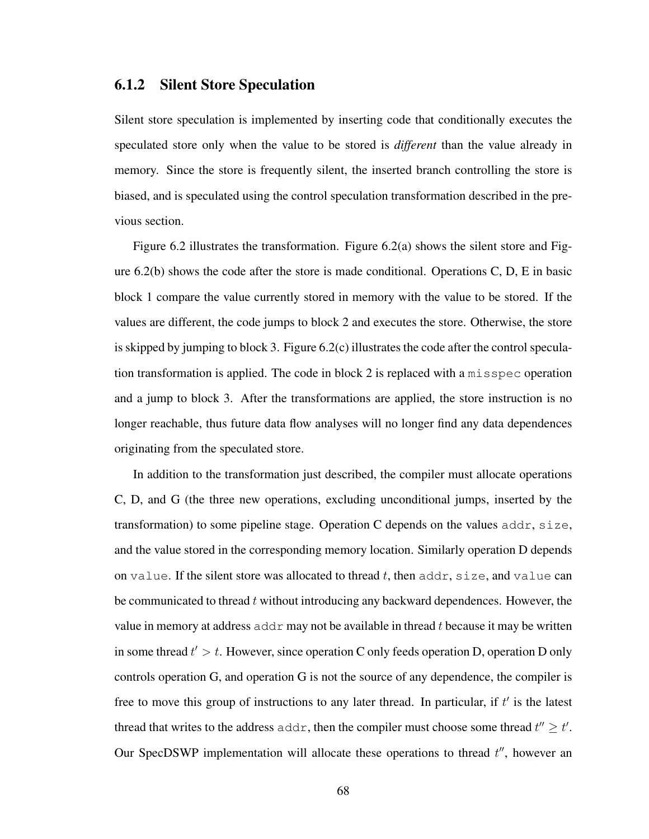### 6.1.2 Silent Store Speculation

Silent store speculation is implemented by inserting code that conditionally executes the speculated store only when the value to be stored is *different* than the value already in memory. Since the store is frequently silent, the inserted branch controlling the store is biased, and is speculated using the control speculation transformation described in the previous section.

Figure 6.2 illustrates the transformation. Figure 6.2(a) shows the silent store and Figure  $6.2(b)$  shows the code after the store is made conditional. Operations C, D, E in basic block 1 compare the value currently stored in memory with the value to be stored. If the values are different, the code jumps to block 2 and executes the store. Otherwise, the store is skipped by jumping to block 3. Figure 6.2(c) illustrates the code after the control speculation transformation is applied. The code in block 2 is replaced with a misspec operation and a jump to block 3. After the transformations are applied, the store instruction is no longer reachable, thus future data flow analyses will no longer find any data dependences originating from the speculated store.

In addition to the transformation just described, the compiler must allocate operations C, D, and G (the three new operations, excluding unconditional jumps, inserted by the transformation) to some pipeline stage. Operation C depends on the values  $addr$ ,  $size$ , and the value stored in the corresponding memory location. Similarly operation D depends on value. If the silent store was allocated to thread  $t$ , then addr,  $size$ , and value can be communicated to thread t without introducing any backward dependences. However, the value in memory at address  $\alpha$ ddr may not be available in thread t because it may be written in some thread  $t' > t$ . However, since operation C only feeds operation D, operation D only controls operation G, and operation G is not the source of any dependence, the compiler is free to move this group of instructions to any later thread. In particular, if  $t'$  is the latest thread that writes to the address addr, then the compiler must choose some thread  $t'' \geq t'$ . Our SpecDSWP implementation will allocate these operations to thread  $t''$ , however an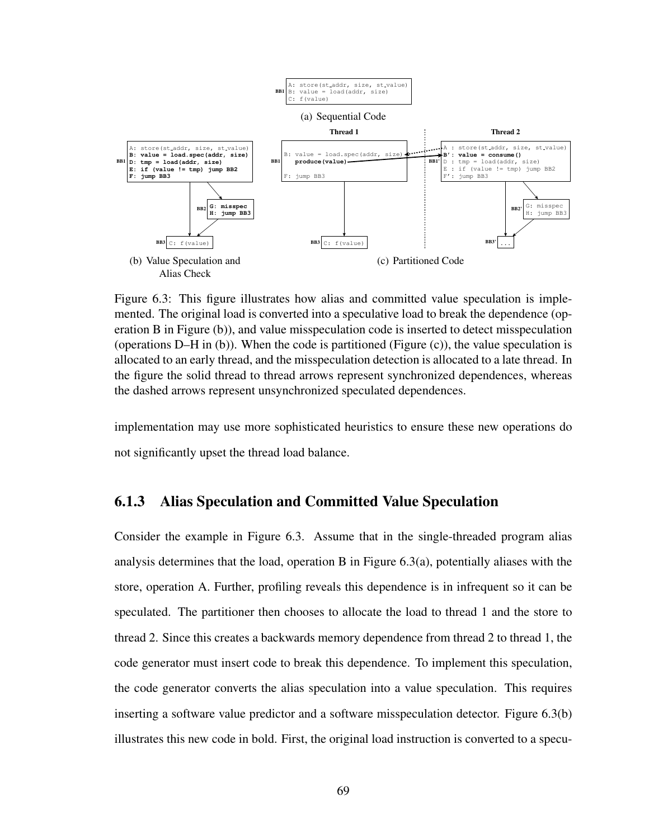

Figure 6.3: This figure illustrates how alias and committed value speculation is implemented. The original load is converted into a speculative load to break the dependence (operation B in Figure (b)), and value misspeculation code is inserted to detect misspeculation (operations  $D-H$  in (b)). When the code is partitioned (Figure (c)), the value speculation is allocated to an early thread, and the misspeculation detection is allocated to a late thread. In the figure the solid thread to thread arrows represent synchronized dependences, whereas the dashed arrows represent unsynchronized speculated dependences.

implementation may use more sophisticated heuristics to ensure these new operations do not significantly upset the thread load balance.

## 6.1.3 Alias Speculation and Committed Value Speculation

Consider the example in Figure 6.3. Assume that in the single-threaded program alias analysis determines that the load, operation B in Figure 6.3(a), potentially aliases with the store, operation A. Further, profiling reveals this dependence is in infrequent so it can be speculated. The partitioner then chooses to allocate the load to thread 1 and the store to thread 2. Since this creates a backwards memory dependence from thread 2 to thread 1, the code generator must insert code to break this dependence. To implement this speculation, the code generator converts the alias speculation into a value speculation. This requires inserting a software value predictor and a software misspeculation detector. Figure 6.3(b) illustrates this new code in bold. First, the original load instruction is converted to a specu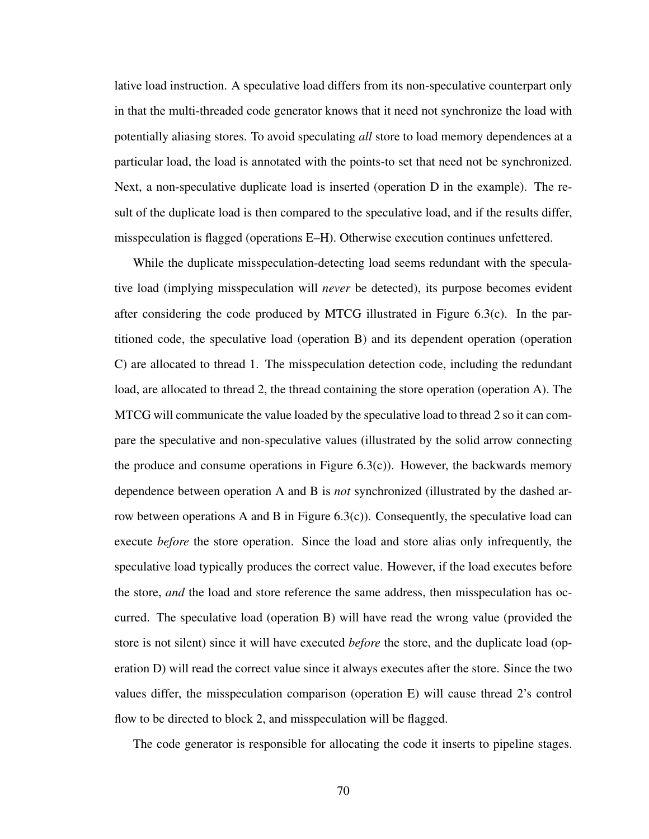lative load instruction. A speculative load differs from its non-speculative counterpart only in that the multi-threaded code generator knows that it need not synchronize the load with potentially aliasing stores. To avoid speculating *all* store to load memory dependences at a particular load, the load is annotated with the points-to set that need not be synchronized. Next, a non-speculative duplicate load is inserted (operation D in the example). The result of the duplicate load is then compared to the speculative load, and if the results differ, misspeculation is flagged (operations E–H). Otherwise execution continues unfettered.

While the duplicate misspeculation-detecting load seems redundant with the speculative load (implying misspeculation will *never* be detected), its purpose becomes evident after considering the code produced by MTCG illustrated in Figure 6.3(c). In the partitioned code, the speculative load (operation B) and its dependent operation (operation C) are allocated to thread 1. The misspeculation detection code, including the redundant load, are allocated to thread 2, the thread containing the store operation (operation A). The MTCG will communicate the value loaded by the speculative load to thread 2 so it can compare the speculative and non-speculative values (illustrated by the solid arrow connecting the produce and consume operations in Figure  $(6.3(c))$ . However, the backwards memory dependence between operation A and B is *not* synchronized (illustrated by the dashed arrow between operations A and B in Figure  $(6.3(c))$ . Consequently, the speculative load can execute *before* the store operation. Since the load and store alias only infrequently, the speculative load typically produces the correct value. However, if the load executes before the store, *and* the load and store reference the same address, then misspeculation has occurred. The speculative load (operation B) will have read the wrong value (provided the store is not silent) since it will have executed *before* the store, and the duplicate load (operation D) will read the correct value since it always executes after the store. Since the two values differ, the misspeculation comparison (operation E) will cause thread 2's control flow to be directed to block 2, and misspeculation will be flagged.

The code generator is responsible for allocating the code it inserts to pipeline stages.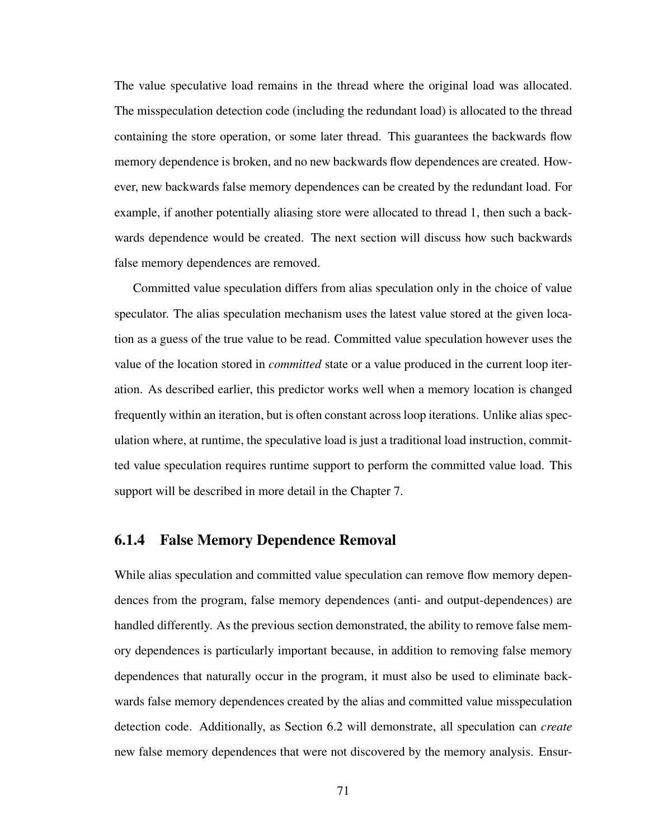The value speculative load remains in the thread where the original load was allocated. The misspeculation detection code (including the redundant load) is allocated to the thread containing the store operation, or some later thread. This guarantees the backwards flow memory dependence is broken, and no new backwards flow dependences are created. However, new backwards false memory dependences can be created by the redundant load. For example, if another potentially aliasing store were allocated to thread 1, then such a backwards dependence would be created. The next section will discuss how such backwards false memory dependences are removed.

Committed value speculation differs from alias speculation only in the choice of value speculator. The alias speculation mechanism uses the latest value stored at the given location as a guess of the true value to be read. Committed value speculation however uses the value of the location stored in *committed* state or a value produced in the current loop iteration. As described earlier, this predictor works well when a memory location is changed frequently within an iteration, but is often constant across loop iterations. Unlike alias speculation where, at runtime, the speculative load is just a traditional load instruction, committed value speculation requires runtime support to perform the committed value load. This support will be described in more detail in the Chapter 7.

### 6.1.4 False Memory Dependence Removal

While alias speculation and committed value speculation can remove flow memory dependences from the program, false memory dependences (anti- and output-dependences) are handled differently. As the previous section demonstrated, the ability to remove false memory dependences is particularly important because, in addition to removing false memory dependences that naturally occur in the program, it must also be used to eliminate backwards false memory dependences created by the alias and committed value misspeculation detection code. Additionally, as Section 6.2 will demonstrate, all speculation can *create* new false memory dependences that were not discovered by the memory analysis. Ensur-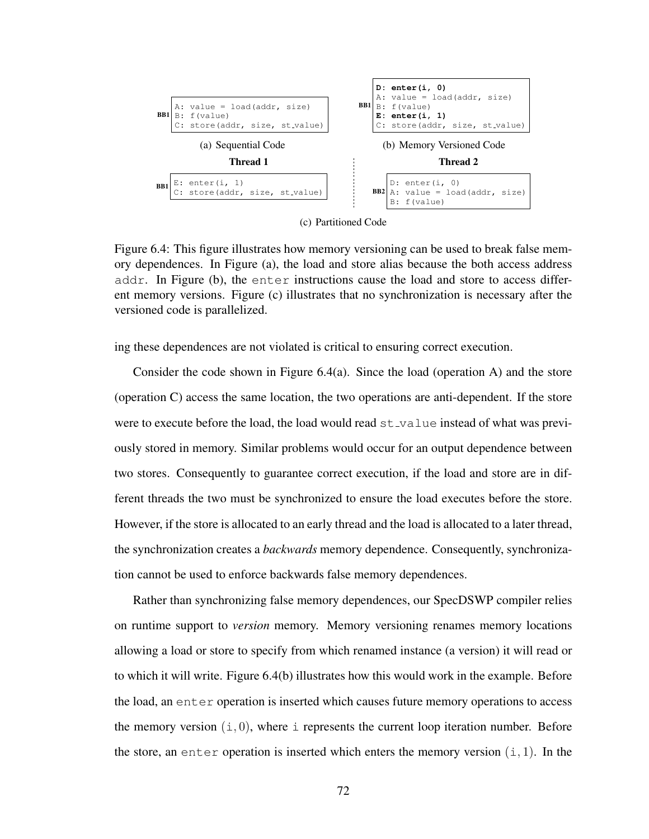

(c) Partitioned Code

Figure 6.4: This figure illustrates how memory versioning can be used to break false memory dependences. In Figure (a), the load and store alias because the both access address addr. In Figure (b), the enter instructions cause the load and store to access different memory versions. Figure (c) illustrates that no synchronization is necessary after the versioned code is parallelized.

ing these dependences are not violated is critical to ensuring correct execution.

Consider the code shown in Figure 6.4(a). Since the load (operation A) and the store (operation C) access the same location, the two operations are anti-dependent. If the store were to execute before the load, the load would read  $st\_value$  instead of what was previously stored in memory. Similar problems would occur for an output dependence between two stores. Consequently to guarantee correct execution, if the load and store are in different threads the two must be synchronized to ensure the load executes before the store. However, if the store is allocated to an early thread and the load is allocated to a later thread, the synchronization creates a *backwards* memory dependence. Consequently, synchronization cannot be used to enforce backwards false memory dependences.

Rather than synchronizing false memory dependences, our SpecDSWP compiler relies on runtime support to *version* memory. Memory versioning renames memory locations allowing a load or store to specify from which renamed instance (a version) it will read or to which it will write. Figure 6.4(b) illustrates how this would work in the example. Before the load, an enter operation is inserted which causes future memory operations to access the memory version  $(i, 0)$ , where i represents the current loop iteration number. Before the store, an enter operation is inserted which enters the memory version  $(i, 1)$ . In the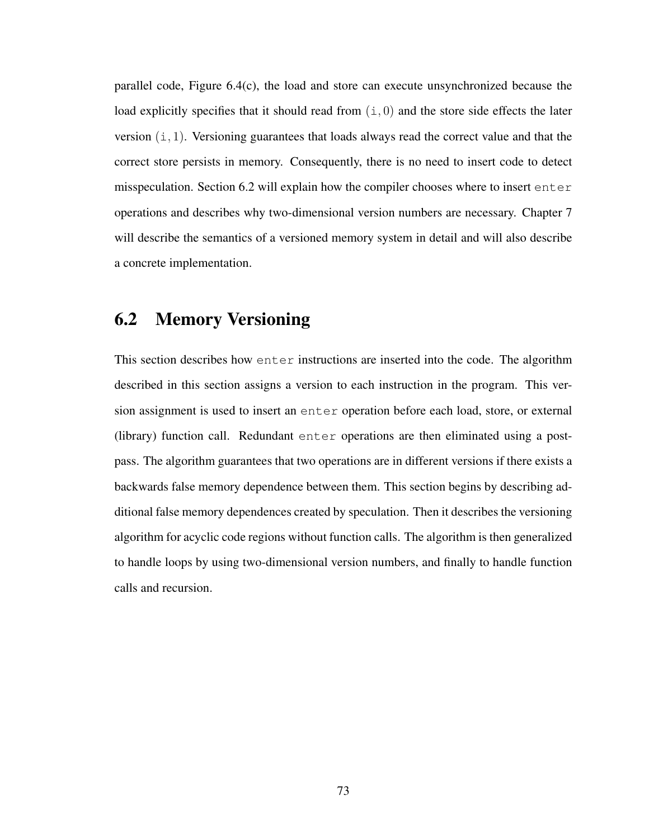parallel code, Figure 6.4(c), the load and store can execute unsynchronized because the load explicitly specifies that it should read from  $(i, 0)$  and the store side effects the later version  $(i, 1)$ . Versioning guarantees that loads always read the correct value and that the correct store persists in memory. Consequently, there is no need to insert code to detect misspeculation. Section 6.2 will explain how the compiler chooses where to insert enter operations and describes why two-dimensional version numbers are necessary. Chapter 7 will describe the semantics of a versioned memory system in detail and will also describe a concrete implementation.

## 6.2 Memory Versioning

This section describes how enter instructions are inserted into the code. The algorithm described in this section assigns a version to each instruction in the program. This version assignment is used to insert an enter operation before each load, store, or external (library) function call. Redundant enter operations are then eliminated using a postpass. The algorithm guarantees that two operations are in different versions if there exists a backwards false memory dependence between them. This section begins by describing additional false memory dependences created by speculation. Then it describes the versioning algorithm for acyclic code regions without function calls. The algorithm is then generalized to handle loops by using two-dimensional version numbers, and finally to handle function calls and recursion.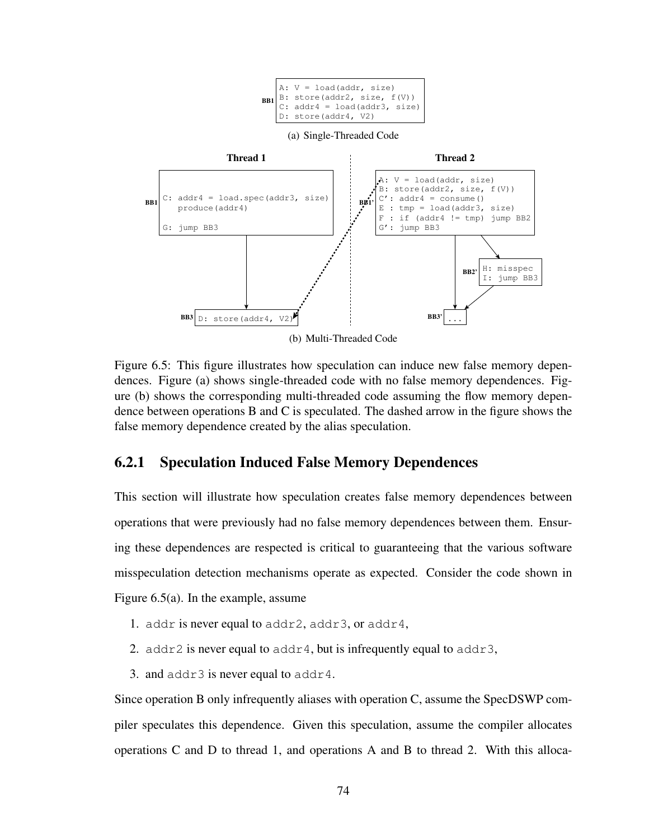

Figure 6.5: This figure illustrates how speculation can induce new false memory dependences. Figure (a) shows single-threaded code with no false memory dependences. Figure (b) shows the corresponding multi-threaded code assuming the flow memory dependence between operations B and C is speculated. The dashed arrow in the figure shows the false memory dependence created by the alias speculation.

## 6.2.1 Speculation Induced False Memory Dependences

This section will illustrate how speculation creates false memory dependences between operations that were previously had no false memory dependences between them. Ensuring these dependences are respected is critical to guaranteeing that the various software misspeculation detection mechanisms operate as expected. Consider the code shown in Figure 6.5(a). In the example, assume

- 1. addr is never equal to addr2, addr3, or addr4,
- 2. addr2 is never equal to addr4, but is infrequently equal to addr3,
- 3. and  $addr3$  is never equal to  $addr4$ .

Since operation B only infrequently aliases with operation C, assume the SpecDSWP compiler speculates this dependence. Given this speculation, assume the compiler allocates operations C and D to thread 1, and operations A and B to thread 2. With this alloca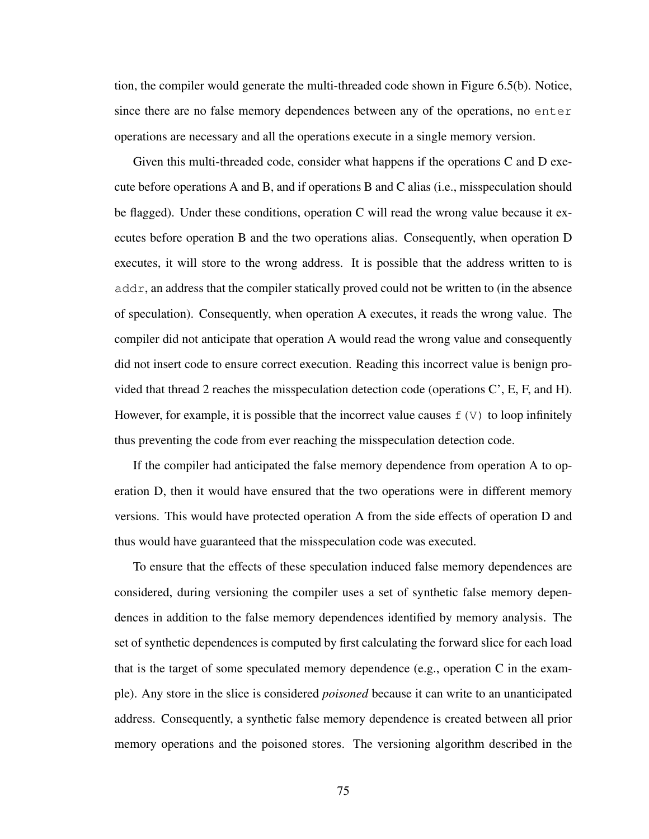tion, the compiler would generate the multi-threaded code shown in Figure 6.5(b). Notice, since there are no false memory dependences between any of the operations, no enter operations are necessary and all the operations execute in a single memory version.

Given this multi-threaded code, consider what happens if the operations C and D execute before operations A and B, and if operations B and C alias (i.e., misspeculation should be flagged). Under these conditions, operation C will read the wrong value because it executes before operation B and the two operations alias. Consequently, when operation D executes, it will store to the wrong address. It is possible that the address written to is  $\alpha$  addr, an address that the compiler statically proved could not be written to (in the absence of speculation). Consequently, when operation A executes, it reads the wrong value. The compiler did not anticipate that operation A would read the wrong value and consequently did not insert code to ensure correct execution. Reading this incorrect value is benign provided that thread 2 reaches the misspeculation detection code (operations C', E, F, and H). However, for example, it is possible that the incorrect value causes  $f(V)$  to loop infinitely thus preventing the code from ever reaching the misspeculation detection code.

If the compiler had anticipated the false memory dependence from operation A to operation D, then it would have ensured that the two operations were in different memory versions. This would have protected operation A from the side effects of operation D and thus would have guaranteed that the misspeculation code was executed.

To ensure that the effects of these speculation induced false memory dependences are considered, during versioning the compiler uses a set of synthetic false memory dependences in addition to the false memory dependences identified by memory analysis. The set of synthetic dependences is computed by first calculating the forward slice for each load that is the target of some speculated memory dependence (e.g., operation  $C$  in the example). Any store in the slice is considered *poisoned* because it can write to an unanticipated address. Consequently, a synthetic false memory dependence is created between all prior memory operations and the poisoned stores. The versioning algorithm described in the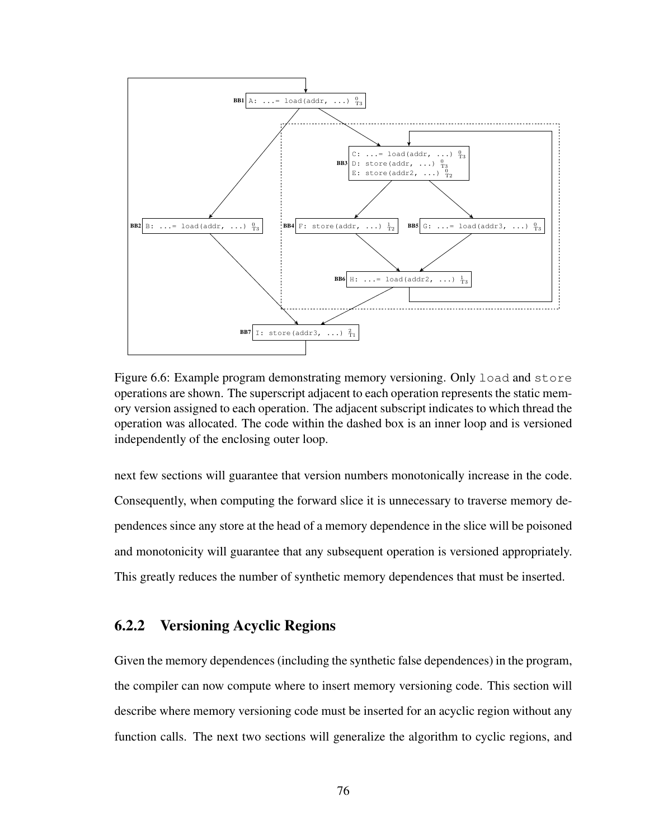

Figure 6.6: Example program demonstrating memory versioning. Only load and store operations are shown. The superscript adjacent to each operation represents the static memory version assigned to each operation. The adjacent subscript indicates to which thread the operation was allocated. The code within the dashed box is an inner loop and is versioned independently of the enclosing outer loop.

next few sections will guarantee that version numbers monotonically increase in the code. Consequently, when computing the forward slice it is unnecessary to traverse memory dependences since any store at the head of a memory dependence in the slice will be poisoned and monotonicity will guarantee that any subsequent operation is versioned appropriately. This greatly reduces the number of synthetic memory dependences that must be inserted.

## 6.2.2 Versioning Acyclic Regions

Given the memory dependences (including the synthetic false dependences) in the program, the compiler can now compute where to insert memory versioning code. This section will describe where memory versioning code must be inserted for an acyclic region without any function calls. The next two sections will generalize the algorithm to cyclic regions, and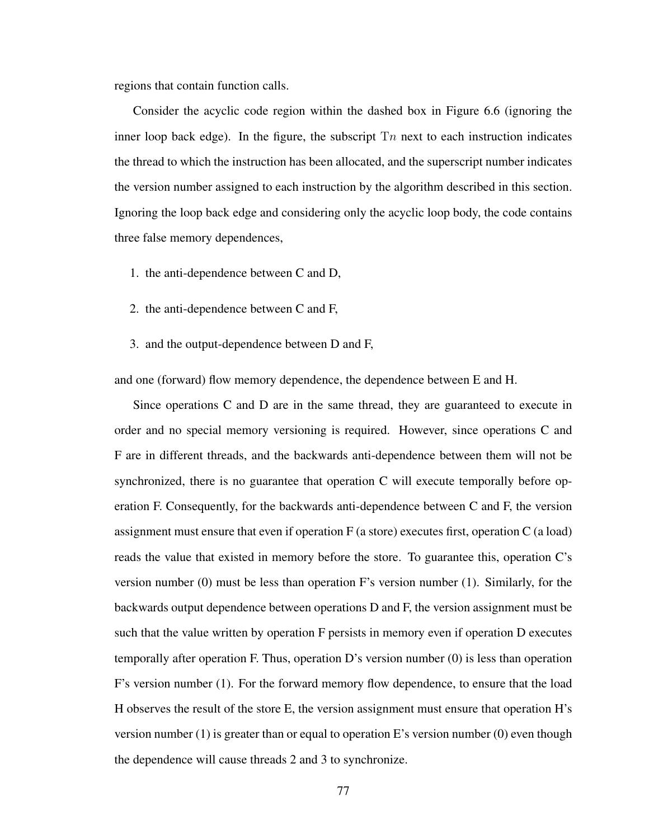regions that contain function calls.

Consider the acyclic code region within the dashed box in Figure 6.6 (ignoring the inner loop back edge). In the figure, the subscript  $T_n$  next to each instruction indicates the thread to which the instruction has been allocated, and the superscript number indicates the version number assigned to each instruction by the algorithm described in this section. Ignoring the loop back edge and considering only the acyclic loop body, the code contains three false memory dependences,

- 1. the anti-dependence between C and D,
- 2. the anti-dependence between C and F,
- 3. and the output-dependence between D and F,

and one (forward) flow memory dependence, the dependence between E and H.

Since operations C and D are in the same thread, they are guaranteed to execute in order and no special memory versioning is required. However, since operations C and F are in different threads, and the backwards anti-dependence between them will not be synchronized, there is no guarantee that operation C will execute temporally before operation F. Consequently, for the backwards anti-dependence between C and F, the version assignment must ensure that even if operation  $F$  (a store) executes first, operation  $C$  (a load) reads the value that existed in memory before the store. To guarantee this, operation C's version number (0) must be less than operation F's version number (1). Similarly, for the backwards output dependence between operations D and F, the version assignment must be such that the value written by operation F persists in memory even if operation D executes temporally after operation F. Thus, operation D's version number (0) is less than operation F's version number (1). For the forward memory flow dependence, to ensure that the load H observes the result of the store E, the version assignment must ensure that operation H's version number (1) is greater than or equal to operation E's version number (0) even though the dependence will cause threads 2 and 3 to synchronize.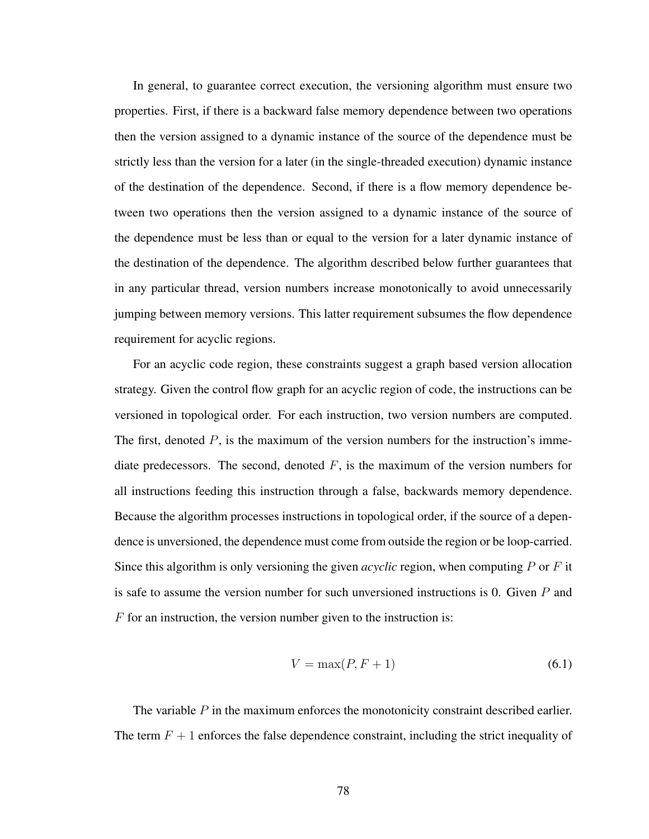In general, to guarantee correct execution, the versioning algorithm must ensure two properties. First, if there is a backward false memory dependence between two operations then the version assigned to a dynamic instance of the source of the dependence must be strictly less than the version for a later (in the single-threaded execution) dynamic instance of the destination of the dependence. Second, if there is a flow memory dependence between two operations then the version assigned to a dynamic instance of the source of the dependence must be less than or equal to the version for a later dynamic instance of the destination of the dependence. The algorithm described below further guarantees that in any particular thread, version numbers increase monotonically to avoid unnecessarily jumping between memory versions. This latter requirement subsumes the flow dependence requirement for acyclic regions.

For an acyclic code region, these constraints suggest a graph based version allocation strategy. Given the control flow graph for an acyclic region of code, the instructions can be versioned in topological order. For each instruction, two version numbers are computed. The first, denoted  $P$ , is the maximum of the version numbers for the instruction's immediate predecessors. The second, denoted  $F$ , is the maximum of the version numbers for all instructions feeding this instruction through a false, backwards memory dependence. Because the algorithm processes instructions in topological order, if the source of a dependence is unversioned, the dependence must come from outside the region or be loop-carried. Since this algorithm is only versioning the given *acyclic* region, when computing P or F it is safe to assume the version number for such unversioned instructions is 0. Given  $P$  and  $F$  for an instruction, the version number given to the instruction is:

$$
V = \max(P, F + 1) \tag{6.1}
$$

The variable P in the maximum enforces the monotonicity constraint described earlier. The term  $F + 1$  enforces the false dependence constraint, including the strict inequality of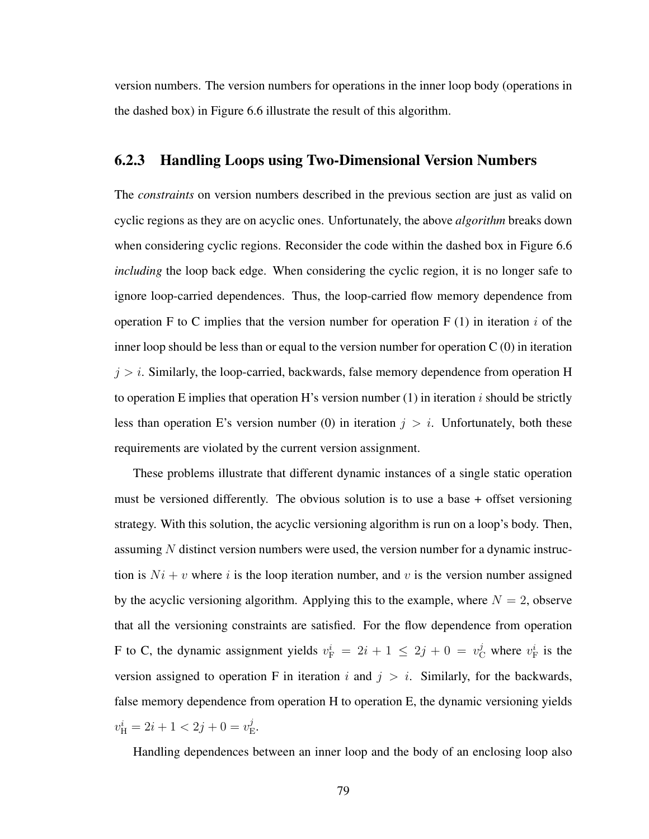version numbers. The version numbers for operations in the inner loop body (operations in the dashed box) in Figure 6.6 illustrate the result of this algorithm.

### 6.2.3 Handling Loops using Two-Dimensional Version Numbers

The *constraints* on version numbers described in the previous section are just as valid on cyclic regions as they are on acyclic ones. Unfortunately, the above *algorithm* breaks down when considering cyclic regions. Reconsider the code within the dashed box in Figure 6.6 *including* the loop back edge. When considering the cyclic region, it is no longer safe to ignore loop-carried dependences. Thus, the loop-carried flow memory dependence from operation F to C implies that the version number for operation F (1) in iteration i of the inner loop should be less than or equal to the version number for operation  $C(0)$  in iteration  $j > i$ . Similarly, the loop-carried, backwards, false memory dependence from operation H to operation E implies that operation H's version number  $(1)$  in iteration i should be strictly less than operation E's version number (0) in iteration  $j > i$ . Unfortunately, both these requirements are violated by the current version assignment.

These problems illustrate that different dynamic instances of a single static operation must be versioned differently. The obvious solution is to use a base + offset versioning strategy. With this solution, the acyclic versioning algorithm is run on a loop's body. Then, assuming  $N$  distinct version numbers were used, the version number for a dynamic instruction is  $Ni + v$  where i is the loop iteration number, and v is the version number assigned by the acyclic versioning algorithm. Applying this to the example, where  $N = 2$ , observe that all the versioning constraints are satisfied. For the flow dependence from operation F to C, the dynamic assignment yields  $v_F^i = 2i + 1 \le 2j + 0 = v_C^j$  where  $v_F^i$  is the version assigned to operation F in iteration i and  $j > i$ . Similarly, for the backwards, false memory dependence from operation H to operation E, the dynamic versioning yields  $v_{\rm H}^i = 2i + 1 < 2j + 0 = v_{\rm H}^j$  $_{\rm E}^{\rm }.$ 

Handling dependences between an inner loop and the body of an enclosing loop also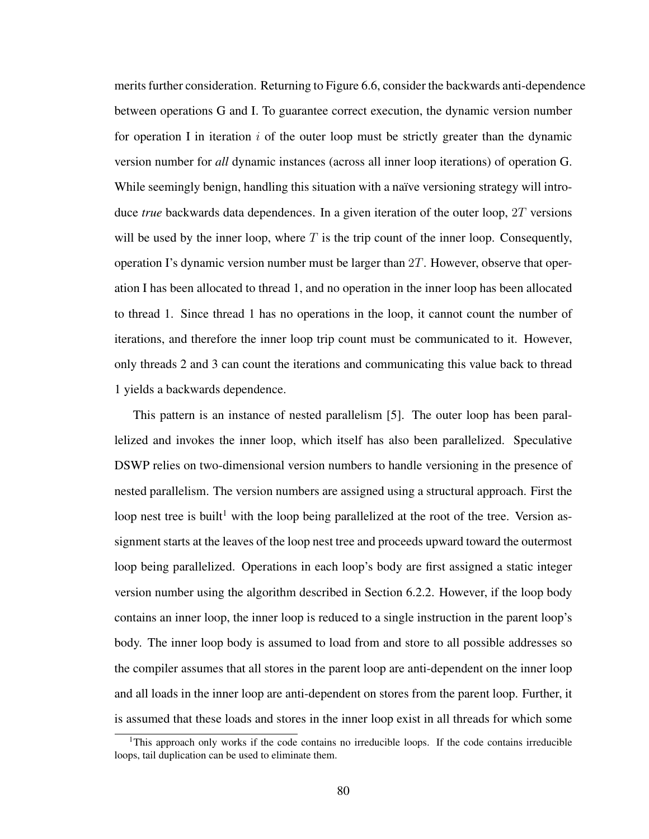merits further consideration. Returning to Figure 6.6, consider the backwards anti-dependence between operations G and I. To guarantee correct execution, the dynamic version number for operation I in iteration i of the outer loop must be strictly greater than the dynamic version number for *all* dynamic instances (across all inner loop iterations) of operation G. While seemingly benign, handling this situation with a naïve versioning strategy will introduce *true* backwards data dependences. In a given iteration of the outer loop, 2T versions will be used by the inner loop, where  $T$  is the trip count of the inner loop. Consequently, operation I's dynamic version number must be larger than  $2T$ . However, observe that operation I has been allocated to thread 1, and no operation in the inner loop has been allocated to thread 1. Since thread 1 has no operations in the loop, it cannot count the number of iterations, and therefore the inner loop trip count must be communicated to it. However, only threads 2 and 3 can count the iterations and communicating this value back to thread 1 yields a backwards dependence.

This pattern is an instance of nested parallelism [5]. The outer loop has been parallelized and invokes the inner loop, which itself has also been parallelized. Speculative DSWP relies on two-dimensional version numbers to handle versioning in the presence of nested parallelism. The version numbers are assigned using a structural approach. First the loop nest tree is built<sup>1</sup> with the loop being parallelized at the root of the tree. Version assignment starts at the leaves of the loop nest tree and proceeds upward toward the outermost loop being parallelized. Operations in each loop's body are first assigned a static integer version number using the algorithm described in Section 6.2.2. However, if the loop body contains an inner loop, the inner loop is reduced to a single instruction in the parent loop's body. The inner loop body is assumed to load from and store to all possible addresses so the compiler assumes that all stores in the parent loop are anti-dependent on the inner loop and all loads in the inner loop are anti-dependent on stores from the parent loop. Further, it is assumed that these loads and stores in the inner loop exist in all threads for which some

<sup>&</sup>lt;sup>1</sup>This approach only works if the code contains no irreducible loops. If the code contains irreducible loops, tail duplication can be used to eliminate them.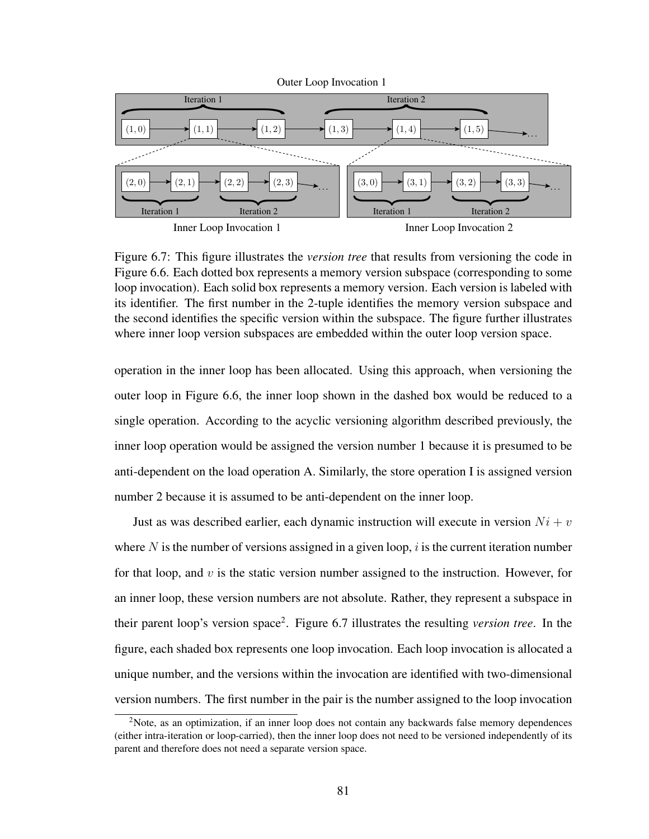

Figure 6.7: This figure illustrates the *version tree* that results from versioning the code in Figure 6.6. Each dotted box represents a memory version subspace (corresponding to some loop invocation). Each solid box represents a memory version. Each version is labeled with its identifier. The first number in the 2-tuple identifies the memory version subspace and the second identifies the specific version within the subspace. The figure further illustrates where inner loop version subspaces are embedded within the outer loop version space.

operation in the inner loop has been allocated. Using this approach, when versioning the outer loop in Figure 6.6, the inner loop shown in the dashed box would be reduced to a single operation. According to the acyclic versioning algorithm described previously, the inner loop operation would be assigned the version number 1 because it is presumed to be anti-dependent on the load operation A. Similarly, the store operation I is assigned version number 2 because it is assumed to be anti-dependent on the inner loop.

Just as was described earlier, each dynamic instruction will execute in version  $Ni + v$ where  $N$  is the number of versions assigned in a given loop,  $i$  is the current iteration number for that loop, and v is the static version number assigned to the instruction. However, for an inner loop, these version numbers are not absolute. Rather, they represent a subspace in their parent loop's version space<sup>2</sup>. Figure 6.7 illustrates the resulting *version tree*. In the figure, each shaded box represents one loop invocation. Each loop invocation is allocated a unique number, and the versions within the invocation are identified with two-dimensional version numbers. The first number in the pair is the number assigned to the loop invocation

<sup>&</sup>lt;sup>2</sup>Note, as an optimization, if an inner loop does not contain any backwards false memory dependences (either intra-iteration or loop-carried), then the inner loop does not need to be versioned independently of its parent and therefore does not need a separate version space.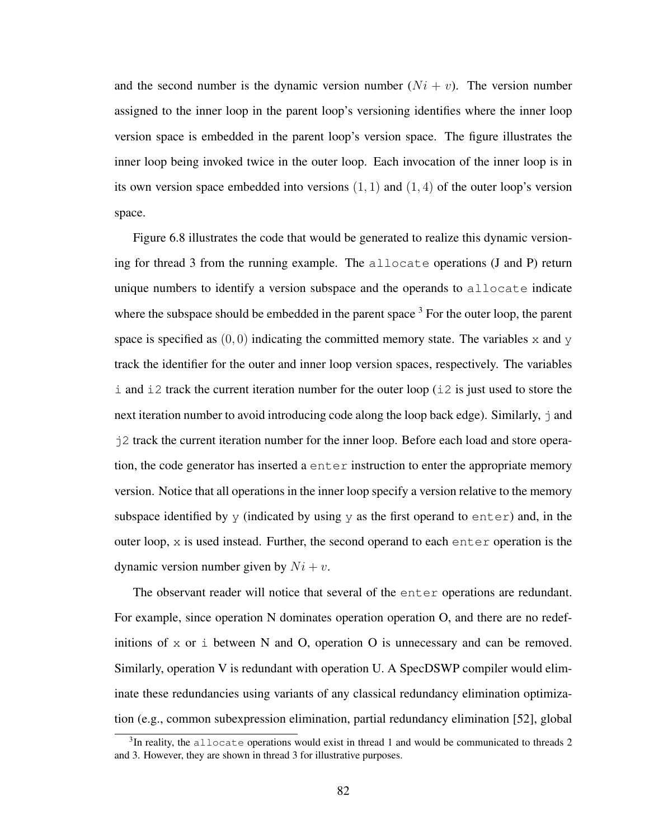and the second number is the dynamic version number  $(Ni + v)$ . The version number assigned to the inner loop in the parent loop's versioning identifies where the inner loop version space is embedded in the parent loop's version space. The figure illustrates the inner loop being invoked twice in the outer loop. Each invocation of the inner loop is in its own version space embedded into versions  $(1, 1)$  and  $(1, 4)$  of the outer loop's version space.

Figure 6.8 illustrates the code that would be generated to realize this dynamic versioning for thread 3 from the running example. The allocate operations (J and P) return unique numbers to identify a version subspace and the operands to allocate indicate where the subspace should be embedded in the parent space  $3$  For the outer loop, the parent space is specified as  $(0, 0)$  indicating the committed memory state. The variables x and y track the identifier for the outer and inner loop version spaces, respectively. The variables i and i2 track the current iteration number for the outer loop (i2 is just used to store the next iteration number to avoid introducing code along the loop back edge). Similarly,  $\dot{\tau}$  and j2 track the current iteration number for the inner loop. Before each load and store operation, the code generator has inserted a enter instruction to enter the appropriate memory version. Notice that all operations in the inner loop specify a version relative to the memory subspace identified by  $\gamma$  (indicated by using  $\gamma$  as the first operand to enter) and, in the outer loop, x is used instead. Further, the second operand to each enter operation is the dynamic version number given by  $Ni + v$ .

The observant reader will notice that several of the enter operations are redundant. For example, since operation N dominates operation operation O, and there are no redefinitions of  $x$  or  $\pm$  between N and O, operation O is unnecessary and can be removed. Similarly, operation V is redundant with operation U. A SpecDSWP compiler would eliminate these redundancies using variants of any classical redundancy elimination optimization (e.g., common subexpression elimination, partial redundancy elimination [52], global

 $3$ In reality, the allocate operations would exist in thread 1 and would be communicated to threads 2 and 3. However, they are shown in thread 3 for illustrative purposes.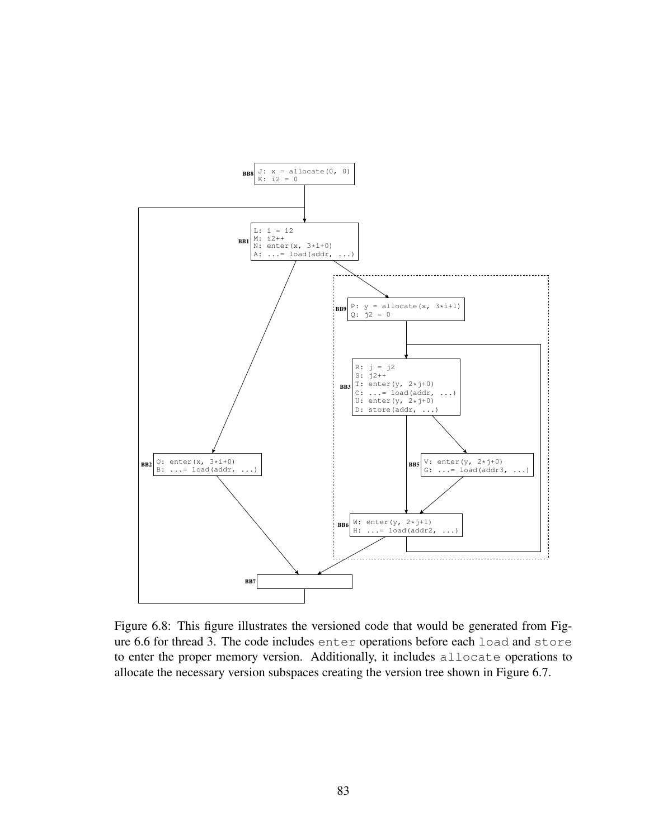

Figure 6.8: This figure illustrates the versioned code that would be generated from Figure 6.6 for thread 3. The code includes enter operations before each load and store to enter the proper memory version. Additionally, it includes allocate operations to allocate the necessary version subspaces creating the version tree shown in Figure 6.7.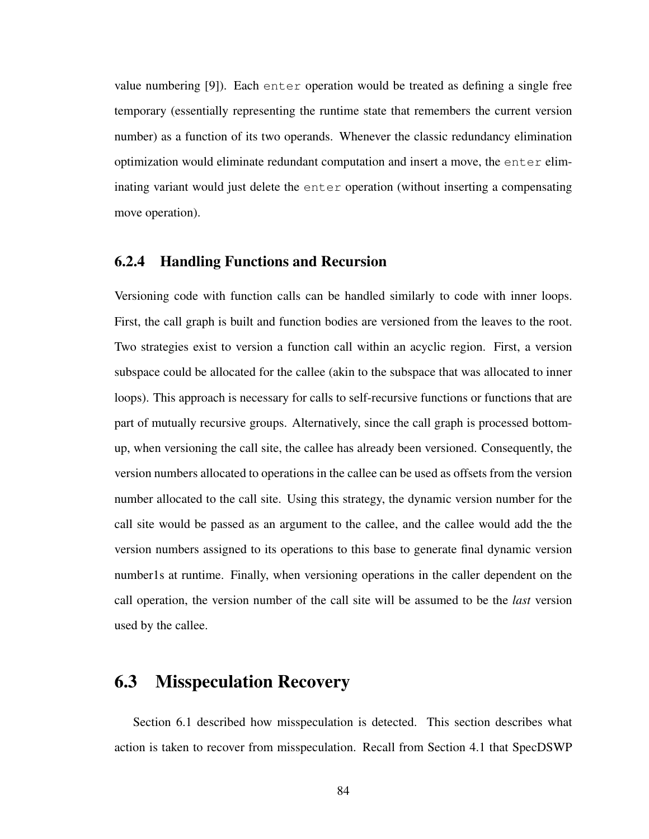value numbering [9]). Each enter operation would be treated as defining a single free temporary (essentially representing the runtime state that remembers the current version number) as a function of its two operands. Whenever the classic redundancy elimination optimization would eliminate redundant computation and insert a move, the enter eliminating variant would just delete the enter operation (without inserting a compensating move operation).

## 6.2.4 Handling Functions and Recursion

Versioning code with function calls can be handled similarly to code with inner loops. First, the call graph is built and function bodies are versioned from the leaves to the root. Two strategies exist to version a function call within an acyclic region. First, a version subspace could be allocated for the callee (akin to the subspace that was allocated to inner loops). This approach is necessary for calls to self-recursive functions or functions that are part of mutually recursive groups. Alternatively, since the call graph is processed bottomup, when versioning the call site, the callee has already been versioned. Consequently, the version numbers allocated to operations in the callee can be used as offsets from the version number allocated to the call site. Using this strategy, the dynamic version number for the call site would be passed as an argument to the callee, and the callee would add the the version numbers assigned to its operations to this base to generate final dynamic version number1s at runtime. Finally, when versioning operations in the caller dependent on the call operation, the version number of the call site will be assumed to be the *last* version used by the callee.

## 6.3 Misspeculation Recovery

Section 6.1 described how misspeculation is detected. This section describes what action is taken to recover from misspeculation. Recall from Section 4.1 that SpecDSWP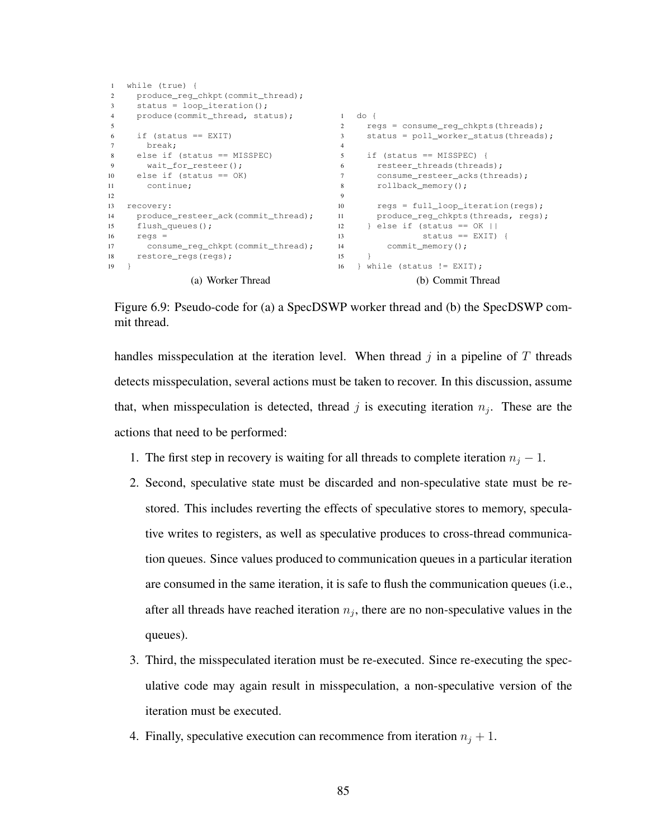```
1 while (true) {
2 produce_reg_chkpt(commit_thread);
3 status = loop_iteration();
4 produce(commit_thread, status);
5
6 if (status == EXIT)
7 break;
8 else if (status == MISSPEC)
9 wait_for_resteer();
10 else if (status == OK)
11 continue;
12
13 recovery:
14 produce_resteer_ack(commit_thread);
15 flush_queues();
16 regs =
17 consume_reg_chkpt(commit_thread); 14<br>18 restore reas(reas); 15
18 restore_regs(regs);
19 }
               (a) Worker Thread
                                          1 do {
                                          2 regs = consume_reg_chkpts(threads);
                                           3 status = poll_worker_status(threads);
                                           4
                                          5 if (status == MISSPEC) {
                                           6 resteer_threads(threads);
                                          7 consume_resteer_acks(threads);
                                          8 rollback_memory();
                                           9
                                           10 regs = full_loop_iteration(regs);
                                           11 produce_reg_chkpts(threads, regs);
                                         12 } else if (status == OK ||<br>13 <br>Status == EXIT)
                                                          status == EXIT) {
                                                   commit_memory();
                                             \}16 } while (status != EXIT);
                                                         (b) Commit Thread
```
Figure 6.9: Pseudo-code for (a) a SpecDSWP worker thread and (b) the SpecDSWP commit thread.

handles misspeculation at the iteration level. When thread  $j$  in a pipeline of  $T$  threads detects misspeculation, several actions must be taken to recover. In this discussion, assume that, when misspeculation is detected, thread j is executing iteration  $n_j$ . These are the actions that need to be performed:

- 1. The first step in recovery is waiting for all threads to complete iteration  $n_i 1$ .
- 2. Second, speculative state must be discarded and non-speculative state must be restored. This includes reverting the effects of speculative stores to memory, speculative writes to registers, as well as speculative produces to cross-thread communication queues. Since values produced to communication queues in a particular iteration are consumed in the same iteration, it is safe to flush the communication queues (i.e., after all threads have reached iteration  $n_j$ , there are no non-speculative values in the queues).
- 3. Third, the misspeculated iteration must be re-executed. Since re-executing the speculative code may again result in misspeculation, a non-speculative version of the iteration must be executed.
- 4. Finally, speculative execution can recommence from iteration  $n_i + 1$ .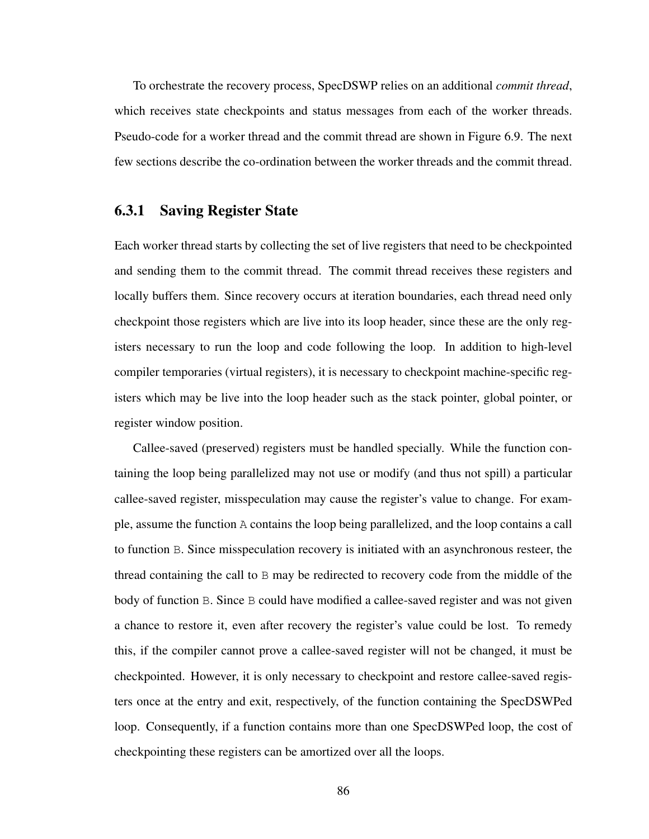To orchestrate the recovery process, SpecDSWP relies on an additional *commit thread*, which receives state checkpoints and status messages from each of the worker threads. Pseudo-code for a worker thread and the commit thread are shown in Figure 6.9. The next few sections describe the co-ordination between the worker threads and the commit thread.

## 6.3.1 Saving Register State

Each worker thread starts by collecting the set of live registers that need to be checkpointed and sending them to the commit thread. The commit thread receives these registers and locally buffers them. Since recovery occurs at iteration boundaries, each thread need only checkpoint those registers which are live into its loop header, since these are the only registers necessary to run the loop and code following the loop. In addition to high-level compiler temporaries (virtual registers), it is necessary to checkpoint machine-specific registers which may be live into the loop header such as the stack pointer, global pointer, or register window position.

Callee-saved (preserved) registers must be handled specially. While the function containing the loop being parallelized may not use or modify (and thus not spill) a particular callee-saved register, misspeculation may cause the register's value to change. For example, assume the function A contains the loop being parallelized, and the loop contains a call to function B. Since misspeculation recovery is initiated with an asynchronous resteer, the thread containing the call to  $\overline{B}$  may be redirected to recovery code from the middle of the body of function B. Since B could have modified a callee-saved register and was not given a chance to restore it, even after recovery the register's value could be lost. To remedy this, if the compiler cannot prove a callee-saved register will not be changed, it must be checkpointed. However, it is only necessary to checkpoint and restore callee-saved registers once at the entry and exit, respectively, of the function containing the SpecDSWPed loop. Consequently, if a function contains more than one SpecDSWPed loop, the cost of checkpointing these registers can be amortized over all the loops.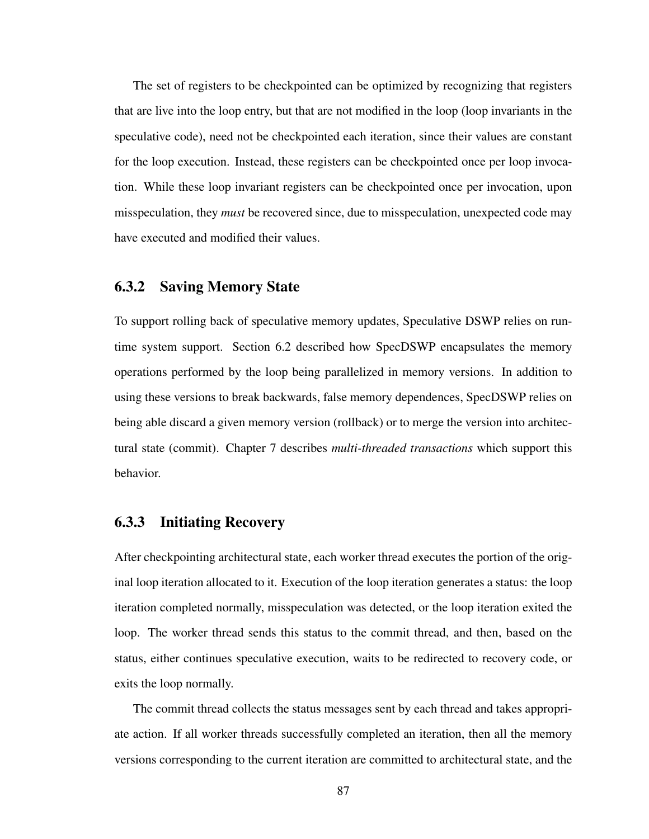The set of registers to be checkpointed can be optimized by recognizing that registers that are live into the loop entry, but that are not modified in the loop (loop invariants in the speculative code), need not be checkpointed each iteration, since their values are constant for the loop execution. Instead, these registers can be checkpointed once per loop invocation. While these loop invariant registers can be checkpointed once per invocation, upon misspeculation, they *must* be recovered since, due to misspeculation, unexpected code may have executed and modified their values.

## 6.3.2 Saving Memory State

To support rolling back of speculative memory updates, Speculative DSWP relies on runtime system support. Section 6.2 described how SpecDSWP encapsulates the memory operations performed by the loop being parallelized in memory versions. In addition to using these versions to break backwards, false memory dependences, SpecDSWP relies on being able discard a given memory version (rollback) or to merge the version into architectural state (commit). Chapter 7 describes *multi-threaded transactions* which support this behavior.

## 6.3.3 Initiating Recovery

After checkpointing architectural state, each worker thread executes the portion of the original loop iteration allocated to it. Execution of the loop iteration generates a status: the loop iteration completed normally, misspeculation was detected, or the loop iteration exited the loop. The worker thread sends this status to the commit thread, and then, based on the status, either continues speculative execution, waits to be redirected to recovery code, or exits the loop normally.

The commit thread collects the status messages sent by each thread and takes appropriate action. If all worker threads successfully completed an iteration, then all the memory versions corresponding to the current iteration are committed to architectural state, and the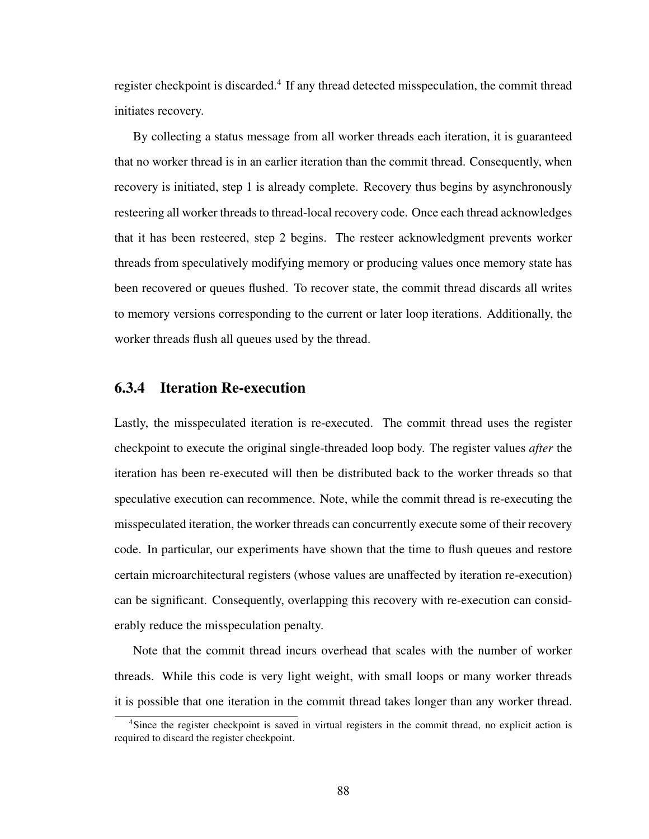register checkpoint is discarded.<sup>4</sup> If any thread detected misspeculation, the commit thread initiates recovery.

By collecting a status message from all worker threads each iteration, it is guaranteed that no worker thread is in an earlier iteration than the commit thread. Consequently, when recovery is initiated, step 1 is already complete. Recovery thus begins by asynchronously resteering all worker threads to thread-local recovery code. Once each thread acknowledges that it has been resteered, step 2 begins. The resteer acknowledgment prevents worker threads from speculatively modifying memory or producing values once memory state has been recovered or queues flushed. To recover state, the commit thread discards all writes to memory versions corresponding to the current or later loop iterations. Additionally, the worker threads flush all queues used by the thread.

## 6.3.4 Iteration Re-execution

Lastly, the misspeculated iteration is re-executed. The commit thread uses the register checkpoint to execute the original single-threaded loop body. The register values *after* the iteration has been re-executed will then be distributed back to the worker threads so that speculative execution can recommence. Note, while the commit thread is re-executing the misspeculated iteration, the worker threads can concurrently execute some of their recovery code. In particular, our experiments have shown that the time to flush queues and restore certain microarchitectural registers (whose values are unaffected by iteration re-execution) can be significant. Consequently, overlapping this recovery with re-execution can considerably reduce the misspeculation penalty.

Note that the commit thread incurs overhead that scales with the number of worker threads. While this code is very light weight, with small loops or many worker threads it is possible that one iteration in the commit thread takes longer than any worker thread.

<sup>4</sup>Since the register checkpoint is saved in virtual registers in the commit thread, no explicit action is required to discard the register checkpoint.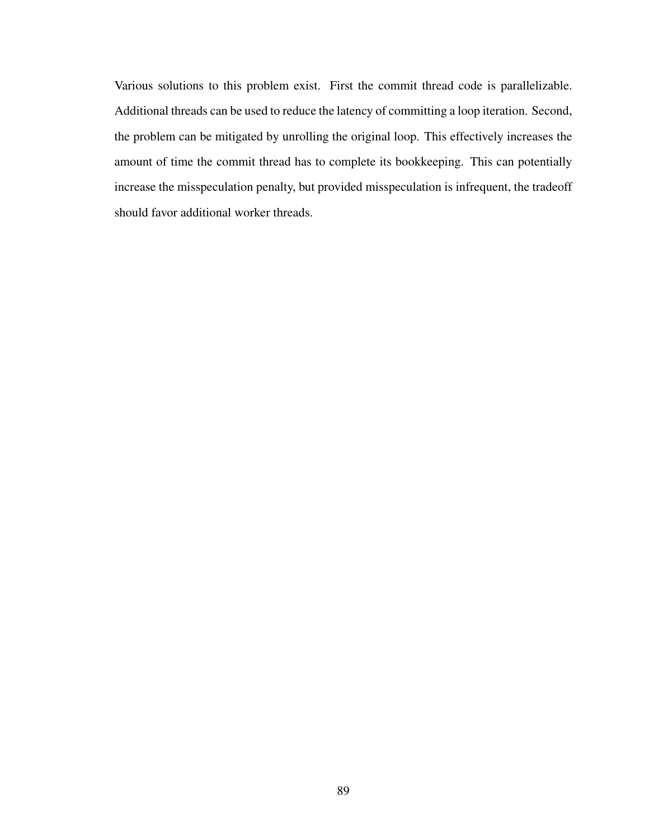Various solutions to this problem exist. First the commit thread code is parallelizable. Additional threads can be used to reduce the latency of committing a loop iteration. Second, the problem can be mitigated by unrolling the original loop. This effectively increases the amount of time the commit thread has to complete its bookkeeping. This can potentially increase the misspeculation penalty, but provided misspeculation is infrequent, the tradeoff should favor additional worker threads.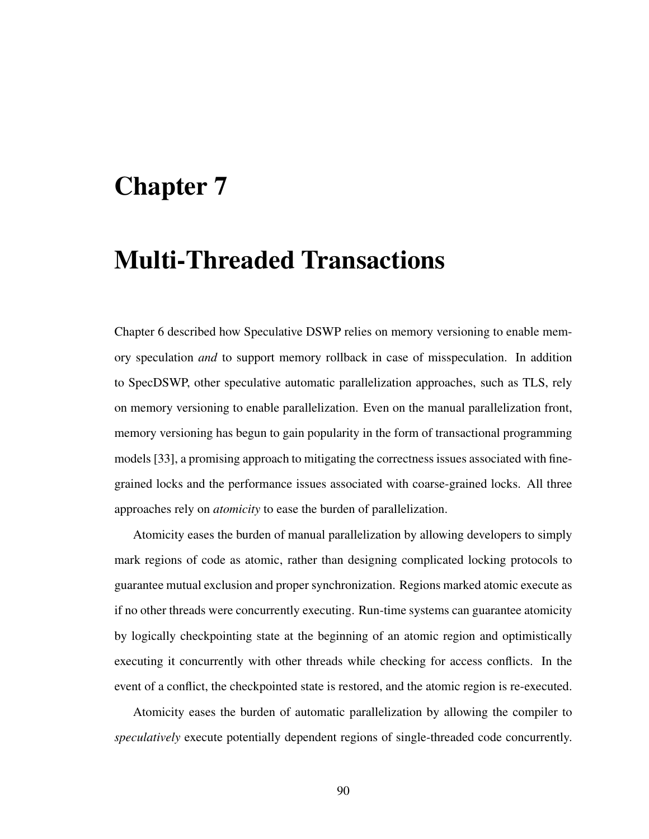## Chapter 7

# Multi-Threaded Transactions

Chapter 6 described how Speculative DSWP relies on memory versioning to enable memory speculation *and* to support memory rollback in case of misspeculation. In addition to SpecDSWP, other speculative automatic parallelization approaches, such as TLS, rely on memory versioning to enable parallelization. Even on the manual parallelization front, memory versioning has begun to gain popularity in the form of transactional programming models [33], a promising approach to mitigating the correctness issues associated with finegrained locks and the performance issues associated with coarse-grained locks. All three approaches rely on *atomicity* to ease the burden of parallelization.

Atomicity eases the burden of manual parallelization by allowing developers to simply mark regions of code as atomic, rather than designing complicated locking protocols to guarantee mutual exclusion and proper synchronization. Regions marked atomic execute as if no other threads were concurrently executing. Run-time systems can guarantee atomicity by logically checkpointing state at the beginning of an atomic region and optimistically executing it concurrently with other threads while checking for access conflicts. In the event of a conflict, the checkpointed state is restored, and the atomic region is re-executed.

Atomicity eases the burden of automatic parallelization by allowing the compiler to *speculatively* execute potentially dependent regions of single-threaded code concurrently.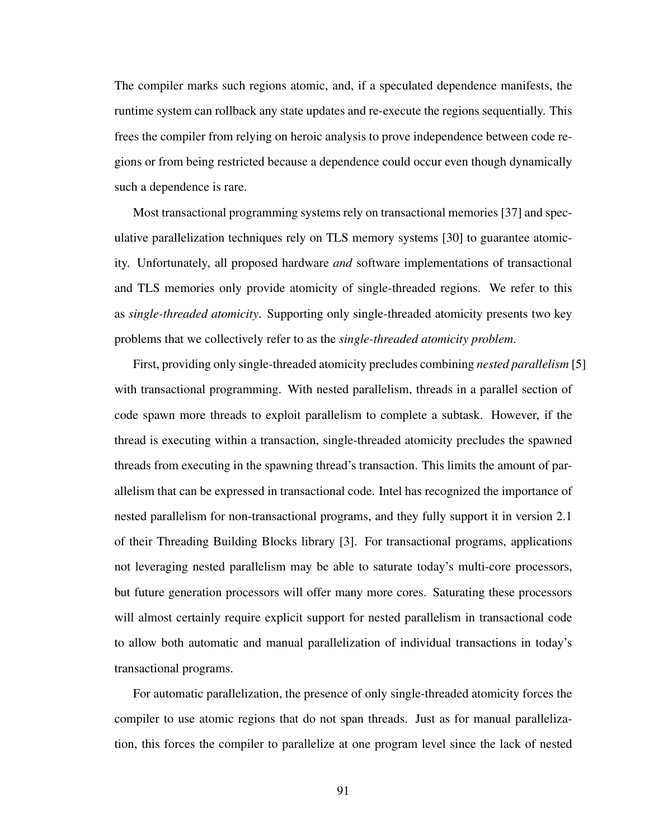The compiler marks such regions atomic, and, if a speculated dependence manifests, the runtime system can rollback any state updates and re-execute the regions sequentially. This frees the compiler from relying on heroic analysis to prove independence between code regions or from being restricted because a dependence could occur even though dynamically such a dependence is rare.

Most transactional programming systems rely on transactional memories [37] and speculative parallelization techniques rely on TLS memory systems [30] to guarantee atomicity. Unfortunately, all proposed hardware *and* software implementations of transactional and TLS memories only provide atomicity of single-threaded regions. We refer to this as *single-threaded atomicity*. Supporting only single-threaded atomicity presents two key problems that we collectively refer to as the *single-threaded atomicity problem*.

First, providing only single-threaded atomicity precludes combining *nested parallelism* [5] with transactional programming. With nested parallelism, threads in a parallel section of code spawn more threads to exploit parallelism to complete a subtask. However, if the thread is executing within a transaction, single-threaded atomicity precludes the spawned threads from executing in the spawning thread's transaction. This limits the amount of parallelism that can be expressed in transactional code. Intel has recognized the importance of nested parallelism for non-transactional programs, and they fully support it in version 2.1 of their Threading Building Blocks library [3]. For transactional programs, applications not leveraging nested parallelism may be able to saturate today's multi-core processors, but future generation processors will offer many more cores. Saturating these processors will almost certainly require explicit support for nested parallelism in transactional code to allow both automatic and manual parallelization of individual transactions in today's transactional programs.

For automatic parallelization, the presence of only single-threaded atomicity forces the compiler to use atomic regions that do not span threads. Just as for manual parallelization, this forces the compiler to parallelize at one program level since the lack of nested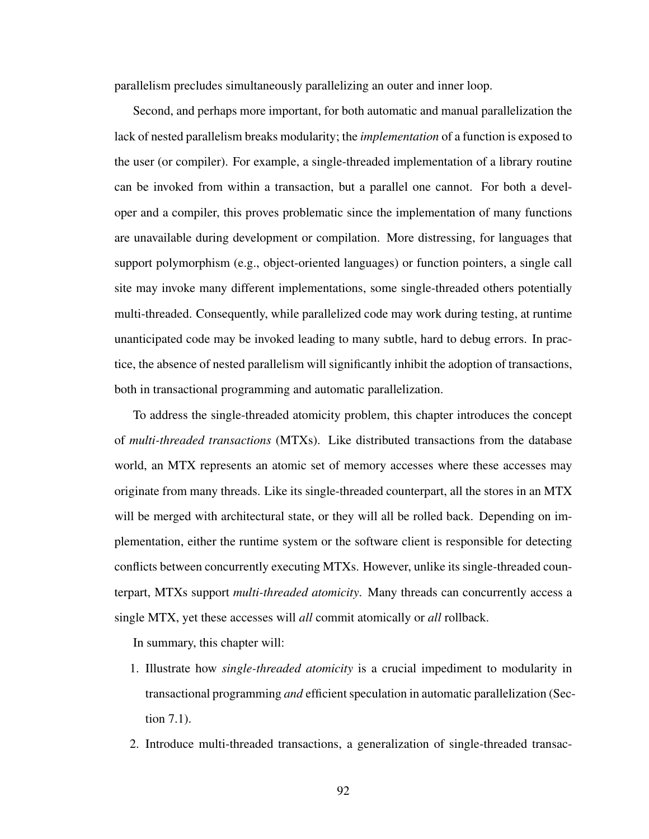parallelism precludes simultaneously parallelizing an outer and inner loop.

Second, and perhaps more important, for both automatic and manual parallelization the lack of nested parallelism breaks modularity; the *implementation* of a function is exposed to the user (or compiler). For example, a single-threaded implementation of a library routine can be invoked from within a transaction, but a parallel one cannot. For both a developer and a compiler, this proves problematic since the implementation of many functions are unavailable during development or compilation. More distressing, for languages that support polymorphism (e.g., object-oriented languages) or function pointers, a single call site may invoke many different implementations, some single-threaded others potentially multi-threaded. Consequently, while parallelized code may work during testing, at runtime unanticipated code may be invoked leading to many subtle, hard to debug errors. In practice, the absence of nested parallelism will significantly inhibit the adoption of transactions, both in transactional programming and automatic parallelization.

To address the single-threaded atomicity problem, this chapter introduces the concept of *multi-threaded transactions* (MTXs). Like distributed transactions from the database world, an MTX represents an atomic set of memory accesses where these accesses may originate from many threads. Like its single-threaded counterpart, all the stores in an MTX will be merged with architectural state, or they will all be rolled back. Depending on implementation, either the runtime system or the software client is responsible for detecting conflicts between concurrently executing MTXs. However, unlike its single-threaded counterpart, MTXs support *multi-threaded atomicity*. Many threads can concurrently access a single MTX, yet these accesses will *all* commit atomically or *all* rollback.

In summary, this chapter will:

- 1. Illustrate how *single-threaded atomicity* is a crucial impediment to modularity in transactional programming *and* efficient speculation in automatic parallelization (Section 7.1).
- 2. Introduce multi-threaded transactions, a generalization of single-threaded transac-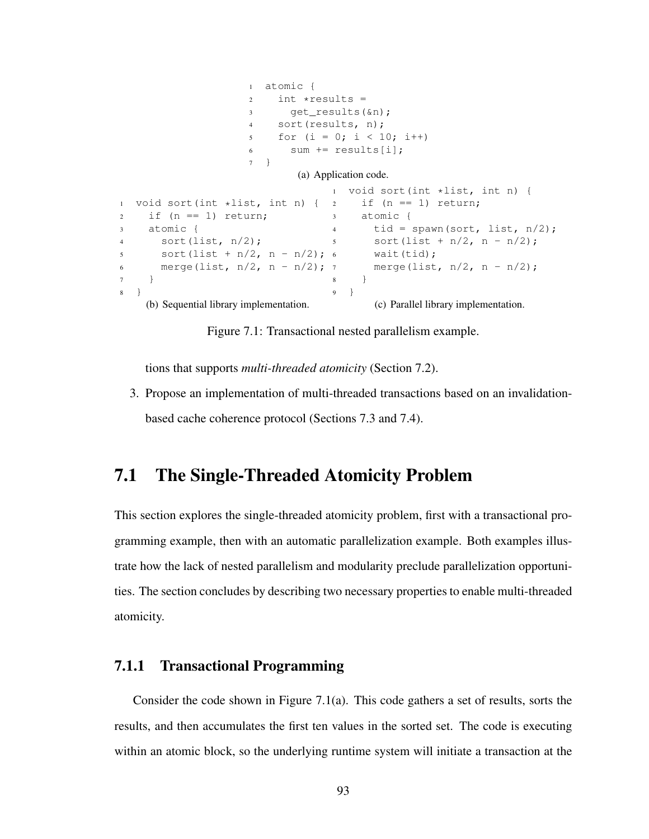```
1 atomic {
                    2 int *results =
                    3 get_results(&n);
                    4 sort(results, n);
                    5 for (i = 0; i < 10; i++)6 sum += results[i];
                    7 }
                            (a) Application code.
1 void sort(int *list, int n) {
2 if (n == 1) return;
3 atomic {
4 sort(list, n/2);
5 sort (list + n/2, n - n/2); 6
6 merge(list, n/2, n - n/2); 7
7 }
8 }
    (b) Sequential library implementation.
                                  1 void sort(int *list, int n) {
                                       if (n == 1) return;
                                  3 atomic {
                                  4 tid = spawn(sort, list, n/2);
                                 5 sort(list + n/2, n - n/2);
                                       wait(tid);
                                       merge(list, n/2, n - n/2);
                                  \begin{matrix} 8 \end{matrix} \qquad \qquad \Big\}9 }
                                         (c) Parallel library implementation.
```
Figure 7.1: Transactional nested parallelism example.

tions that supports *multi-threaded atomicity* (Section 7.2).

3. Propose an implementation of multi-threaded transactions based on an invalidationbased cache coherence protocol (Sections 7.3 and 7.4).

# 7.1 The Single-Threaded Atomicity Problem

This section explores the single-threaded atomicity problem, first with a transactional programming example, then with an automatic parallelization example. Both examples illustrate how the lack of nested parallelism and modularity preclude parallelization opportunities. The section concludes by describing two necessary properties to enable multi-threaded atomicity.

#### 7.1.1 Transactional Programming

Consider the code shown in Figure 7.1(a). This code gathers a set of results, sorts the results, and then accumulates the first ten values in the sorted set. The code is executing within an atomic block, so the underlying runtime system will initiate a transaction at the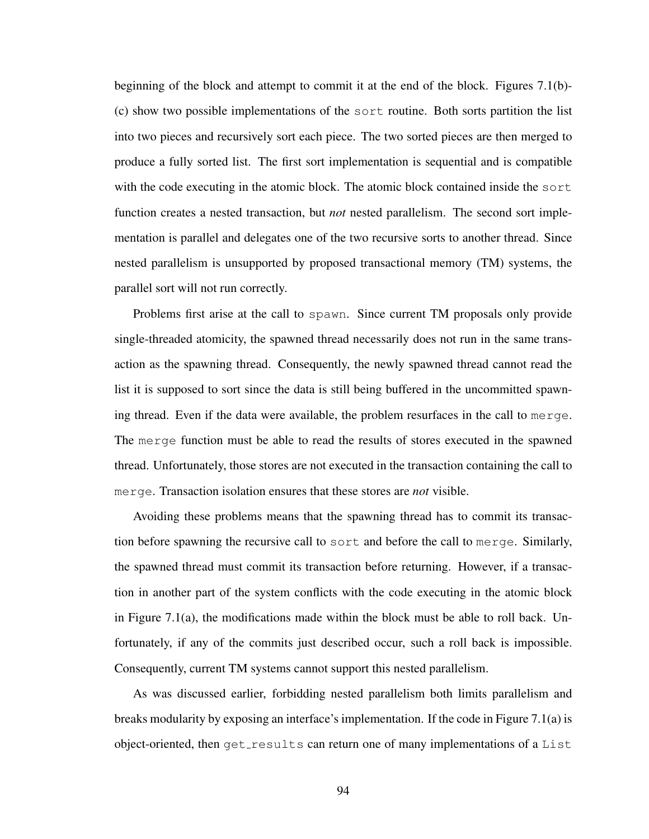beginning of the block and attempt to commit it at the end of the block. Figures 7.1(b)- (c) show two possible implementations of the sort routine. Both sorts partition the list into two pieces and recursively sort each piece. The two sorted pieces are then merged to produce a fully sorted list. The first sort implementation is sequential and is compatible with the code executing in the atomic block. The atomic block contained inside the sort function creates a nested transaction, but *not* nested parallelism. The second sort implementation is parallel and delegates one of the two recursive sorts to another thread. Since nested parallelism is unsupported by proposed transactional memory (TM) systems, the parallel sort will not run correctly.

Problems first arise at the call to spawn. Since current TM proposals only provide single-threaded atomicity, the spawned thread necessarily does not run in the same transaction as the spawning thread. Consequently, the newly spawned thread cannot read the list it is supposed to sort since the data is still being buffered in the uncommitted spawning thread. Even if the data were available, the problem resurfaces in the call to merge. The merge function must be able to read the results of stores executed in the spawned thread. Unfortunately, those stores are not executed in the transaction containing the call to merge. Transaction isolation ensures that these stores are *not* visible.

Avoiding these problems means that the spawning thread has to commit its transaction before spawning the recursive call to sort and before the call to merge. Similarly, the spawned thread must commit its transaction before returning. However, if a transaction in another part of the system conflicts with the code executing in the atomic block in Figure  $7.1(a)$ , the modifications made within the block must be able to roll back. Unfortunately, if any of the commits just described occur, such a roll back is impossible. Consequently, current TM systems cannot support this nested parallelism.

As was discussed earlier, forbidding nested parallelism both limits parallelism and breaks modularity by exposing an interface's implementation. If the code in Figure 7.1(a) is object-oriented, then  $qet_results$  can return one of many implementations of a List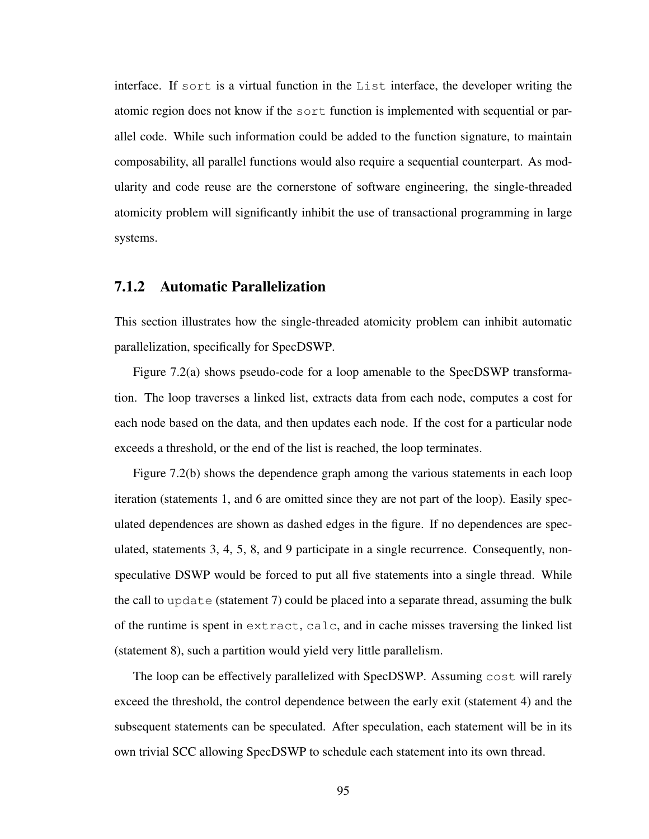interface. If sort is a virtual function in the List interface, the developer writing the atomic region does not know if the sort function is implemented with sequential or parallel code. While such information could be added to the function signature, to maintain composability, all parallel functions would also require a sequential counterpart. As modularity and code reuse are the cornerstone of software engineering, the single-threaded atomicity problem will significantly inhibit the use of transactional programming in large systems.

#### 7.1.2 Automatic Parallelization

This section illustrates how the single-threaded atomicity problem can inhibit automatic parallelization, specifically for SpecDSWP.

Figure 7.2(a) shows pseudo-code for a loop amenable to the SpecDSWP transformation. The loop traverses a linked list, extracts data from each node, computes a cost for each node based on the data, and then updates each node. If the cost for a particular node exceeds a threshold, or the end of the list is reached, the loop terminates.

Figure 7.2(b) shows the dependence graph among the various statements in each loop iteration (statements 1, and 6 are omitted since they are not part of the loop). Easily speculated dependences are shown as dashed edges in the figure. If no dependences are speculated, statements 3, 4, 5, 8, and 9 participate in a single recurrence. Consequently, nonspeculative DSWP would be forced to put all five statements into a single thread. While the call to update (statement 7) could be placed into a separate thread, assuming the bulk of the runtime is spent in extract, calc, and in cache misses traversing the linked list (statement 8), such a partition would yield very little parallelism.

The loop can be effectively parallelized with SpecDSWP. Assuming cost will rarely exceed the threshold, the control dependence between the early exit (statement 4) and the subsequent statements can be speculated. After speculation, each statement will be in its own trivial SCC allowing SpecDSWP to schedule each statement into its own thread.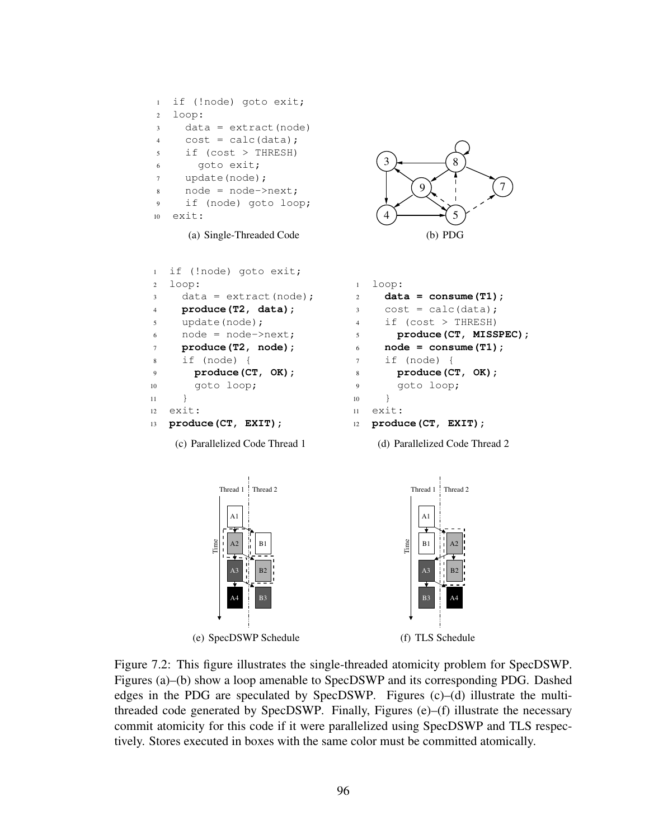```
1 if (!node) goto exit;
2 loop:
3 data = extract (node)
4 cost = calc(data);
5 if (cost > THRESH)
6 goto exit;
7 update(node);
8 node = node->next;
9 if (node) goto loop;
10 exit:
```
(a) Single-Threaded Code

```
1 if (!node) goto exit;
2 loop:
3 data = extract(node);
4 produce(T2, data);
5 update(node);
6 node = node->next;
7 produce(T2, node);
8 if (node) {
9 produce(CT, OK);
10 goto loop;
11 }
12 exit:
13 produce(CT, EXIT);
```
(c) Parallelized Code Thread 1



```
1 loop:
2 data = consume(T1);
3 \qquad \cosh = \text{calc}(data);4 if (cost > THRESH)
5 produce(CT, MISSPEC);
6 node = consume (T1);
7 if (node) {
8 produce(CT, OK);
9 goto loop;
10 }
11 exit:
12 produce(CT, EXIT);
```
(d) Parallelized Code Thread 2



Figure 7.2: This figure illustrates the single-threaded atomicity problem for SpecDSWP. Figures (a)–(b) show a loop amenable to SpecDSWP and its corresponding PDG. Dashed edges in the PDG are speculated by SpecDSWP. Figures (c)–(d) illustrate the multithreaded code generated by SpecDSWP. Finally, Figures (e)–(f) illustrate the necessary commit atomicity for this code if it were parallelized using SpecDSWP and TLS respectively. Stores executed in boxes with the same color must be committed atomically.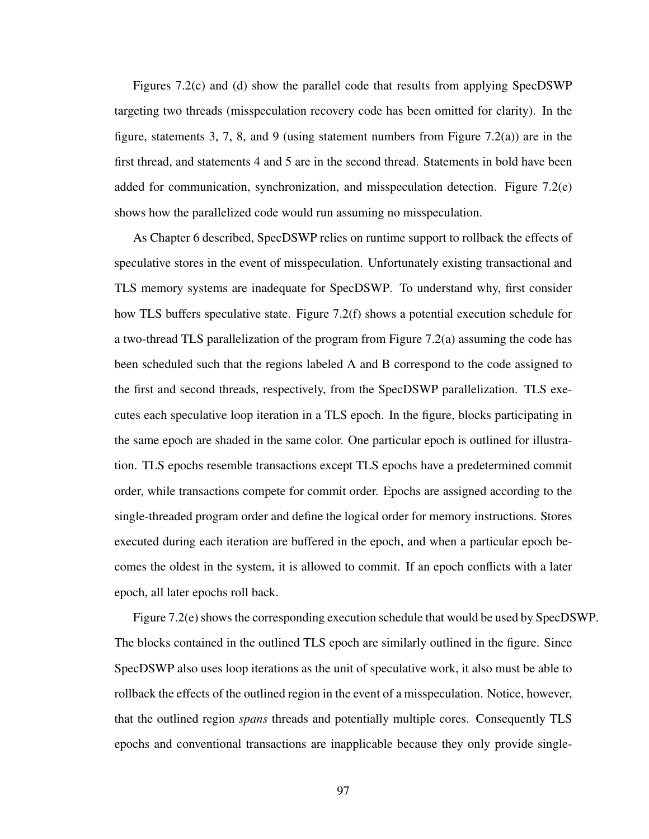Figures 7.2(c) and (d) show the parallel code that results from applying SpecDSWP targeting two threads (misspeculation recovery code has been omitted for clarity). In the figure, statements 3, 7, 8, and 9 (using statement numbers from Figure 7.2(a)) are in the first thread, and statements 4 and 5 are in the second thread. Statements in bold have been added for communication, synchronization, and misspeculation detection. Figure 7.2(e) shows how the parallelized code would run assuming no misspeculation.

As Chapter 6 described, SpecDSWP relies on runtime support to rollback the effects of speculative stores in the event of misspeculation. Unfortunately existing transactional and TLS memory systems are inadequate for SpecDSWP. To understand why, first consider how TLS buffers speculative state. Figure 7.2(f) shows a potential execution schedule for a two-thread TLS parallelization of the program from Figure 7.2(a) assuming the code has been scheduled such that the regions labeled A and B correspond to the code assigned to the first and second threads, respectively, from the SpecDSWP parallelization. TLS executes each speculative loop iteration in a TLS epoch. In the figure, blocks participating in the same epoch are shaded in the same color. One particular epoch is outlined for illustration. TLS epochs resemble transactions except TLS epochs have a predetermined commit order, while transactions compete for commit order. Epochs are assigned according to the single-threaded program order and define the logical order for memory instructions. Stores executed during each iteration are buffered in the epoch, and when a particular epoch becomes the oldest in the system, it is allowed to commit. If an epoch conflicts with a later epoch, all later epochs roll back.

Figure 7.2(e) shows the corresponding execution schedule that would be used by SpecDSWP. The blocks contained in the outlined TLS epoch are similarly outlined in the figure. Since SpecDSWP also uses loop iterations as the unit of speculative work, it also must be able to rollback the effects of the outlined region in the event of a misspeculation. Notice, however, that the outlined region *spans* threads and potentially multiple cores. Consequently TLS epochs and conventional transactions are inapplicable because they only provide single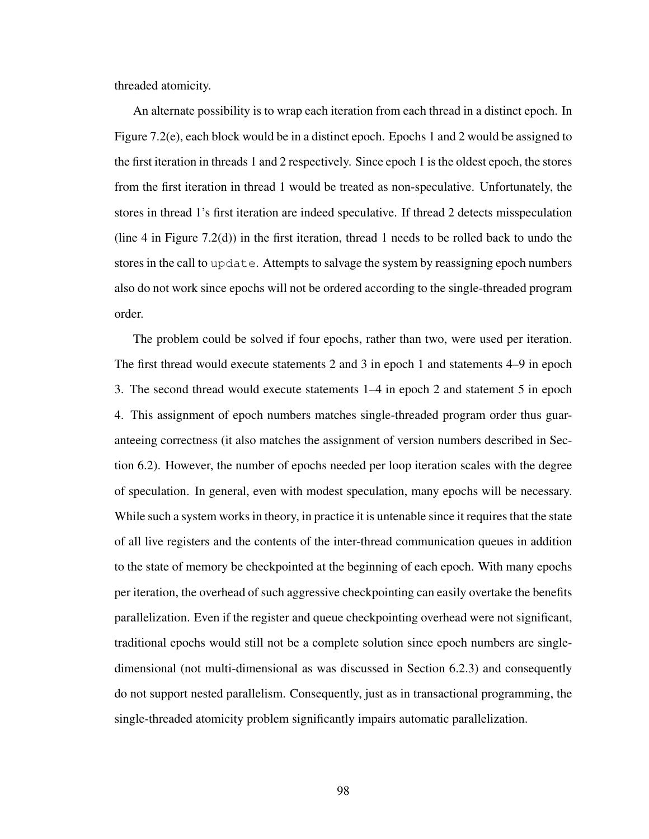threaded atomicity.

An alternate possibility is to wrap each iteration from each thread in a distinct epoch. In Figure 7.2(e), each block would be in a distinct epoch. Epochs 1 and 2 would be assigned to the first iteration in threads 1 and 2 respectively. Since epoch 1 is the oldest epoch, the stores from the first iteration in thread 1 would be treated as non-speculative. Unfortunately, the stores in thread 1's first iteration are indeed speculative. If thread 2 detects misspeculation (line 4 in Figure 7.2(d)) in the first iteration, thread 1 needs to be rolled back to undo the stores in the call to update. Attempts to salvage the system by reassigning epoch numbers also do not work since epochs will not be ordered according to the single-threaded program order.

The problem could be solved if four epochs, rather than two, were used per iteration. The first thread would execute statements 2 and 3 in epoch 1 and statements 4–9 in epoch 3. The second thread would execute statements 1–4 in epoch 2 and statement 5 in epoch 4. This assignment of epoch numbers matches single-threaded program order thus guaranteeing correctness (it also matches the assignment of version numbers described in Section 6.2). However, the number of epochs needed per loop iteration scales with the degree of speculation. In general, even with modest speculation, many epochs will be necessary. While such a system works in theory, in practice it is untenable since it requires that the state of all live registers and the contents of the inter-thread communication queues in addition to the state of memory be checkpointed at the beginning of each epoch. With many epochs per iteration, the overhead of such aggressive checkpointing can easily overtake the benefits parallelization. Even if the register and queue checkpointing overhead were not significant, traditional epochs would still not be a complete solution since epoch numbers are singledimensional (not multi-dimensional as was discussed in Section 6.2.3) and consequently do not support nested parallelism. Consequently, just as in transactional programming, the single-threaded atomicity problem significantly impairs automatic parallelization.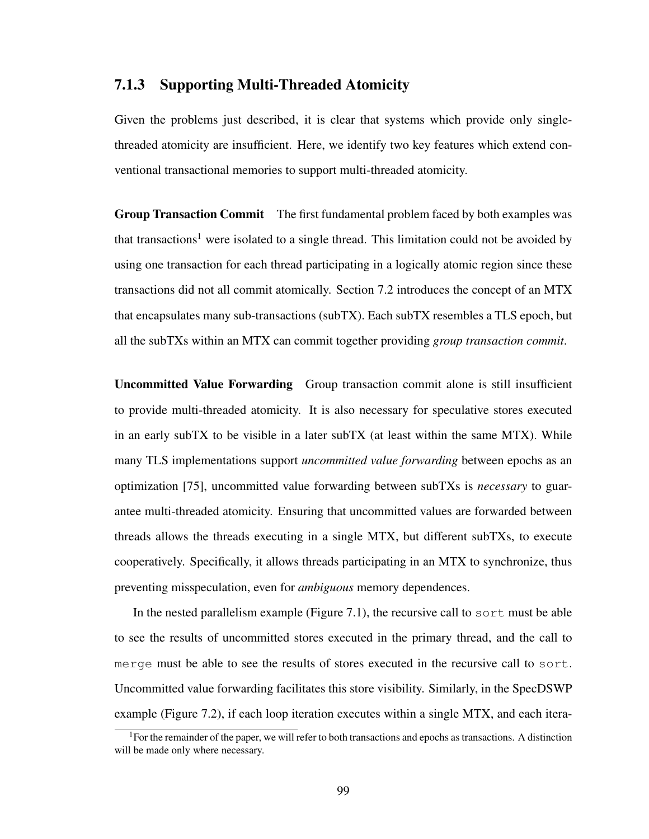#### 7.1.3 Supporting Multi-Threaded Atomicity

Given the problems just described, it is clear that systems which provide only singlethreaded atomicity are insufficient. Here, we identify two key features which extend conventional transactional memories to support multi-threaded atomicity.

**Group Transaction Commit** The first fundamental problem faced by both examples was that transactions<sup>1</sup> were isolated to a single thread. This limitation could not be avoided by using one transaction for each thread participating in a logically atomic region since these transactions did not all commit atomically. Section 7.2 introduces the concept of an MTX that encapsulates many sub-transactions (subTX). Each subTX resembles a TLS epoch, but all the subTXs within an MTX can commit together providing *group transaction commit*.

Uncommitted Value Forwarding Group transaction commit alone is still insufficient to provide multi-threaded atomicity. It is also necessary for speculative stores executed in an early subTX to be visible in a later subTX (at least within the same MTX). While many TLS implementations support *uncommitted value forwarding* between epochs as an optimization [75], uncommitted value forwarding between subTXs is *necessary* to guarantee multi-threaded atomicity. Ensuring that uncommitted values are forwarded between threads allows the threads executing in a single MTX, but different subTXs, to execute cooperatively. Specifically, it allows threads participating in an MTX to synchronize, thus preventing misspeculation, even for *ambiguous* memory dependences.

In the nested parallelism example (Figure 7.1), the recursive call to sort must be able to see the results of uncommitted stores executed in the primary thread, and the call to merge must be able to see the results of stores executed in the recursive call to sort. Uncommitted value forwarding facilitates this store visibility. Similarly, in the SpecDSWP example (Figure 7.2), if each loop iteration executes within a single MTX, and each itera-

<sup>1</sup>For the remainder of the paper, we will refer to both transactions and epochs as transactions. A distinction will be made only where necessary.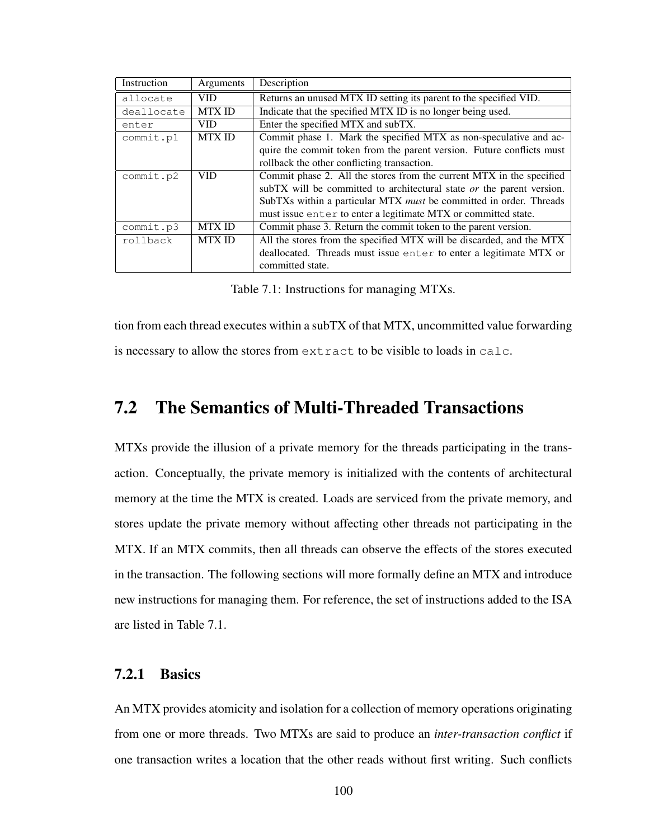| Instruction | Arguments     | Description                                                               |  |  |  |
|-------------|---------------|---------------------------------------------------------------------------|--|--|--|
| allocate    | <b>VID</b>    | Returns an unused MTX ID setting its parent to the specified VID.         |  |  |  |
| deallocate  | <b>MTXID</b>  | Indicate that the specified MTX ID is no longer being used.               |  |  |  |
| enter       | <b>VID</b>    | Enter the specified MTX and subTX.                                        |  |  |  |
| commit.pl   | <b>MTXID</b>  | Commit phase 1. Mark the specified MTX as non-speculative and ac-         |  |  |  |
|             |               | quire the commit token from the parent version. Future conflicts must     |  |  |  |
|             |               | rollback the other conflicting transaction.                               |  |  |  |
| commit.p2   | <b>VID</b>    | Commit phase 2. All the stores from the current MTX in the specified      |  |  |  |
|             |               | subTX will be committed to architectural state or the parent version.     |  |  |  |
|             |               | SubTXs within a particular MTX <i>must</i> be committed in order. Threads |  |  |  |
|             |               | must issue enter to enter a legitimate MTX or committed state.            |  |  |  |
| commit.p3   | <b>MTX ID</b> | Commit phase 3. Return the commit token to the parent version.            |  |  |  |
| rollback    | <b>MTXID</b>  | All the stores from the specified MTX will be discarded, and the MTX      |  |  |  |
|             |               | deallocated. Threads must issue enter to enter a legitimate MTX or        |  |  |  |
|             |               | committed state.                                                          |  |  |  |

Table 7.1: Instructions for managing MTXs.

tion from each thread executes within a subTX of that MTX, uncommitted value forwarding is necessary to allow the stores from extract to be visible to loads in calc.

# 7.2 The Semantics of Multi-Threaded Transactions

MTXs provide the illusion of a private memory for the threads participating in the transaction. Conceptually, the private memory is initialized with the contents of architectural memory at the time the MTX is created. Loads are serviced from the private memory, and stores update the private memory without affecting other threads not participating in the MTX. If an MTX commits, then all threads can observe the effects of the stores executed in the transaction. The following sections will more formally define an MTX and introduce new instructions for managing them. For reference, the set of instructions added to the ISA are listed in Table 7.1.

#### 7.2.1 Basics

An MTX provides atomicity and isolation for a collection of memory operations originating from one or more threads. Two MTXs are said to produce an *inter-transaction conflict* if one transaction writes a location that the other reads without first writing. Such conflicts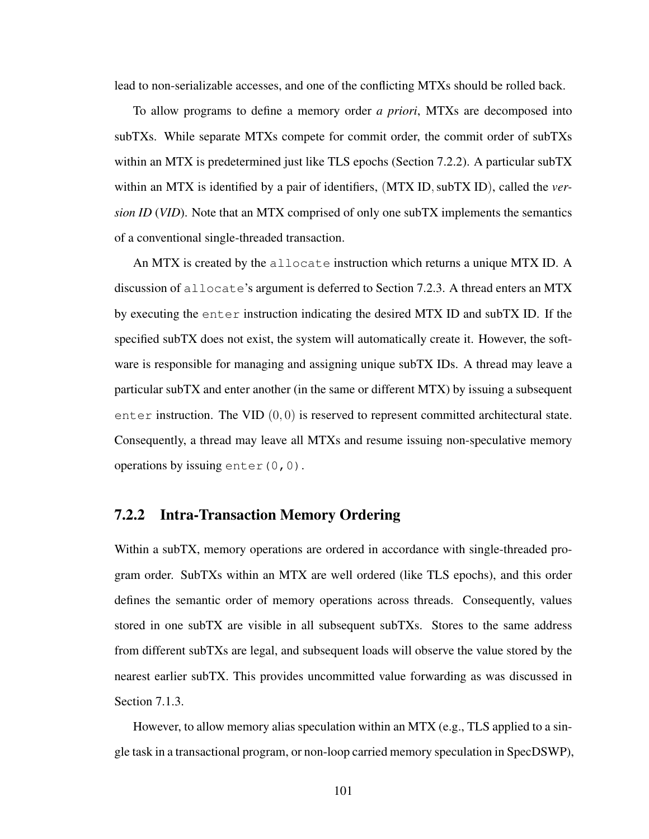lead to non-serializable accesses, and one of the conflicting MTXs should be rolled back.

To allow programs to define a memory order *a priori*, MTXs are decomposed into subTXs. While separate MTXs compete for commit order, the commit order of subTXs within an MTX is predetermined just like TLS epochs (Section 7.2.2). A particular subTX within an MTX is identified by a pair of identifiers, (MTX ID, subTX ID), called the *version ID* (*VID*). Note that an MTX comprised of only one subTX implements the semantics of a conventional single-threaded transaction.

An MTX is created by the allocate instruction which returns a unique MTX ID. A discussion of allocate's argument is deferred to Section 7.2.3. A thread enters an MTX by executing the enter instruction indicating the desired MTX ID and subTX ID. If the specified subTX does not exist, the system will automatically create it. However, the software is responsible for managing and assigning unique subTX IDs. A thread may leave a particular subTX and enter another (in the same or different MTX) by issuing a subsequent enter instruction. The VID  $(0, 0)$  is reserved to represent committed architectural state. Consequently, a thread may leave all MTXs and resume issuing non-speculative memory operations by issuing enter(0,0).

#### 7.2.2 Intra-Transaction Memory Ordering

Within a subTX, memory operations are ordered in accordance with single-threaded program order. SubTXs within an MTX are well ordered (like TLS epochs), and this order defines the semantic order of memory operations across threads. Consequently, values stored in one subTX are visible in all subsequent subTXs. Stores to the same address from different subTXs are legal, and subsequent loads will observe the value stored by the nearest earlier subTX. This provides uncommitted value forwarding as was discussed in Section 7.1.3.

However, to allow memory alias speculation within an MTX (e.g., TLS applied to a single task in a transactional program, or non-loop carried memory speculation in SpecDSWP),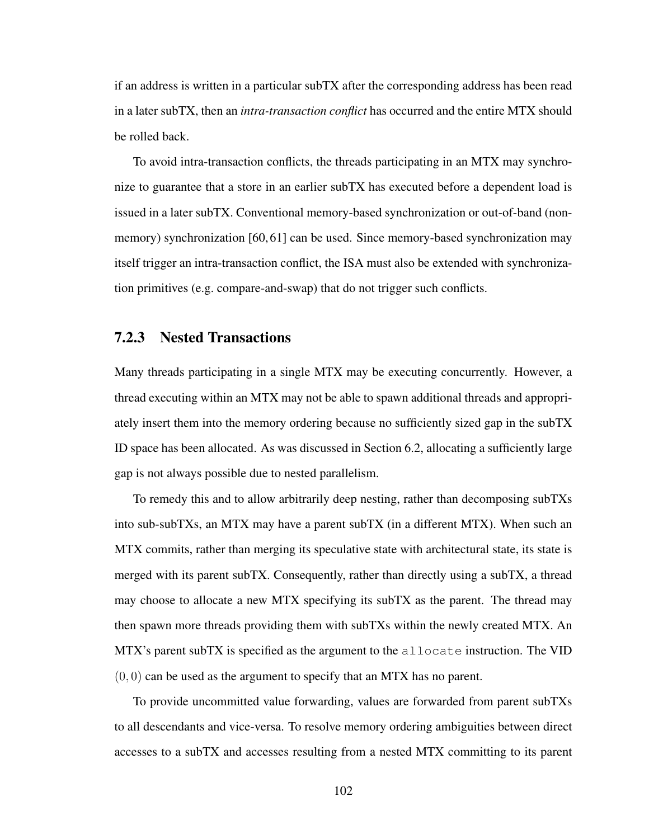if an address is written in a particular subTX after the corresponding address has been read in a later subTX, then an *intra-transaction conflict* has occurred and the entire MTX should be rolled back.

To avoid intra-transaction conflicts, the threads participating in an MTX may synchronize to guarantee that a store in an earlier subTX has executed before a dependent load is issued in a later subTX. Conventional memory-based synchronization or out-of-band (nonmemory) synchronization [60, 61] can be used. Since memory-based synchronization may itself trigger an intra-transaction conflict, the ISA must also be extended with synchronization primitives (e.g. compare-and-swap) that do not trigger such conflicts.

#### 7.2.3 Nested Transactions

Many threads participating in a single MTX may be executing concurrently. However, a thread executing within an MTX may not be able to spawn additional threads and appropriately insert them into the memory ordering because no sufficiently sized gap in the subTX ID space has been allocated. As was discussed in Section 6.2, allocating a sufficiently large gap is not always possible due to nested parallelism.

To remedy this and to allow arbitrarily deep nesting, rather than decomposing subTXs into sub-subTXs, an MTX may have a parent subTX (in a different MTX). When such an MTX commits, rather than merging its speculative state with architectural state, its state is merged with its parent subTX. Consequently, rather than directly using a subTX, a thread may choose to allocate a new MTX specifying its subTX as the parent. The thread may then spawn more threads providing them with subTXs within the newly created MTX. An MTX's parent subTX is specified as the argument to the  $\alpha$ llocate instruction. The VID  $(0, 0)$  can be used as the argument to specify that an MTX has no parent.

To provide uncommitted value forwarding, values are forwarded from parent subTXs to all descendants and vice-versa. To resolve memory ordering ambiguities between direct accesses to a subTX and accesses resulting from a nested MTX committing to its parent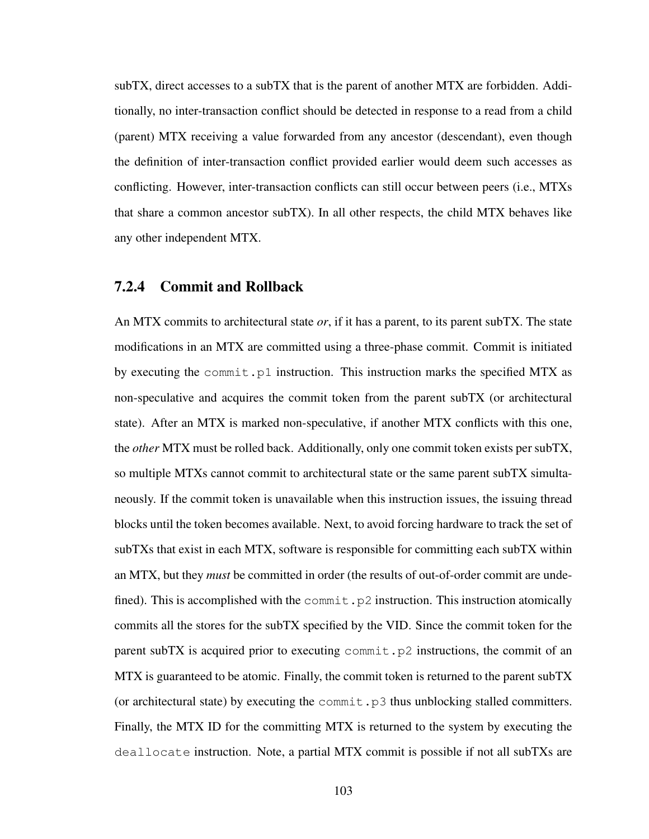subTX, direct accesses to a subTX that is the parent of another MTX are forbidden. Additionally, no inter-transaction conflict should be detected in response to a read from a child (parent) MTX receiving a value forwarded from any ancestor (descendant), even though the definition of inter-transaction conflict provided earlier would deem such accesses as conflicting. However, inter-transaction conflicts can still occur between peers (i.e., MTXs that share a common ancestor subTX). In all other respects, the child MTX behaves like any other independent MTX.

#### 7.2.4 Commit and Rollback

An MTX commits to architectural state *or*, if it has a parent, to its parent subTX. The state modifications in an MTX are committed using a three-phase commit. Commit is initiated by executing the commit.p1 instruction. This instruction marks the specified MTX as non-speculative and acquires the commit token from the parent subTX (or architectural state). After an MTX is marked non-speculative, if another MTX conflicts with this one, the *other* MTX must be rolled back. Additionally, only one commit token exists per subTX, so multiple MTXs cannot commit to architectural state or the same parent subTX simultaneously. If the commit token is unavailable when this instruction issues, the issuing thread blocks until the token becomes available. Next, to avoid forcing hardware to track the set of subTXs that exist in each MTX, software is responsible for committing each subTX within an MTX, but they *must* be committed in order (the results of out-of-order commit are undefined). This is accomplished with the commit.p2 instruction. This instruction atomically commits all the stores for the subTX specified by the VID. Since the commit token for the parent subTX is acquired prior to executing  $\text{commit}$ ,  $p2$  instructions, the commit of an MTX is guaranteed to be atomic. Finally, the commit token is returned to the parent subTX (or architectural state) by executing the commit.  $p3$  thus unblocking stalled committers. Finally, the MTX ID for the committing MTX is returned to the system by executing the deallocate instruction. Note, a partial MTX commit is possible if not all subTXs are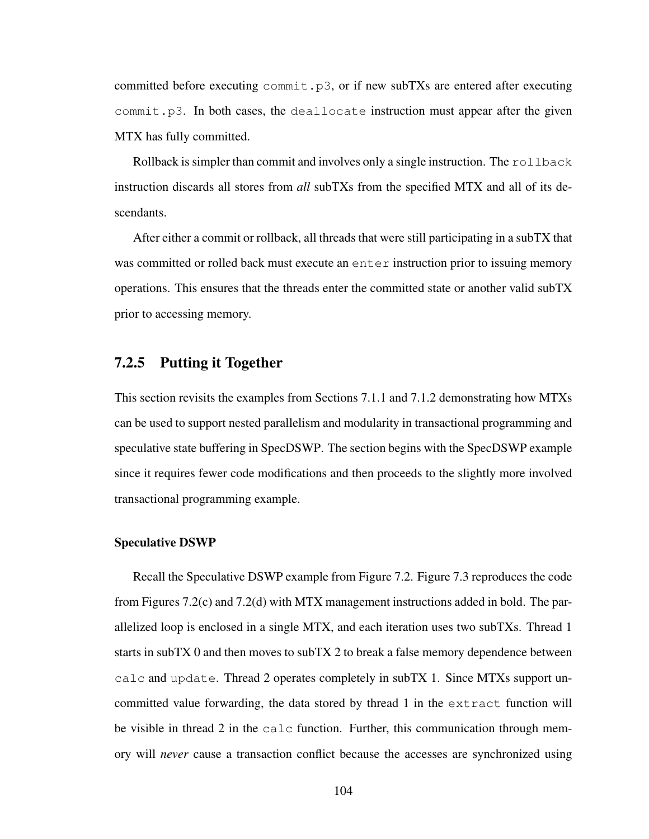committed before executing  $commit.p3$ , or if new subTXs are entered after executing commit.p3. In both cases, the deallocate instruction must appear after the given MTX has fully committed.

Rollback is simpler than commit and involves only a single instruction. The rollback instruction discards all stores from *all* subTXs from the specified MTX and all of its descendants.

After either a commit or rollback, all threads that were still participating in a subTX that was committed or rolled back must execute an enter instruction prior to issuing memory operations. This ensures that the threads enter the committed state or another valid subTX prior to accessing memory.

#### 7.2.5 Putting it Together

This section revisits the examples from Sections 7.1.1 and 7.1.2 demonstrating how MTXs can be used to support nested parallelism and modularity in transactional programming and speculative state buffering in SpecDSWP. The section begins with the SpecDSWP example since it requires fewer code modifications and then proceeds to the slightly more involved transactional programming example.

#### Speculative DSWP

Recall the Speculative DSWP example from Figure 7.2. Figure 7.3 reproduces the code from Figures 7.2(c) and 7.2(d) with MTX management instructions added in bold. The parallelized loop is enclosed in a single MTX, and each iteration uses two subTXs. Thread 1 starts in subTX 0 and then moves to subTX 2 to break a false memory dependence between calc and update. Thread 2 operates completely in subTX 1. Since MTXs support uncommitted value forwarding, the data stored by thread 1 in the extract function will be visible in thread 2 in the calc function. Further, this communication through memory will *never* cause a transaction conflict because the accesses are synchronized using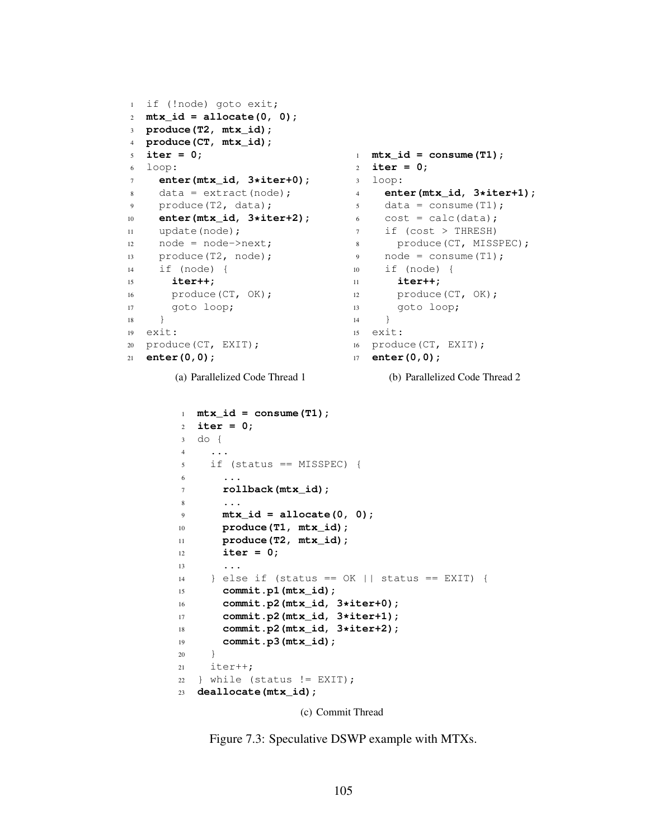```
1 if (!node) goto exit;
2 mtx_id = allocate(0, 0);
3 produce(T2, mtx_id);
4 produce(CT, mtx_id);
5 iter = 0;
6 loop:
7 enter(mtx_id, 3*iter+0);
8 data = extract(node);
9 produce(T2, data);
10 enter(mtx_id, 3*iter+2);
11 update(node);
12 node = node->next;13 produce(T2, node);
14 if (node) {
15 iter++;
16 produce (CT, OK);
17 goto loop;
\begin{matrix} 18 \end{matrix} \qquad \qquad \Big\}19 exit:
20 produce(CT, EXIT);
21 enter(0,0);
       (a) Parallelized Code Thread 1
                                   1 mtx_id = consume(T1);
                                   2 iter = 0;
                                  3 loop:
                                  4 enter(mtx_id, 3*iter+1);
                                   5 data = consume (T1);
                                   6 \qquad \cosh = \text{calc}(data);7 if (cost > THRESH)
                                  8 produce(CT, MISSPEC);
                                   9 node = \text{consum}(T1);10 if (node) {
                                   11 iter++;
                                   12 produce (CT, OK);
                                   13 goto loop;
                                   14 }
                                   15 exit:
                                   16 produce(CT, EXIT);
                                   17 enter(0,0);
                                         (b) Parallelized Code Thread 2
        1 mtx_id = consume(T1);
        2 iter = 0;
        3 do {
        4 ...
        5 if (status == MISSPEC) {
        6 ...
        7 rollback(mtx_id);
        8 . . . .
        9 mtx_id = allocate(0, 0);
        10 produce(T1, mtx_id);
        11 produce(T2, mtx_id);
        12 iter = 0;
        13 \cdots14 } else if (status == OK || status == EXIT) {
        15 commit.p1(mtx_id);
        16 commit.p2(mtx_id, 3*iter+0);
        17 commit.p2(mtx_id, 3*iter+1);
        18 commit.p2(mtx_id, 3*iter+2);
        19 commit.p3(mtx_id);
        20 }
       21 iter++;
        22 } while (status != EXIT);
```
**deallocate(mtx\_id);**

(c) Commit Thread

Figure 7.3: Speculative DSWP example with MTXs.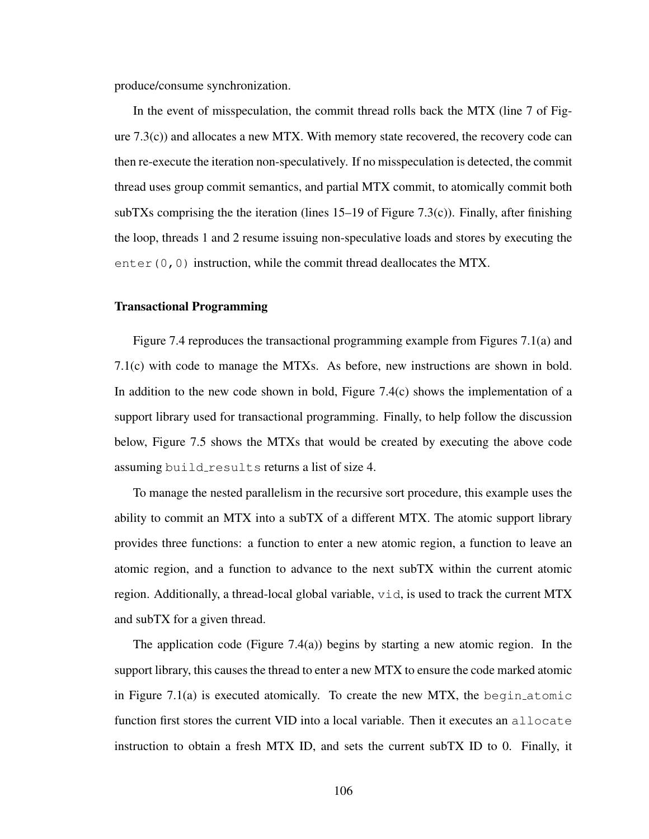produce/consume synchronization.

In the event of misspeculation, the commit thread rolls back the MTX (line 7 of Figure  $(7.3(c))$  and allocates a new MTX. With memory state recovered, the recovery code can then re-execute the iteration non-speculatively. If no misspeculation is detected, the commit thread uses group commit semantics, and partial MTX commit, to atomically commit both subTXs comprising the the iteration (lines  $15-19$  of Figure 7.3(c)). Finally, after finishing the loop, threads 1 and 2 resume issuing non-speculative loads and stores by executing the enter  $(0, 0)$  instruction, while the commit thread deallocates the MTX.

#### Transactional Programming

Figure 7.4 reproduces the transactional programming example from Figures 7.1(a) and 7.1(c) with code to manage the MTXs. As before, new instructions are shown in bold. In addition to the new code shown in bold, Figure 7.4(c) shows the implementation of a support library used for transactional programming. Finally, to help follow the discussion below, Figure 7.5 shows the MTXs that would be created by executing the above code assuming build results returns a list of size 4.

To manage the nested parallelism in the recursive sort procedure, this example uses the ability to commit an MTX into a subTX of a different MTX. The atomic support library provides three functions: a function to enter a new atomic region, a function to leave an atomic region, and a function to advance to the next subTX within the current atomic region. Additionally, a thread-local global variable,  $vid$ , is used to track the current MTX and subTX for a given thread.

The application code (Figure 7.4(a)) begins by starting a new atomic region. In the support library, this causes the thread to enter a new MTX to ensure the code marked atomic in Figure 7.1(a) is executed atomically. To create the new MTX, the begin atomic function first stores the current VID into a local variable. Then it executes an allocate instruction to obtain a fresh MTX ID, and sets the current subTX ID to 0. Finally, it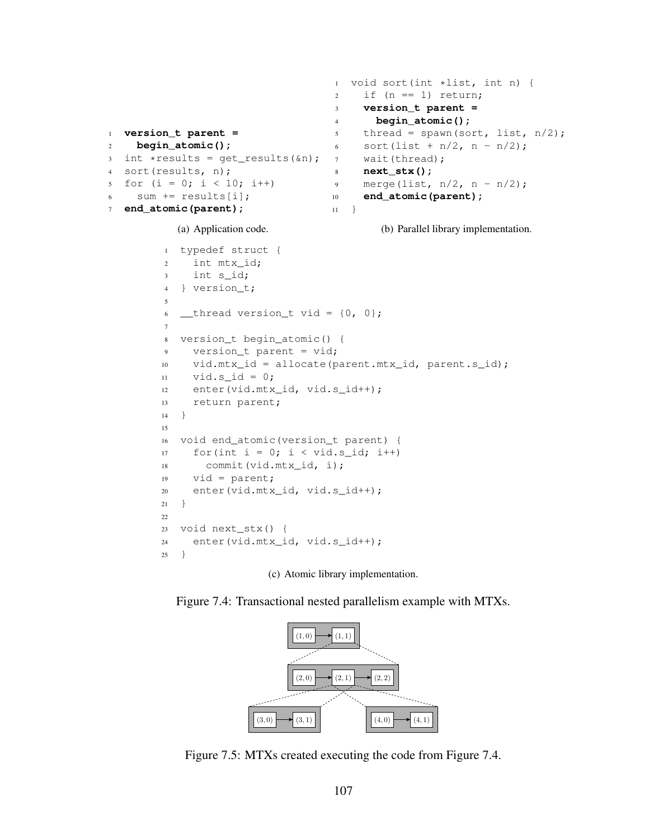```
1 version_t parent =
2 begin_atomic();
3 int *results = get_results(&n);
4 sort(results, n);
5 for (i = 0; i < 10; i++)6 sum += results[i];
7 end_atomic(parent);
           (a) Application code.
                                    1 void sort(int *list, int n) {
                                    2 \quad \text{if} \quad (n == 1) \quad \text{return};3 version_t parent =
                                    4 begin_atomic();
                                    5 thread = spawn(sort, list, n/2);
                                    6 sort(list + n/2, n - n/2);
                                    7 wait(thread);
                                    8 next_stx();
                                    9 merge(list, n/2, n - n/2);
                                    10 end_atomic(parent);
                                    11 \quad \}(b) Parallel library implementation.
         1 typedef struct {
         2 int mtx_id;
         3 int s_id;
         4 } version_t;
         5
         6 _thread version_t vid = \{0, 0\};
         7
         8 version_t begin_atomic() {
         9 version_t parent = vid;
        10 vid.mtx_id = allocate(parent.mtx_id, parent.s_id);
        11 vid.s_id = 0;
        12 enter(vid.mtx_id, vid.s_id++);
        13 return parent;
        14 }
        15
        16 void end_atomic(version_t parent) {
        17 for(int i = 0; i < vid.s_id; i++)
        18 commit(vid.mtx_id, i);
        19 vid = parent;
        20 enter(vid.mtx_id, vid.s_id++);
        21 }
        22
        23 void next_stx() {
        24 enter(vid.mtx_id, vid.s_id++);
        25 }
```
(c) Atomic library implementation.

Figure 7.4: Transactional nested parallelism example with MTXs.



Figure 7.5: MTXs created executing the code from Figure 7.4.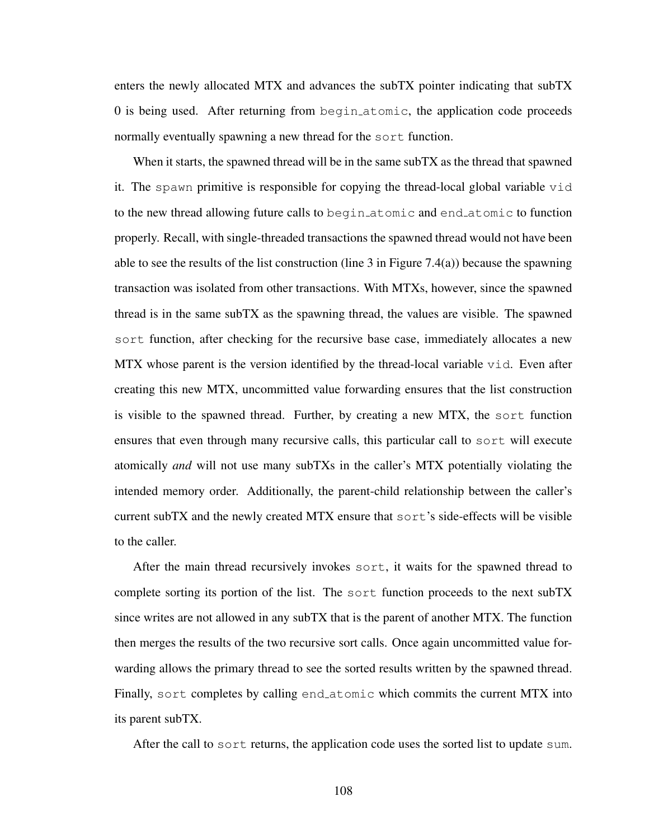enters the newly allocated MTX and advances the subTX pointer indicating that subTX 0 is being used. After returning from begin atomic, the application code proceeds normally eventually spawning a new thread for the sort function.

When it starts, the spawned thread will be in the same subTX as the thread that spawned it. The spawn primitive is responsible for copying the thread-local global variable vid to the new thread allowing future calls to begin atomic and end atomic to function properly. Recall, with single-threaded transactions the spawned thread would not have been able to see the results of the list construction (line 3 in Figure 7.4(a)) because the spawning transaction was isolated from other transactions. With MTXs, however, since the spawned thread is in the same subTX as the spawning thread, the values are visible. The spawned sort function, after checking for the recursive base case, immediately allocates a new MTX whose parent is the version identified by the thread-local variable vid. Even after creating this new MTX, uncommitted value forwarding ensures that the list construction is visible to the spawned thread. Further, by creating a new MTX, the sort function ensures that even through many recursive calls, this particular call to sort will execute atomically *and* will not use many subTXs in the caller's MTX potentially violating the intended memory order. Additionally, the parent-child relationship between the caller's current subTX and the newly created MTX ensure that sort's side-effects will be visible to the caller.

After the main thread recursively invokes sort, it waits for the spawned thread to complete sorting its portion of the list. The sort function proceeds to the next subTX since writes are not allowed in any subTX that is the parent of another MTX. The function then merges the results of the two recursive sort calls. Once again uncommitted value forwarding allows the primary thread to see the sorted results written by the spawned thread. Finally, sort completes by calling end atomic which commits the current MTX into its parent subTX.

After the call to sort returns, the application code uses the sorted list to update sum.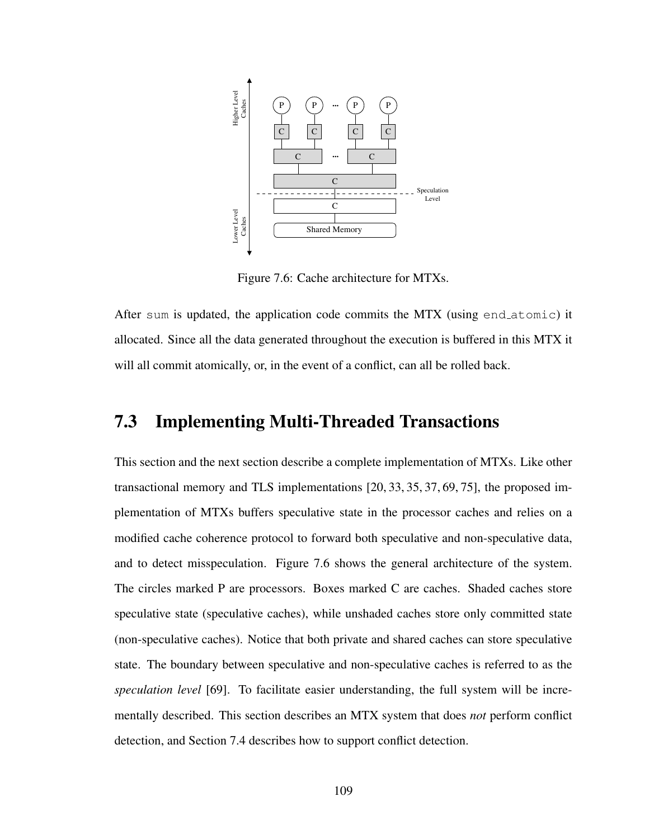

Figure 7.6: Cache architecture for MTXs.

After sum is updated, the application code commits the MTX (using end atomic) it allocated. Since all the data generated throughout the execution is buffered in this MTX it will all commit atomically, or, in the event of a conflict, can all be rolled back.

# 7.3 Implementing Multi-Threaded Transactions

This section and the next section describe a complete implementation of MTXs. Like other transactional memory and TLS implementations [20, 33, 35, 37, 69, 75], the proposed implementation of MTXs buffers speculative state in the processor caches and relies on a modified cache coherence protocol to forward both speculative and non-speculative data, and to detect misspeculation. Figure 7.6 shows the general architecture of the system. The circles marked P are processors. Boxes marked C are caches. Shaded caches store speculative state (speculative caches), while unshaded caches store only committed state (non-speculative caches). Notice that both private and shared caches can store speculative state. The boundary between speculative and non-speculative caches is referred to as the *speculation level* [69]. To facilitate easier understanding, the full system will be incrementally described. This section describes an MTX system that does *not* perform conflict detection, and Section 7.4 describes how to support conflict detection.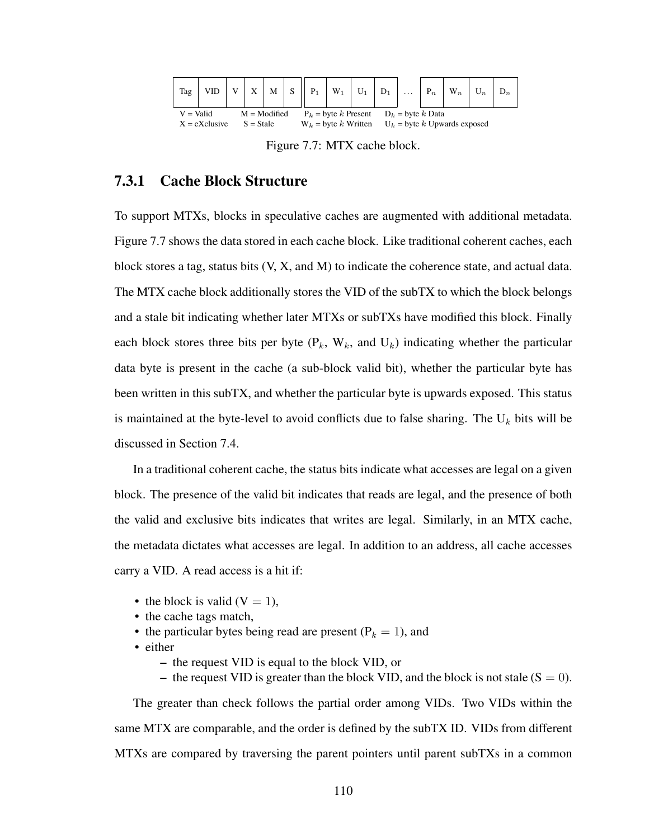

Figure 7.7: MTX cache block.

### 7.3.1 Cache Block Structure

To support MTXs, blocks in speculative caches are augmented with additional metadata. Figure 7.7 shows the data stored in each cache block. Like traditional coherent caches, each block stores a tag, status bits (V, X, and M) to indicate the coherence state, and actual data. The MTX cache block additionally stores the VID of the subTX to which the block belongs and a stale bit indicating whether later MTXs or subTXs have modified this block. Finally each block stores three bits per byte  $(P_k, W_k,$  and  $U_k)$  indicating whether the particular data byte is present in the cache (a sub-block valid bit), whether the particular byte has been written in this subTX, and whether the particular byte is upwards exposed. This status is maintained at the byte-level to avoid conflicts due to false sharing. The  $U_k$  bits will be discussed in Section 7.4.

In a traditional coherent cache, the status bits indicate what accesses are legal on a given block. The presence of the valid bit indicates that reads are legal, and the presence of both the valid and exclusive bits indicates that writes are legal. Similarly, in an MTX cache, the metadata dictates what accesses are legal. In addition to an address, all cache accesses carry a VID. A read access is a hit if:

- the block is valid  $(V = 1)$ ,
- the cache tags match,
- the particular bytes being read are present ( $P_k = 1$ ), and
- either
	- the request VID is equal to the block VID, or
	- the request VID is greater than the block VID, and the block is not stale  $(S = 0)$ .

The greater than check follows the partial order among VIDs. Two VIDs within the same MTX are comparable, and the order is defined by the subTX ID. VIDs from different MTXs are compared by traversing the parent pointers until parent subTXs in a common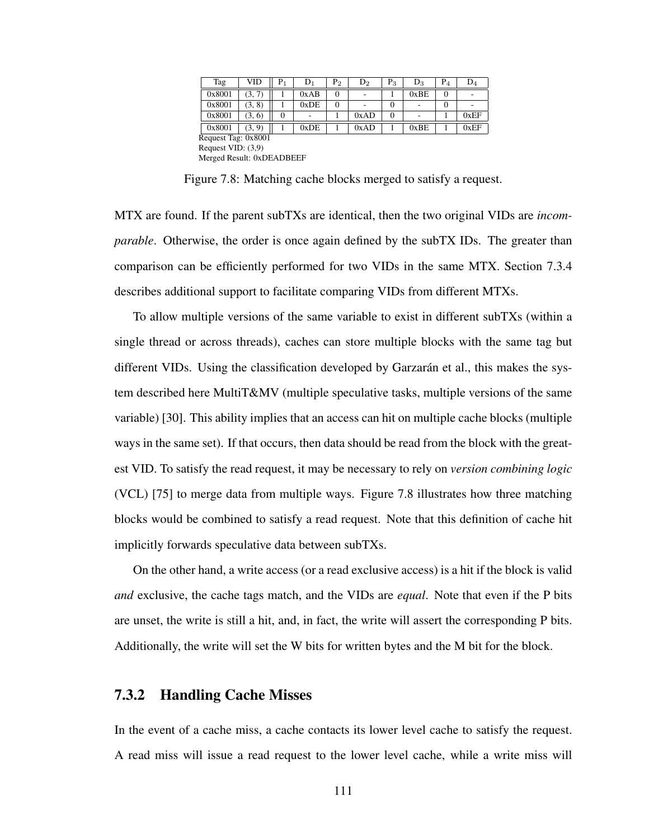| Tag                       | VID    | $\rm P_1$ | $\mathbf{D}_1$ | P <sub>2</sub> | $\mathrm{D}_2$ | ${\rm P}_3$ | $D_3$ | $P_4$    | $D_4$ |
|---------------------------|--------|-----------|----------------|----------------|----------------|-------------|-------|----------|-------|
| 0x8001                    | (3, 7) |           | 0xAB           | $\Omega$       |                |             | 0xBE  | $\theta$ |       |
| 0x8001                    | (3, 8) |           | 0xDE           | 0              |                | 0           |       | $_{0}$   |       |
| 0x8001                    | (3, 6) | $\theta$  |                |                | 0xAD           | $\Omega$    |       |          | 0xEF  |
| 0x8001                    | (3, 9) |           | 0xDE           |                | 0xAD           |             | 0xBE  |          | 0xEF  |
| Request Tag: 0x8001       |        |           |                |                |                |             |       |          |       |
| Request VID: $(3,9)$      |        |           |                |                |                |             |       |          |       |
| Merged Result: 0xDEADBEEF |        |           |                |                |                |             |       |          |       |

Figure 7.8: Matching cache blocks merged to satisfy a request.

MTX are found. If the parent subTXs are identical, then the two original VIDs are *incomparable*. Otherwise, the order is once again defined by the subTX IDs. The greater than comparison can be efficiently performed for two VIDs in the same MTX. Section 7.3.4 describes additional support to facilitate comparing VIDs from different MTXs.

To allow multiple versions of the same variable to exist in different subTXs (within a single thread or across threads), caches can store multiple blocks with the same tag but different VIDs. Using the classification developed by Garzarán et al., this makes the system described here MultiT&MV (multiple speculative tasks, multiple versions of the same variable) [30]. This ability implies that an access can hit on multiple cache blocks (multiple ways in the same set). If that occurs, then data should be read from the block with the greatest VID. To satisfy the read request, it may be necessary to rely on *version combining logic* (VCL) [75] to merge data from multiple ways. Figure 7.8 illustrates how three matching blocks would be combined to satisfy a read request. Note that this definition of cache hit implicitly forwards speculative data between subTXs.

On the other hand, a write access (or a read exclusive access) is a hit if the block is valid *and* exclusive, the cache tags match, and the VIDs are *equal*. Note that even if the P bits are unset, the write is still a hit, and, in fact, the write will assert the corresponding P bits. Additionally, the write will set the W bits for written bytes and the M bit for the block.

#### 7.3.2 Handling Cache Misses

In the event of a cache miss, a cache contacts its lower level cache to satisfy the request. A read miss will issue a read request to the lower level cache, while a write miss will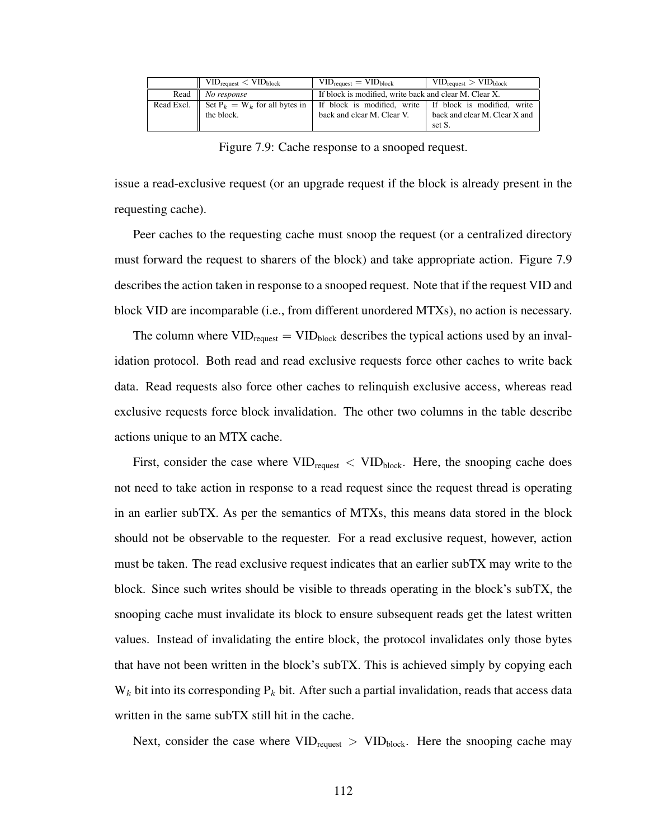|                 | $VID_{request} < VID_{block}$    | $VID_{request} = VID_{block}$                          | $VID_{request} > VID_{block}$                           |
|-----------------|----------------------------------|--------------------------------------------------------|---------------------------------------------------------|
| Read            | No response                      | If block is modified, write back and clear M. Clear X. |                                                         |
| Read Excl. $  $ | Set $P_k = W_k$ for all bytes in |                                                        | If block is modified, write If block is modified, write |
|                 | the block.                       | back and clear M. Clear V.                             | back and clear M. Clear X and                           |
|                 |                                  |                                                        | set S.                                                  |

Figure 7.9: Cache response to a snooped request.

issue a read-exclusive request (or an upgrade request if the block is already present in the requesting cache).

Peer caches to the requesting cache must snoop the request (or a centralized directory must forward the request to sharers of the block) and take appropriate action. Figure 7.9 describes the action taken in response to a snooped request. Note that if the request VID and block VID are incomparable (i.e., from different unordered MTXs), no action is necessary.

The column where  $VID_{request} = VID_{block}$  describes the typical actions used by an invalidation protocol. Both read and read exclusive requests force other caches to write back data. Read requests also force other caches to relinquish exclusive access, whereas read exclusive requests force block invalidation. The other two columns in the table describe actions unique to an MTX cache.

First, consider the case where  $VID_{request} < VID_{block}$ . Here, the snooping cache does not need to take action in response to a read request since the request thread is operating in an earlier subTX. As per the semantics of MTXs, this means data stored in the block should not be observable to the requester. For a read exclusive request, however, action must be taken. The read exclusive request indicates that an earlier subTX may write to the block. Since such writes should be visible to threads operating in the block's subTX, the snooping cache must invalidate its block to ensure subsequent reads get the latest written values. Instead of invalidating the entire block, the protocol invalidates only those bytes that have not been written in the block's subTX. This is achieved simply by copying each  $W_k$  bit into its corresponding  $P_k$  bit. After such a partial invalidation, reads that access data written in the same subTX still hit in the cache.

Next, consider the case where  $VID_{request} > VID_{block}$ . Here the snooping cache may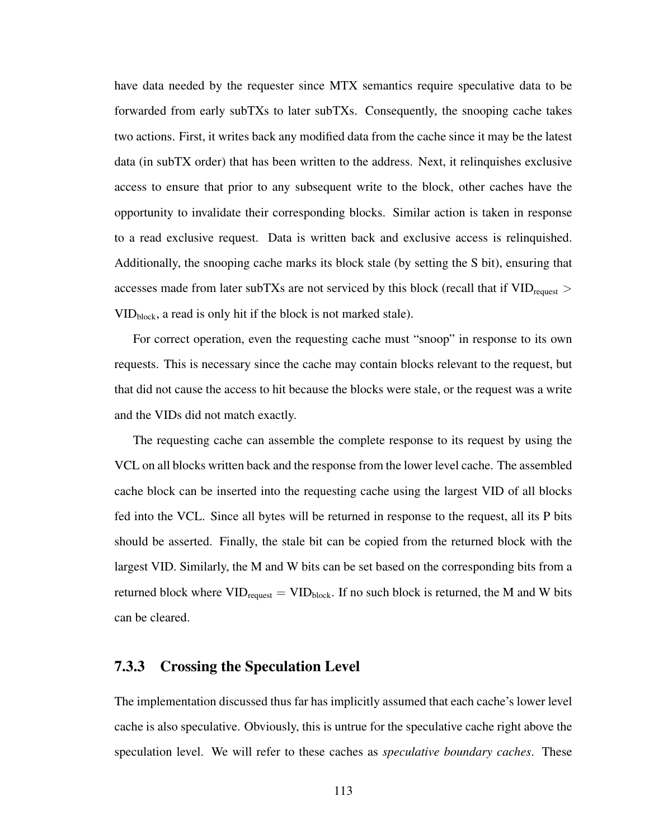have data needed by the requester since MTX semantics require speculative data to be forwarded from early subTXs to later subTXs. Consequently, the snooping cache takes two actions. First, it writes back any modified data from the cache since it may be the latest data (in subTX order) that has been written to the address. Next, it relinquishes exclusive access to ensure that prior to any subsequent write to the block, other caches have the opportunity to invalidate their corresponding blocks. Similar action is taken in response to a read exclusive request. Data is written back and exclusive access is relinquished. Additionally, the snooping cache marks its block stale (by setting the S bit), ensuring that accesses made from later subTXs are not serviced by this block (recall that if  $\text{VID}_{\text{request}} >$ VIDblock, a read is only hit if the block is not marked stale).

For correct operation, even the requesting cache must "snoop" in response to its own requests. This is necessary since the cache may contain blocks relevant to the request, but that did not cause the access to hit because the blocks were stale, or the request was a write and the VIDs did not match exactly.

The requesting cache can assemble the complete response to its request by using the VCL on all blocks written back and the response from the lower level cache. The assembled cache block can be inserted into the requesting cache using the largest VID of all blocks fed into the VCL. Since all bytes will be returned in response to the request, all its P bits should be asserted. Finally, the stale bit can be copied from the returned block with the largest VID. Similarly, the M and W bits can be set based on the corresponding bits from a returned block where  $VID_{request} = VID_{block}$ . If no such block is returned, the M and W bits can be cleared.

### 7.3.3 Crossing the Speculation Level

The implementation discussed thus far has implicitly assumed that each cache's lower level cache is also speculative. Obviously, this is untrue for the speculative cache right above the speculation level. We will refer to these caches as *speculative boundary caches*. These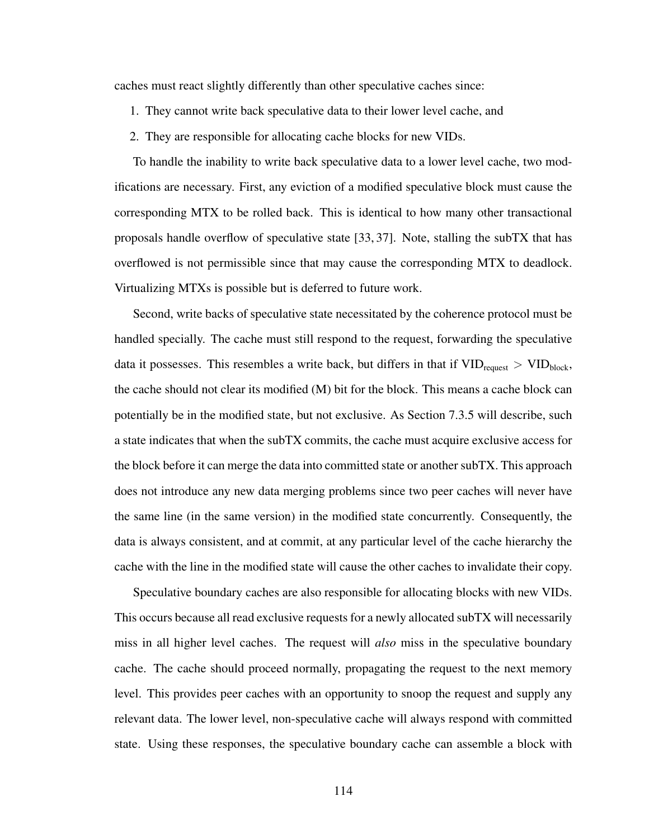caches must react slightly differently than other speculative caches since:

- 1. They cannot write back speculative data to their lower level cache, and
- 2. They are responsible for allocating cache blocks for new VIDs.

To handle the inability to write back speculative data to a lower level cache, two modifications are necessary. First, any eviction of a modified speculative block must cause the corresponding MTX to be rolled back. This is identical to how many other transactional proposals handle overflow of speculative state [33, 37]. Note, stalling the subTX that has overflowed is not permissible since that may cause the corresponding MTX to deadlock. Virtualizing MTXs is possible but is deferred to future work.

Second, write backs of speculative state necessitated by the coherence protocol must be handled specially. The cache must still respond to the request, forwarding the speculative data it possesses. This resembles a write back, but differs in that if  $VID_{request} > VID_{block}$ , the cache should not clear its modified (M) bit for the block. This means a cache block can potentially be in the modified state, but not exclusive. As Section 7.3.5 will describe, such a state indicates that when the subTX commits, the cache must acquire exclusive access for the block before it can merge the data into committed state or another subTX. This approach does not introduce any new data merging problems since two peer caches will never have the same line (in the same version) in the modified state concurrently. Consequently, the data is always consistent, and at commit, at any particular level of the cache hierarchy the cache with the line in the modified state will cause the other caches to invalidate their copy.

Speculative boundary caches are also responsible for allocating blocks with new VIDs. This occurs because all read exclusive requests for a newly allocated subTX will necessarily miss in all higher level caches. The request will *also* miss in the speculative boundary cache. The cache should proceed normally, propagating the request to the next memory level. This provides peer caches with an opportunity to snoop the request and supply any relevant data. The lower level, non-speculative cache will always respond with committed state. Using these responses, the speculative boundary cache can assemble a block with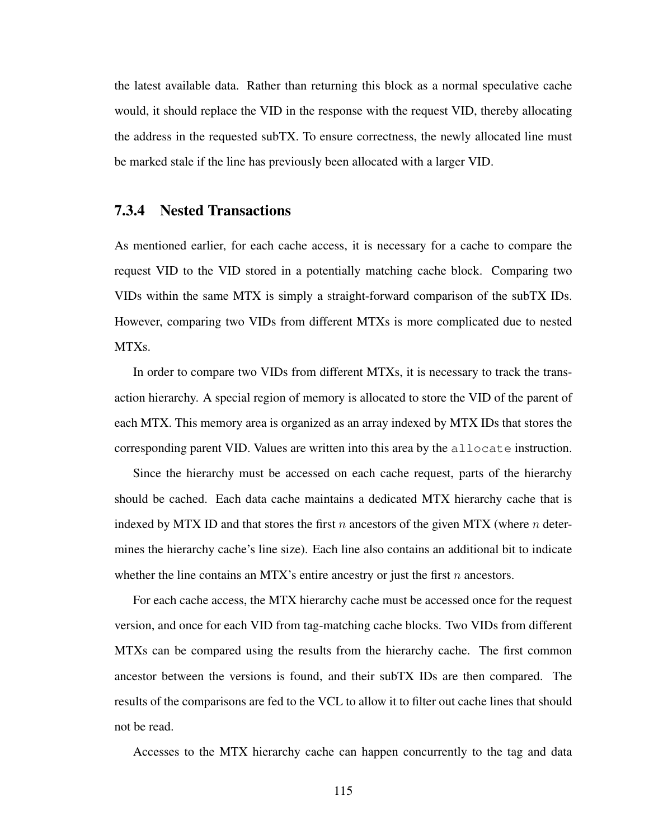the latest available data. Rather than returning this block as a normal speculative cache would, it should replace the VID in the response with the request VID, thereby allocating the address in the requested subTX. To ensure correctness, the newly allocated line must be marked stale if the line has previously been allocated with a larger VID.

#### 7.3.4 Nested Transactions

As mentioned earlier, for each cache access, it is necessary for a cache to compare the request VID to the VID stored in a potentially matching cache block. Comparing two VIDs within the same MTX is simply a straight-forward comparison of the subTX IDs. However, comparing two VIDs from different MTXs is more complicated due to nested MTXs.

In order to compare two VIDs from different MTXs, it is necessary to track the transaction hierarchy. A special region of memory is allocated to store the VID of the parent of each MTX. This memory area is organized as an array indexed by MTX IDs that stores the corresponding parent VID. Values are written into this area by the allocate instruction.

Since the hierarchy must be accessed on each cache request, parts of the hierarchy should be cached. Each data cache maintains a dedicated MTX hierarchy cache that is indexed by MTX ID and that stores the first  $n$  ancestors of the given MTX (where  $n$  determines the hierarchy cache's line size). Each line also contains an additional bit to indicate whether the line contains an MTX's entire ancestry or just the first  $n$  ancestors.

For each cache access, the MTX hierarchy cache must be accessed once for the request version, and once for each VID from tag-matching cache blocks. Two VIDs from different MTXs can be compared using the results from the hierarchy cache. The first common ancestor between the versions is found, and their subTX IDs are then compared. The results of the comparisons are fed to the VCL to allow it to filter out cache lines that should not be read.

Accesses to the MTX hierarchy cache can happen concurrently to the tag and data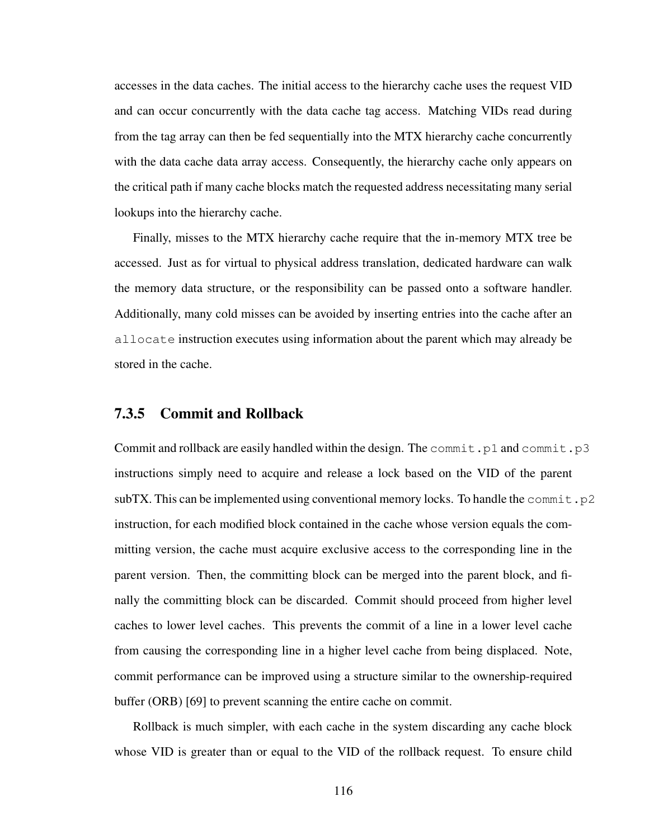accesses in the data caches. The initial access to the hierarchy cache uses the request VID and can occur concurrently with the data cache tag access. Matching VIDs read during from the tag array can then be fed sequentially into the MTX hierarchy cache concurrently with the data cache data array access. Consequently, the hierarchy cache only appears on the critical path if many cache blocks match the requested address necessitating many serial lookups into the hierarchy cache.

Finally, misses to the MTX hierarchy cache require that the in-memory MTX tree be accessed. Just as for virtual to physical address translation, dedicated hardware can walk the memory data structure, or the responsibility can be passed onto a software handler. Additionally, many cold misses can be avoided by inserting entries into the cache after an allocate instruction executes using information about the parent which may already be stored in the cache.

#### 7.3.5 Commit and Rollback

Commit and rollback are easily handled within the design. The commit.p1 and commit.p3 instructions simply need to acquire and release a lock based on the VID of the parent subTX. This can be implemented using conventional memory locks. To handle the commit.p2 instruction, for each modified block contained in the cache whose version equals the committing version, the cache must acquire exclusive access to the corresponding line in the parent version. Then, the committing block can be merged into the parent block, and finally the committing block can be discarded. Commit should proceed from higher level caches to lower level caches. This prevents the commit of a line in a lower level cache from causing the corresponding line in a higher level cache from being displaced. Note, commit performance can be improved using a structure similar to the ownership-required buffer (ORB) [69] to prevent scanning the entire cache on commit.

Rollback is much simpler, with each cache in the system discarding any cache block whose VID is greater than or equal to the VID of the rollback request. To ensure child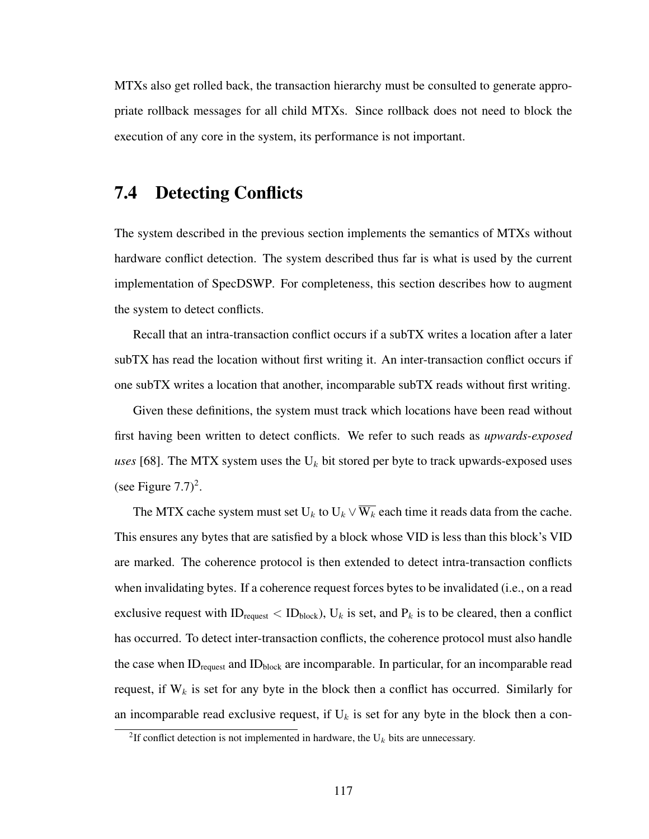MTXs also get rolled back, the transaction hierarchy must be consulted to generate appropriate rollback messages for all child MTXs. Since rollback does not need to block the execution of any core in the system, its performance is not important.

# 7.4 Detecting Conflicts

The system described in the previous section implements the semantics of MTXs without hardware conflict detection. The system described thus far is what is used by the current implementation of SpecDSWP. For completeness, this section describes how to augment the system to detect conflicts.

Recall that an intra-transaction conflict occurs if a subTX writes a location after a later subTX has read the location without first writing it. An inter-transaction conflict occurs if one subTX writes a location that another, incomparable subTX reads without first writing.

Given these definitions, the system must track which locations have been read without first having been written to detect conflicts. We refer to such reads as *upwards-exposed uses* [68]. The MTX system uses the  $U_k$  bit stored per byte to track upwards-exposed uses (see Figure  $7.7)^2$ .

The MTX cache system must set  $U_k$  to  $U_k \vee \overline{W_k}$  each time it reads data from the cache. This ensures any bytes that are satisfied by a block whose VID is less than this block's VID are marked. The coherence protocol is then extended to detect intra-transaction conflicts when invalidating bytes. If a coherence request forces bytes to be invalidated (i.e., on a read exclusive request with ID<sub>request</sub>  $\langle$  ID<sub>block</sub>), U<sub>k</sub> is set, and P<sub>k</sub> is to be cleared, then a conflict has occurred. To detect inter-transaction conflicts, the coherence protocol must also handle the case when  $ID_{request}$  and  $ID_{block}$  are incomparable. In particular, for an incomparable read request, if  $W_k$  is set for any byte in the block then a conflict has occurred. Similarly for an incomparable read exclusive request, if  $U_k$  is set for any byte in the block then a con-

<sup>&</sup>lt;sup>2</sup>If conflict detection is not implemented in hardware, the  $U_k$  bits are unnecessary.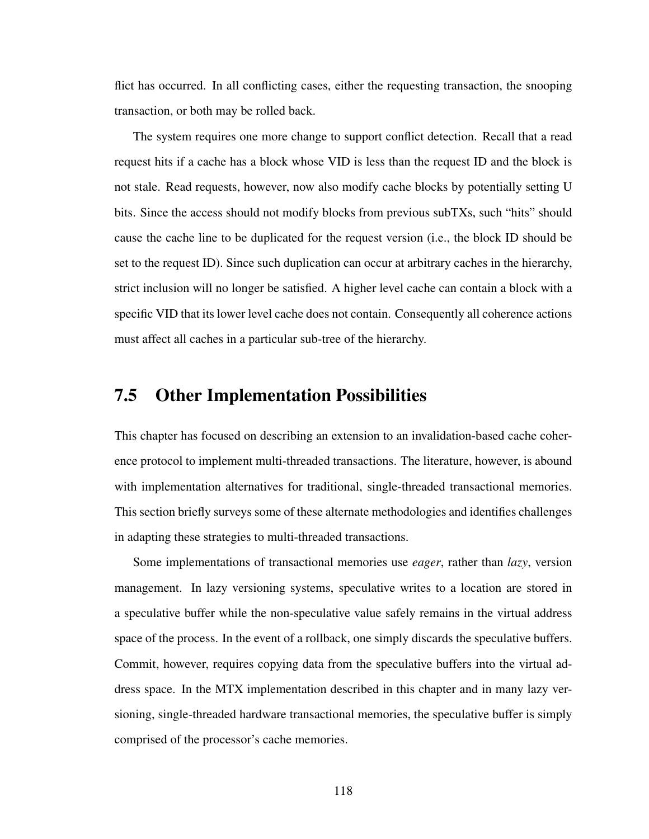flict has occurred. In all conflicting cases, either the requesting transaction, the snooping transaction, or both may be rolled back.

The system requires one more change to support conflict detection. Recall that a read request hits if a cache has a block whose VID is less than the request ID and the block is not stale. Read requests, however, now also modify cache blocks by potentially setting U bits. Since the access should not modify blocks from previous subTXs, such "hits" should cause the cache line to be duplicated for the request version (i.e., the block ID should be set to the request ID). Since such duplication can occur at arbitrary caches in the hierarchy, strict inclusion will no longer be satisfied. A higher level cache can contain a block with a specific VID that its lower level cache does not contain. Consequently all coherence actions must affect all caches in a particular sub-tree of the hierarchy.

## 7.5 Other Implementation Possibilities

This chapter has focused on describing an extension to an invalidation-based cache coherence protocol to implement multi-threaded transactions. The literature, however, is abound with implementation alternatives for traditional, single-threaded transactional memories. This section briefly surveys some of these alternate methodologies and identifies challenges in adapting these strategies to multi-threaded transactions.

Some implementations of transactional memories use *eager*, rather than *lazy*, version management. In lazy versioning systems, speculative writes to a location are stored in a speculative buffer while the non-speculative value safely remains in the virtual address space of the process. In the event of a rollback, one simply discards the speculative buffers. Commit, however, requires copying data from the speculative buffers into the virtual address space. In the MTX implementation described in this chapter and in many lazy versioning, single-threaded hardware transactional memories, the speculative buffer is simply comprised of the processor's cache memories.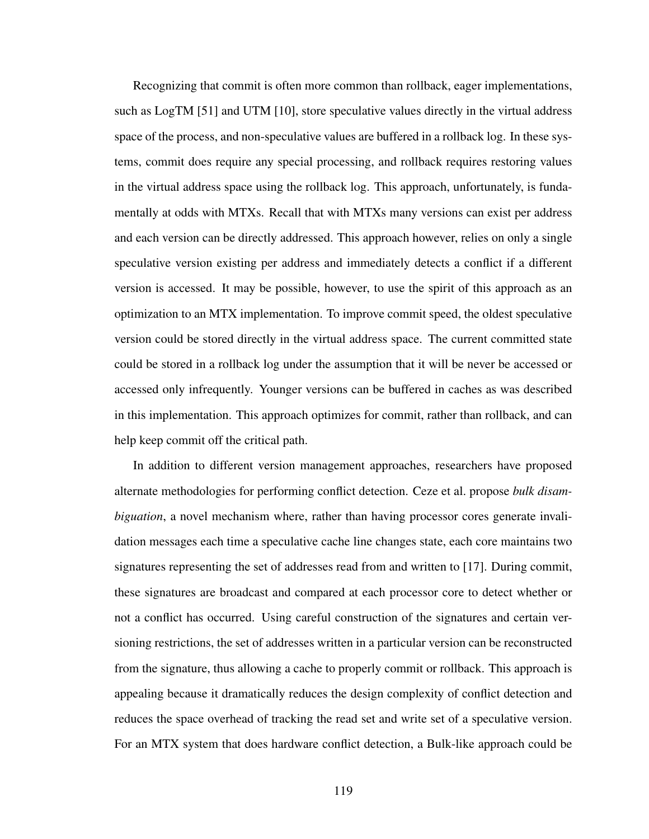Recognizing that commit is often more common than rollback, eager implementations, such as LogTM [51] and UTM [10], store speculative values directly in the virtual address space of the process, and non-speculative values are buffered in a rollback log. In these systems, commit does require any special processing, and rollback requires restoring values in the virtual address space using the rollback log. This approach, unfortunately, is fundamentally at odds with MTXs. Recall that with MTXs many versions can exist per address and each version can be directly addressed. This approach however, relies on only a single speculative version existing per address and immediately detects a conflict if a different version is accessed. It may be possible, however, to use the spirit of this approach as an optimization to an MTX implementation. To improve commit speed, the oldest speculative version could be stored directly in the virtual address space. The current committed state could be stored in a rollback log under the assumption that it will be never be accessed or accessed only infrequently. Younger versions can be buffered in caches as was described in this implementation. This approach optimizes for commit, rather than rollback, and can help keep commit off the critical path.

In addition to different version management approaches, researchers have proposed alternate methodologies for performing conflict detection. Ceze et al. propose *bulk disambiguation*, a novel mechanism where, rather than having processor cores generate invalidation messages each time a speculative cache line changes state, each core maintains two signatures representing the set of addresses read from and written to [17]. During commit, these signatures are broadcast and compared at each processor core to detect whether or not a conflict has occurred. Using careful construction of the signatures and certain versioning restrictions, the set of addresses written in a particular version can be reconstructed from the signature, thus allowing a cache to properly commit or rollback. This approach is appealing because it dramatically reduces the design complexity of conflict detection and reduces the space overhead of tracking the read set and write set of a speculative version. For an MTX system that does hardware conflict detection, a Bulk-like approach could be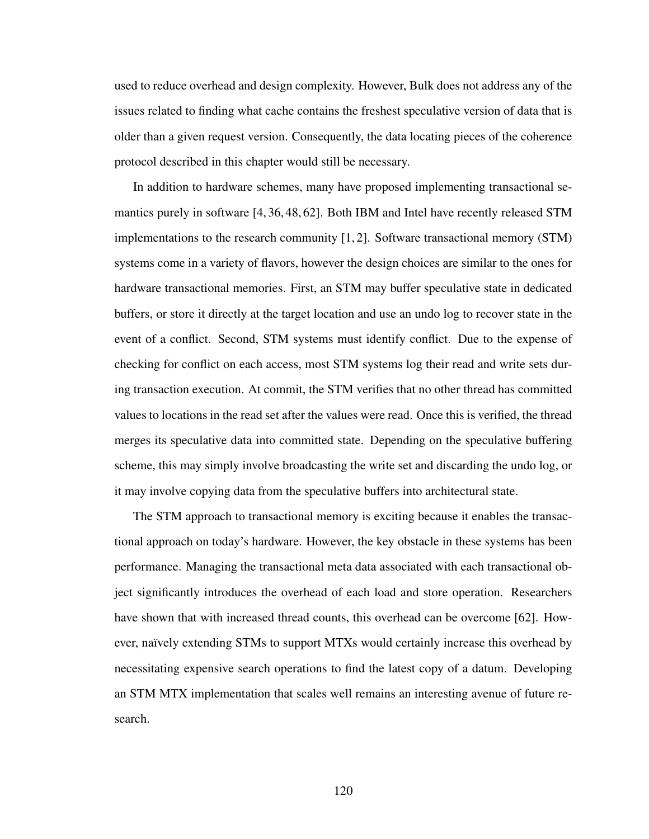used to reduce overhead and design complexity. However, Bulk does not address any of the issues related to finding what cache contains the freshest speculative version of data that is older than a given request version. Consequently, the data locating pieces of the coherence protocol described in this chapter would still be necessary.

In addition to hardware schemes, many have proposed implementing transactional semantics purely in software [4, 36, 48, 62]. Both IBM and Intel have recently released STM implementations to the research community [1, 2]. Software transactional memory (STM) systems come in a variety of flavors, however the design choices are similar to the ones for hardware transactional memories. First, an STM may buffer speculative state in dedicated buffers, or store it directly at the target location and use an undo log to recover state in the event of a conflict. Second, STM systems must identify conflict. Due to the expense of checking for conflict on each access, most STM systems log their read and write sets during transaction execution. At commit, the STM verifies that no other thread has committed values to locations in the read set after the values were read. Once this is verified, the thread merges its speculative data into committed state. Depending on the speculative buffering scheme, this may simply involve broadcasting the write set and discarding the undo log, or it may involve copying data from the speculative buffers into architectural state.

The STM approach to transactional memory is exciting because it enables the transactional approach on today's hardware. However, the key obstacle in these systems has been performance. Managing the transactional meta data associated with each transactional object significantly introduces the overhead of each load and store operation. Researchers have shown that with increased thread counts, this overhead can be overcome [62]. However, naïvely extending STMs to support MTXs would certainly increase this overhead by necessitating expensive search operations to find the latest copy of a datum. Developing an STM MTX implementation that scales well remains an interesting avenue of future research.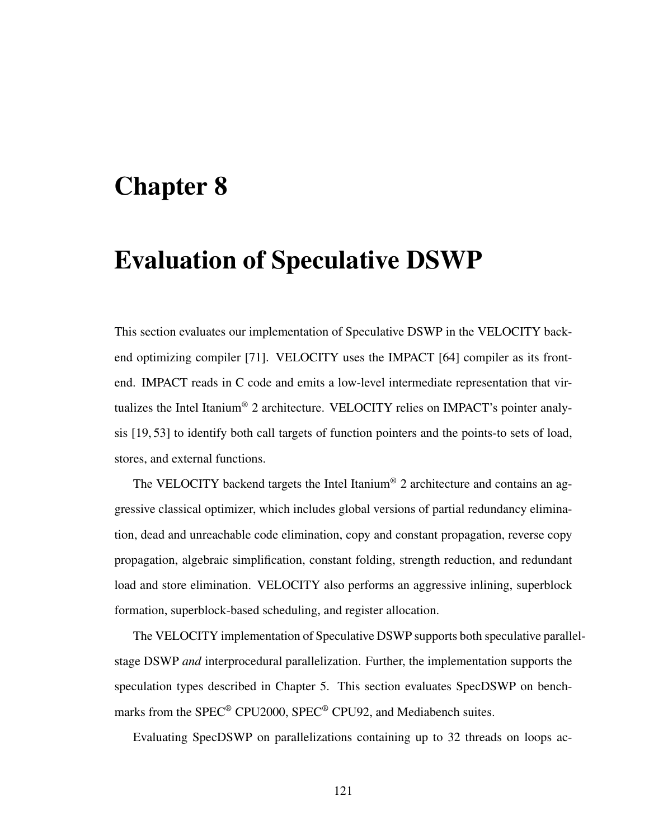# Chapter 8

# Evaluation of Speculative DSWP

This section evaluates our implementation of Speculative DSWP in the VELOCITY backend optimizing compiler [71]. VELOCITY uses the IMPACT [64] compiler as its frontend. IMPACT reads in C code and emits a low-level intermediate representation that virtualizes the Intel Itanium® 2 architecture. VELOCITY relies on IMPACT's pointer analysis [19, 53] to identify both call targets of function pointers and the points-to sets of load, stores, and external functions.

The VELOCITY backend targets the Intel Itanium® 2 architecture and contains an aggressive classical optimizer, which includes global versions of partial redundancy elimination, dead and unreachable code elimination, copy and constant propagation, reverse copy propagation, algebraic simplification, constant folding, strength reduction, and redundant load and store elimination. VELOCITY also performs an aggressive inlining, superblock formation, superblock-based scheduling, and register allocation.

The VELOCITY implementation of Speculative DSWP supports both speculative parallelstage DSWP *and* interprocedural parallelization. Further, the implementation supports the speculation types described in Chapter 5. This section evaluates SpecDSWP on benchmarks from the SPEC® CPU2000, SPEC® CPU92, and Mediabench suites.

Evaluating SpecDSWP on parallelizations containing up to 32 threads on loops ac-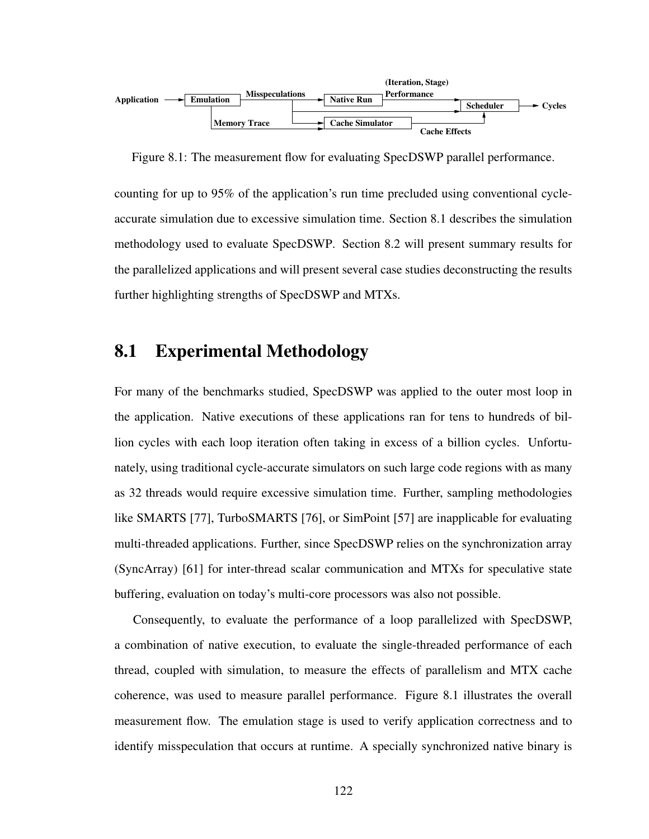

Figure 8.1: The measurement flow for evaluating SpecDSWP parallel performance.

counting for up to 95% of the application's run time precluded using conventional cycleaccurate simulation due to excessive simulation time. Section 8.1 describes the simulation methodology used to evaluate SpecDSWP. Section 8.2 will present summary results for the parallelized applications and will present several case studies deconstructing the results further highlighting strengths of SpecDSWP and MTXs.

# 8.1 Experimental Methodology

For many of the benchmarks studied, SpecDSWP was applied to the outer most loop in the application. Native executions of these applications ran for tens to hundreds of billion cycles with each loop iteration often taking in excess of a billion cycles. Unfortunately, using traditional cycle-accurate simulators on such large code regions with as many as 32 threads would require excessive simulation time. Further, sampling methodologies like SMARTS [77], TurboSMARTS [76], or SimPoint [57] are inapplicable for evaluating multi-threaded applications. Further, since SpecDSWP relies on the synchronization array (SyncArray) [61] for inter-thread scalar communication and MTXs for speculative state buffering, evaluation on today's multi-core processors was also not possible.

Consequently, to evaluate the performance of a loop parallelized with SpecDSWP, a combination of native execution, to evaluate the single-threaded performance of each thread, coupled with simulation, to measure the effects of parallelism and MTX cache coherence, was used to measure parallel performance. Figure 8.1 illustrates the overall measurement flow. The emulation stage is used to verify application correctness and to identify misspeculation that occurs at runtime. A specially synchronized native binary is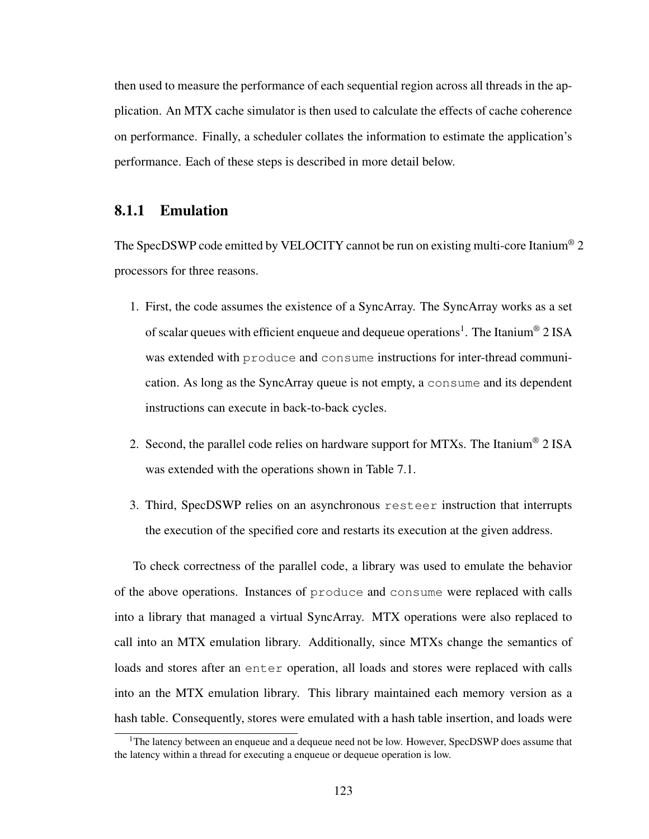then used to measure the performance of each sequential region across all threads in the application. An MTX cache simulator is then used to calculate the effects of cache coherence on performance. Finally, a scheduler collates the information to estimate the application's performance. Each of these steps is described in more detail below.

## 8.1.1 Emulation

The SpecDSWP code emitted by VELOCITY cannot be run on existing multi-core Itanium® 2 processors for three reasons.

- 1. First, the code assumes the existence of a SyncArray. The SyncArray works as a set of scalar queues with efficient enqueue and dequeue operations<sup>1</sup>. The Itanium® 2 ISA was extended with produce and consume instructions for inter-thread communication. As long as the SyncArray queue is not empty, a consume and its dependent instructions can execute in back-to-back cycles.
- 2. Second, the parallel code relies on hardware support for MTXs. The Itanium<sup>®</sup> 2 ISA was extended with the operations shown in Table 7.1.
- 3. Third, SpecDSWP relies on an asynchronous resteer instruction that interrupts the execution of the specified core and restarts its execution at the given address.

To check correctness of the parallel code, a library was used to emulate the behavior of the above operations. Instances of produce and consume were replaced with calls into a library that managed a virtual SyncArray. MTX operations were also replaced to call into an MTX emulation library. Additionally, since MTXs change the semantics of loads and stores after an enter operation, all loads and stores were replaced with calls into an the MTX emulation library. This library maintained each memory version as a hash table. Consequently, stores were emulated with a hash table insertion, and loads were

<sup>&</sup>lt;sup>1</sup>The latency between an enqueue and a dequeue need not be low. However, SpecDSWP does assume that the latency within a thread for executing a enqueue or dequeue operation is low.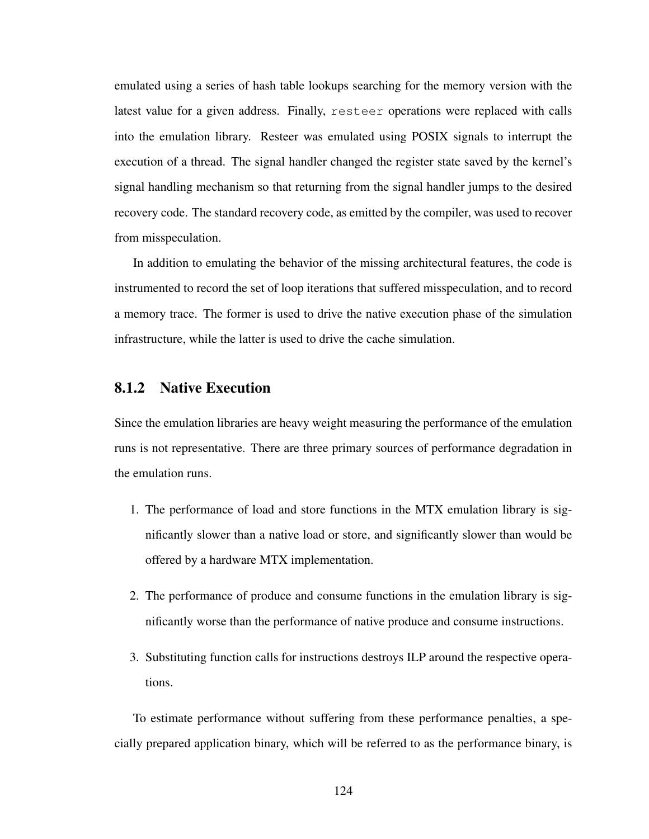emulated using a series of hash table lookups searching for the memory version with the latest value for a given address. Finally, resteer operations were replaced with calls into the emulation library. Resteer was emulated using POSIX signals to interrupt the execution of a thread. The signal handler changed the register state saved by the kernel's signal handling mechanism so that returning from the signal handler jumps to the desired recovery code. The standard recovery code, as emitted by the compiler, was used to recover from misspeculation.

In addition to emulating the behavior of the missing architectural features, the code is instrumented to record the set of loop iterations that suffered misspeculation, and to record a memory trace. The former is used to drive the native execution phase of the simulation infrastructure, while the latter is used to drive the cache simulation.

#### 8.1.2 Native Execution

Since the emulation libraries are heavy weight measuring the performance of the emulation runs is not representative. There are three primary sources of performance degradation in the emulation runs.

- 1. The performance of load and store functions in the MTX emulation library is significantly slower than a native load or store, and significantly slower than would be offered by a hardware MTX implementation.
- 2. The performance of produce and consume functions in the emulation library is significantly worse than the performance of native produce and consume instructions.
- 3. Substituting function calls for instructions destroys ILP around the respective operations.

To estimate performance without suffering from these performance penalties, a specially prepared application binary, which will be referred to as the performance binary, is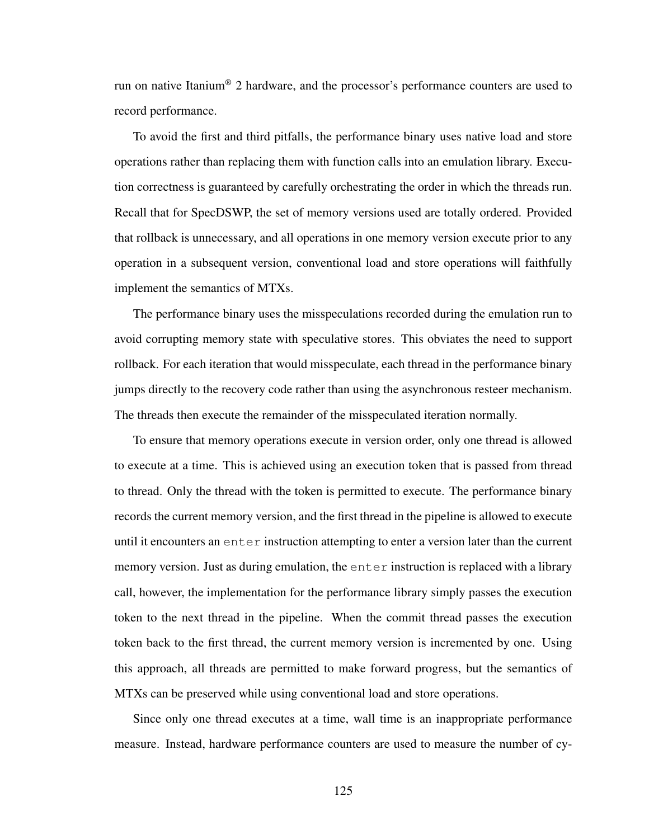run on native Itanium® 2 hardware, and the processor's performance counters are used to record performance.

To avoid the first and third pitfalls, the performance binary uses native load and store operations rather than replacing them with function calls into an emulation library. Execution correctness is guaranteed by carefully orchestrating the order in which the threads run. Recall that for SpecDSWP, the set of memory versions used are totally ordered. Provided that rollback is unnecessary, and all operations in one memory version execute prior to any operation in a subsequent version, conventional load and store operations will faithfully implement the semantics of MTXs.

The performance binary uses the misspeculations recorded during the emulation run to avoid corrupting memory state with speculative stores. This obviates the need to support rollback. For each iteration that would misspeculate, each thread in the performance binary jumps directly to the recovery code rather than using the asynchronous resteer mechanism. The threads then execute the remainder of the misspeculated iteration normally.

To ensure that memory operations execute in version order, only one thread is allowed to execute at a time. This is achieved using an execution token that is passed from thread to thread. Only the thread with the token is permitted to execute. The performance binary records the current memory version, and the first thread in the pipeline is allowed to execute until it encounters an  $enter$  instruction attempting to enter a version later than the current memory version. Just as during emulation, the enter instruction is replaced with a library call, however, the implementation for the performance library simply passes the execution token to the next thread in the pipeline. When the commit thread passes the execution token back to the first thread, the current memory version is incremented by one. Using this approach, all threads are permitted to make forward progress, but the semantics of MTXs can be preserved while using conventional load and store operations.

Since only one thread executes at a time, wall time is an inappropriate performance measure. Instead, hardware performance counters are used to measure the number of cy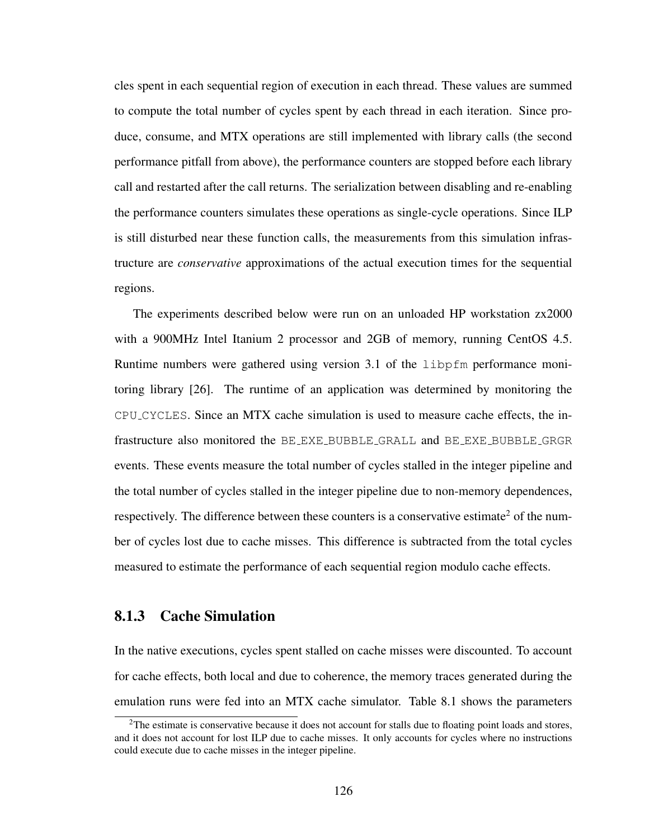cles spent in each sequential region of execution in each thread. These values are summed to compute the total number of cycles spent by each thread in each iteration. Since produce, consume, and MTX operations are still implemented with library calls (the second performance pitfall from above), the performance counters are stopped before each library call and restarted after the call returns. The serialization between disabling and re-enabling the performance counters simulates these operations as single-cycle operations. Since ILP is still disturbed near these function calls, the measurements from this simulation infrastructure are *conservative* approximations of the actual execution times for the sequential regions.

The experiments described below were run on an unloaded HP workstation zx2000 with a 900MHz Intel Itanium 2 processor and 2GB of memory, running CentOS 4.5. Runtime numbers were gathered using version 3.1 of the libpfm performance monitoring library [26]. The runtime of an application was determined by monitoring the CPU CYCLES. Since an MTX cache simulation is used to measure cache effects, the infrastructure also monitored the BE EXE BUBBLE GRALL and BE EXE BUBBLE GRGR events. These events measure the total number of cycles stalled in the integer pipeline and the total number of cycles stalled in the integer pipeline due to non-memory dependences, respectively. The difference between these counters is a conservative estimate<sup>2</sup> of the number of cycles lost due to cache misses. This difference is subtracted from the total cycles measured to estimate the performance of each sequential region modulo cache effects.

#### 8.1.3 Cache Simulation

In the native executions, cycles spent stalled on cache misses were discounted. To account for cache effects, both local and due to coherence, the memory traces generated during the emulation runs were fed into an MTX cache simulator. Table 8.1 shows the parameters

<sup>&</sup>lt;sup>2</sup>The estimate is conservative because it does not account for stalls due to floating point loads and stores, and it does not account for lost ILP due to cache misses. It only accounts for cycles where no instructions could execute due to cache misses in the integer pipeline.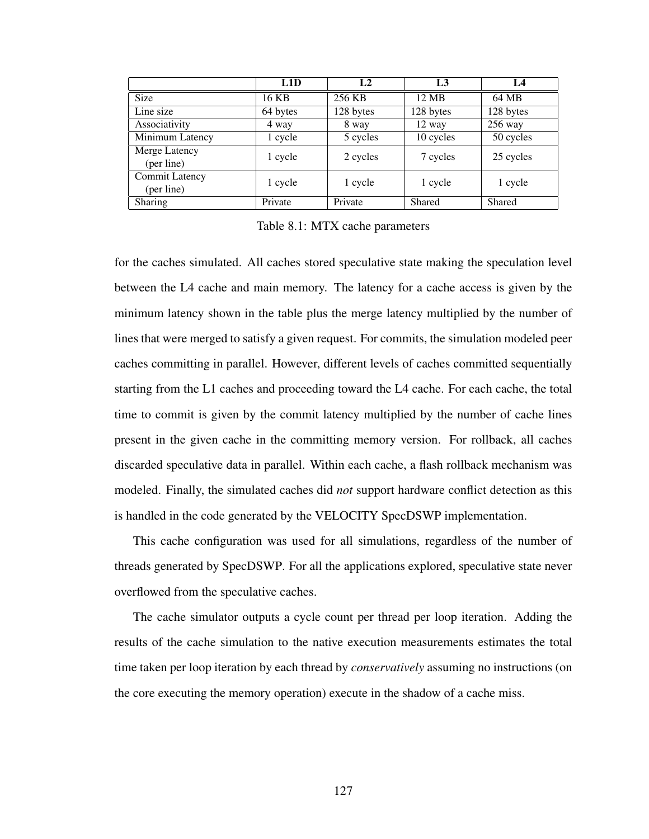|                                     | L1D      | L <sub>2</sub> | L <sub>3</sub> | $L_4$     |
|-------------------------------------|----------|----------------|----------------|-----------|
| <b>Size</b>                         | 16 KB    | 256 KB         | 12 MB          | 64 MB     |
| Line size                           | 64 bytes | 128 bytes      | 128 bytes      | 128 bytes |
| Associativity                       | 4 way    | 8 way          | 12 way         | $256$ way |
| Minimum Latency                     | 1 cycle  | 5 cycles       | 10 cycles      | 50 cycles |
| Merge Latency<br>(per line)         | 1 cycle  | 2 cycles       | 7 cycles       | 25 cycles |
| <b>Commit Latency</b><br>(per line) | 1 cycle  | 1 cycle        | 1 cycle        | 1 cycle   |
| Sharing                             | Private  | Private        | Shared         | Shared    |

Table 8.1: MTX cache parameters

for the caches simulated. All caches stored speculative state making the speculation level between the L4 cache and main memory. The latency for a cache access is given by the minimum latency shown in the table plus the merge latency multiplied by the number of lines that were merged to satisfy a given request. For commits, the simulation modeled peer caches committing in parallel. However, different levels of caches committed sequentially starting from the L1 caches and proceeding toward the L4 cache. For each cache, the total time to commit is given by the commit latency multiplied by the number of cache lines present in the given cache in the committing memory version. For rollback, all caches discarded speculative data in parallel. Within each cache, a flash rollback mechanism was modeled. Finally, the simulated caches did *not* support hardware conflict detection as this is handled in the code generated by the VELOCITY SpecDSWP implementation.

This cache configuration was used for all simulations, regardless of the number of threads generated by SpecDSWP. For all the applications explored, speculative state never overflowed from the speculative caches.

The cache simulator outputs a cycle count per thread per loop iteration. Adding the results of the cache simulation to the native execution measurements estimates the total time taken per loop iteration by each thread by *conservatively* assuming no instructions (on the core executing the memory operation) execute in the shadow of a cache miss.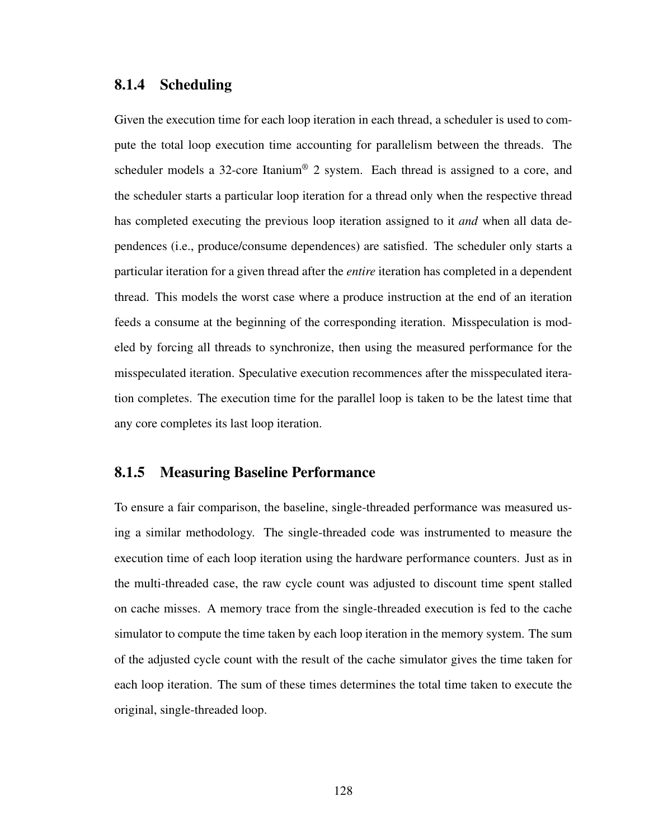#### 8.1.4 Scheduling

Given the execution time for each loop iteration in each thread, a scheduler is used to compute the total loop execution time accounting for parallelism between the threads. The scheduler models a 32-core Itanium<sup>®</sup> 2 system. Each thread is assigned to a core, and the scheduler starts a particular loop iteration for a thread only when the respective thread has completed executing the previous loop iteration assigned to it *and* when all data dependences (i.e., produce/consume dependences) are satisfied. The scheduler only starts a particular iteration for a given thread after the *entire* iteration has completed in a dependent thread. This models the worst case where a produce instruction at the end of an iteration feeds a consume at the beginning of the corresponding iteration. Misspeculation is modeled by forcing all threads to synchronize, then using the measured performance for the misspeculated iteration. Speculative execution recommences after the misspeculated iteration completes. The execution time for the parallel loop is taken to be the latest time that any core completes its last loop iteration.

#### 8.1.5 Measuring Baseline Performance

To ensure a fair comparison, the baseline, single-threaded performance was measured using a similar methodology. The single-threaded code was instrumented to measure the execution time of each loop iteration using the hardware performance counters. Just as in the multi-threaded case, the raw cycle count was adjusted to discount time spent stalled on cache misses. A memory trace from the single-threaded execution is fed to the cache simulator to compute the time taken by each loop iteration in the memory system. The sum of the adjusted cycle count with the result of the cache simulator gives the time taken for each loop iteration. The sum of these times determines the total time taken to execute the original, single-threaded loop.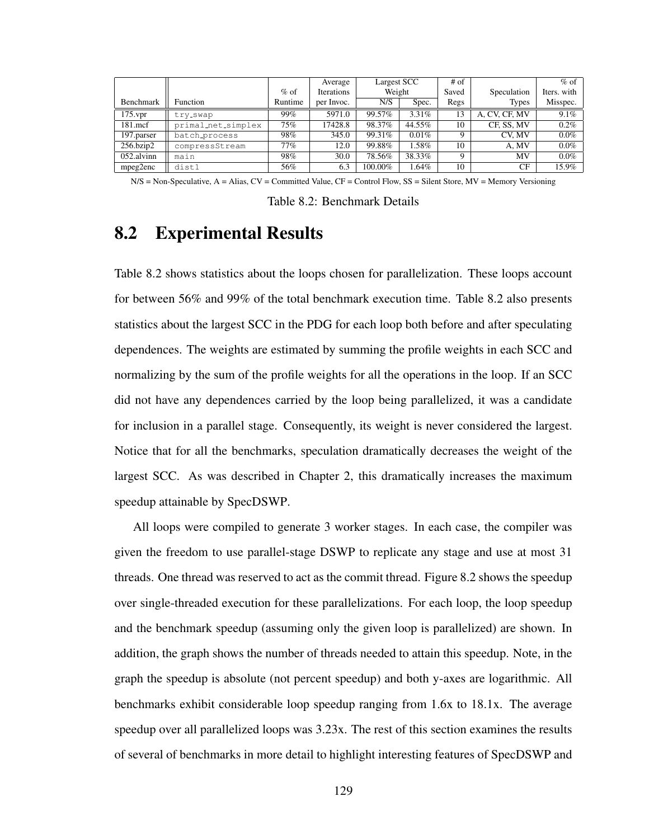|                 |                    |         | Average    | Largest SCC |          | $#$ of      |               | $%$ of      |
|-----------------|--------------------|---------|------------|-------------|----------|-------------|---------------|-------------|
|                 |                    | $%$ of  | Iterations | Weight      |          | Saved       | Speculation   | Iters. with |
| Benchmark       | <b>Function</b>    | Runtime | per Invoc. | N/S         | Spec.    | Regs        | <b>Types</b>  | Misspec.    |
| $175$ .vpr      | try_swap           | 99%     | 5971.0     | 99.57%      | $3.31\%$ | 13          | A, CV, CF, MV | 9.1%        |
| $181$ .mcf      | primal_net_simplex | 75%     | 17428.8    | 98.37%      | 44.55%   | 10          | CF, SS, MV    | $0.2\%$     |
| 197.parser      | batch_process      | 98%     | 345.0      | 99.31%      | 0.01%    | $\mathbf Q$ | CV. MV        | $0.0\%$     |
| $256$ .bzip $2$ | compressStream     | 77%     | 12.0       | 99.88%      | $1.58\%$ | 10          | A. MV         | $0.0\%$     |
| 052.alvinn      | main               | 98%     | 30.0       | 78.56%      | 38.33%   | $\mathbf Q$ | MV            | $0.0\%$     |
| mpeg2enc        | dist1              | 56%     | 6.3        | 100.00%     | 1.64%    | 10          | CF            | 15.9%       |

 $N/S = Non-Speculative, A = Alias, CV = Committee Value, CF = Control Flow, SS = Silent Store, MV = Memory Versioning$ 

Table 8.2: Benchmark Details

## 8.2 Experimental Results

Table 8.2 shows statistics about the loops chosen for parallelization. These loops account for between 56% and 99% of the total benchmark execution time. Table 8.2 also presents statistics about the largest SCC in the PDG for each loop both before and after speculating dependences. The weights are estimated by summing the profile weights in each SCC and normalizing by the sum of the profile weights for all the operations in the loop. If an SCC did not have any dependences carried by the loop being parallelized, it was a candidate for inclusion in a parallel stage. Consequently, its weight is never considered the largest. Notice that for all the benchmarks, speculation dramatically decreases the weight of the largest SCC. As was described in Chapter 2, this dramatically increases the maximum speedup attainable by SpecDSWP.

All loops were compiled to generate 3 worker stages. In each case, the compiler was given the freedom to use parallel-stage DSWP to replicate any stage and use at most 31 threads. One thread was reserved to act as the commit thread. Figure 8.2 shows the speedup over single-threaded execution for these parallelizations. For each loop, the loop speedup and the benchmark speedup (assuming only the given loop is parallelized) are shown. In addition, the graph shows the number of threads needed to attain this speedup. Note, in the graph the speedup is absolute (not percent speedup) and both y-axes are logarithmic. All benchmarks exhibit considerable loop speedup ranging from 1.6x to 18.1x. The average speedup over all parallelized loops was 3.23x. The rest of this section examines the results of several of benchmarks in more detail to highlight interesting features of SpecDSWP and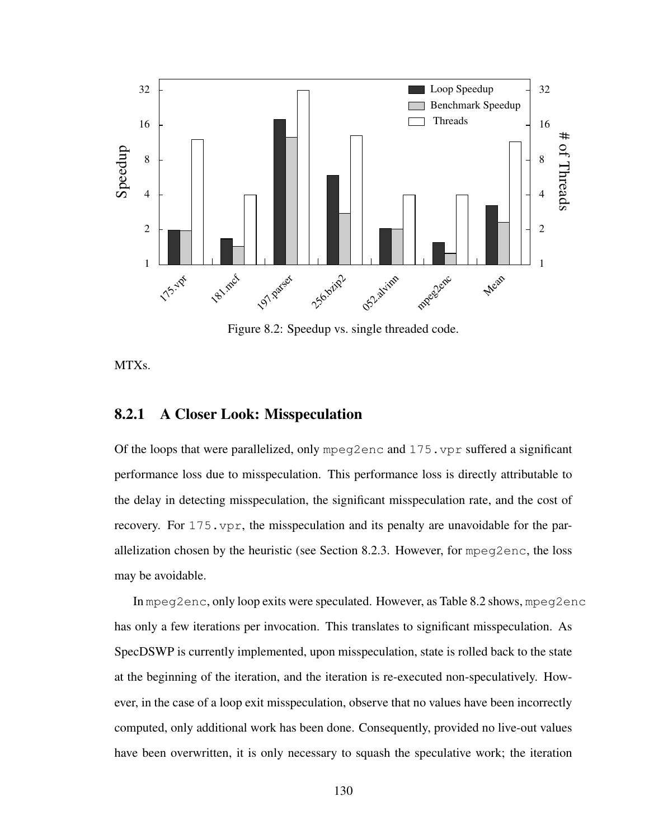

Figure 8.2: Speedup vs. single threaded code.

MTXs.

#### 8.2.1 A Closer Look: Misspeculation

Of the loops that were parallelized, only mpeg2enc and  $175$ . vpr suffered a significant performance loss due to misspeculation. This performance loss is directly attributable to the delay in detecting misspeculation, the significant misspeculation rate, and the cost of recovery. For 175.vpr, the misspeculation and its penalty are unavoidable for the parallelization chosen by the heuristic (see Section 8.2.3. However, for mpeg2enc, the loss may be avoidable.

In mpeg2enc, only loop exits were speculated. However, as Table 8.2 shows, mpeg2enc has only a few iterations per invocation. This translates to significant misspeculation. As SpecDSWP is currently implemented, upon misspeculation, state is rolled back to the state at the beginning of the iteration, and the iteration is re-executed non-speculatively. However, in the case of a loop exit misspeculation, observe that no values have been incorrectly computed, only additional work has been done. Consequently, provided no live-out values have been overwritten, it is only necessary to squash the speculative work; the iteration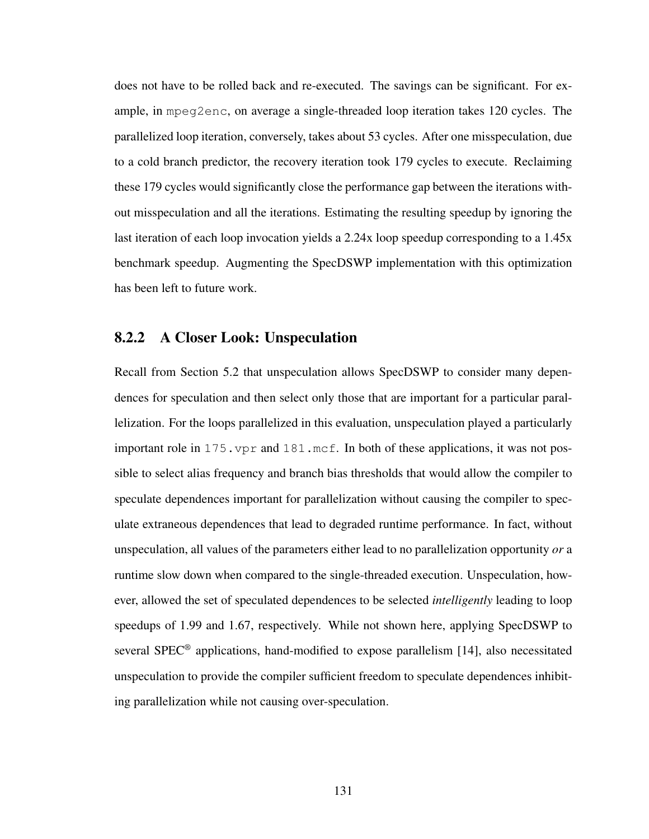does not have to be rolled back and re-executed. The savings can be significant. For example, in mpeg2enc, on average a single-threaded loop iteration takes 120 cycles. The parallelized loop iteration, conversely, takes about 53 cycles. After one misspeculation, due to a cold branch predictor, the recovery iteration took 179 cycles to execute. Reclaiming these 179 cycles would significantly close the performance gap between the iterations without misspeculation and all the iterations. Estimating the resulting speedup by ignoring the last iteration of each loop invocation yields a 2.24x loop speedup corresponding to a 1.45x benchmark speedup. Augmenting the SpecDSWP implementation with this optimization has been left to future work.

#### 8.2.2 A Closer Look: Unspeculation

Recall from Section 5.2 that unspeculation allows SpecDSWP to consider many dependences for speculation and then select only those that are important for a particular parallelization. For the loops parallelized in this evaluation, unspeculation played a particularly important role in 175.vpr and 181.mcf. In both of these applications, it was not possible to select alias frequency and branch bias thresholds that would allow the compiler to speculate dependences important for parallelization without causing the compiler to speculate extraneous dependences that lead to degraded runtime performance. In fact, without unspeculation, all values of the parameters either lead to no parallelization opportunity *or* a runtime slow down when compared to the single-threaded execution. Unspeculation, however, allowed the set of speculated dependences to be selected *intelligently* leading to loop speedups of 1.99 and 1.67, respectively. While not shown here, applying SpecDSWP to several SPEC® applications, hand-modified to expose parallelism [14], also necessitated unspeculation to provide the compiler sufficient freedom to speculate dependences inhibiting parallelization while not causing over-speculation.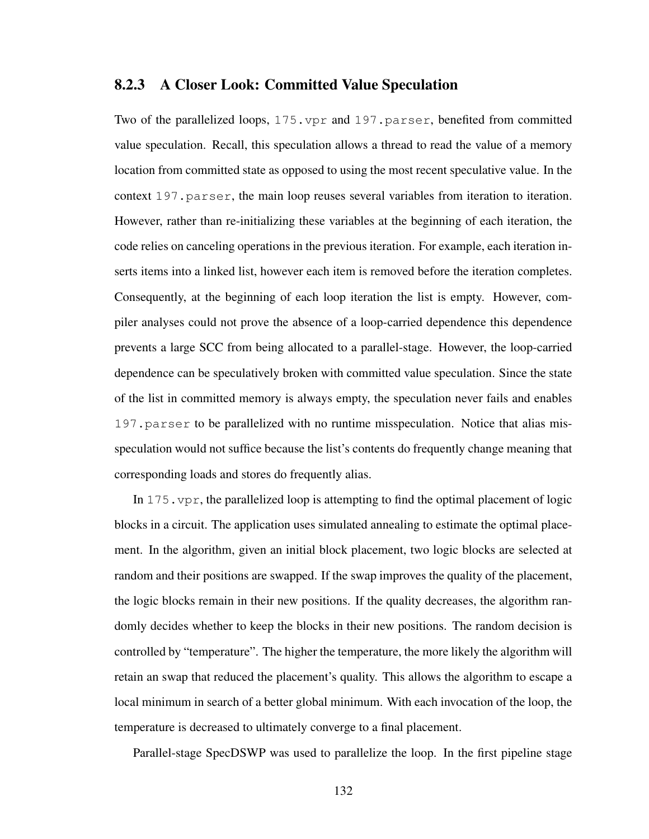#### 8.2.3 A Closer Look: Committed Value Speculation

Two of the parallelized loops, 175.vpr and 197.parser, benefited from committed value speculation. Recall, this speculation allows a thread to read the value of a memory location from committed state as opposed to using the most recent speculative value. In the context 197.parser, the main loop reuses several variables from iteration to iteration. However, rather than re-initializing these variables at the beginning of each iteration, the code relies on canceling operations in the previous iteration. For example, each iteration inserts items into a linked list, however each item is removed before the iteration completes. Consequently, at the beginning of each loop iteration the list is empty. However, compiler analyses could not prove the absence of a loop-carried dependence this dependence prevents a large SCC from being allocated to a parallel-stage. However, the loop-carried dependence can be speculatively broken with committed value speculation. Since the state of the list in committed memory is always empty, the speculation never fails and enables 197.parser to be parallelized with no runtime misspeculation. Notice that alias misspeculation would not suffice because the list's contents do frequently change meaning that corresponding loads and stores do frequently alias.

In  $175$ ,  $vpr$ , the parallelized loop is attempting to find the optimal placement of logic blocks in a circuit. The application uses simulated annealing to estimate the optimal placement. In the algorithm, given an initial block placement, two logic blocks are selected at random and their positions are swapped. If the swap improves the quality of the placement, the logic blocks remain in their new positions. If the quality decreases, the algorithm randomly decides whether to keep the blocks in their new positions. The random decision is controlled by "temperature". The higher the temperature, the more likely the algorithm will retain an swap that reduced the placement's quality. This allows the algorithm to escape a local minimum in search of a better global minimum. With each invocation of the loop, the temperature is decreased to ultimately converge to a final placement.

Parallel-stage SpecDSWP was used to parallelize the loop. In the first pipeline stage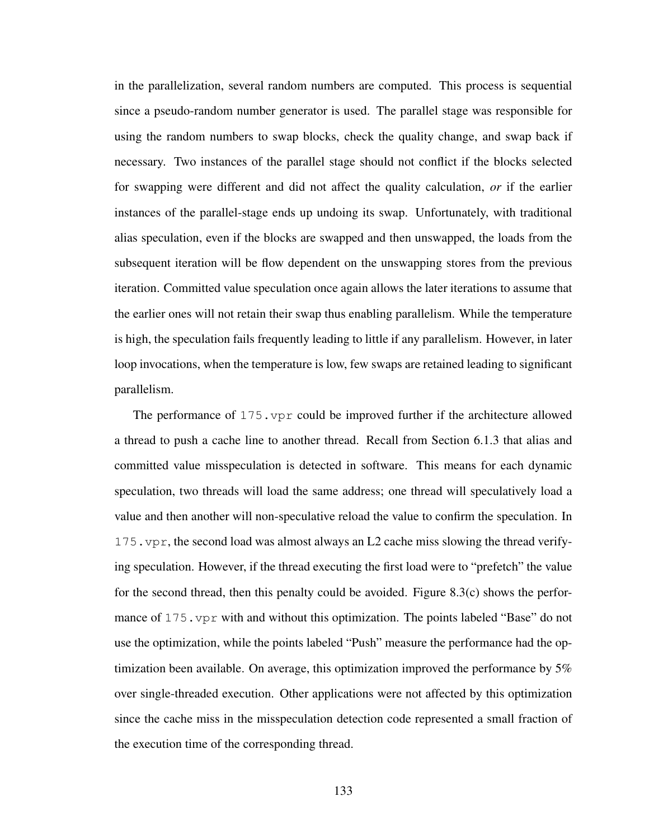in the parallelization, several random numbers are computed. This process is sequential since a pseudo-random number generator is used. The parallel stage was responsible for using the random numbers to swap blocks, check the quality change, and swap back if necessary. Two instances of the parallel stage should not conflict if the blocks selected for swapping were different and did not affect the quality calculation, *or* if the earlier instances of the parallel-stage ends up undoing its swap. Unfortunately, with traditional alias speculation, even if the blocks are swapped and then unswapped, the loads from the subsequent iteration will be flow dependent on the unswapping stores from the previous iteration. Committed value speculation once again allows the later iterations to assume that the earlier ones will not retain their swap thus enabling parallelism. While the temperature is high, the speculation fails frequently leading to little if any parallelism. However, in later loop invocations, when the temperature is low, few swaps are retained leading to significant parallelism.

The performance of 175.vpr could be improved further if the architecture allowed a thread to push a cache line to another thread. Recall from Section 6.1.3 that alias and committed value misspeculation is detected in software. This means for each dynamic speculation, two threads will load the same address; one thread will speculatively load a value and then another will non-speculative reload the value to confirm the speculation. In 175.vpr, the second load was almost always an L2 cache miss slowing the thread verifying speculation. However, if the thread executing the first load were to "prefetch" the value for the second thread, then this penalty could be avoided. Figure 8.3(c) shows the performance of  $175.$  vpr with and without this optimization. The points labeled "Base" do not use the optimization, while the points labeled "Push" measure the performance had the optimization been available. On average, this optimization improved the performance by 5% over single-threaded execution. Other applications were not affected by this optimization since the cache miss in the misspeculation detection code represented a small fraction of the execution time of the corresponding thread.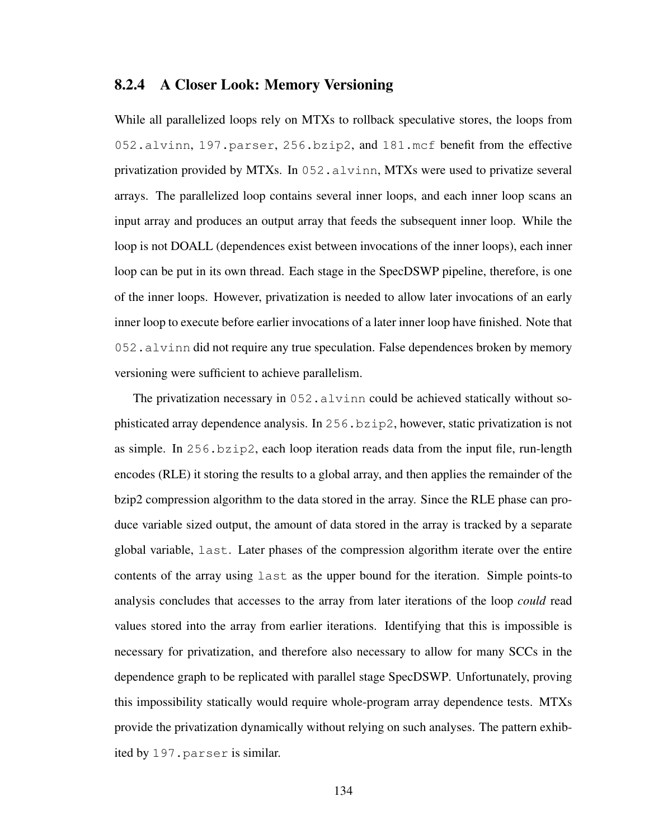#### 8.2.4 A Closer Look: Memory Versioning

While all parallelized loops rely on MTXs to rollback speculative stores, the loops from 052.alvinn, 197.parser, 256.bzip2, and 181.mcf benefit from the effective privatization provided by MTXs. In 052.alvinn, MTXs were used to privatize several arrays. The parallelized loop contains several inner loops, and each inner loop scans an input array and produces an output array that feeds the subsequent inner loop. While the loop is not DOALL (dependences exist between invocations of the inner loops), each inner loop can be put in its own thread. Each stage in the SpecDSWP pipeline, therefore, is one of the inner loops. However, privatization is needed to allow later invocations of an early inner loop to execute before earlier invocations of a later inner loop have finished. Note that 052.alvinn did not require any true speculation. False dependences broken by memory versioning were sufficient to achieve parallelism.

The privatization necessary in 052.alvinn could be achieved statically without sophisticated array dependence analysis. In 256.bzip2, however, static privatization is not as simple. In  $256$ ,  $bzip2$ , each loop iteration reads data from the input file, run-length encodes (RLE) it storing the results to a global array, and then applies the remainder of the bzip2 compression algorithm to the data stored in the array. Since the RLE phase can produce variable sized output, the amount of data stored in the array is tracked by a separate global variable, last. Later phases of the compression algorithm iterate over the entire contents of the array using last as the upper bound for the iteration. Simple points-to analysis concludes that accesses to the array from later iterations of the loop *could* read values stored into the array from earlier iterations. Identifying that this is impossible is necessary for privatization, and therefore also necessary to allow for many SCCs in the dependence graph to be replicated with parallel stage SpecDSWP. Unfortunately, proving this impossibility statically would require whole-program array dependence tests. MTXs provide the privatization dynamically without relying on such analyses. The pattern exhibited by 197.parser is similar.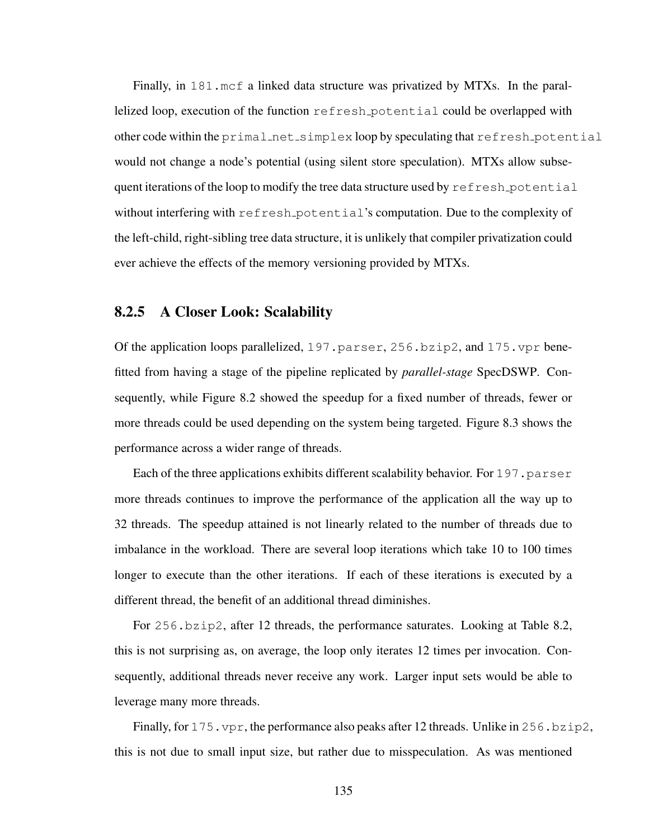Finally, in 181.mcf a linked data structure was privatized by MTXs. In the parallelized loop, execution of the function refresh potential could be overlapped with other code within the primal net simplex loop by speculating that refresh potential would not change a node's potential (using silent store speculation). MTXs allow subsequent iterations of the loop to modify the tree data structure used by refresh potential without interfering with refresh potential's computation. Due to the complexity of the left-child, right-sibling tree data structure, it is unlikely that compiler privatization could ever achieve the effects of the memory versioning provided by MTXs.

#### 8.2.5 A Closer Look: Scalability

Of the application loops parallelized, 197.parser, 256.bzip2, and 175.vpr benefitted from having a stage of the pipeline replicated by *parallel-stage* SpecDSWP. Consequently, while Figure 8.2 showed the speedup for a fixed number of threads, fewer or more threads could be used depending on the system being targeted. Figure 8.3 shows the performance across a wider range of threads.

Each of the three applications exhibits different scalability behavior. For  $197$ , parser more threads continues to improve the performance of the application all the way up to 32 threads. The speedup attained is not linearly related to the number of threads due to imbalance in the workload. There are several loop iterations which take 10 to 100 times longer to execute than the other iterations. If each of these iterations is executed by a different thread, the benefit of an additional thread diminishes.

For 256.bzip2, after 12 threads, the performance saturates. Looking at Table 8.2, this is not surprising as, on average, the loop only iterates 12 times per invocation. Consequently, additional threads never receive any work. Larger input sets would be able to leverage many more threads.

Finally, for 175. vpr, the performance also peaks after 12 threads. Unlike in 256.bzip2, this is not due to small input size, but rather due to misspeculation. As was mentioned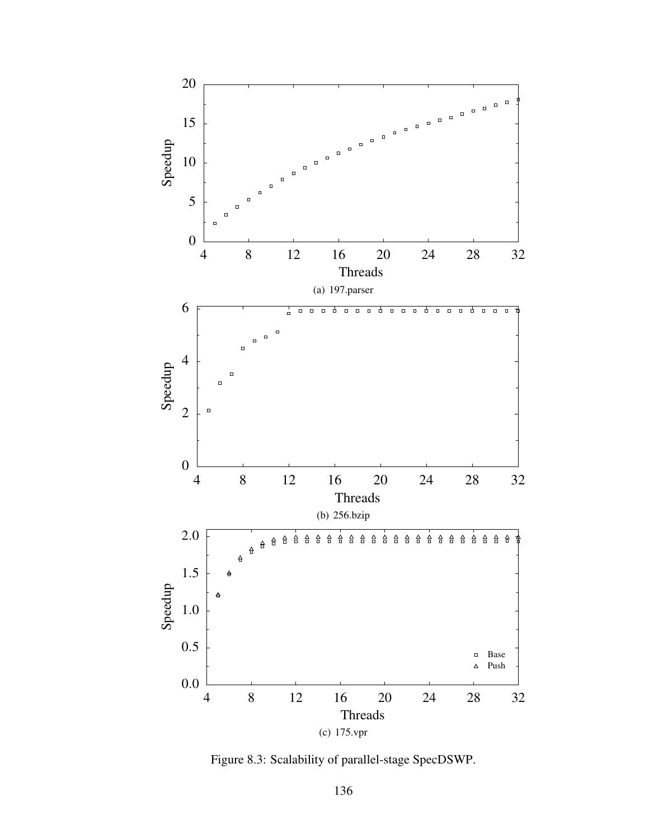

Figure 8.3: Scalability of parallel-stage SpecDSWP.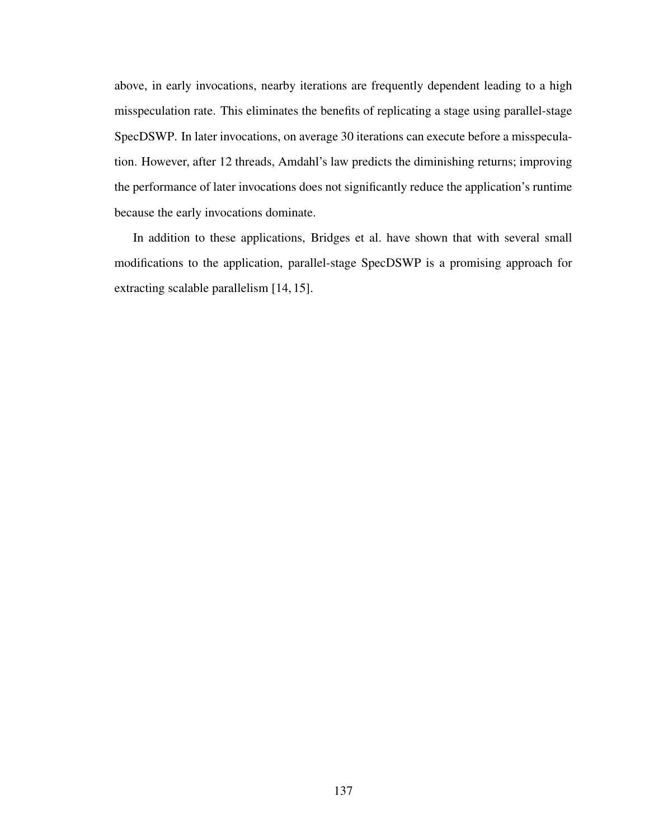above, in early invocations, nearby iterations are frequently dependent leading to a high misspeculation rate. This eliminates the benefits of replicating a stage using parallel-stage SpecDSWP. In later invocations, on average 30 iterations can execute before a misspeculation. However, after 12 threads, Amdahl's law predicts the diminishing returns; improving the performance of later invocations does not significantly reduce the application's runtime because the early invocations dominate.

In addition to these applications, Bridges et al. have shown that with several small modifications to the application, parallel-stage SpecDSWP is a promising approach for extracting scalable parallelism [14, 15].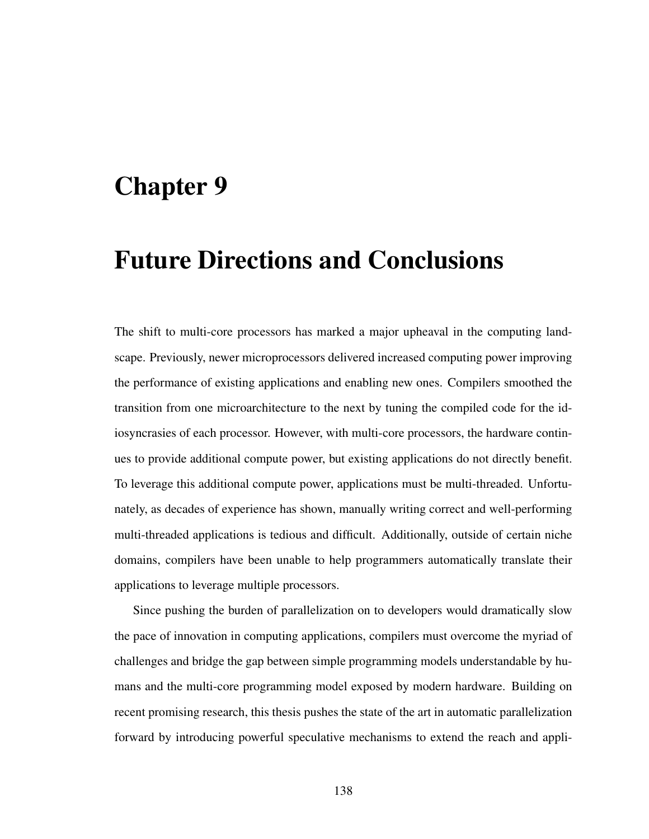## Chapter 9

## Future Directions and Conclusions

The shift to multi-core processors has marked a major upheaval in the computing landscape. Previously, newer microprocessors delivered increased computing power improving the performance of existing applications and enabling new ones. Compilers smoothed the transition from one microarchitecture to the next by tuning the compiled code for the idiosyncrasies of each processor. However, with multi-core processors, the hardware continues to provide additional compute power, but existing applications do not directly benefit. To leverage this additional compute power, applications must be multi-threaded. Unfortunately, as decades of experience has shown, manually writing correct and well-performing multi-threaded applications is tedious and difficult. Additionally, outside of certain niche domains, compilers have been unable to help programmers automatically translate their applications to leverage multiple processors.

Since pushing the burden of parallelization on to developers would dramatically slow the pace of innovation in computing applications, compilers must overcome the myriad of challenges and bridge the gap between simple programming models understandable by humans and the multi-core programming model exposed by modern hardware. Building on recent promising research, this thesis pushes the state of the art in automatic parallelization forward by introducing powerful speculative mechanisms to extend the reach and appli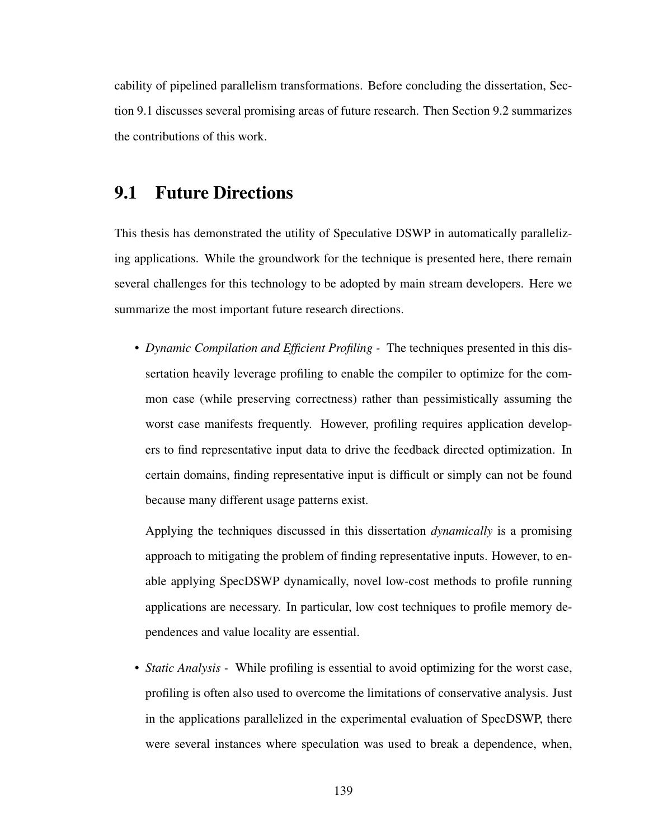cability of pipelined parallelism transformations. Before concluding the dissertation, Section 9.1 discusses several promising areas of future research. Then Section 9.2 summarizes the contributions of this work.

### 9.1 Future Directions

This thesis has demonstrated the utility of Speculative DSWP in automatically parallelizing applications. While the groundwork for the technique is presented here, there remain several challenges for this technology to be adopted by main stream developers. Here we summarize the most important future research directions.

• *Dynamic Compilation and Efficient Profiling -* The techniques presented in this dissertation heavily leverage profiling to enable the compiler to optimize for the common case (while preserving correctness) rather than pessimistically assuming the worst case manifests frequently. However, profiling requires application developers to find representative input data to drive the feedback directed optimization. In certain domains, finding representative input is difficult or simply can not be found because many different usage patterns exist.

Applying the techniques discussed in this dissertation *dynamically* is a promising approach to mitigating the problem of finding representative inputs. However, to enable applying SpecDSWP dynamically, novel low-cost methods to profile running applications are necessary. In particular, low cost techniques to profile memory dependences and value locality are essential.

• *Static Analysis -* While profiling is essential to avoid optimizing for the worst case, profiling is often also used to overcome the limitations of conservative analysis. Just in the applications parallelized in the experimental evaluation of SpecDSWP, there were several instances where speculation was used to break a dependence, when,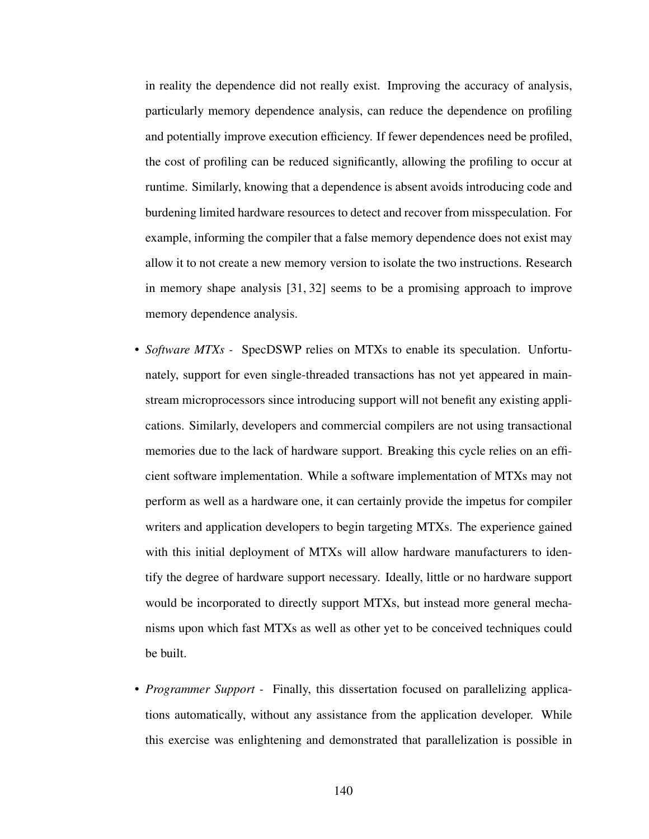in reality the dependence did not really exist. Improving the accuracy of analysis, particularly memory dependence analysis, can reduce the dependence on profiling and potentially improve execution efficiency. If fewer dependences need be profiled, the cost of profiling can be reduced significantly, allowing the profiling to occur at runtime. Similarly, knowing that a dependence is absent avoids introducing code and burdening limited hardware resources to detect and recover from misspeculation. For example, informing the compiler that a false memory dependence does not exist may allow it to not create a new memory version to isolate the two instructions. Research in memory shape analysis [31, 32] seems to be a promising approach to improve memory dependence analysis.

- *Software MTXs -* SpecDSWP relies on MTXs to enable its speculation. Unfortunately, support for even single-threaded transactions has not yet appeared in mainstream microprocessors since introducing support will not benefit any existing applications. Similarly, developers and commercial compilers are not using transactional memories due to the lack of hardware support. Breaking this cycle relies on an efficient software implementation. While a software implementation of MTXs may not perform as well as a hardware one, it can certainly provide the impetus for compiler writers and application developers to begin targeting MTXs. The experience gained with this initial deployment of MTXs will allow hardware manufacturers to identify the degree of hardware support necessary. Ideally, little or no hardware support would be incorporated to directly support MTXs, but instead more general mechanisms upon which fast MTXs as well as other yet to be conceived techniques could be built.
- *Programmer Support -* Finally, this dissertation focused on parallelizing applications automatically, without any assistance from the application developer. While this exercise was enlightening and demonstrated that parallelization is possible in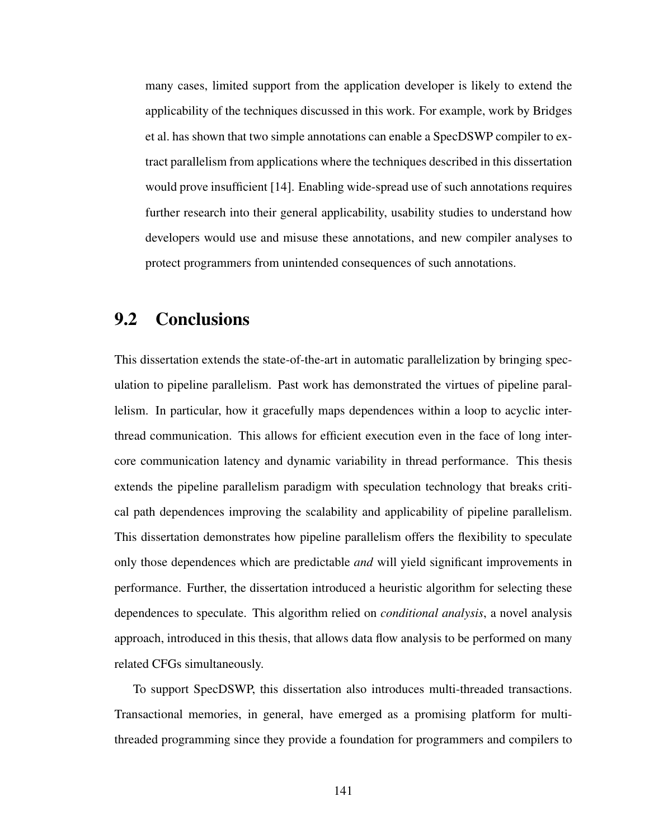many cases, limited support from the application developer is likely to extend the applicability of the techniques discussed in this work. For example, work by Bridges et al. has shown that two simple annotations can enable a SpecDSWP compiler to extract parallelism from applications where the techniques described in this dissertation would prove insufficient [14]. Enabling wide-spread use of such annotations requires further research into their general applicability, usability studies to understand how developers would use and misuse these annotations, and new compiler analyses to protect programmers from unintended consequences of such annotations.

### 9.2 Conclusions

This dissertation extends the state-of-the-art in automatic parallelization by bringing speculation to pipeline parallelism. Past work has demonstrated the virtues of pipeline parallelism. In particular, how it gracefully maps dependences within a loop to acyclic interthread communication. This allows for efficient execution even in the face of long intercore communication latency and dynamic variability in thread performance. This thesis extends the pipeline parallelism paradigm with speculation technology that breaks critical path dependences improving the scalability and applicability of pipeline parallelism. This dissertation demonstrates how pipeline parallelism offers the flexibility to speculate only those dependences which are predictable *and* will yield significant improvements in performance. Further, the dissertation introduced a heuristic algorithm for selecting these dependences to speculate. This algorithm relied on *conditional analysis*, a novel analysis approach, introduced in this thesis, that allows data flow analysis to be performed on many related CFGs simultaneously.

To support SpecDSWP, this dissertation also introduces multi-threaded transactions. Transactional memories, in general, have emerged as a promising platform for multithreaded programming since they provide a foundation for programmers and compilers to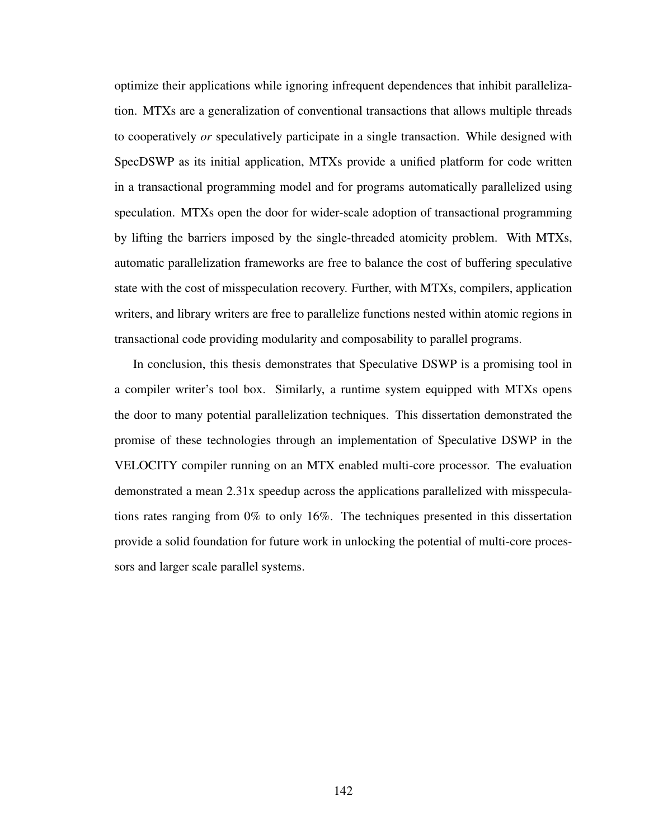optimize their applications while ignoring infrequent dependences that inhibit parallelization. MTXs are a generalization of conventional transactions that allows multiple threads to cooperatively *or* speculatively participate in a single transaction. While designed with SpecDSWP as its initial application, MTXs provide a unified platform for code written in a transactional programming model and for programs automatically parallelized using speculation. MTXs open the door for wider-scale adoption of transactional programming by lifting the barriers imposed by the single-threaded atomicity problem. With MTXs, automatic parallelization frameworks are free to balance the cost of buffering speculative state with the cost of misspeculation recovery. Further, with MTXs, compilers, application writers, and library writers are free to parallelize functions nested within atomic regions in transactional code providing modularity and composability to parallel programs.

In conclusion, this thesis demonstrates that Speculative DSWP is a promising tool in a compiler writer's tool box. Similarly, a runtime system equipped with MTXs opens the door to many potential parallelization techniques. This dissertation demonstrated the promise of these technologies through an implementation of Speculative DSWP in the VELOCITY compiler running on an MTX enabled multi-core processor. The evaluation demonstrated a mean 2.31x speedup across the applications parallelized with misspeculations rates ranging from 0% to only 16%. The techniques presented in this dissertation provide a solid foundation for future work in unlocking the potential of multi-core processors and larger scale parallel systems.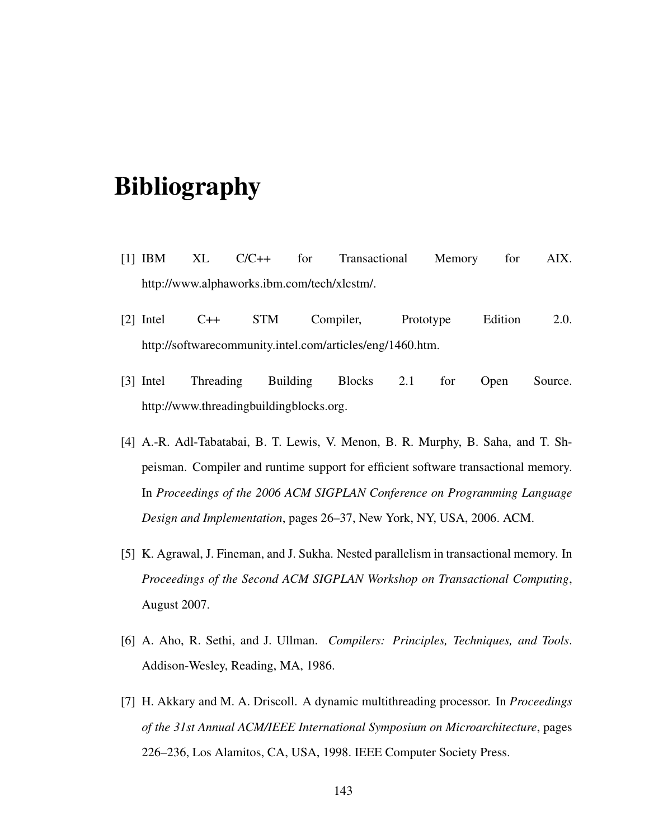# Bibliography

- [1] IBM XL C/C++ for Transactional Memory for AIX. http://www.alphaworks.ibm.com/tech/xlcstm/.
- [2] Intel C++ STM Compiler, Prototype Edition 2.0. http://softwarecommunity.intel.com/articles/eng/1460.htm.
- [3] Intel Threading Building Blocks 2.1 for Open Source. http://www.threadingbuildingblocks.org.
- [4] A.-R. Adl-Tabatabai, B. T. Lewis, V. Menon, B. R. Murphy, B. Saha, and T. Shpeisman. Compiler and runtime support for efficient software transactional memory. In *Proceedings of the 2006 ACM SIGPLAN Conference on Programming Language Design and Implementation*, pages 26–37, New York, NY, USA, 2006. ACM.
- [5] K. Agrawal, J. Fineman, and J. Sukha. Nested parallelism in transactional memory. In *Proceedings of the Second ACM SIGPLAN Workshop on Transactional Computing*, August 2007.
- [6] A. Aho, R. Sethi, and J. Ullman. *Compilers: Principles, Techniques, and Tools*. Addison-Wesley, Reading, MA, 1986.
- [7] H. Akkary and M. A. Driscoll. A dynamic multithreading processor. In *Proceedings of the 31st Annual ACM/IEEE International Symposium on Microarchitecture*, pages 226–236, Los Alamitos, CA, USA, 1998. IEEE Computer Society Press.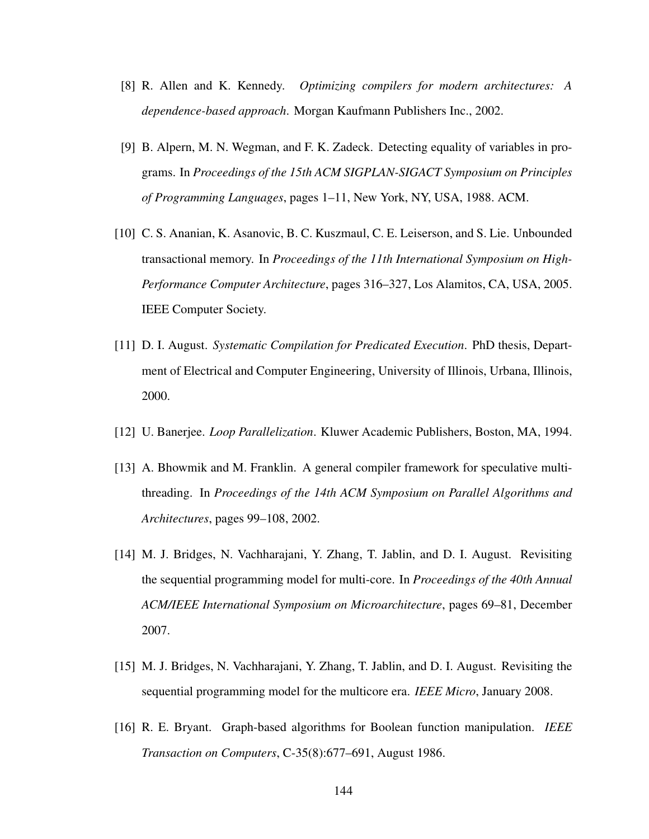- [8] R. Allen and K. Kennedy. *Optimizing compilers for modern architectures: A dependence-based approach*. Morgan Kaufmann Publishers Inc., 2002.
- [9] B. Alpern, M. N. Wegman, and F. K. Zadeck. Detecting equality of variables in programs. In *Proceedings of the 15th ACM SIGPLAN-SIGACT Symposium on Principles of Programming Languages*, pages 1–11, New York, NY, USA, 1988. ACM.
- [10] C. S. Ananian, K. Asanovic, B. C. Kuszmaul, C. E. Leiserson, and S. Lie. Unbounded transactional memory. In *Proceedings of the 11th International Symposium on High-Performance Computer Architecture*, pages 316–327, Los Alamitos, CA, USA, 2005. IEEE Computer Society.
- [11] D. I. August. *Systematic Compilation for Predicated Execution*. PhD thesis, Department of Electrical and Computer Engineering, University of Illinois, Urbana, Illinois, 2000.
- [12] U. Banerjee. *Loop Parallelization*. Kluwer Academic Publishers, Boston, MA, 1994.
- [13] A. Bhowmik and M. Franklin. A general compiler framework for speculative multithreading. In *Proceedings of the 14th ACM Symposium on Parallel Algorithms and Architectures*, pages 99–108, 2002.
- [14] M. J. Bridges, N. Vachharajani, Y. Zhang, T. Jablin, and D. I. August. Revisiting the sequential programming model for multi-core. In *Proceedings of the 40th Annual ACM/IEEE International Symposium on Microarchitecture*, pages 69–81, December 2007.
- [15] M. J. Bridges, N. Vachharajani, Y. Zhang, T. Jablin, and D. I. August. Revisiting the sequential programming model for the multicore era. *IEEE Micro*, January 2008.
- [16] R. E. Bryant. Graph-based algorithms for Boolean function manipulation. *IEEE Transaction on Computers*, C-35(8):677–691, August 1986.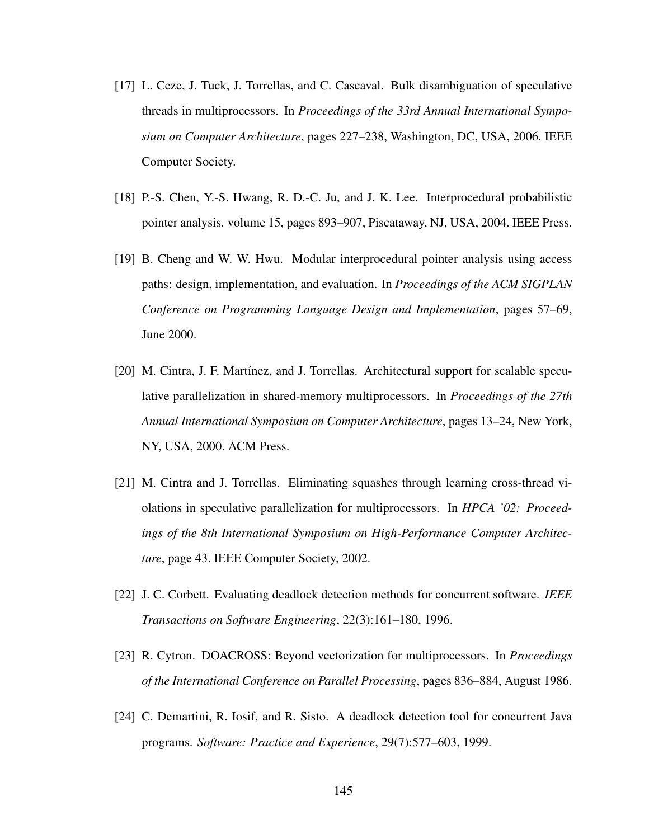- [17] L. Ceze, J. Tuck, J. Torrellas, and C. Cascaval. Bulk disambiguation of speculative threads in multiprocessors. In *Proceedings of the 33rd Annual International Symposium on Computer Architecture*, pages 227–238, Washington, DC, USA, 2006. IEEE Computer Society.
- [18] P.-S. Chen, Y.-S. Hwang, R. D.-C. Ju, and J. K. Lee. Interprocedural probabilistic pointer analysis. volume 15, pages 893–907, Piscataway, NJ, USA, 2004. IEEE Press.
- [19] B. Cheng and W. W. Hwu. Modular interprocedural pointer analysis using access paths: design, implementation, and evaluation. In *Proceedings of the ACM SIGPLAN Conference on Programming Language Design and Implementation*, pages 57–69, June 2000.
- [20] M. Cintra, J. F. Martínez, and J. Torrellas. Architectural support for scalable speculative parallelization in shared-memory multiprocessors. In *Proceedings of the 27th Annual International Symposium on Computer Architecture*, pages 13–24, New York, NY, USA, 2000. ACM Press.
- [21] M. Cintra and J. Torrellas. Eliminating squashes through learning cross-thread violations in speculative parallelization for multiprocessors. In *HPCA '02: Proceedings of the 8th International Symposium on High-Performance Computer Architecture*, page 43. IEEE Computer Society, 2002.
- [22] J. C. Corbett. Evaluating deadlock detection methods for concurrent software. *IEEE Transactions on Software Engineering*, 22(3):161–180, 1996.
- [23] R. Cytron. DOACROSS: Beyond vectorization for multiprocessors. In *Proceedings of the International Conference on Parallel Processing*, pages 836–884, August 1986.
- [24] C. Demartini, R. Iosif, and R. Sisto. A deadlock detection tool for concurrent Java programs. *Software: Practice and Experience*, 29(7):577–603, 1999.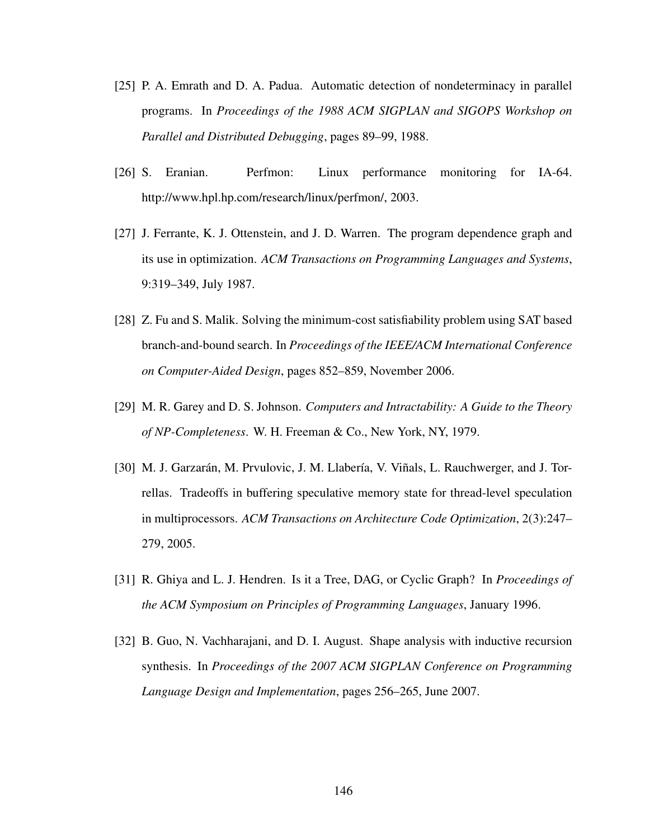- [25] P. A. Emrath and D. A. Padua. Automatic detection of nondeterminacy in parallel programs. In *Proceedings of the 1988 ACM SIGPLAN and SIGOPS Workshop on Parallel and Distributed Debugging*, pages 89–99, 1988.
- [26] S. Eranian. Perfmon: Linux performance monitoring for IA-64. http://www.hpl.hp.com/research/linux/perfmon/, 2003.
- [27] J. Ferrante, K. J. Ottenstein, and J. D. Warren. The program dependence graph and its use in optimization. *ACM Transactions on Programming Languages and Systems*, 9:319–349, July 1987.
- [28] Z. Fu and S. Malik. Solving the minimum-cost satisfiability problem using SAT based branch-and-bound search. In *Proceedings of the IEEE/ACM International Conference on Computer-Aided Design*, pages 852–859, November 2006.
- [29] M. R. Garey and D. S. Johnson. *Computers and Intractability: A Guide to the Theory of NP-Completeness*. W. H. Freeman & Co., New York, NY, 1979.
- [30] M. J. Garzarán, M. Prvulovic, J. M. Llabería, V. Viñals, L. Rauchwerger, and J. Torrellas. Tradeoffs in buffering speculative memory state for thread-level speculation in multiprocessors. *ACM Transactions on Architecture Code Optimization*, 2(3):247– 279, 2005.
- [31] R. Ghiya and L. J. Hendren. Is it a Tree, DAG, or Cyclic Graph? In *Proceedings of the ACM Symposium on Principles of Programming Languages*, January 1996.
- [32] B. Guo, N. Vachharajani, and D. I. August. Shape analysis with inductive recursion synthesis. In *Proceedings of the 2007 ACM SIGPLAN Conference on Programming Language Design and Implementation*, pages 256–265, June 2007.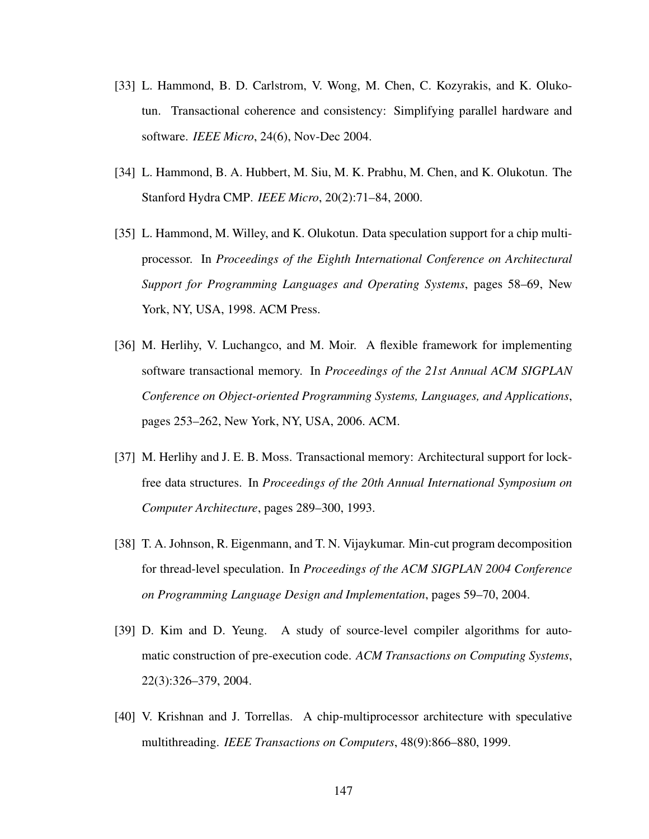- [33] L. Hammond, B. D. Carlstrom, V. Wong, M. Chen, C. Kozyrakis, and K. Olukotun. Transactional coherence and consistency: Simplifying parallel hardware and software. *IEEE Micro*, 24(6), Nov-Dec 2004.
- [34] L. Hammond, B. A. Hubbert, M. Siu, M. K. Prabhu, M. Chen, and K. Olukotun. The Stanford Hydra CMP. *IEEE Micro*, 20(2):71–84, 2000.
- [35] L. Hammond, M. Willey, and K. Olukotun. Data speculation support for a chip multiprocessor. In *Proceedings of the Eighth International Conference on Architectural Support for Programming Languages and Operating Systems*, pages 58–69, New York, NY, USA, 1998. ACM Press.
- [36] M. Herlihy, V. Luchangco, and M. Moir. A flexible framework for implementing software transactional memory. In *Proceedings of the 21st Annual ACM SIGPLAN Conference on Object-oriented Programming Systems, Languages, and Applications*, pages 253–262, New York, NY, USA, 2006. ACM.
- [37] M. Herlihy and J. E. B. Moss. Transactional memory: Architectural support for lockfree data structures. In *Proceedings of the 20th Annual International Symposium on Computer Architecture*, pages 289–300, 1993.
- [38] T. A. Johnson, R. Eigenmann, and T. N. Vijaykumar. Min-cut program decomposition for thread-level speculation. In *Proceedings of the ACM SIGPLAN 2004 Conference on Programming Language Design and Implementation*, pages 59–70, 2004.
- [39] D. Kim and D. Yeung. A study of source-level compiler algorithms for automatic construction of pre-execution code. *ACM Transactions on Computing Systems*, 22(3):326–379, 2004.
- [40] V. Krishnan and J. Torrellas. A chip-multiprocessor architecture with speculative multithreading. *IEEE Transactions on Computers*, 48(9):866–880, 1999.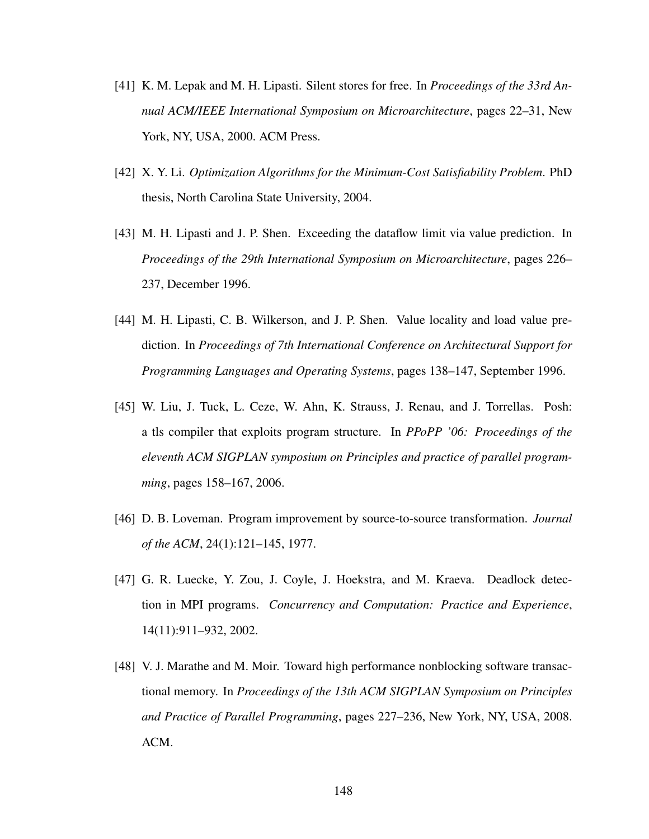- [41] K. M. Lepak and M. H. Lipasti. Silent stores for free. In *Proceedings of the 33rd Annual ACM/IEEE International Symposium on Microarchitecture*, pages 22–31, New York, NY, USA, 2000. ACM Press.
- [42] X. Y. Li. *Optimization Algorithms for the Minimum-Cost Satisfiability Problem*. PhD thesis, North Carolina State University, 2004.
- [43] M. H. Lipasti and J. P. Shen. Exceeding the dataflow limit via value prediction. In *Proceedings of the 29th International Symposium on Microarchitecture*, pages 226– 237, December 1996.
- [44] M. H. Lipasti, C. B. Wilkerson, and J. P. Shen. Value locality and load value prediction. In *Proceedings of 7th International Conference on Architectural Support for Programming Languages and Operating Systems*, pages 138–147, September 1996.
- [45] W. Liu, J. Tuck, L. Ceze, W. Ahn, K. Strauss, J. Renau, and J. Torrellas. Posh: a tls compiler that exploits program structure. In *PPoPP '06: Proceedings of the eleventh ACM SIGPLAN symposium on Principles and practice of parallel programming*, pages 158–167, 2006.
- [46] D. B. Loveman. Program improvement by source-to-source transformation. *Journal of the ACM*, 24(1):121–145, 1977.
- [47] G. R. Luecke, Y. Zou, J. Coyle, J. Hoekstra, and M. Kraeva. Deadlock detection in MPI programs. *Concurrency and Computation: Practice and Experience*, 14(11):911–932, 2002.
- [48] V. J. Marathe and M. Moir. Toward high performance nonblocking software transactional memory. In *Proceedings of the 13th ACM SIGPLAN Symposium on Principles and Practice of Parallel Programming*, pages 227–236, New York, NY, USA, 2008. ACM.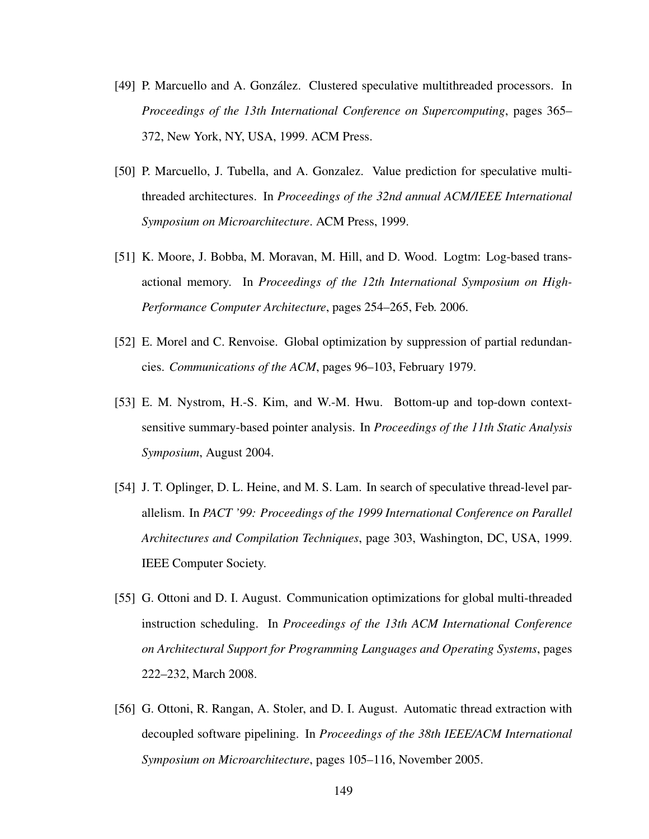- [49] P. Marcuello and A. Gonzalez. Clustered speculative multithreaded processors. In ´ *Proceedings of the 13th International Conference on Supercomputing*, pages 365– 372, New York, NY, USA, 1999. ACM Press.
- [50] P. Marcuello, J. Tubella, and A. Gonzalez. Value prediction for speculative multithreaded architectures. In *Proceedings of the 32nd annual ACM/IEEE International Symposium on Microarchitecture*. ACM Press, 1999.
- [51] K. Moore, J. Bobba, M. Moravan, M. Hill, and D. Wood. Logtm: Log-based transactional memory. In *Proceedings of the 12th International Symposium on High-Performance Computer Architecture*, pages 254–265, Feb. 2006.
- [52] E. Morel and C. Renvoise. Global optimization by suppression of partial redundancies. *Communications of the ACM*, pages 96–103, February 1979.
- [53] E. M. Nystrom, H.-S. Kim, and W.-M. Hwu. Bottom-up and top-down contextsensitive summary-based pointer analysis. In *Proceedings of the 11th Static Analysis Symposium*, August 2004.
- [54] J. T. Oplinger, D. L. Heine, and M. S. Lam. In search of speculative thread-level parallelism. In *PACT '99: Proceedings of the 1999 International Conference on Parallel Architectures and Compilation Techniques*, page 303, Washington, DC, USA, 1999. IEEE Computer Society.
- [55] G. Ottoni and D. I. August. Communication optimizations for global multi-threaded instruction scheduling. In *Proceedings of the 13th ACM International Conference on Architectural Support for Programming Languages and Operating Systems*, pages 222–232, March 2008.
- [56] G. Ottoni, R. Rangan, A. Stoler, and D. I. August. Automatic thread extraction with decoupled software pipelining. In *Proceedings of the 38th IEEE/ACM International Symposium on Microarchitecture*, pages 105–116, November 2005.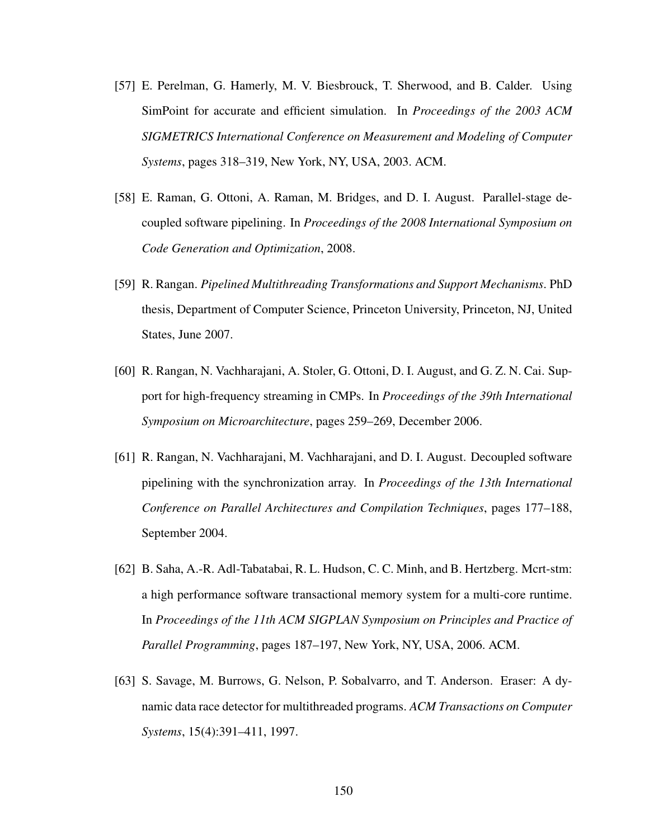- [57] E. Perelman, G. Hamerly, M. V. Biesbrouck, T. Sherwood, and B. Calder. Using SimPoint for accurate and efficient simulation. In *Proceedings of the 2003 ACM SIGMETRICS International Conference on Measurement and Modeling of Computer Systems*, pages 318–319, New York, NY, USA, 2003. ACM.
- [58] E. Raman, G. Ottoni, A. Raman, M. Bridges, and D. I. August. Parallel-stage decoupled software pipelining. In *Proceedings of the 2008 International Symposium on Code Generation and Optimization*, 2008.
- [59] R. Rangan. *Pipelined Multithreading Transformations and Support Mechanisms*. PhD thesis, Department of Computer Science, Princeton University, Princeton, NJ, United States, June 2007.
- [60] R. Rangan, N. Vachharajani, A. Stoler, G. Ottoni, D. I. August, and G. Z. N. Cai. Support for high-frequency streaming in CMPs. In *Proceedings of the 39th International Symposium on Microarchitecture*, pages 259–269, December 2006.
- [61] R. Rangan, N. Vachharajani, M. Vachharajani, and D. I. August. Decoupled software pipelining with the synchronization array. In *Proceedings of the 13th International Conference on Parallel Architectures and Compilation Techniques*, pages 177–188, September 2004.
- [62] B. Saha, A.-R. Adl-Tabatabai, R. L. Hudson, C. C. Minh, and B. Hertzberg. Mcrt-stm: a high performance software transactional memory system for a multi-core runtime. In *Proceedings of the 11th ACM SIGPLAN Symposium on Principles and Practice of Parallel Programming*, pages 187–197, New York, NY, USA, 2006. ACM.
- [63] S. Savage, M. Burrows, G. Nelson, P. Sobalvarro, and T. Anderson. Eraser: A dynamic data race detector for multithreaded programs. *ACM Transactions on Computer Systems*, 15(4):391–411, 1997.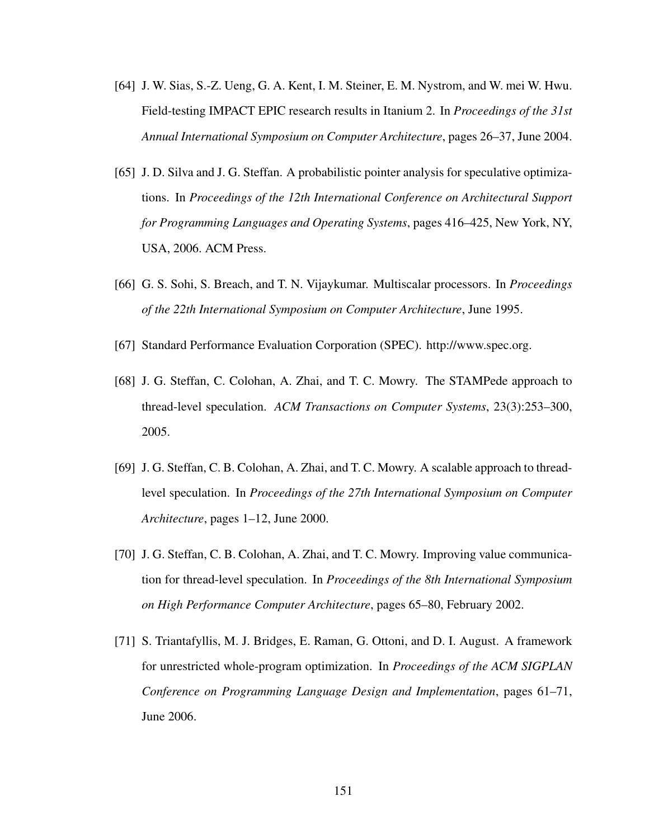- [64] J. W. Sias, S.-Z. Ueng, G. A. Kent, I. M. Steiner, E. M. Nystrom, and W. mei W. Hwu. Field-testing IMPACT EPIC research results in Itanium 2. In *Proceedings of the 31st Annual International Symposium on Computer Architecture*, pages 26–37, June 2004.
- [65] J. D. Silva and J. G. Steffan. A probabilistic pointer analysis for speculative optimizations. In *Proceedings of the 12th International Conference on Architectural Support for Programming Languages and Operating Systems*, pages 416–425, New York, NY, USA, 2006. ACM Press.
- [66] G. S. Sohi, S. Breach, and T. N. Vijaykumar. Multiscalar processors. In *Proceedings of the 22th International Symposium on Computer Architecture*, June 1995.
- [67] Standard Performance Evaluation Corporation (SPEC). http://www.spec.org.
- [68] J. G. Steffan, C. Colohan, A. Zhai, and T. C. Mowry. The STAMPede approach to thread-level speculation. *ACM Transactions on Computer Systems*, 23(3):253–300, 2005.
- [69] J. G. Steffan, C. B. Colohan, A. Zhai, and T. C. Mowry. A scalable approach to threadlevel speculation. In *Proceedings of the 27th International Symposium on Computer Architecture*, pages 1–12, June 2000.
- [70] J. G. Steffan, C. B. Colohan, A. Zhai, and T. C. Mowry. Improving value communication for thread-level speculation. In *Proceedings of the 8th International Symposium on High Performance Computer Architecture*, pages 65–80, February 2002.
- [71] S. Triantafyllis, M. J. Bridges, E. Raman, G. Ottoni, and D. I. August. A framework for unrestricted whole-program optimization. In *Proceedings of the ACM SIGPLAN Conference on Programming Language Design and Implementation*, pages 61–71, June 2006.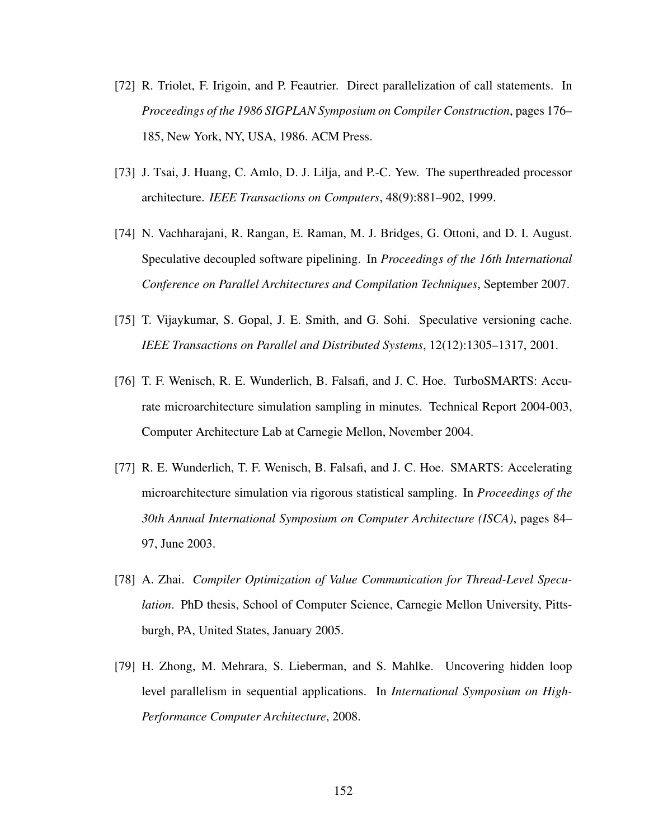- [72] R. Triolet, F. Irigoin, and P. Feautrier. Direct parallelization of call statements. In *Proceedings of the 1986 SIGPLAN Symposium on Compiler Construction*, pages 176– 185, New York, NY, USA, 1986. ACM Press.
- [73] J. Tsai, J. Huang, C. Amlo, D. J. Lilja, and P.-C. Yew. The superthreaded processor architecture. *IEEE Transactions on Computers*, 48(9):881–902, 1999.
- [74] N. Vachharajani, R. Rangan, E. Raman, M. J. Bridges, G. Ottoni, and D. I. August. Speculative decoupled software pipelining. In *Proceedings of the 16th International Conference on Parallel Architectures and Compilation Techniques*, September 2007.
- [75] T. Vijaykumar, S. Gopal, J. E. Smith, and G. Sohi. Speculative versioning cache. *IEEE Transactions on Parallel and Distributed Systems*, 12(12):1305–1317, 2001.
- [76] T. F. Wenisch, R. E. Wunderlich, B. Falsafi, and J. C. Hoe. TurboSMARTS: Accurate microarchitecture simulation sampling in minutes. Technical Report 2004-003, Computer Architecture Lab at Carnegie Mellon, November 2004.
- [77] R. E. Wunderlich, T. F. Wenisch, B. Falsafi, and J. C. Hoe. SMARTS: Accelerating microarchitecture simulation via rigorous statistical sampling. In *Proceedings of the 30th Annual International Symposium on Computer Architecture (ISCA)*, pages 84– 97, June 2003.
- [78] A. Zhai. *Compiler Optimization of Value Communication for Thread-Level Speculation*. PhD thesis, School of Computer Science, Carnegie Mellon University, Pittsburgh, PA, United States, January 2005.
- [79] H. Zhong, M. Mehrara, S. Lieberman, and S. Mahlke. Uncovering hidden loop level parallelism in sequential applications. In *International Symposium on High-Performance Computer Architecture*, 2008.